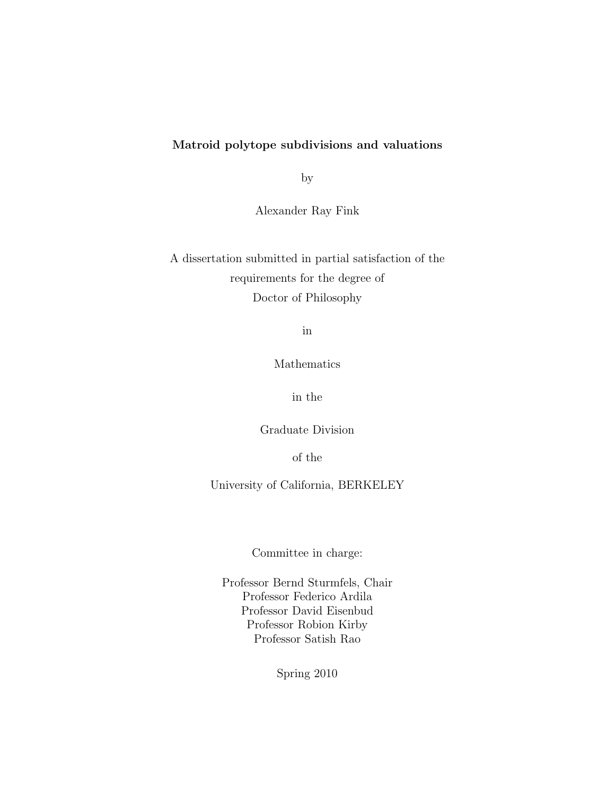#### Matroid polytope subdivisions and valuations

by

Alexander Ray Fink

A dissertation submitted in partial satisfaction of the requirements for the degree of Doctor of Philosophy

in

Mathematics

in the

Graduate Division

of the

University of California, BERKELEY

Committee in charge:

Professor Bernd Sturmfels, Chair Professor Federico Ardila Professor David Eisenbud Professor Robion Kirby Professor Satish Rao

Spring 2010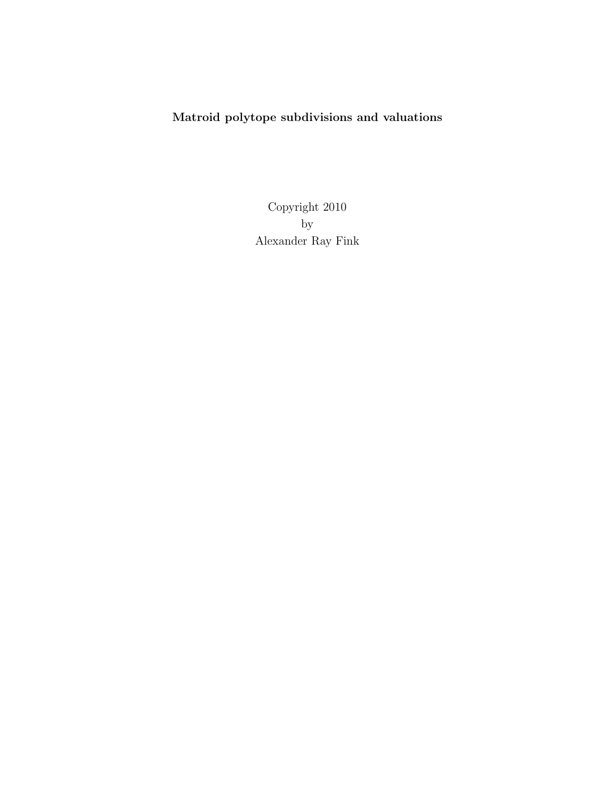## Matroid polytope subdivisions and valuations

Copyright 2010 by Alexander Ray Fink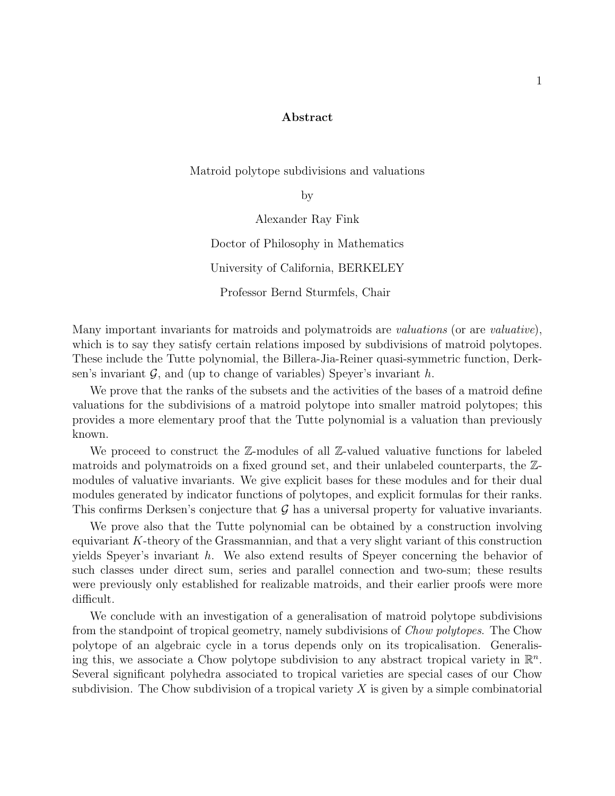#### Abstract

Matroid polytope subdivisions and valuations

by

Alexander Ray Fink Doctor of Philosophy in Mathematics University of California, BERKELEY Professor Bernd Sturmfels, Chair

Many important invariants for matroids and polymatroids are valuations (or are valuative), which is to say they satisfy certain relations imposed by subdivisions of matroid polytopes. These include the Tutte polynomial, the Billera-Jia-Reiner quasi-symmetric function, Derksen's invariant  $\mathcal{G}$ , and (up to change of variables) Speyer's invariant h.

We prove that the ranks of the subsets and the activities of the bases of a matroid define valuations for the subdivisions of a matroid polytope into smaller matroid polytopes; this provides a more elementary proof that the Tutte polynomial is a valuation than previously known.

We proceed to construct the Z-modules of all Z-valued valuative functions for labeled matroids and polymatroids on a fixed ground set, and their unlabeled counterparts, the Zmodules of valuative invariants. We give explicit bases for these modules and for their dual modules generated by indicator functions of polytopes, and explicit formulas for their ranks. This confirms Derksen's conjecture that  $G$  has a universal property for valuative invariants.

We prove also that the Tutte polynomial can be obtained by a construction involving equivariant K-theory of the Grassmannian, and that a very slight variant of this construction yields Speyer's invariant  $h$ . We also extend results of Speyer concerning the behavior of such classes under direct sum, series and parallel connection and two-sum; these results were previously only established for realizable matroids, and their earlier proofs were more difficult.

We conclude with an investigation of a generalisation of matroid polytope subdivisions from the standpoint of tropical geometry, namely subdivisions of Chow polytopes. The Chow polytope of an algebraic cycle in a torus depends only on its tropicalisation. Generalising this, we associate a Chow polytope subdivision to any abstract tropical variety in  $\mathbb{R}^n$ . Several significant polyhedra associated to tropical varieties are special cases of our Chow subdivision. The Chow subdivision of a tropical variety  $X$  is given by a simple combinatorial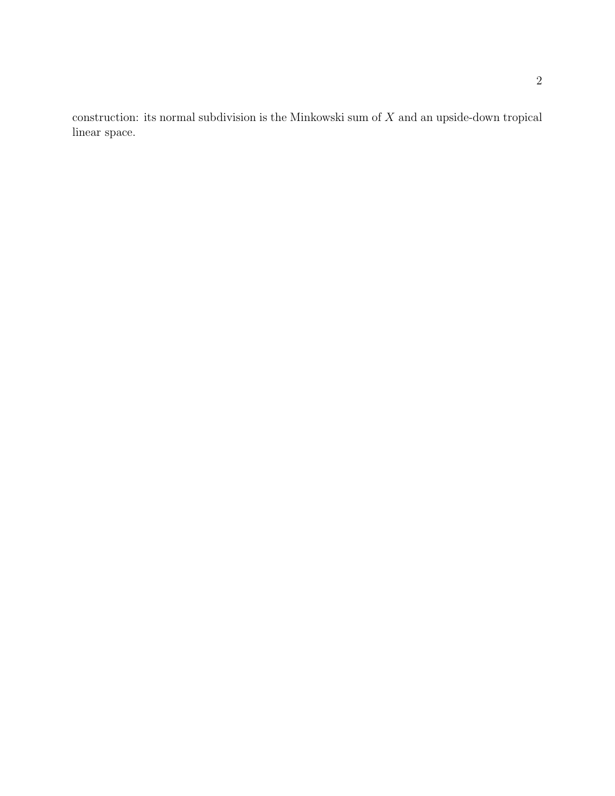construction: its normal subdivision is the Minkowski sum of X and an upside-down tropical linear space.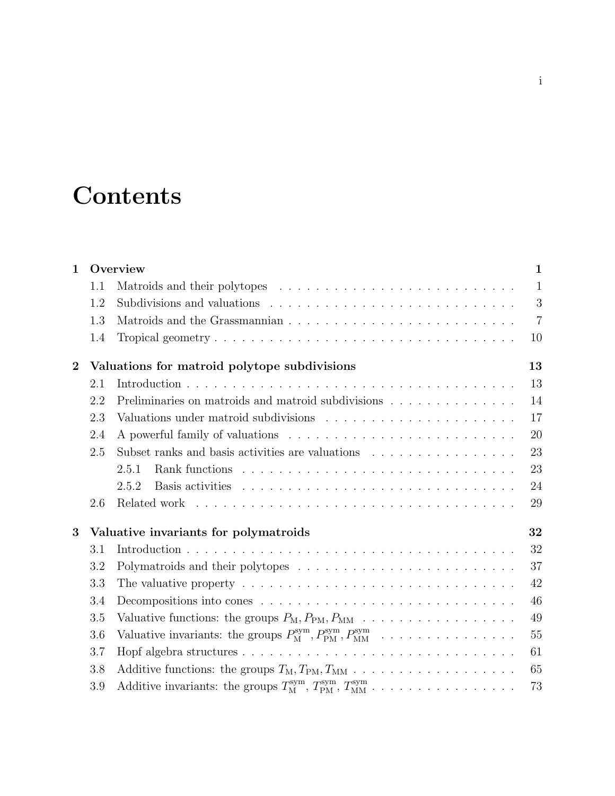# **Contents**

| $\mathbf{1}$     |                                                    | Overview                                                                                                                  | $\mathbf{1}$   |  |  |  |  |  |  |  |  |  |  |  |  |
|------------------|----------------------------------------------------|---------------------------------------------------------------------------------------------------------------------------|----------------|--|--|--|--|--|--|--|--|--|--|--|--|
|                  | 1.1                                                |                                                                                                                           | $\mathbf{1}$   |  |  |  |  |  |  |  |  |  |  |  |  |
|                  | 1.2                                                |                                                                                                                           | 3              |  |  |  |  |  |  |  |  |  |  |  |  |
|                  | 1.3                                                |                                                                                                                           | $\overline{7}$ |  |  |  |  |  |  |  |  |  |  |  |  |
|                  | 1.4                                                | Tropical geometry $\dots \dots \dots \dots \dots \dots \dots \dots \dots \dots \dots \dots \dots$                         | 10             |  |  |  |  |  |  |  |  |  |  |  |  |
| $\boldsymbol{2}$ | 13<br>Valuations for matroid polytope subdivisions |                                                                                                                           |                |  |  |  |  |  |  |  |  |  |  |  |  |
|                  | 2.1                                                |                                                                                                                           | 13             |  |  |  |  |  |  |  |  |  |  |  |  |
|                  | 2.2                                                | Preliminaries on matroids and matroid subdivisions                                                                        | 14             |  |  |  |  |  |  |  |  |  |  |  |  |
|                  | 2.3                                                |                                                                                                                           | 17             |  |  |  |  |  |  |  |  |  |  |  |  |
|                  | 2.4                                                |                                                                                                                           | 20             |  |  |  |  |  |  |  |  |  |  |  |  |
|                  | 2.5                                                |                                                                                                                           | 23             |  |  |  |  |  |  |  |  |  |  |  |  |
|                  |                                                    | 2.5.1                                                                                                                     | 23             |  |  |  |  |  |  |  |  |  |  |  |  |
|                  |                                                    | 2.5.2                                                                                                                     | 24             |  |  |  |  |  |  |  |  |  |  |  |  |
|                  | 2.6                                                |                                                                                                                           | 29             |  |  |  |  |  |  |  |  |  |  |  |  |
| 3                | 32<br>Valuative invariants for polymatroids        |                                                                                                                           |                |  |  |  |  |  |  |  |  |  |  |  |  |
|                  | 3.1                                                |                                                                                                                           | 32             |  |  |  |  |  |  |  |  |  |  |  |  |
|                  | 3.2                                                |                                                                                                                           | 37             |  |  |  |  |  |  |  |  |  |  |  |  |
|                  | 3.3                                                | The valuative property $\dots \dots \dots \dots \dots \dots \dots \dots \dots \dots \dots \dots$                          | 42             |  |  |  |  |  |  |  |  |  |  |  |  |
|                  | 3.4                                                | Decompositions into cones $\dots \dots \dots \dots \dots \dots \dots \dots \dots \dots \dots$                             | 46             |  |  |  |  |  |  |  |  |  |  |  |  |
|                  | 3.5                                                |                                                                                                                           | 49             |  |  |  |  |  |  |  |  |  |  |  |  |
|                  | 3.6                                                |                                                                                                                           | 55             |  |  |  |  |  |  |  |  |  |  |  |  |
|                  | 3.7                                                |                                                                                                                           | 61             |  |  |  |  |  |  |  |  |  |  |  |  |
|                  | 3.8                                                |                                                                                                                           | 65             |  |  |  |  |  |  |  |  |  |  |  |  |
|                  | 3.9                                                | Additive invariants: the groups $T_{\text{M}}^{\text{sym}}$ , $T_{\text{PM}}^{\text{sym}}$ , $T_{\text{MM}}^{\text{sym}}$ | 73             |  |  |  |  |  |  |  |  |  |  |  |  |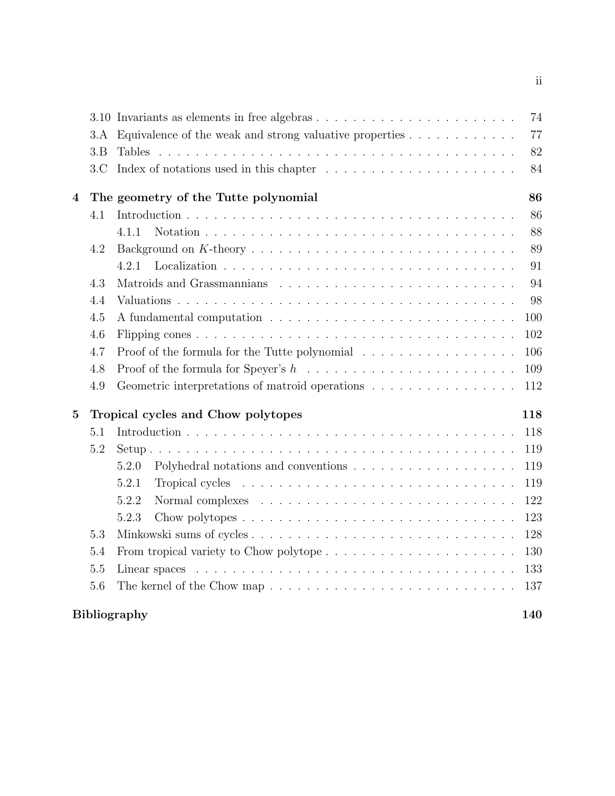|              |                                                                                           |                                                                                                            | 74  |  |  |  |  |  |  |  |  |  |  |  |  |  |
|--------------|-------------------------------------------------------------------------------------------|------------------------------------------------------------------------------------------------------------|-----|--|--|--|--|--|--|--|--|--|--|--|--|--|
|              | 3. A                                                                                      | Equivalence of the weak and strong valuative properties $\dots \dots \dots \dots$                          | 77  |  |  |  |  |  |  |  |  |  |  |  |  |  |
|              | 3.B                                                                                       | Tables                                                                                                     | 82  |  |  |  |  |  |  |  |  |  |  |  |  |  |
|              | 3.C                                                                                       |                                                                                                            | 84  |  |  |  |  |  |  |  |  |  |  |  |  |  |
| 4            |                                                                                           | The geometry of the Tutte polynomial<br>86                                                                 |     |  |  |  |  |  |  |  |  |  |  |  |  |  |
|              | 4.1                                                                                       |                                                                                                            | 86  |  |  |  |  |  |  |  |  |  |  |  |  |  |
|              |                                                                                           | 4.1.1                                                                                                      | 88  |  |  |  |  |  |  |  |  |  |  |  |  |  |
|              | 4.2                                                                                       |                                                                                                            | 89  |  |  |  |  |  |  |  |  |  |  |  |  |  |
|              |                                                                                           | 4.2.1                                                                                                      | 91  |  |  |  |  |  |  |  |  |  |  |  |  |  |
|              | 4.3                                                                                       |                                                                                                            | 94  |  |  |  |  |  |  |  |  |  |  |  |  |  |
|              | 4.4                                                                                       |                                                                                                            | 98  |  |  |  |  |  |  |  |  |  |  |  |  |  |
|              | 4.5                                                                                       |                                                                                                            | 100 |  |  |  |  |  |  |  |  |  |  |  |  |  |
|              | 4.6                                                                                       |                                                                                                            | 102 |  |  |  |  |  |  |  |  |  |  |  |  |  |
|              | Proof of the formula for the Tutte polynomial $\ldots \ldots \ldots \ldots \ldots$<br>4.7 |                                                                                                            |     |  |  |  |  |  |  |  |  |  |  |  |  |  |
|              | 4.8                                                                                       |                                                                                                            | 109 |  |  |  |  |  |  |  |  |  |  |  |  |  |
|              | 4.9                                                                                       | Geometric interpretations of matroid operations                                                            | 112 |  |  |  |  |  |  |  |  |  |  |  |  |  |
| $\mathbf{5}$ |                                                                                           | Tropical cycles and Chow polytopes<br>118                                                                  |     |  |  |  |  |  |  |  |  |  |  |  |  |  |
|              | 5.1                                                                                       |                                                                                                            | 118 |  |  |  |  |  |  |  |  |  |  |  |  |  |
|              | 5.2                                                                                       |                                                                                                            | 119 |  |  |  |  |  |  |  |  |  |  |  |  |  |
|              |                                                                                           | 5.2.0                                                                                                      | 119 |  |  |  |  |  |  |  |  |  |  |  |  |  |
|              |                                                                                           | 5.2.1                                                                                                      | 119 |  |  |  |  |  |  |  |  |  |  |  |  |  |
|              |                                                                                           | 5.2.2                                                                                                      | 122 |  |  |  |  |  |  |  |  |  |  |  |  |  |
|              |                                                                                           | 5.2.3<br>Chow polytopes $\ldots \ldots \ldots \ldots \ldots \ldots \ldots \ldots \ldots \ldots$            | 123 |  |  |  |  |  |  |  |  |  |  |  |  |  |
|              | 5.3                                                                                       |                                                                                                            | 128 |  |  |  |  |  |  |  |  |  |  |  |  |  |
|              | 5.4                                                                                       |                                                                                                            | 130 |  |  |  |  |  |  |  |  |  |  |  |  |  |
|              | 5.5                                                                                       | Linear spaces $\ldots \ldots \ldots \ldots \ldots \ldots \ldots \ldots \ldots \ldots \ldots \ldots \ldots$ | 133 |  |  |  |  |  |  |  |  |  |  |  |  |  |
|              | 5.6                                                                                       | The kernel of the Chow map $\ldots \ldots \ldots \ldots \ldots \ldots \ldots \ldots \ldots$                | 137 |  |  |  |  |  |  |  |  |  |  |  |  |  |
|              |                                                                                           | Bibliography                                                                                               | 140 |  |  |  |  |  |  |  |  |  |  |  |  |  |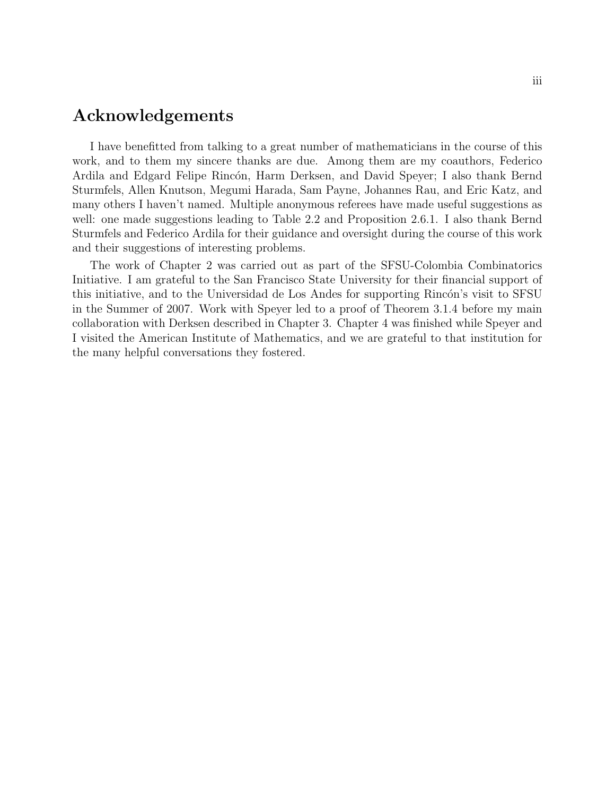## Acknowledgements

I have benefitted from talking to a great number of mathematicians in the course of this work, and to them my sincere thanks are due. Among them are my coauthors, Federico Ardila and Edgard Felipe Rincón, Harm Derksen, and David Speyer; I also thank Bernd Sturmfels, Allen Knutson, Megumi Harada, Sam Payne, Johannes Rau, and Eric Katz, and many others I haven't named. Multiple anonymous referees have made useful suggestions as well: one made suggestions leading to Table 2.2 and Proposition 2.6.1. I also thank Bernd Sturmfels and Federico Ardila for their guidance and oversight during the course of this work and their suggestions of interesting problems.

The work of Chapter 2 was carried out as part of the SFSU-Colombia Combinatorics Initiative. I am grateful to the San Francisco State University for their financial support of this initiative, and to the Universidad de Los Andes for supporting Rincón's visit to SFSU in the Summer of 2007. Work with Speyer led to a proof of Theorem 3.1.4 before my main collaboration with Derksen described in Chapter 3. Chapter 4 was finished while Speyer and I visited the American Institute of Mathematics, and we are grateful to that institution for the many helpful conversations they fostered.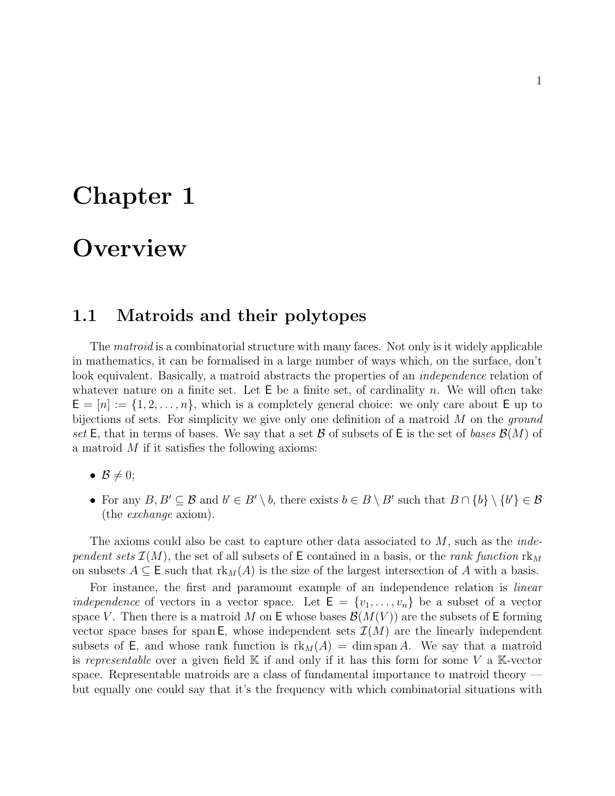# Chapter 1

# **Overview**

## 1.1 Matroids and their polytopes

The *matroid* is a combinatorial structure with many faces. Not only is it widely applicable in mathematics, it can be formalised in a large number of ways which, on the surface, don't look equivalent. Basically, a matroid abstracts the properties of an *independence* relation of whatever nature on a finite set. Let  $E$  be a finite set, of cardinality n. We will often take  $E = [n] := \{1, 2, \ldots, n\}$ , which is a completely general choice: we only care about E up to bijections of sets. For simplicity we give only one definition of a matroid  $M$  on the ground set E, that in terms of bases. We say that a set B of subsets of E is the set of bases  $\mathcal{B}(M)$  of a matroid  $M$  if it satisfies the following axioms:

- $\mathcal{B} \neq 0;$
- For any  $B, B' \subseteq \mathcal{B}$  and  $b' \in B' \setminus b$ , there exists  $b \in B \setminus B'$  such that  $B \cap \{b\} \setminus \{b'\} \in \mathcal{B}$ (the exchange axiom).

The axioms could also be cast to capture other data associated to  $M$ , such as the *inde*pendent sets  $\mathcal{I}(M)$ , the set of all subsets of E contained in a basis, or the rank function  $\text{rk}_M$ on subsets  $A \subseteq E$  such that  $\text{rk}_M(A)$  is the size of the largest intersection of A with a basis.

For instance, the first and paramount example of an independence relation is *linear* independence of vectors in a vector space. Let  $E = \{v_1, \ldots, v_n\}$  be a subset of a vector space V. Then there is a matroid M on E whose bases  $\mathcal{B}(M(V))$  are the subsets of E forming vector space bases for span E, whose independent sets  $\mathcal{I}(M)$  are the linearly independent subsets of E, and whose rank function is  $\text{rk}_M(A) = \dim \text{span }A$ . We say that a matroid is representable over a given field  $\mathbb K$  if and only if it has this form for some V a  $\mathbb K$ -vector space. Representable matroids are a class of fundamental importance to matroid theory but equally one could say that it's the frequency with which combinatorial situations with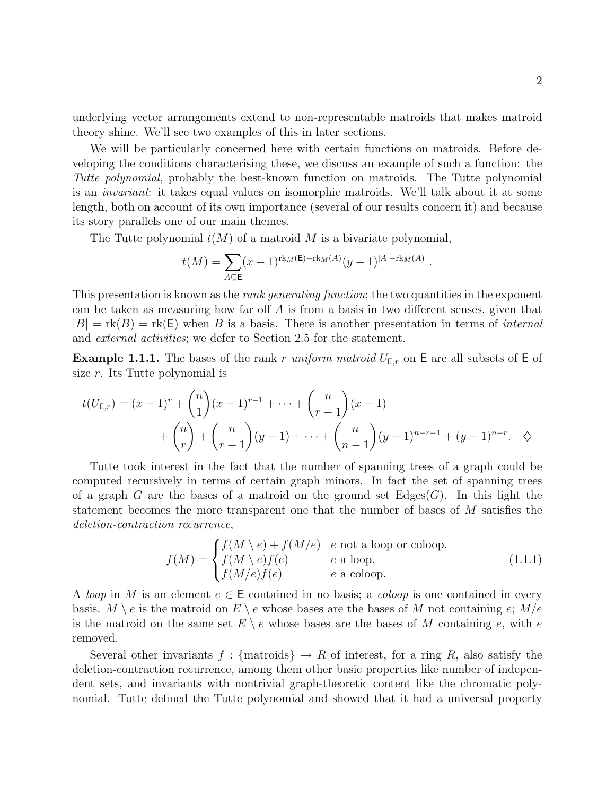underlying vector arrangements extend to non-representable matroids that makes matroid theory shine. We'll see two examples of this in later sections.

We will be particularly concerned here with certain functions on matroids. Before developing the conditions characterising these, we discuss an example of such a function: the Tutte polynomial, probably the best-known function on matroids. The Tutte polynomial is an invariant: it takes equal values on isomorphic matroids. We'll talk about it at some length, both on account of its own importance (several of our results concern it) and because its story parallels one of our main themes.

The Tutte polynomial  $t(M)$  of a matroid M is a bivariate polynomial,

$$
t(M) = \sum_{A \subseteq \mathsf{E}} (x-1)^{\text{rk}_M(\mathsf{E}) - \text{rk}_M(A)} (y-1)^{|A| - \text{rk}_M(A)}
$$

.

This presentation is known as the *rank generating function*; the two quantities in the exponent can be taken as measuring how far off A is from a basis in two different senses, given that  $|B| = \text{rk}(B) = \text{rk}(E)$  when B is a basis. There is another presentation in terms of *internal* and external activities; we defer to Section 2.5 for the statement.

**Example 1.1.1.** The bases of the rank r uniform matroid  $U_{\text{E},r}$  on E are all subsets of E of size r. Its Tutte polynomial is

$$
t(U_{\mathsf{E},r}) = (x-1)^r + {n \choose 1} (x-1)^{r-1} + \dots + {n \choose r-1} (x-1)
$$
  
+  ${n \choose r} + {n \choose r+1} (y-1) + \dots + {n \choose n-1} (y-1)^{n-r-1} + (y-1)^{n-r}.$   $\diamond$ 

Tutte took interest in the fact that the number of spanning trees of a graph could be computed recursively in terms of certain graph minors. In fact the set of spanning trees of a graph G are the bases of a matroid on the ground set  $\text{Edges}(G)$ . In this light the statement becomes the more transparent one that the number of bases of M satisfies the deletion-contraction recurrence,

$$
f(M) = \begin{cases} f(M \setminus e) + f(M/e) & e \text{ not a loop or coloop,} \\ f(M \setminus e) f(e) & e \text{ a loop,} \\ f(M/e) f(e) & e \text{ a coloop.} \end{cases}
$$
(1.1.1)

A loop in M is an element  $e \in E$  contained in no basis; a *coloop* is one contained in every basis.  $M \setminus e$  is the matroid on  $E \setminus e$  whose bases are the bases of M not containing  $e$ ;  $M/e$ is the matroid on the same set  $E \setminus e$  whose bases are the bases of M containing e, with e removed.

Several other invariants  $f : \{\text{matroids}\}\to R$  of interest, for a ring R, also satisfy the deletion-contraction recurrence, among them other basic properties like number of independent sets, and invariants with nontrivial graph-theoretic content like the chromatic polynomial. Tutte defined the Tutte polynomial and showed that it had a universal property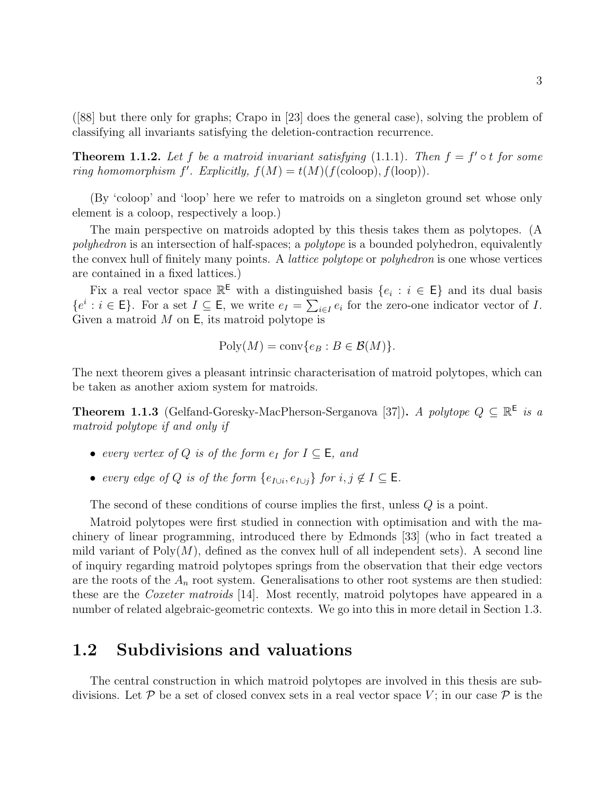([88] but there only for graphs; Crapo in [23] does the general case), solving the problem of classifying all invariants satisfying the deletion-contraction recurrence.

**Theorem 1.1.2.** Let f be a matroid invariant satisfying  $(1.1.1)$ . Then  $f = f' \circ t$  for some ring homomorphism f'. Explicitly,  $f(M) = t(M)(f(\text{coloop}), f(\text{loop})).$ 

(By 'coloop' and 'loop' here we refer to matroids on a singleton ground set whose only element is a coloop, respectively a loop.)

The main perspective on matroids adopted by this thesis takes them as polytopes. (A polyhedron is an intersection of half-spaces; a *polytope* is a bounded polyhedron, equivalently the convex hull of finitely many points. A lattice polytope or polyhedron is one whose vertices are contained in a fixed lattices.)

Fix a real vector space  $\mathbb{R}^{\mathsf{E}}$  with a distinguished basis  $\{e_i : i \in \mathsf{E}\}\$  and its dual basis  $\{e^i : i \in \mathsf{E}\}\.$  For a set  $I \subseteq \mathsf{E}$ , we write  $e_I = \sum_{i \in I} e_i$  for the zero-one indicator vector of I. Given a matroid  $M$  on  $E$ , its matroid polytope is

$$
Poly(M) = conv\{e_B : B \in \mathcal{B}(M)\}.
$$

The next theorem gives a pleasant intrinsic characterisation of matroid polytopes, which can be taken as another axiom system for matroids.

**Theorem 1.1.3** (Gelfand-Goresky-MacPherson-Serganova [37]). A polytope  $Q \subseteq \mathbb{R}^E$  is a matroid polytope if and only if

- every vertex of Q is of the form  $e_I$  for  $I \subseteq E$ , and
- every edge of Q is of the form  $\{e_{I\cup i}, e_{I\cup j}\}$  for  $i, j \notin I \subseteq E$ .

The second of these conditions of course implies the first, unless Q is a point.

Matroid polytopes were first studied in connection with optimisation and with the machinery of linear programming, introduced there by Edmonds [33] (who in fact treated a mild variant of  $Poly(M)$ , defined as the convex hull of all independent sets). A second line of inquiry regarding matroid polytopes springs from the observation that their edge vectors are the roots of the  $A_n$  root system. Generalisations to other root systems are then studied: these are the Coxeter matroids [14]. Most recently, matroid polytopes have appeared in a number of related algebraic-geometric contexts. We go into this in more detail in Section 1.3.

## 1.2 Subdivisions and valuations

The central construction in which matroid polytopes are involved in this thesis are subdivisions. Let  $P$  be a set of closed convex sets in a real vector space V; in our case  $P$  is the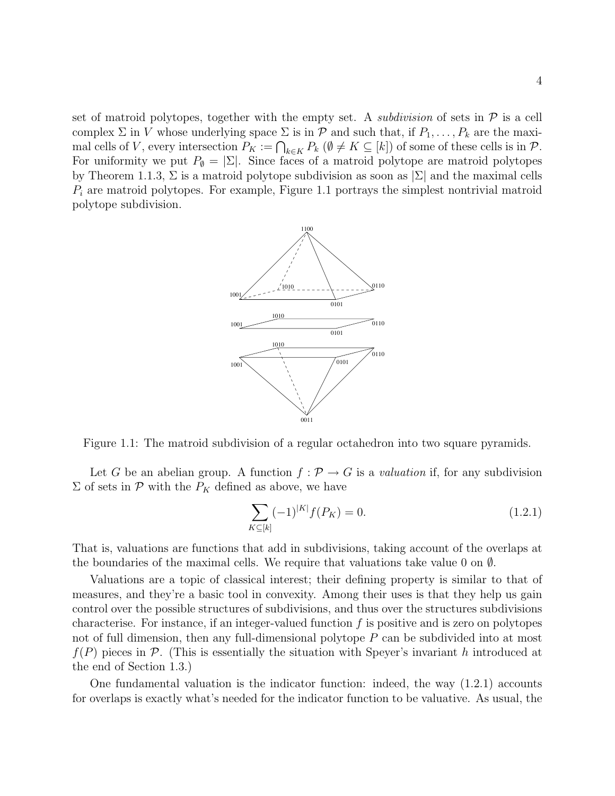set of matroid polytopes, together with the empty set. A *subdivision* of sets in  $P$  is a cell complex  $\Sigma$  in V whose underlying space  $\Sigma$  is in  $\mathcal P$  and such that, if  $P_1, \ldots, P_k$  are the maximal cells of V, every intersection  $P_K := \bigcap_{k \in K} P_k$   $(\emptyset \neq K \subseteq [k])$  of some of these cells is in  $\mathcal{P}$ . For uniformity we put  $P_{\emptyset} = |\Sigma|$ . Since faces of a matroid polytope are matroid polytopes by Theorem 1.1.3,  $\Sigma$  is a matroid polytope subdivision as soon as  $\Sigma$  and the maximal cells  $P_i$  are matroid polytopes. For example, Figure 1.1 portrays the simplest nontrivial matroid polytope subdivision.



Figure 1.1: The matroid subdivision of a regular octahedron into two square pyramids.

Let G be an abelian group. A function  $f: \mathcal{P} \to G$  is a valuation if, for any subdivision  $\Sigma$  of sets in  $P$  with the  $P_K$  defined as above, we have

$$
\sum_{K \subseteq [k]} (-1)^{|K|} f(P_K) = 0.
$$
\n(1.2.1)

That is, valuations are functions that add in subdivisions, taking account of the overlaps at the boundaries of the maximal cells. We require that valuations take value 0 on  $\emptyset$ .

Valuations are a topic of classical interest; their defining property is similar to that of measures, and they're a basic tool in convexity. Among their uses is that they help us gain control over the possible structures of subdivisions, and thus over the structures subdivisions characterise. For instance, if an integer-valued function  $f$  is positive and is zero on polytopes not of full dimension, then any full-dimensional polytope P can be subdivided into at most  $f(P)$  pieces in P. (This is essentially the situation with Speyer's invariant h introduced at the end of Section 1.3.)

One fundamental valuation is the indicator function: indeed, the way (1.2.1) accounts for overlaps is exactly what's needed for the indicator function to be valuative. As usual, the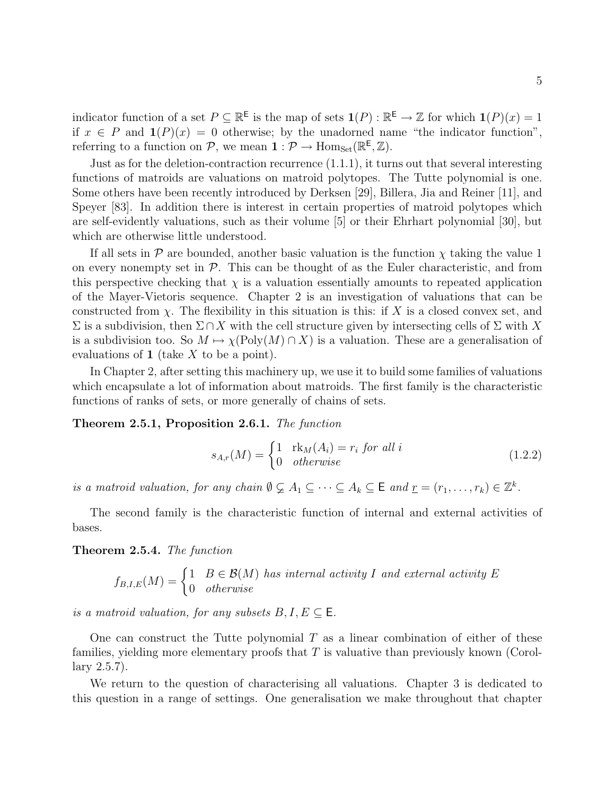indicator function of a set  $P \subseteq \mathbb{R}^E$  is the map of sets  $\mathbf{1}(P) : \mathbb{R}^E \to \mathbb{Z}$  for which  $\mathbf{1}(P)(x) = 1$ if  $x \in P$  and  $\mathbf{1}(P)(x) = 0$  otherwise; by the unadorned name "the indicator function", referring to a function on  $P$ , we mean  $\mathbf{1} : \mathcal{P} \to \text{Hom}_{\text{Set}}(\mathbb{R}^E, \mathbb{Z})$ .

Just as for the deletion-contraction recurrence (1.1.1), it turns out that several interesting functions of matroids are valuations on matroid polytopes. The Tutte polynomial is one. Some others have been recently introduced by Derksen [29], Billera, Jia and Reiner [11], and Speyer [83]. In addition there is interest in certain properties of matroid polytopes which are self-evidently valuations, such as their volume [5] or their Ehrhart polynomial [30], but which are otherwise little understood.

If all sets in  $\mathcal P$  are bounded, another basic valuation is the function  $\chi$  taking the value 1 on every nonempty set in  $P$ . This can be thought of as the Euler characteristic, and from this perspective checking that  $\chi$  is a valuation essentially amounts to repeated application of the Mayer-Vietoris sequence. Chapter 2 is an investigation of valuations that can be constructed from  $\chi$ . The flexibility in this situation is this: if X is a closed convex set, and  $\Sigma$  is a subdivision, then  $\Sigma \cap X$  with the cell structure given by intersecting cells of  $\Sigma$  with X is a subdivision too. So  $M \mapsto \chi(\text{Poly}(M) \cap X)$  is a valuation. These are a generalisation of evaluations of 1 (take  $X$  to be a point).

In Chapter 2, after setting this machinery up, we use it to build some families of valuations which encapsulate a lot of information about matroids. The first family is the characteristic functions of ranks of sets, or more generally of chains of sets.

#### Theorem 2.5.1, Proposition 2.6.1. The function

$$
s_{A,r}(M) = \begin{cases} 1 & \text{rk}_M(A_i) = r_i \text{ for all } i \\ 0 & \text{otherwise} \end{cases} \tag{1.2.2}
$$

is a matroid valuation, for any chain  $\emptyset \subsetneq A_1 \subseteq \cdots \subseteq A_k \subseteq E$  and  $\underline{r} = (r_1, \ldots, r_k) \in \mathbb{Z}^k$ .

The second family is the characteristic function of internal and external activities of bases.

Theorem 2.5.4. The function

$$
f_{B,I,E}(M) = \begin{cases} 1 & B \in \mathcal{B}(M) \text{ has internal activity } I \text{ and external activity } E \\ 0 & otherwise \end{cases}
$$

is a matroid valuation, for any subsets  $B, I, E \subseteq E$ .

One can construct the Tutte polynomial  $T$  as a linear combination of either of these families, yielding more elementary proofs that  $T$  is valuative than previously known (Corollary 2.5.7).

We return to the question of characterising all valuations. Chapter 3 is dedicated to this question in a range of settings. One generalisation we make throughout that chapter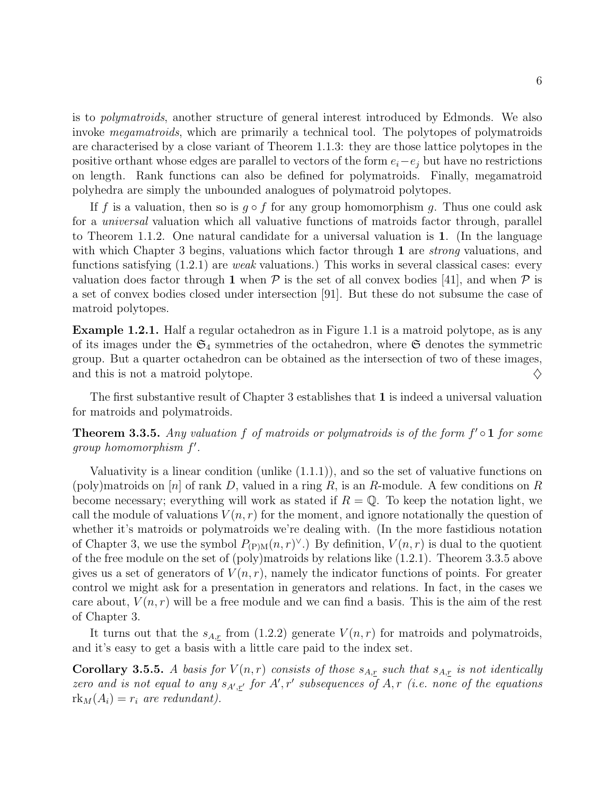is to polymatroids, another structure of general interest introduced by Edmonds. We also invoke megamatroids, which are primarily a technical tool. The polytopes of polymatroids are characterised by a close variant of Theorem 1.1.3: they are those lattice polytopes in the positive orthant whose edges are parallel to vectors of the form  $e_i - e_j$  but have no restrictions on length. Rank functions can also be defined for polymatroids. Finally, megamatroid polyhedra are simply the unbounded analogues of polymatroid polytopes.

If f is a valuation, then so is  $g \circ f$  for any group homomorphism g. Thus one could ask for a universal valuation which all valuative functions of matroids factor through, parallel to Theorem 1.1.2. One natural candidate for a universal valuation is 1. (In the language with which Chapter 3 begins, valuations which factor through 1 are *strong* valuations, and functions satisfying  $(1.2.1)$  are *weak* valuations.) This works in several classical cases: every valuation does factor through 1 when  $P$  is the set of all convex bodies [41], and when  $P$  is a set of convex bodies closed under intersection [91]. But these do not subsume the case of matroid polytopes.

Example 1.2.1. Half a regular octahedron as in Figure 1.1 is a matroid polytope, as is any of its images under the  $\mathfrak{S}_4$  symmetries of the octahedron, where  $\mathfrak{S}$  denotes the symmetric group. But a quarter octahedron can be obtained as the intersection of two of these images, and this is not a matroid polytope.  $\diamondsuit$ 

The first substantive result of Chapter 3 establishes that 1 is indeed a universal valuation for matroids and polymatroids.

**Theorem 3.3.5.** Any valuation f of matroids or polymatroids is of the form  $f' \circ 1$  for some group homomorphism  $f'$ .

Valuativity is a linear condition (unlike (1.1.1)), and so the set of valuative functions on (poly)matroids on [n] of rank D, valued in a ring R, is an R-module. A few conditions on R become necessary; everything will work as stated if  $R = \mathbb{Q}$ . To keep the notation light, we call the module of valuations  $V(n,r)$  for the moment, and ignore notationally the question of whether it's matroids or polymatroids we're dealing with. (In the more fastidious notation of Chapter 3, we use the symbol  $P_{(P)M}(n,r)^{\vee}$ .) By definition,  $V(n,r)$  is dual to the quotient of the free module on the set of (poly)matroids by relations like (1.2.1). Theorem 3.3.5 above gives us a set of generators of  $V(n, r)$ , namely the indicator functions of points. For greater control we might ask for a presentation in generators and relations. In fact, in the cases we care about,  $V(n, r)$  will be a free module and we can find a basis. This is the aim of the rest of Chapter 3.

It turns out that the  $s_{A,r}$  from (1.2.2) generate  $V(n,r)$  for matroids and polymatroids, and it's easy to get a basis with a little care paid to the index set.

Corollary 3.5.5. A basis for  $V(n,r)$  consists of those  $s_{A,r}$  such that  $s_{A,r}$  is not identically zero and is not equal to any  $s_{A',\underline{r}'}$  for  $A', r'$  subsequences of  $A, r$  (i.e. none of the equations  $rk_M(A_i) = r_i$  are redundant).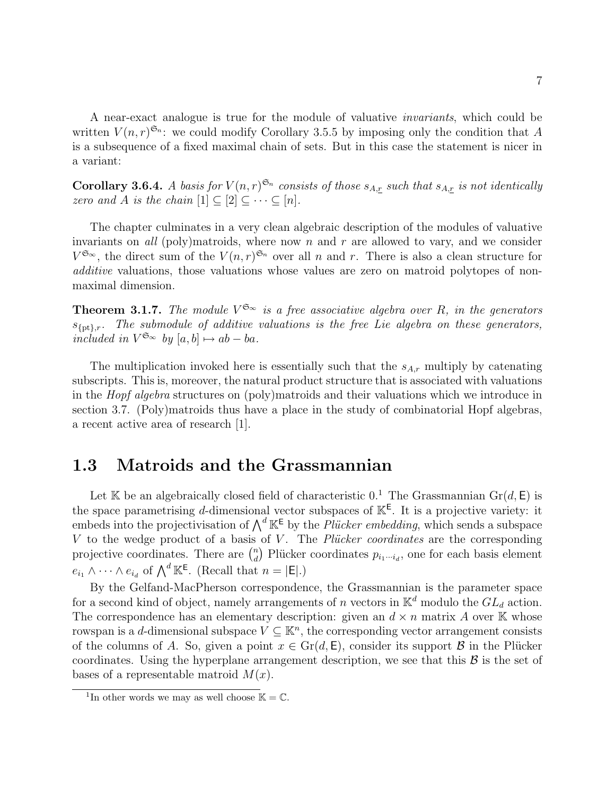A near-exact analogue is true for the module of valuative invariants, which could be written  $V(n,r)^{\mathfrak{S}_n}$ : we could modify Corollary 3.5.5 by imposing only the condition that A is a subsequence of a fixed maximal chain of sets. But in this case the statement is nicer in a variant:

**Corollary 3.6.4.** A basis for  $V(n,r)^{\mathfrak{S}_n}$  consists of those  $s_{A,r}$  such that  $s_{A,r}$  is not identically zero and A is the chain  $[1] \subseteq [2] \subseteq \cdots \subseteq [n]$ .

The chapter culminates in a very clean algebraic description of the modules of valuative invariants on all (poly)matroids, where now n and r are allowed to vary, and we consider  $V^{\mathfrak{S}_{\infty}}$ , the direct sum of the  $V(n,r)^{\mathfrak{S}_n}$  over all n and r. There is also a clean structure for additive valuations, those valuations whose values are zero on matroid polytopes of nonmaximal dimension.

**Theorem 3.1.7.** The module  $V^{\mathfrak{S}_{\infty}}$  is a free associative algebra over R, in the generators  $s_{\{\text{pt}\},r}$ . The submodule of additive valuations is the free Lie algebra on these generators, included in  $V^{\mathfrak{S}_{\infty}}$  by  $[a, b] \mapsto ab - ba$ .

The multiplication invoked here is essentially such that the  $s_{A,r}$  multiply by catenating subscripts. This is, moreover, the natural product structure that is associated with valuations in the Hopf algebra structures on (poly)matroids and their valuations which we introduce in section 3.7. (Poly)matroids thus have a place in the study of combinatorial Hopf algebras, a recent active area of research [1].

## 1.3 Matroids and the Grassmannian

Let K be an algebraically closed field of characteristic  $0<sup>1</sup>$ . The Grassmannian Gr(d, E) is the space parametrising d-dimensional vector subspaces of  $\mathbb{K}^{\mathsf{E}}$ . It is a projective variety: it embeds into the projectivisation of  $\Lambda^d \mathbb{K}^E$  by the *Plücker embedding*, which sends a subspace  $V$  to the wedge product of a basis of  $V$ . The *Plücker coordinates* are the corresponding projective coordinates. There are  $\binom{n}{d}$  $\binom{n}{d}$  Plücker coordinates  $p_{i_1\cdots i_d}$ , one for each basis element  $e_{i_1} \wedge \cdots \wedge e_{i_d}$  of  $\bigwedge^d \mathbb{K}^{\mathsf{E}}$ . (Recall that  $n = |\mathsf{E}|$ .)

By the Gelfand-MacPherson correspondence, the Grassmannian is the parameter space for a second kind of object, namely arrangements of n vectors in  $\mathbb{K}^d$  modulo the  $GL_d$  action. The correspondence has an elementary description: given an  $d \times n$  matrix A over K whose rowspan is a d-dimensional subspace  $V \subseteq \mathbb{K}^n$ , the corresponding vector arrangement consists of the columns of A. So, given a point  $x \in Gr(d, E)$ , consider its support B in the Plücker coordinates. Using the hyperplane arrangement description, we see that this  $\mathcal{B}$  is the set of bases of a representable matroid  $M(x)$ .

<sup>&</sup>lt;sup>1</sup>In other words we may as well choose  $\mathbb{K} = \mathbb{C}$ .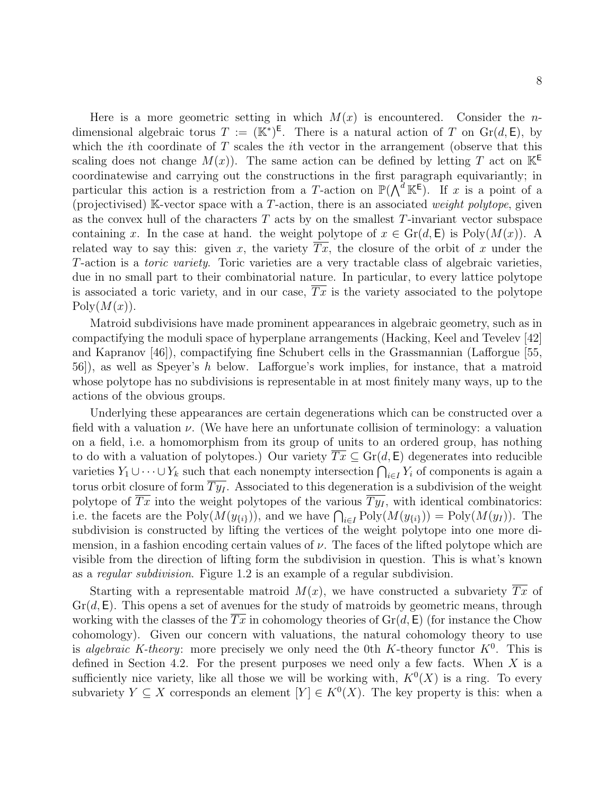Here is a more geometric setting in which  $M(x)$  is encountered. Consider the *n*dimensional algebraic torus  $T := (\mathbb{K}^*)^{\mathsf{E}}$ . There is a natural action of T on  $\mathrm{Gr}(d, \mathsf{E})$ , by which the *i*th coordinate of  $T$  scales the *i*th vector in the arrangement (observe that this scaling does not change  $M(x)$ . The same action can be defined by letting T act on  $\mathbb{K}^{\mathsf{E}}$ coordinatewise and carrying out the constructions in the first paragraph equivariantly; in particular this action is a restriction from a T-action on  $\mathbb{P}(\bigwedge^{\overline{d}} \mathbb{K}^{\mathsf{E}})$ . If x is a point of a (projectivised) K-vector space with a  $T$ -action, there is an associated *weight polytope*, given as the convex hull of the characters  $T$  acts by on the smallest  $T$ -invariant vector subspace containing x. In the case at hand. the weight polytope of  $x \in Gr(d, E)$  is Poly $(M(x))$ . A related way to say this: given x, the variety  $\overline{Tx}$ , the closure of the orbit of x under the T-action is a toric variety. Toric varieties are a very tractable class of algebraic varieties, due in no small part to their combinatorial nature. In particular, to every lattice polytope is associated a toric variety, and in our case,  $\overline{Tx}$  is the variety associated to the polytope  $Poly(M(x)).$ 

Matroid subdivisions have made prominent appearances in algebraic geometry, such as in compactifying the moduli space of hyperplane arrangements (Hacking, Keel and Tevelev [42] and Kapranov [46]), compactifying fine Schubert cells in the Grassmannian (Lafforgue [55, 56]), as well as Speyer's h below. Lafforgue's work implies, for instance, that a matroid whose polytope has no subdivisions is representable in at most finitely many ways, up to the actions of the obvious groups.

Underlying these appearances are certain degenerations which can be constructed over a field with a valuation  $\nu$ . (We have here an unfortunate collision of terminology: a valuation on a field, i.e. a homomorphism from its group of units to an ordered group, has nothing to do with a valuation of polytopes.) Our variety  $Tx \subseteq Gr(d, E)$  degenerates into reducible varieties  $Y_1 \cup \cdots \cup Y_k$  such that each nonempty intersection  $\bigcap_{i \in I} Y_i$  of components is again a torus orbit closure of form  $\overline{Ty_I}$ . Associated to this degeneration is a subdivision of the weight polytope of  $\overline{Tx}$  into the weight polytopes of the various  $\overline{Ty_I}$ , with identical combinatorics: i.e. the facets are the  $Poly(M(y_{\{i\}}))$ , and we have  $\bigcap_{i\in I} Poly(M(y_{\{i\}})) = Poly(M(y_I))$ . The subdivision is constructed by lifting the vertices of the weight polytope into one more dimension, in a fashion encoding certain values of  $\nu$ . The faces of the lifted polytope which are visible from the direction of lifting form the subdivision in question. This is what's known as a regular subdivision. Figure 1.2 is an example of a regular subdivision.

Starting with a representable matroid  $M(x)$ , we have constructed a subvariety  $\overline{Tx}$  of  $Gr(d, E)$ . This opens a set of avenues for the study of matroids by geometric means, through working with the classes of the  $\overline{Tx}$  in cohomology theories of  $\operatorname{Gr}(d, \mathsf{E})$  (for instance the Chow cohomology). Given our concern with valuations, the natural cohomology theory to use is *algebraic K-theory*: more precisely we only need the 0th K-theory functor  $K^0$ . This is defined in Section 4.2. For the present purposes we need only a few facts. When  $X$  is a sufficiently nice variety, like all those we will be working with,  $K^0(X)$  is a ring. To every subvariety  $Y \subseteq X$  corresponds an element  $[Y] \in K^{0}(X)$ . The key property is this: when a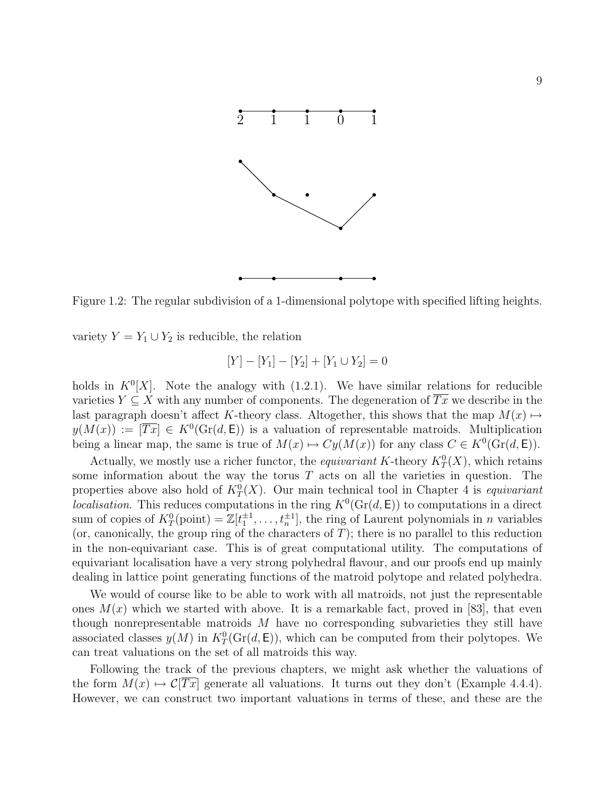

Figure 1.2: The regular subdivision of a 1-dimensional polytope with specified lifting heights.

variety  $Y = Y_1 \cup Y_2$  is reducible, the relation

$$
[Y] - [Y_1] - [Y_2] + [Y_1 \cup Y_2] = 0
$$

holds in  $K^0[X]$ . Note the analogy with  $(1.2.1)$ . We have similar relations for reducible varieties  $Y \subseteq X$  with any number of components. The degeneration of  $\overline{T}x$  we describe in the last paragraph doesn't affect K-theory class. Altogether, this shows that the map  $M(x) \mapsto$  $y(M(x)) := \overline{|Tx|} \in K^0(\mathrm{Gr}(d, \mathsf{E}))$  is a valuation of representable matroids. Multiplication being a linear map, the same is true of  $M(x) \mapsto Cy(M(x))$  for any class  $C \in K^0(\mathrm{Gr}(d, \mathsf{E}))$ .

Actually, we mostly use a richer functor, the *equivariant* K-theory  $K_T^0(X)$ , which retains some information about the way the torus  $T$  acts on all the varieties in question. The properties above also hold of  $K_T^0(X)$ . Our main technical tool in Chapter 4 is *equivariant* localisation. This reduces computations in the ring  $K^0(\mathrm{Gr}(d, \mathsf{E}))$  to computations in a direct sum of copies of  $K_T^0(\text{point}) = \mathbb{Z}[t_1^{\pm 1}, \dots, t_n^{\pm 1}]$ , the ring of Laurent polynomials in *n* variables (or, canonically, the group ring of the characters of  $T$ ); there is no parallel to this reduction in the non-equivariant case. This is of great computational utility. The computations of equivariant localisation have a very strong polyhedral flavour, and our proofs end up mainly dealing in lattice point generating functions of the matroid polytope and related polyhedra.

We would of course like to be able to work with all matroids, not just the representable ones  $M(x)$  which we started with above. It is a remarkable fact, proved in [83], that even though nonrepresentable matroids  $M$  have no corresponding subvarieties they still have associated classes  $y(M)$  in  $K_T^0(\mathrm{Gr}(d, \mathsf{E}))$ , which can be computed from their polytopes. We can treat valuations on the set of all matroids this way.

Following the track of the previous chapters, we might ask whether the valuations of the form  $M(x) \mapsto C[Tx]$  generate all valuations. It turns out they don't (Example 4.4.4). However, we can construct two important valuations in terms of these, and these are the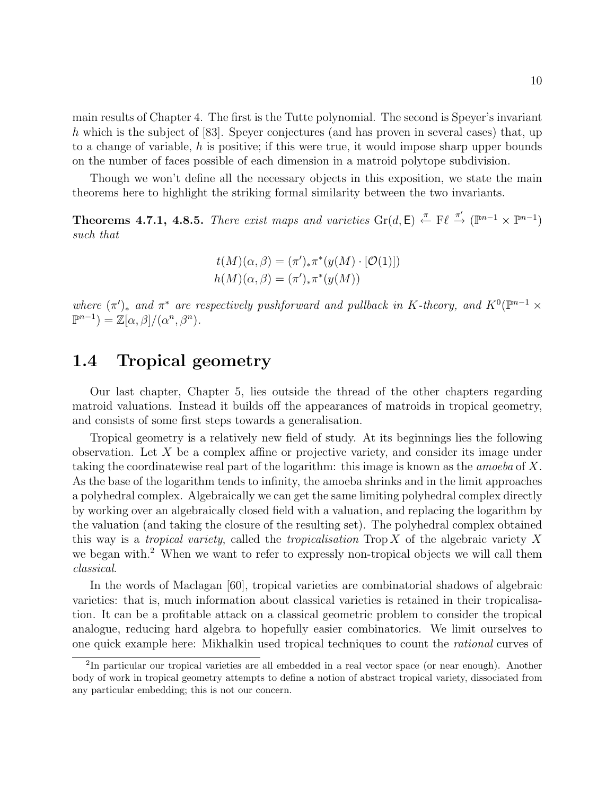main results of Chapter 4. The first is the Tutte polynomial. The second is Speyer's invariant h which is the subject of [83]. Speyer conjectures (and has proven in several cases) that, up to a change of variable,  $h$  is positive; if this were true, it would impose sharp upper bounds on the number of faces possible of each dimension in a matroid polytope subdivision.

Though we won't define all the necessary objects in this exposition, we state the main theorems here to highlight the striking formal similarity between the two invariants.

**Theorems 4.7.1, 4.8.5.** There exist maps and varieties  $\text{Gr}(d, \mathsf{E}) \leftarrow \mathbb{F}(\mathbb{P}^{n-1} \times \mathbb{P}^{n-1})$ such that

$$
t(M)(\alpha, \beta) = (\pi')_* \pi^*(y(M) \cdot [\mathcal{O}(1)])
$$
  

$$
h(M)(\alpha, \beta) = (\pi')_* \pi^*(y(M))
$$

where  $(\pi')_*$  and  $\pi^*$  are respectively pushforward and pullback in K-theory, and  $K^0(\mathbb{P}^{n-1} \times$  $\mathbb{P}^{n-1}) = \mathbb{Z}[\alpha, \beta]/(\alpha^n, \beta^n).$ 

## 1.4 Tropical geometry

Our last chapter, Chapter 5, lies outside the thread of the other chapters regarding matroid valuations. Instead it builds off the appearances of matroids in tropical geometry, and consists of some first steps towards a generalisation.

Tropical geometry is a relatively new field of study. At its beginnings lies the following observation. Let X be a complex affine or projective variety, and consider its image under taking the coordinatewise real part of the logarithm: this image is known as the amoeba of X. As the base of the logarithm tends to infinity, the amoeba shrinks and in the limit approaches a polyhedral complex. Algebraically we can get the same limiting polyhedral complex directly by working over an algebraically closed field with a valuation, and replacing the logarithm by the valuation (and taking the closure of the resulting set). The polyhedral complex obtained this way is a *tropical variety*, called the *tropicalisation* Trop  $X$  of the algebraic variety  $X$ we began with.<sup>2</sup> When we want to refer to expressly non-tropical objects we will call them classical.

In the words of Maclagan [60], tropical varieties are combinatorial shadows of algebraic varieties: that is, much information about classical varieties is retained in their tropicalisation. It can be a profitable attack on a classical geometric problem to consider the tropical analogue, reducing hard algebra to hopefully easier combinatorics. We limit ourselves to one quick example here: Mikhalkin used tropical techniques to count the rational curves of

<sup>&</sup>lt;sup>2</sup>In particular our tropical varieties are all embedded in a real vector space (or near enough). Another body of work in tropical geometry attempts to define a notion of abstract tropical variety, dissociated from any particular embedding; this is not our concern.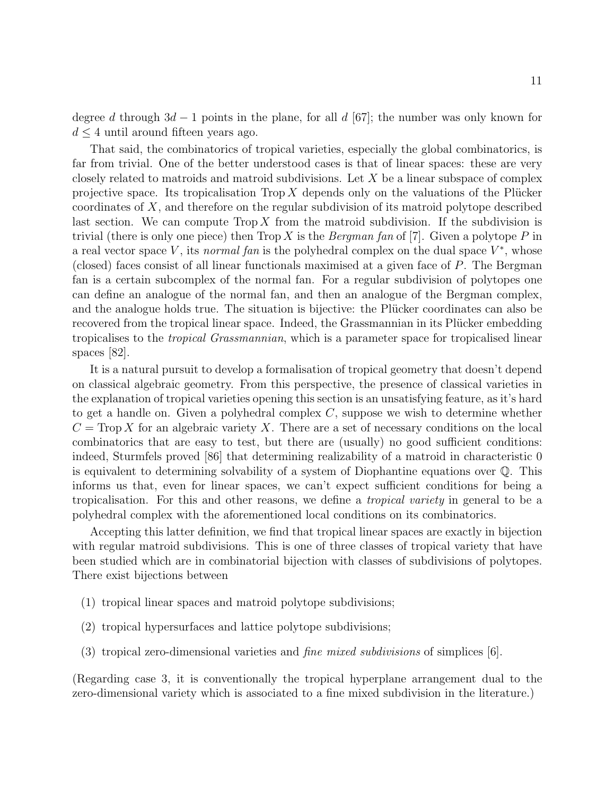degree d through  $3d - 1$  points in the plane, for all d [67]; the number was only known for  $d \leq 4$  until around fifteen years ago.

That said, the combinatorics of tropical varieties, especially the global combinatorics, is far from trivial. One of the better understood cases is that of linear spaces: these are very closely related to matroids and matroid subdivisions. Let  $X$  be a linear subspace of complex projective space. Its tropicalisation  $Trop X$  depends only on the valuations of the Plücker coordinates of X, and therefore on the regular subdivision of its matroid polytope described last section. We can compute  $Trop X$  from the matroid subdivision. If the subdivision is trivial (there is only one piece) then Trop X is the Bergman fan of  $|7|$ . Given a polytope P in a real vector space V, its normal fan is the polyhedral complex on the dual space  $V^*$ , whose (closed) faces consist of all linear functionals maximised at a given face of P. The Bergman fan is a certain subcomplex of the normal fan. For a regular subdivision of polytopes one can define an analogue of the normal fan, and then an analogue of the Bergman complex, and the analogue holds true. The situation is bijective: the Plücker coordinates can also be recovered from the tropical linear space. Indeed, the Grassmannian in its Plücker embedding tropicalises to the tropical Grassmannian, which is a parameter space for tropicalised linear spaces [82].

It is a natural pursuit to develop a formalisation of tropical geometry that doesn't depend on classical algebraic geometry. From this perspective, the presence of classical varieties in the explanation of tropical varieties opening this section is an unsatisfying feature, as it's hard to get a handle on. Given a polyhedral complex  $C$ , suppose we wish to determine whether  $C = \text{Top } X$  for an algebraic variety X. There are a set of necessary conditions on the local combinatorics that are easy to test, but there are (usually) no good sufficient conditions: indeed, Sturmfels proved [86] that determining realizability of a matroid in characteristic 0 is equivalent to determining solvability of a system of Diophantine equations over Q. This informs us that, even for linear spaces, we can't expect sufficient conditions for being a tropicalisation. For this and other reasons, we define a tropical variety in general to be a polyhedral complex with the aforementioned local conditions on its combinatorics.

Accepting this latter definition, we find that tropical linear spaces are exactly in bijection with regular matroid subdivisions. This is one of three classes of tropical variety that have been studied which are in combinatorial bijection with classes of subdivisions of polytopes. There exist bijections between

- (1) tropical linear spaces and matroid polytope subdivisions;
- (2) tropical hypersurfaces and lattice polytope subdivisions;
- (3) tropical zero-dimensional varieties and fine mixed subdivisions of simplices [6].

(Regarding case 3, it is conventionally the tropical hyperplane arrangement dual to the zero-dimensional variety which is associated to a fine mixed subdivision in the literature.)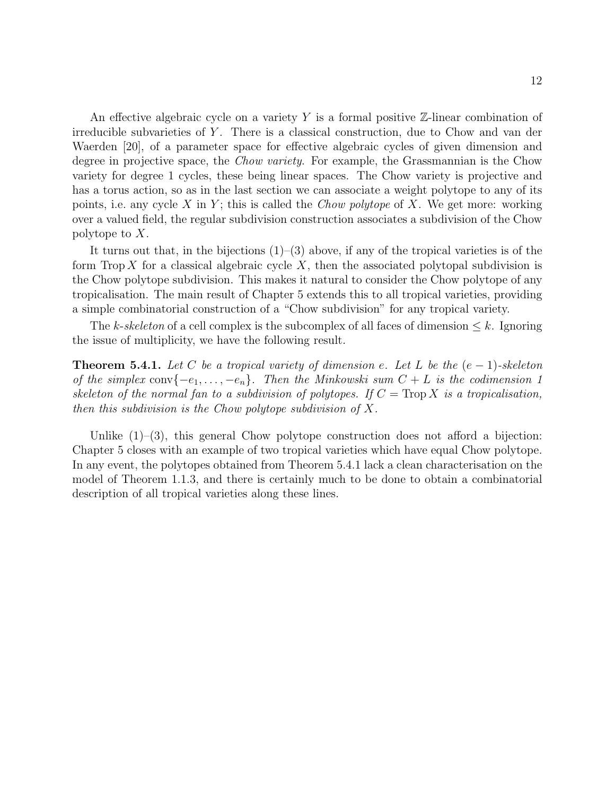An effective algebraic cycle on a variety Y is a formal positive  $\mathbb{Z}$ -linear combination of irreducible subvarieties of  $Y$ . There is a classical construction, due to Chow and van der Waerden [20], of a parameter space for effective algebraic cycles of given dimension and degree in projective space, the *Chow variety*. For example, the Grassmannian is the Chow variety for degree 1 cycles, these being linear spaces. The Chow variety is projective and has a torus action, so as in the last section we can associate a weight polytope to any of its points, i.e. any cycle X in Y; this is called the *Chow polytope* of X. We get more: working over a valued field, the regular subdivision construction associates a subdivision of the Chow polytope to X.

It turns out that, in the bijections  $(1)$ – $(3)$  above, if any of the tropical varieties is of the form Trop X for a classical algebraic cycle  $X$ , then the associated polytopal subdivision is the Chow polytope subdivision. This makes it natural to consider the Chow polytope of any tropicalisation. The main result of Chapter 5 extends this to all tropical varieties, providing a simple combinatorial construction of a "Chow subdivision" for any tropical variety.

The k-skeleton of a cell complex is the subcomplex of all faces of dimension  $\leq k$ . Ignoring the issue of multiplicity, we have the following result.

**Theorem 5.4.1.** Let C be a tropical variety of dimension e. Let L be the  $(e-1)$ -skeleton of the simplex conv $\{-e_1, \ldots, -e_n\}$ . Then the Minkowski sum  $C + L$  is the codimension 1 skeleton of the normal fan to a subdivision of polytopes. If  $C = \text{Top } X$  is a tropicalisation, then this subdivision is the Chow polytope subdivision of  $X$ .

Unlike  $(1)-(3)$ , this general Chow polytope construction does not afford a bijection: Chapter 5 closes with an example of two tropical varieties which have equal Chow polytope. In any event, the polytopes obtained from Theorem 5.4.1 lack a clean characterisation on the model of Theorem 1.1.3, and there is certainly much to be done to obtain a combinatorial description of all tropical varieties along these lines.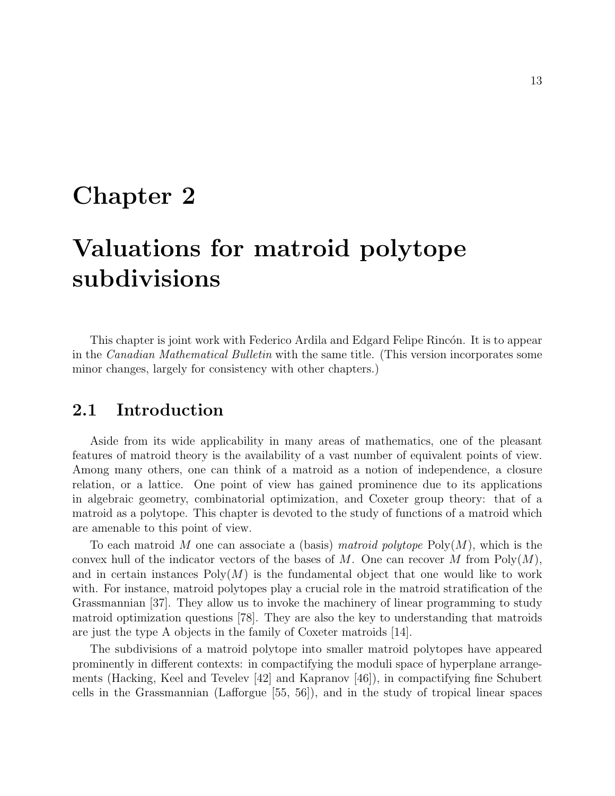# Chapter 2

# Valuations for matroid polytope subdivisions

This chapter is joint work with Federico Ardila and Edgard Felipe Rincón. It is to appear in the Canadian Mathematical Bulletin with the same title. (This version incorporates some minor changes, largely for consistency with other chapters.)

## 2.1 Introduction

Aside from its wide applicability in many areas of mathematics, one of the pleasant features of matroid theory is the availability of a vast number of equivalent points of view. Among many others, one can think of a matroid as a notion of independence, a closure relation, or a lattice. One point of view has gained prominence due to its applications in algebraic geometry, combinatorial optimization, and Coxeter group theory: that of a matroid as a polytope. This chapter is devoted to the study of functions of a matroid which are amenable to this point of view.

To each matroid M one can associate a (basis) matroid polytope  $Poly(M)$ , which is the convex hull of the indicator vectors of the bases of M. One can recover M from  $Poly(M)$ , and in certain instances  $Poly(M)$  is the fundamental object that one would like to work with. For instance, matroid polytopes play a crucial role in the matroid stratification of the Grassmannian [37]. They allow us to invoke the machinery of linear programming to study matroid optimization questions [78]. They are also the key to understanding that matroids are just the type A objects in the family of Coxeter matroids [14].

The subdivisions of a matroid polytope into smaller matroid polytopes have appeared prominently in different contexts: in compactifying the moduli space of hyperplane arrangements (Hacking, Keel and Tevelev [42] and Kapranov [46]), in compactifying fine Schubert cells in the Grassmannian (Lafforgue [55, 56]), and in the study of tropical linear spaces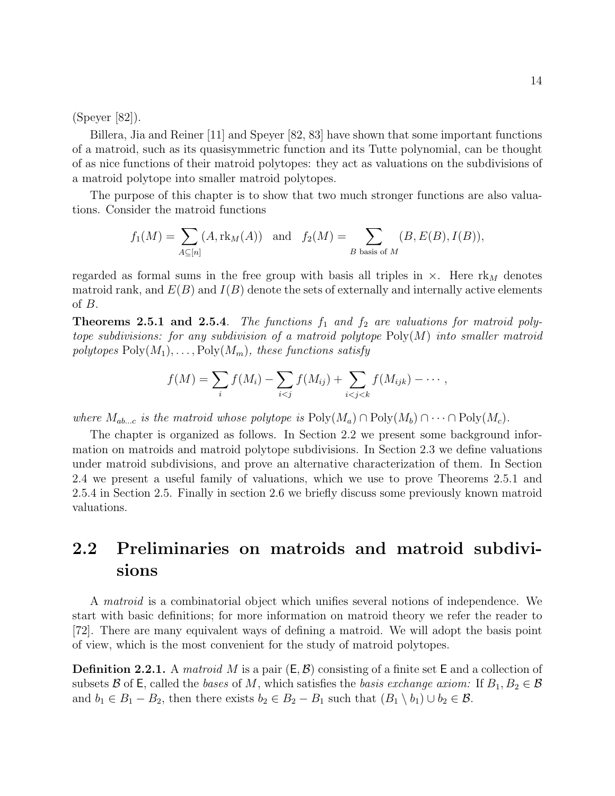(Speyer [82]).

Billera, Jia and Reiner [11] and Speyer [82, 83] have shown that some important functions of a matroid, such as its quasisymmetric function and its Tutte polynomial, can be thought of as nice functions of their matroid polytopes: they act as valuations on the subdivisions of a matroid polytope into smaller matroid polytopes.

The purpose of this chapter is to show that two much stronger functions are also valuations. Consider the matroid functions

$$
f_1(M) = \sum_{A \subseteq [n]} (A, \text{rk}_M(A)) \text{ and } f_2(M) = \sum_{B \text{ basis of } M} (B, E(B), I(B)),
$$

regarded as formal sums in the free group with basis all triples in  $\times$ . Here rk<sub>M</sub> denotes matroid rank, and  $E(B)$  and  $I(B)$  denote the sets of externally and internally active elements of B.

**Theorems 2.5.1 and 2.5.4**. The functions  $f_1$  and  $f_2$  are valuations for matroid polytope subdivisions: for any subdivision of a matroid polytope  $Poly(M)$  into smaller matroid polytopes  $Poly(M_1), \ldots, Poly(M_m)$ , these functions satisfy

$$
f(M) = \sum_{i} f(M_i) - \sum_{i < j} f(M_{ij}) + \sum_{i < j < k} f(M_{ijk}) - \cdots,
$$

where  $M_{ab...c}$  is the matroid whose polytope is  $Poly(M_a) \cap Poly(M_b) \cap \cdots \cap Poly(M_c)$ .

The chapter is organized as follows. In Section 2.2 we present some background information on matroids and matroid polytope subdivisions. In Section 2.3 we define valuations under matroid subdivisions, and prove an alternative characterization of them. In Section 2.4 we present a useful family of valuations, which we use to prove Theorems 2.5.1 and 2.5.4 in Section 2.5. Finally in section 2.6 we briefly discuss some previously known matroid valuations.

## 2.2 Preliminaries on matroids and matroid subdivisions

A *matroid* is a combinatorial object which unifies several notions of independence. We start with basic definitions; for more information on matroid theory we refer the reader to [72]. There are many equivalent ways of defining a matroid. We will adopt the basis point of view, which is the most convenient for the study of matroid polytopes.

**Definition 2.2.1.** A matroid M is a pair  $(E, \mathcal{B})$  consisting of a finite set E and a collection of subsets B of E, called the bases of M, which satisfies the basis exchange axiom: If  $B_1, B_2 \in \mathcal{B}$ and  $b_1 \in B_1 - B_2$ , then there exists  $b_2 \in B_2 - B_1$  such that  $(B_1 \setminus b_1) \cup b_2 \in \mathcal{B}$ .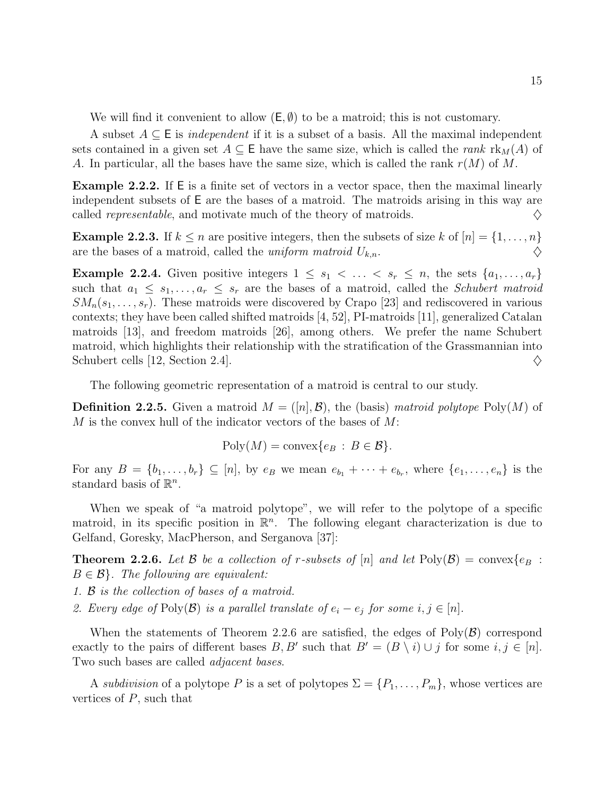We will find it convenient to allow  $(E, \emptyset)$  to be a matroid; this is not customary.

A subset  $A \subseteq \mathsf{E}$  is *independent* if it is a subset of a basis. All the maximal independent sets contained in a given set  $A \subseteq E$  have the same size, which is called the *rank*  $\text{rk}_{M}(A)$  of A. In particular, all the bases have the same size, which is called the rank  $r(M)$  of M.

Example 2.2.2. If E is a finite set of vectors in a vector space, then the maximal linearly independent subsets of E are the bases of a matroid. The matroids arising in this way are called *representable*, and motivate much of the theory of matroids.  $\diamondsuit$ 

**Example 2.2.3.** If  $k \leq n$  are positive integers, then the subsets of size k of  $[n] = \{1, \ldots, n\}$ are the bases of a matroid, called the *uniform matroid*  $U_{k,n}$ .

**Example 2.2.4.** Given positive integers  $1 \leq s_1 < \ldots < s_r \leq n$ , the sets  $\{a_1, \ldots, a_r\}$ such that  $a_1 \leq s_1, \ldots, a_r \leq s_r$  are the bases of a matroid, called the *Schubert matroid*  $SM_n(s_1,\ldots,s_r)$ . These matroids were discovered by Crapo [23] and rediscovered in various contexts; they have been called shifted matroids [4, 52], PI-matroids [11], generalized Catalan matroids [13], and freedom matroids [26], among others. We prefer the name Schubert matroid, which highlights their relationship with the stratification of the Grassmannian into Schubert cells [12, Section 2.4].  $\diamondsuit$ 

The following geometric representation of a matroid is central to our study.

**Definition 2.2.5.** Given a matroid  $M = ([n], \mathcal{B})$ , the (basis) matroid polytope Poly $(M)$  of  $M$  is the convex hull of the indicator vectors of the bases of  $M$ :

$$
Poly(M) = convex\{e_B : B \in \mathcal{B}\}.
$$

For any  $B = \{b_1, \ldots, b_r\} \subseteq [n]$ , by  $e_B$  we mean  $e_{b_1} + \cdots + e_{b_r}$ , where  $\{e_1, \ldots, e_n\}$  is the standard basis of  $\mathbb{R}^n$ .

When we speak of "a matroid polytope", we will refer to the polytope of a specific matroid, in its specific position in  $\mathbb{R}^n$ . The following elegant characterization is due to Gelfand, Goresky, MacPherson, and Serganova [37]:

**Theorem 2.2.6.** Let B be a collection of r-subsets of [n] and let  $Poly(\mathcal{B}) = convex\{e_B :$  $B \in \mathcal{B}$ . The following are equivalent:

1. B is the collection of bases of a matroid.

2. Every edge of  $Poly(\mathcal{B})$  is a parallel translate of  $e_i - e_j$  for some  $i, j \in [n]$ .

When the statements of Theorem 2.2.6 are satisfied, the edges of  $Poly(\mathcal{B})$  correspond exactly to the pairs of different bases  $B, B'$  such that  $B' = (B \setminus i) \cup j$  for some  $i, j \in [n]$ . Two such bases are called adjacent bases.

A subdivision of a polytope P is a set of polytopes  $\Sigma = \{P_1, \ldots, P_m\}$ , whose vertices are vertices of  $P$ , such that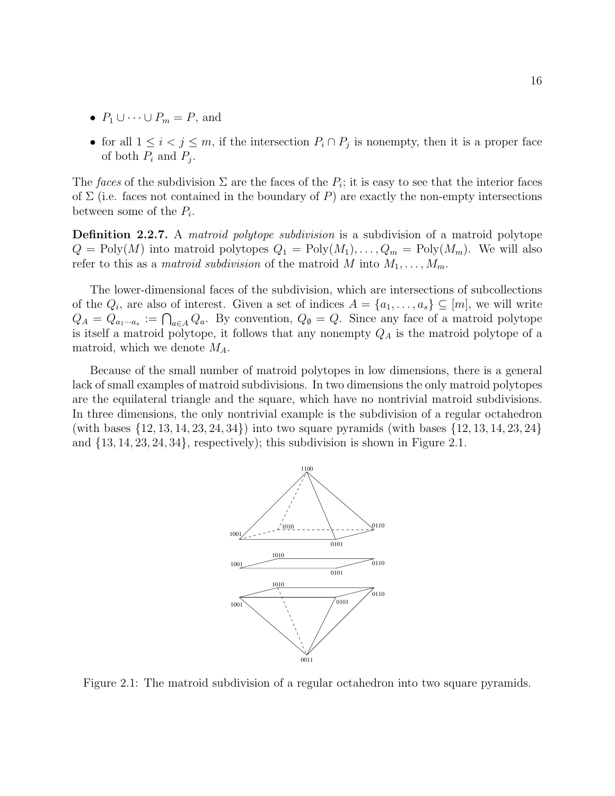- $P_1 \cup \cdots \cup P_m = P$ , and
- for all  $1 \leq i < j \leq m$ , if the intersection  $P_i \cap P_j$  is nonempty, then it is a proper face of both  $P_i$  and  $P_j$ .

The faces of the subdivision  $\Sigma$  are the faces of the  $P_i$ ; it is easy to see that the interior faces of  $\Sigma$  (i.e. faces not contained in the boundary of P) are exactly the non-empty intersections between some of the  $P_i$ .

Definition 2.2.7. A matroid polytope subdivision is a subdivision of a matroid polytope  $Q = \text{Poly}(M)$  into matroid polytopes  $Q_1 = \text{Poly}(M_1), \ldots, Q_m = \text{Poly}(M_m)$ . We will also refer to this as a matroid subdivision of the matroid M into  $M_1, \ldots, M_m$ .

The lower-dimensional faces of the subdivision, which are intersections of subcollections of the  $Q_i$ , are also of interest. Given a set of indices  $A = \{a_1, \ldots, a_s\} \subseteq [m]$ , we will write  $Q_A = Q_{a_1 \cdots a_s} := \bigcap_{a \in A} Q_a$ . By convention,  $Q_\emptyset = Q$ . Since any face of a matroid polytope is itself a matroid polytope, it follows that any nonempty  $Q_A$  is the matroid polytope of a matroid, which we denote  $M_A$ .

Because of the small number of matroid polytopes in low dimensions, there is a general lack of small examples of matroid subdivisions. In two dimensions the only matroid polytopes are the equilateral triangle and the square, which have no nontrivial matroid subdivisions. In three dimensions, the only nontrivial example is the subdivision of a regular octahedron (with bases {12, 13, 14, 23, 24, 34}) into two square pyramids (with bases {12, 13, 14, 23, 24} and  $\{13, 14, 23, 24, 34\}$ , respectively); this subdivision is shown in Figure 2.1.



Figure 2.1: The matroid subdivision of a regular octahedron into two square pyramids.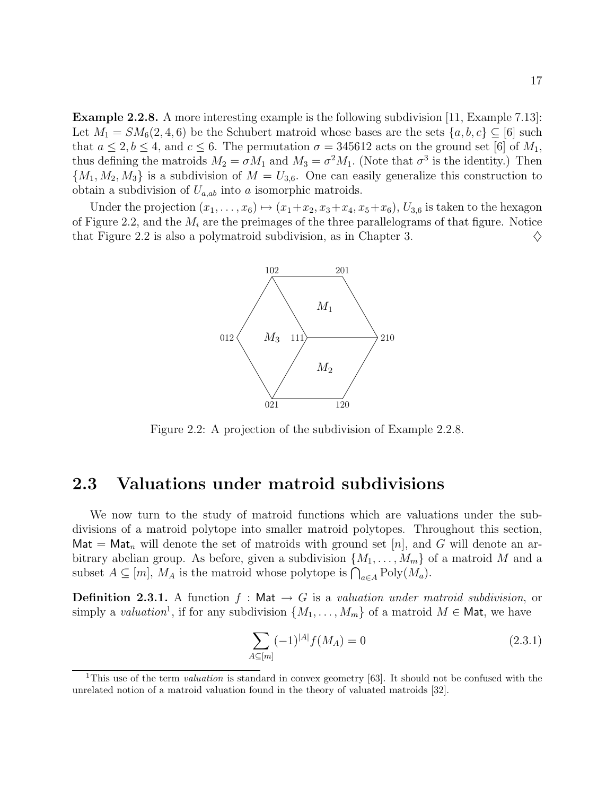Example 2.2.8. A more interesting example is the following subdivision [11, Example 7.13]: Let  $M_1 = SM_6(2, 4, 6)$  be the Schubert matroid whose bases are the sets  $\{a, b, c\} \subseteq [6]$  such that  $a \leq 2, b \leq 4$ , and  $c \leq 6$ . The permutation  $\sigma = 345612$  acts on the ground set [6] of  $M_1$ , thus defining the matroids  $M_2 = \sigma M_1$  and  $M_3 = \sigma^2 M_1$ . (Note that  $\sigma^3$  is the identity.) Then  ${M_1, M_2, M_3}$  is a subdivision of  $M = U_{3,6}$ . One can easily generalize this construction to obtain a subdivision of  $U_{a,ab}$  into a isomorphic matroids.

Under the projection  $(x_1, \ldots, x_6) \mapsto (x_1+x_2, x_3+x_4, x_5+x_6), U_{3,6}$  is taken to the hexagon of Figure 2.2, and the  $M_i$  are the preimages of the three parallelograms of that figure. Notice that Figure 2.2 is also a polymatroid subdivision, as in Chapter 3.  $\diamondsuit$ 



Figure 2.2: A projection of the subdivision of Example 2.2.8.

### 2.3 Valuations under matroid subdivisions

We now turn to the study of matroid functions which are valuations under the subdivisions of a matroid polytope into smaller matroid polytopes. Throughout this section, Mat = Mat<sub>n</sub> will denote the set of matroids with ground set [n], and G will denote an arbitrary abelian group. As before, given a subdivision  $\{M_1, \ldots, M_m\}$  of a matroid M and a subset  $A \subseteq [m]$ ,  $M_A$  is the matroid whose polytope is  $\bigcap_{a \in A} \mathrm{Poly}(M_a)$ .

**Definition 2.3.1.** A function  $f : \mathsf{Mat} \to G$  is a valuation under matroid subdivision, or simply a valuation<sup>1</sup>, if for any subdivision  $\{M_1, \ldots, M_m\}$  of a matroid  $M \in \mathsf{Mat}$ , we have

$$
\sum_{A \subseteq [m]} (-1)^{|A|} f(M_A) = 0 \tag{2.3.1}
$$

<sup>&</sup>lt;sup>1</sup>This use of the term *valuation* is standard in convex geometry [63]. It should not be confused with the unrelated notion of a matroid valuation found in the theory of valuated matroids [32].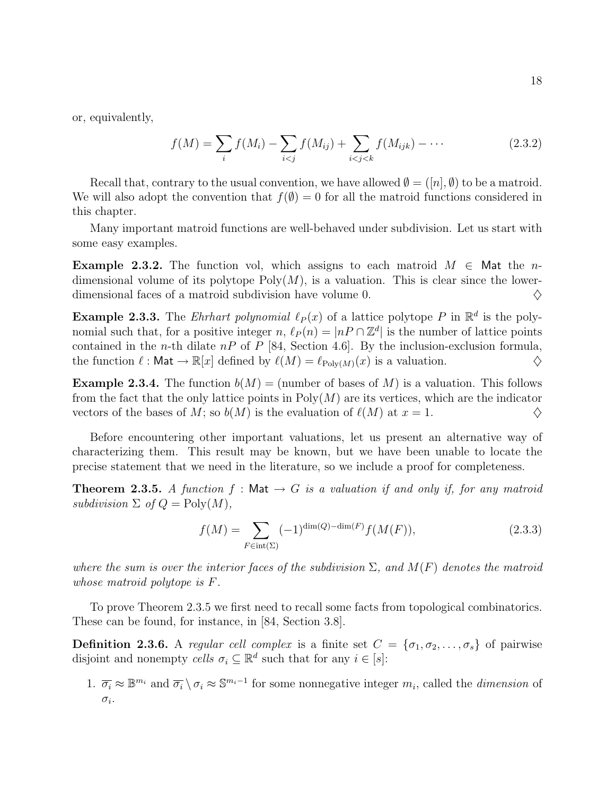or, equivalently,

$$
f(M) = \sum_{i} f(M_i) - \sum_{i < j} f(M_{ij}) + \sum_{i < j < k} f(M_{ijk}) - \dots \tag{2.3.2}
$$

Recall that, contrary to the usual convention, we have allowed  $\emptyset = ([n], \emptyset)$  to be a matroid. We will also adopt the convention that  $f(\emptyset) = 0$  for all the matroid functions considered in this chapter.

Many important matroid functions are well-behaved under subdivision. Let us start with some easy examples.

**Example 2.3.2.** The function vol, which assigns to each matroid  $M \in \mathbb{M}$  the ndimensional volume of its polytope  $Poly(M)$ , is a valuation. This is clear since the lowerdimensional faces of a matroid subdivision have volume 0.  $\diamondsuit$ 

**Example 2.3.3.** The *Ehrhart polynomial*  $\ell_P(x)$  of a lattice polytope P in  $\mathbb{R}^d$  is the polynomial such that, for a positive integer n,  $\ell_P(n) = |nP \cap \mathbb{Z}^d|$  is the number of lattice points contained in the *n*-th dilate  $nP$  of P [84, Section 4.6]. By the inclusion-exclusion formula, the function  $\ell : \mathsf{Mat} \to \mathbb{R}[x]$  defined by  $\ell(M) = \ell_{\text{Poly}(M)}(x)$  is a valuation.

**Example 2.3.4.** The function  $b(M) =$  (number of bases of M) is a valuation. This follows from the fact that the only lattice points in  $Poly(M)$  are its vertices, which are the indicator vectors of the bases of M; so  $b(M)$  is the evaluation of  $\ell(M)$  at  $x = 1$ .

Before encountering other important valuations, let us present an alternative way of characterizing them. This result may be known, but we have been unable to locate the precise statement that we need in the literature, so we include a proof for completeness.

**Theorem 2.3.5.** A function  $f : \mathsf{Mat} \to G$  is a valuation if and only if, for any matroid subdivision  $\Sigma$  of  $Q = \text{Poly}(M)$ ,

$$
f(M) = \sum_{F \in \text{int}(\Sigma)} (-1)^{\dim(Q) - \dim(F)} f(M(F)), \qquad (2.3.3)
$$

where the sum is over the interior faces of the subdivision  $\Sigma$ , and  $M(F)$  denotes the matroid whose matroid polytope is F.

To prove Theorem 2.3.5 we first need to recall some facts from topological combinatorics. These can be found, for instance, in [84, Section 3.8].

**Definition 2.3.6.** A regular cell complex is a finite set  $C = {\sigma_1, \sigma_2, ..., \sigma_s}$  of pairwise disjoint and nonempty cells  $\sigma_i \subseteq \mathbb{R}^d$  such that for any  $i \in [s]$ :

1.  $\overline{\sigma_i} \approx \mathbb{B}^{m_i}$  and  $\overline{\sigma_i} \setminus \sigma_i \approx \mathbb{S}^{m_i-1}$  for some nonnegative integer  $m_i$ , called the *dimension* of  $\sigma_i$ .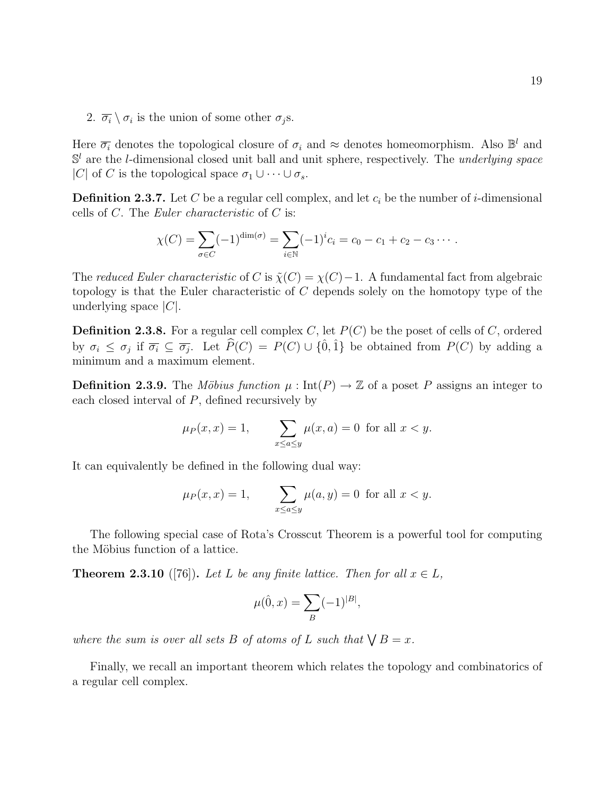2.  $\overline{\sigma_i} \setminus \sigma_i$  is the union of some other  $\sigma_j$ s.

Here  $\overline{\sigma_i}$  denotes the topological closure of  $\sigma_i$  and  $\approx$  denotes homeomorphism. Also  $\mathbb{B}^l$  and  $\mathbb{S}^l$  are the *l*-dimensional closed unit ball and unit sphere, respectively. The *underlying space* |C| of C is the topological space  $\sigma_1 \cup \cdots \cup \sigma_s$ .

**Definition 2.3.7.** Let C be a regular cell complex, and let  $c_i$  be the number of i-dimensional cells of  $C$ . The *Euler characteristic* of  $C$  is:

$$
\chi(C) = \sum_{\sigma \in C} (-1)^{\dim(\sigma)} = \sum_{i \in \mathbb{N}} (-1)^{i} c_i = c_0 - c_1 + c_2 - c_3 \cdots.
$$

The reduced Euler characteristic of C is  $\tilde{\chi}(C) = \chi(C) - 1$ . A fundamental fact from algebraic topology is that the Euler characteristic of C depends solely on the homotopy type of the underlying space  $|C|$ .

**Definition 2.3.8.** For a regular cell complex C, let  $P(C)$  be the poset of cells of C, ordered by  $\sigma_i \leq \sigma_j$  if  $\overline{\sigma_i} \subseteq \overline{\sigma_j}$ . Let  $\widehat{P}(C) = P(C) \cup \{0, 1\}$  be obtained from  $P(C)$  by adding a minimum and a maximum element.

**Definition 2.3.9.** The Möbius function  $\mu : \text{Int}(P) \to \mathbb{Z}$  of a poset P assigns an integer to each closed interval of  $P$ , defined recursively by

$$
\mu_P(x, x) = 1, \qquad \sum_{x \le a \le y} \mu(x, a) = 0 \text{ for all } x < y.
$$

It can equivalently be defined in the following dual way:

$$
\mu_P(x, x) = 1, \qquad \sum_{x \le a \le y} \mu(a, y) = 0 \text{ for all } x < y.
$$

The following special case of Rota's Crosscut Theorem is a powerful tool for computing the Möbius function of a lattice.

**Theorem 2.3.10** ([76]). Let L be any finite lattice. Then for all  $x \in L$ ,

$$
\mu(\hat{0}, x) = \sum_{B} (-1)^{|B|},
$$

where the sum is over all sets B of atoms of L such that  $\bigvee B = x$ .

Finally, we recall an important theorem which relates the topology and combinatorics of a regular cell complex.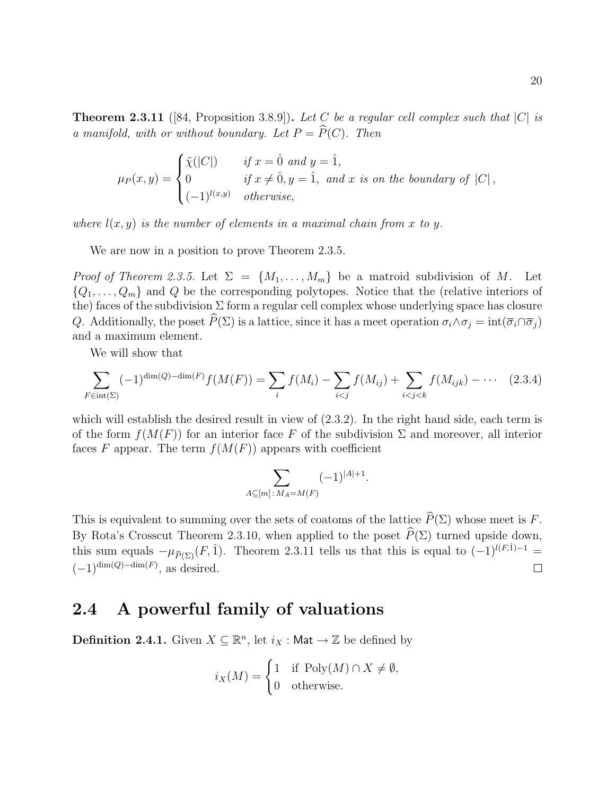**Theorem 2.3.11** ([84, Proposition 3.8.9]). Let C be a regular cell complex such that  $|C|$  is a manifold, with or without boundary. Let  $P = \widehat{P}(C)$ . Then

$$
\mu_P(x,y) = \begin{cases} \tilde{\chi}(|C|) & \text{if } x = \hat{0} \text{ and } y = \hat{1}, \\ 0 & \text{if } x \neq \hat{0}, y = \hat{1}, \text{ and } x \text{ is on the boundary of } |C|, \\ (-1)^{l(x,y)} & \text{otherwise}, \end{cases}
$$

where  $l(x, y)$  is the number of elements in a maximal chain from x to y.

We are now in a position to prove Theorem 2.3.5.

*Proof of Theorem 2.3.5.* Let  $\Sigma = \{M_1, \ldots, M_m\}$  be a matroid subdivision of M. Let  $\{Q_1, \ldots, Q_m\}$  and Q be the corresponding polytopes. Notice that the (relative interiors of the) faces of the subdivision  $\Sigma$  form a regular cell complex whose underlying space has closure Q. Additionally, the poset  $\widehat{P}(\Sigma)$  is a lattice, since it has a meet operation  $\sigma_i \wedge \sigma_j = \text{int}(\overline{\sigma}_i \cap \overline{\sigma}_j)$ and a maximum element.

We will show that

$$
\sum_{F \in \text{int}(\Sigma)} (-1)^{\dim(Q) - \dim(F)} f(M(F)) = \sum_{i} f(M_i) - \sum_{i < j} f(M_{ij}) + \sum_{i < j < k} f(M_{ijk}) - \cdots \tag{2.3.4}
$$

which will establish the desired result in view of  $(2.3.2)$ . In the right hand side, each term is of the form  $f(M(F))$  for an interior face F of the subdivision  $\Sigma$  and moreover, all interior faces F appear. The term  $f(M(F))$  appears with coefficient

$$
\sum_{A \subseteq [m] \,:\, M_A = M(F)} (-1)^{|A|+1}.
$$

This is equivalent to summing over the sets of coatoms of the lattice  $\widehat{P}(\Sigma)$  whose meet is F. By Rota's Crosscut Theorem 2.3.10, when applied to the poset  $\widehat{P}(\Sigma)$  turned upside down, this sum equals  $-\mu_{\widehat{P}(\Sigma)}(F, \hat{1})$ . Theorem 2.3.11 tells us that this is equal to  $(-1)^{l(F, \hat{1})-1}$  =  $(-1)^{\dim(Q) - \dim(F)}$ , as desired.  $(-1)^{\dim(Q) - \dim(F)}$ , as desired.

## 2.4 A powerful family of valuations

**Definition 2.4.1.** Given  $X \subseteq \mathbb{R}^n$ , let  $i_X : \mathsf{Mat} \to \mathbb{Z}$  be defined by

$$
i_X(M) = \begin{cases} 1 & \text{if Poly}(M) \cap X \neq \emptyset, \\ 0 & \text{otherwise.} \end{cases}
$$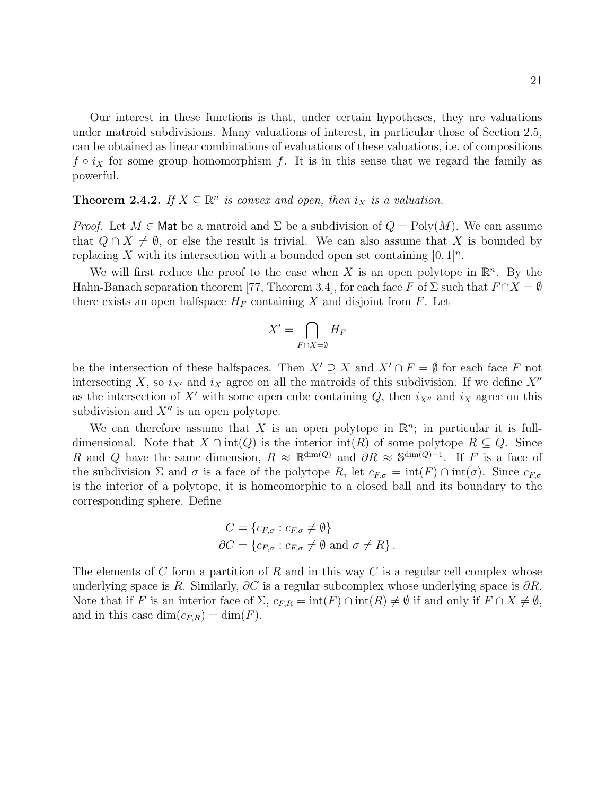Our interest in these functions is that, under certain hypotheses, they are valuations under matroid subdivisions. Many valuations of interest, in particular those of Section 2.5, can be obtained as linear combinations of evaluations of these valuations, i.e. of compositions  $f \circ i_X$  for some group homomorphism f. It is in this sense that we regard the family as powerful.

### **Theorem 2.4.2.** If  $X \subseteq \mathbb{R}^n$  is convex and open, then  $i_X$  is a valuation.

*Proof.* Let  $M \in \mathsf{Mat}$  be a matroid and  $\Sigma$  be a subdivision of  $Q = \mathrm{Poly}(M)$ . We can assume that  $Q \cap X \neq \emptyset$ , or else the result is trivial. We can also assume that X is bounded by replacing X with its intersection with a bounded open set containing  $[0,1]^n$ .

We will first reduce the proof to the case when X is an open polytope in  $\mathbb{R}^n$ . By the Hahn-Banach separation theorem [77, Theorem 3.4], for each face F of  $\Sigma$  such that  $F \cap X = \emptyset$ there exists an open halfspace  $H_F$  containing X and disjoint from F. Let

$$
X' = \bigcap_{F \cap X = \emptyset} H_F
$$

be the intersection of these halfspaces. Then  $X' \supseteq X$  and  $X' \cap F = \emptyset$  for each face F not intersecting X, so  $i_{X'}$  and  $i_X$  agree on all the matroids of this subdivision. If we define  $X''$ as the intersection of X' with some open cube containing Q, then  $i_{X''}$  and  $i_X$  agree on this subdivision and  $X''$  is an open polytope.

We can therefore assume that X is an open polytope in  $\mathbb{R}^n$ ; in particular it is fulldimensional. Note that  $X \cap \text{int}(Q)$  is the interior  $\text{int}(R)$  of some polytope  $R \subseteq Q$ . Since R and Q have the same dimension,  $R \approx \mathbb{B}^{\dim(Q)}$  and  $\partial R \approx \mathbb{S}^{\dim(Q)-1}$ . If F is a face of the subdivision  $\Sigma$  and  $\sigma$  is a face of the polytope R, let  $c_{F,\sigma} = \text{int}(F) \cap \text{int}(\sigma)$ . Since  $c_{F,\sigma}$ is the interior of a polytope, it is homeomorphic to a closed ball and its boundary to the corresponding sphere. Define

$$
C = \{c_{F,\sigma} : c_{F,\sigma} \neq \emptyset\}
$$
  

$$
\partial C = \{c_{F,\sigma} : c_{F,\sigma} \neq \emptyset \text{ and } \sigma \neq R\}.
$$

The elements of C form a partition of R and in this way C is a regular cell complex whose underlying space is R. Similarly,  $\partial C$  is a regular subcomplex whose underlying space is  $\partial R$ . Note that if F is an interior face of  $\Sigma$ ,  $c_{F,R} = \text{int}(F) \cap \text{int}(R) \neq \emptyset$  if and only if  $F \cap X \neq \emptyset$ , and in this case  $\dim(c_{F,R}) = \dim(F)$ .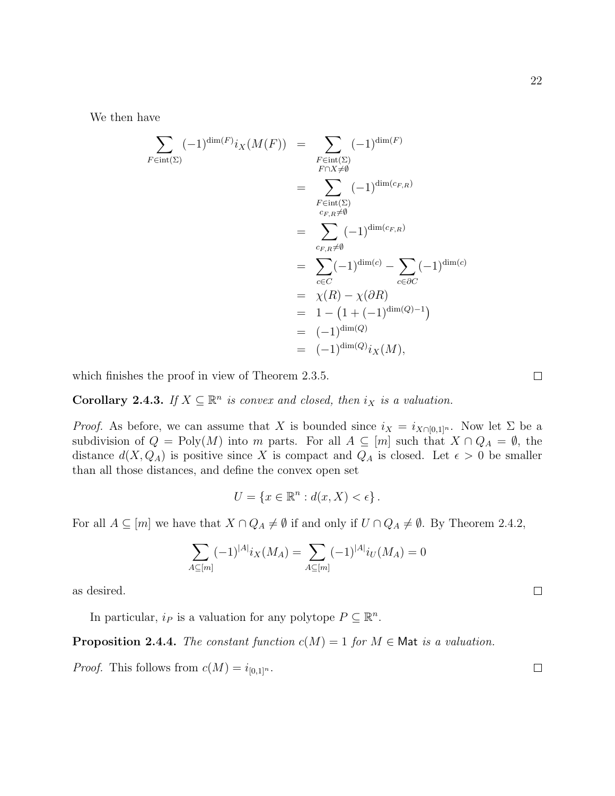We then have

$$
\sum_{F \in \text{int}(\Sigma)} (-1)^{\dim(F)} i_X(M(F)) = \sum_{\substack{F \in \text{int}(\Sigma) \\ F \cap X \neq \emptyset}} (-1)^{\dim(F)}
$$
\n
$$
= \sum_{\substack{F \in \text{int}(\Sigma) \\ c_F, R \neq \emptyset}} (-1)^{\dim(c_{F,R})}
$$
\n
$$
= \sum_{\substack{c_F, R \neq \emptyset \\ c \in C}} (-1)^{\dim(c_{F,R})}
$$
\n
$$
= \sum_{c \in C} (-1)^{\dim(c)} - \sum_{c \in \partial C} (-1)^{\dim(c)}
$$
\n
$$
= \chi(R) - \chi(\partial R)
$$
\n
$$
= 1 - (1 + (-1)^{\dim(Q) - 1})
$$
\n
$$
= (-1)^{\dim(Q)} i_X(M),
$$

which finishes the proof in view of Theorem 2.3.5.

**Corollary 2.4.3.** If  $X \subseteq \mathbb{R}^n$  is convex and closed, then  $i_X$  is a valuation.

*Proof.* As before, we can assume that X is bounded since  $i_X = i_{X \cap [0,1]^n}$ . Now let  $\Sigma$  be a subdivision of  $Q = \text{Poly}(M)$  into m parts. For all  $A \subseteq [m]$  such that  $X \cap Q_A = \emptyset$ , the distance  $d(X, Q_A)$  is positive since X is compact and  $Q_A$  is closed. Let  $\epsilon > 0$  be smaller than all those distances, and define the convex open set

$$
U = \{ x \in \mathbb{R}^n : d(x, X) < \epsilon \} \, .
$$

For all  $A \subseteq [m]$  we have that  $X \cap Q_A \neq \emptyset$  if and only if  $U \cap Q_A \neq \emptyset$ . By Theorem 2.4.2,

$$
\sum_{A \subseteq [m]} (-1)^{|A|} i_X(M_A) = \sum_{A \subseteq [m]} (-1)^{|A|} i_U(M_A) = 0
$$

as desired.

In particular,  $i_P$  is a valuation for any polytope  $P \subseteq \mathbb{R}^n$ .

**Proposition 2.4.4.** The constant function  $c(M) = 1$  for  $M \in \mathsf{Mat}$  is a valuation.

*Proof.* This follows from  $c(M) = i_{[0,1]^n}$ .

 $\Box$ 

 $\Box$ 

 $\Box$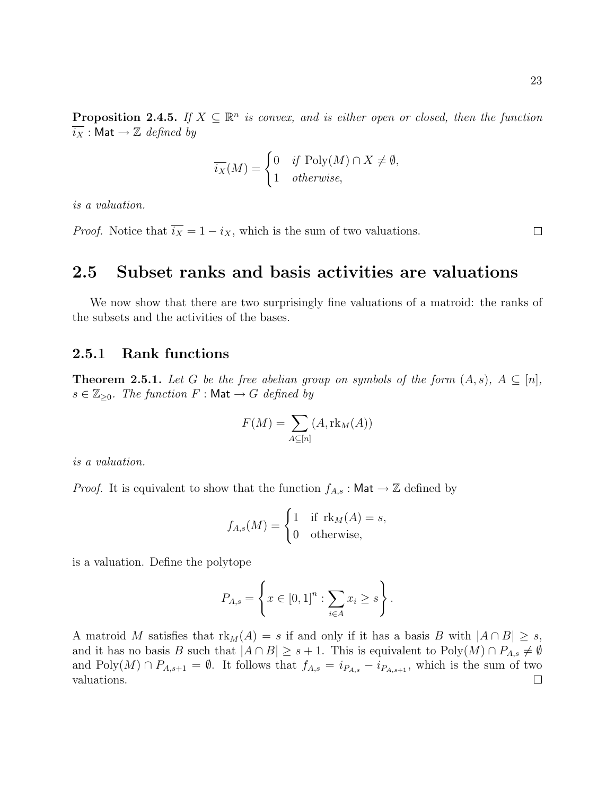$$
\overline{i_X}(M) = \begin{cases} 0 & \text{if Poly}(M) \cap X \neq \emptyset, \\ 1 & \text{otherwise,} \end{cases}
$$

is a valuation.

*Proof.* Notice that  $\overline{i_X} = 1 - i_X$ , which is the sum of two valuations.

 $\Box$ 

## 2.5 Subset ranks and basis activities are valuations

We now show that there are two surprisingly fine valuations of a matroid: the ranks of the subsets and the activities of the bases.

#### 2.5.1 Rank functions

**Theorem 2.5.1.** Let G be the free abelian group on symbols of the form  $(A, s)$ ,  $A \subseteq [n]$ ,  $s\in\mathbb{Z}_{\geq 0}.$  The function  $F:\mathsf{Mat}\to G$  defined by

$$
F(M) = \sum_{A \subseteq [n]} (A, \text{rk}_M(A))
$$

is a valuation.

*Proof.* It is equivalent to show that the function  $f_{A,s}$ : Mat  $\rightarrow \mathbb{Z}$  defined by

$$
f_{A,s}(M) = \begin{cases} 1 & \text{if } \text{rk}_M(A) = s, \\ 0 & \text{otherwise,} \end{cases}
$$

is a valuation. Define the polytope

$$
P_{A,s} = \left\{ x \in [0,1]^n : \sum_{i \in A} x_i \ge s \right\}.
$$

A matroid M satisfies that  $\text{rk}_M(A) = s$  if and only if it has a basis B with  $|A \cap B| \geq s$ , and it has no basis B such that  $|A \cap B| \geq s + 1$ . This is equivalent to Poly $(M) \cap P_{A,s} \neq \emptyset$ and Poly $(M) \cap P_{A,s+1} = \emptyset$ . It follows that  $f_{A,s} = i_{P_{A,s}} - i_{P_{A,s+1}}$ , which is the sum of two valuations. $\Box$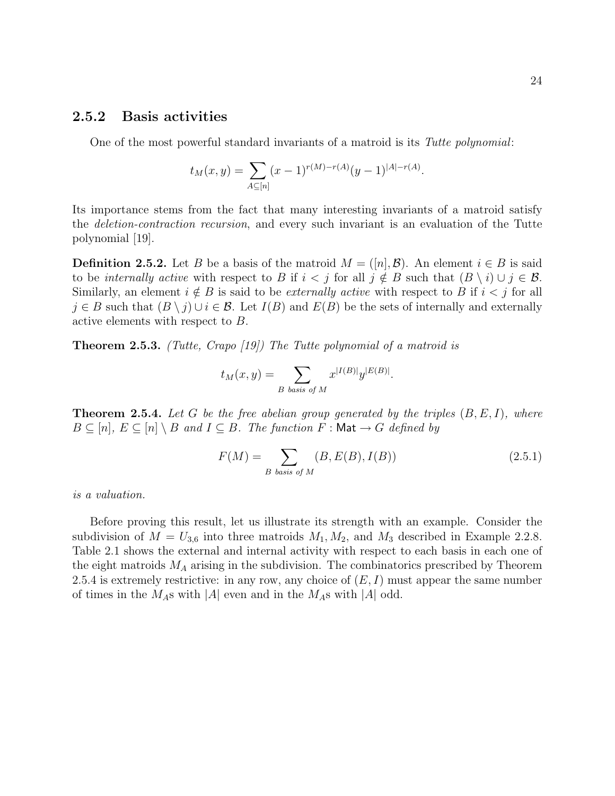#### 2.5.2 Basis activities

One of the most powerful standard invariants of a matroid is its Tutte polynomial:

$$
t_M(x,y) = \sum_{A \subseteq [n]} (x-1)^{r(M)-r(A)}(y-1)^{|A|-r(A)}.
$$

Its importance stems from the fact that many interesting invariants of a matroid satisfy the deletion-contraction recursion, and every such invariant is an evaluation of the Tutte polynomial [19].

**Definition 2.5.2.** Let B be a basis of the matroid  $M = ([n], \mathcal{B})$ . An element  $i \in B$  is said to be *internally active* with respect to B if  $i < j$  for all  $j \notin B$  such that  $(B \setminus i) \cup j \in B$ . Similarly, an element  $i \notin B$  is said to be *externally active* with respect to B if  $i < j$  for all  $j \in B$  such that  $(B \setminus j) \cup i \in B$ . Let  $I(B)$  and  $E(B)$  be the sets of internally and externally active elements with respect to B.

**Theorem 2.5.3.** (Tutte, Crapo [19]) The Tutte polynomial of a matroid is

$$
t_M(x,y) = \sum_{B \text{ basis of } M} x^{|I(B)|} y^{|E(B)|}.
$$

**Theorem 2.5.4.** Let G be the free abelian group generated by the triples  $(B, E, I)$ , where  $B \subseteq [n], E \subseteq [n] \setminus B$  and  $I \subseteq B$ . The function  $F : \mathsf{Mat} \to G$  defined by

$$
F(M) = \sum_{B \text{ basis of } M} (B, E(B), I(B)) \tag{2.5.1}
$$

is a valuation.

Before proving this result, let us illustrate its strength with an example. Consider the subdivision of  $M = U_{3,6}$  into three matroids  $M_1, M_2$ , and  $M_3$  described in Example 2.2.8. Table 2.1 shows the external and internal activity with respect to each basis in each one of the eight matroids  $M_A$  arising in the subdivision. The combinatorics prescribed by Theorem 2.5.4 is extremely restrictive: in any row, any choice of  $(E, I)$  must appear the same number of times in the  $M_{A}$ s with |A| even and in the  $M_{A}$ s with |A| odd.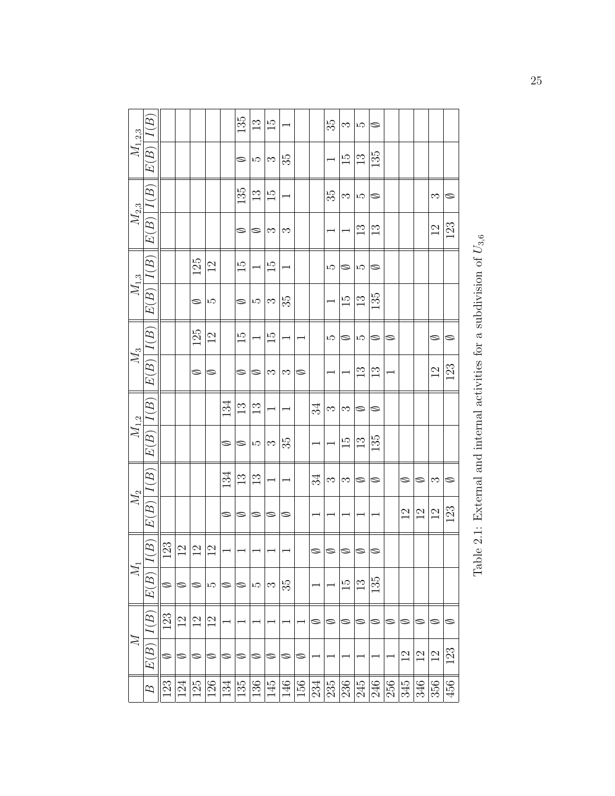|                                                               | $\widetilde{\Xi}$ |         |                |                |                |                          | 135                      | $\mathfrak{L}$           | $\frac{1}{5}$            | $\overline{\phantom{0}}$ |         |                          | 35                       | $\infty$                 | S                        | ◎                        |                          |                |                |                |         |
|---------------------------------------------------------------|-------------------|---------|----------------|----------------|----------------|--------------------------|--------------------------|--------------------------|--------------------------|--------------------------|---------|--------------------------|--------------------------|--------------------------|--------------------------|--------------------------|--------------------------|----------------|----------------|----------------|---------|
|                                                               | E(B)              |         |                |                |                |                          | ⇨                        | S                        | ಌ                        | 35                       |         |                          | $\overline{\phantom{0}}$ | IJ                       | $\mathbb{C}$             | 135                      |                          |                |                |                |         |
|                                                               | I(B)              |         |                |                |                |                          | 135                      | $\mathfrak{L}$           | $\frac{1}{5}$            | $\overline{\phantom{0}}$ |         |                          | 33                       | S                        | LC.                      | $\circ$                  |                          |                |                | S              | ⇨       |
| $\mathcal{M}_{1,2,3}$<br>$\mathcal{M}_{2,3}$                  | E(B)              |         |                |                |                |                          | ⇨                        | $\circ$                  | က                        | S                        |         |                          | ۳                        |                          | $\mathbb{C}$             | $\Xi$                    |                          |                |                | $\frac{2}{3}$  | 123     |
| $\mathcal{M}_{1,3}$<br>$\mathcal{M}_3$<br>$\mathcal{M}_{1,2}$ | $\widetilde{\Xi}$ |         |                | 125            | $\overline{2}$ |                          | $\frac{1}{5}$            | ↽                        | $\frac{1}{5}$            | $\overline{\phantom{0}}$ |         |                          | S                        | ⇨                        | LC.                      | ◎                        |                          |                |                |                |         |
|                                                               | E(B)              |         |                | $\circ$        | LC.            |                          | ◎                        | S                        | က                        | 35                       |         |                          |                          | $\frac{1}{5}$            | $\frac{3}{1}$            | 135                      |                          |                |                |                |         |
|                                                               | I(B)              |         |                | 125            | $\frac{2}{1}$  |                          | $\overline{5}$           |                          | $\frac{1}{5}$            |                          |         |                          | rC                       | $\circ$                  | LC.                      | $\circ$                  | $\circ$                  |                |                | $\circ$        | $\circ$ |
|                                                               | E(B)              |         |                | $\circ$        | $\circ$        |                          | $\circ$                  | $\circ$                  | က                        | S                        | $\circ$ |                          | $\overline{\phantom{0}}$ | $\overline{\phantom{0}}$ | 13                       | $\frac{3}{2}$            | $\overline{\phantom{0}}$ |                |                | $\overline{2}$ | 123     |
|                                                               | I(B)              |         |                |                |                | 134                      | $\frac{3}{1}$            | $\frac{3}{1}$            | $\overline{\phantom{0}}$ | $\overline{\phantom{0}}$ |         | 34                       | S                        | S                        | $\circ$                  | $\circ$                  |                          |                |                |                |         |
|                                                               | E(B)              |         |                |                |                | ⇨                        | ◎                        | LC.                      | က                        | 35                       |         |                          | $\overline{\phantom{0}}$ | IJ                       | $\mathbb{C}$             | 135                      |                          |                |                |                |         |
|                                                               | I(B)              |         |                |                |                | 134                      | $\mathbb{C}$             | $\mathbb{C}$             | $\overline{\phantom{0}}$ | $\overline{\phantom{0}}$ |         | 34                       | S                        | S                        | $\circ$                  | ⇨                        |                          | $\circ$        | ◎              | S              | ⇨       |
| $\mathcal{M}_2$                                               | E(B)              |         |                |                |                | $\circ$                  | $\circ$                  | ⇨                        | ⇨                        | ◎                        |         |                          | ↽                        | ↽                        |                          | ↽                        |                          | $\overline{2}$ | $\frac{2}{1}$  | $\frac{2}{3}$  | 123     |
|                                                               | I(B)              | 123     | 12             | $12\,$         | $\overline{2}$ | $\overline{\phantom{0}}$ | $\overline{\phantom{0}}$ | $\overline{\phantom{0}}$ |                          |                          |         | $\circ$                  | $\circ$                  | $\circ$                  | $\circ$                  | ⇨                        |                          |                |                |                |         |
| $M_{\rm 1}$                                                   | E(B)              | $\circ$ | $\circ$        | $\circ$        | S              | $\circ$                  | ◎                        | S                        | S                        | 35                       |         |                          |                          | $\frac{1}{5}$            | $\mathbb{C}$             | 135                      |                          |                |                |                |         |
| $\mathbb{N}$                                                  | I(B)              | 123     | $\mathfrak{Z}$ | $\overline{2}$ | $^{2}$         |                          | $\overline{\phantom{0}}$ |                          |                          | $\overline{\phantom{0}}$ |         | ⇨                        | ⇨                        | ⇨                        | ⇨                        | ⇨                        | ⇨                        | 0              | ◎              | 0              | ⇨       |
|                                                               | E(B)              | $\circ$ | 0              | ⇨              | ⇨              | ◎                        | ⇨                        | ⇨                        | ⇨                        | ◎                        | 0       | $\overline{\phantom{0}}$ | $\overline{\phantom{0}}$ | $\overline{\phantom{0}}$ | $\overline{\phantom{0}}$ | $\overline{\phantom{0}}$ | $\overline{\phantom{0}}$ | $\overline{2}$ | $\mathfrak{D}$ | $\overline{2}$ | 123     |
|                                                               | $\beta$           | 123     | 124            | 125            | 126            | 134                      | 135                      | 136                      | 145                      | 146                      | 156     | 234                      | 235                      | 236                      | 245                      | 246                      | 256                      | 345            | 346            | 356            | 456     |

Table 2.1: External and internal activities for a subdivision of  $U_{3,6}$ Table 2.1: External and internal activities for a subdivision of  $U_{3,6}$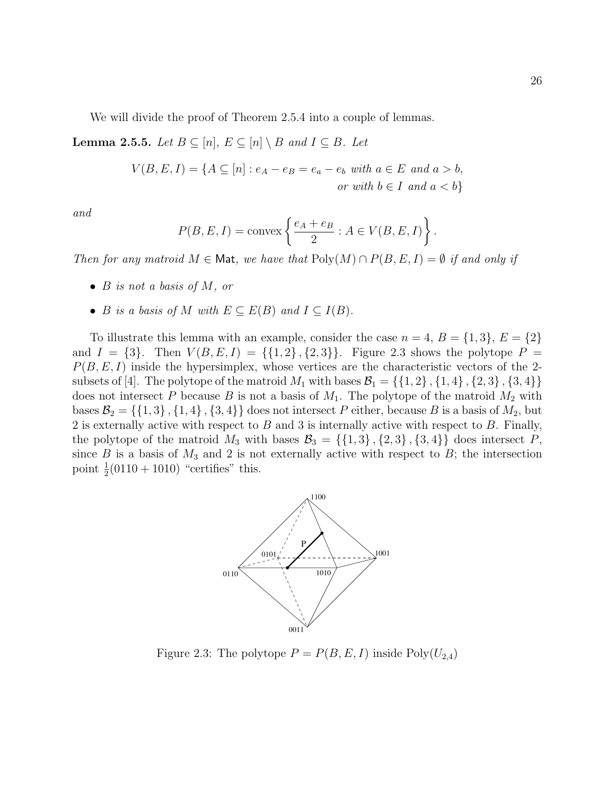We will divide the proof of Theorem 2.5.4 into a couple of lemmas.

**Lemma 2.5.5.** Let  $B \subseteq [n], E \subseteq [n] \setminus B$  and  $I \subseteq B$ . Let

$$
V(B, E, I) = \{A \subseteq [n] : e_A - e_B = e_a - e_b \text{ with } a \in E \text{ and } a > b,
$$
  
or with  $b \in I$  and  $a < b\}$ 

and

$$
P(B, E, I) = \text{convex}\left\{\frac{e_A + e_B}{2} : A \in V(B, E, I)\right\}.
$$

Then for any matroid  $M \in \mathsf{Mat}$ , we have that  $\mathrm{Poly}(M) \cap P(B, E, I) = \emptyset$  if and only if

- $B$  is not a basis of  $M$ , or
- B is a basis of M with  $E \subseteq E(B)$  and  $I \subseteq I(B)$ .

To illustrate this lemma with an example, consider the case  $n = 4$ ,  $B = \{1, 3\}$ ,  $E = \{2\}$ and  $I = \{3\}$ . Then  $V(B, E, I) = \{\{1, 2\}, \{2, 3\}\}\$ . Figure 2.3 shows the polytope  $P =$  $P(B, E, I)$  inside the hypersimplex, whose vertices are the characteristic vectors of the 2subsets of [4]. The polytope of the matroid  $M_1$  with bases  $\mathcal{B}_1 = \{\{1,2\}, \{1,4\}, \{2,3\}, \{3,4\}\}\$ does not intersect P because B is not a basis of  $M_1$ . The polytope of the matroid  $M_2$  with bases  $\mathcal{B}_2 = \{\{1,3\}, \{1,4\}, \{3,4\}\}\$  does not intersect P either, because B is a basis of  $M_2$ , but 2 is externally active with respect to  $B$  and 3 is internally active with respect to  $B$ . Finally, the polytope of the matroid  $M_3$  with bases  $\mathcal{B}_3 = \{\{1,3\},\{2,3\},\{3,4\}\}\$  does intersect P, since B is a basis of  $M_3$  and 2 is not externally active with respect to B; the intersection point  $\frac{1}{2}(0110 + 1010)$  "certifies" this.



Figure 2.3: The polytope  $P = P(B, E, I)$  inside Poly $(U_{2,4})$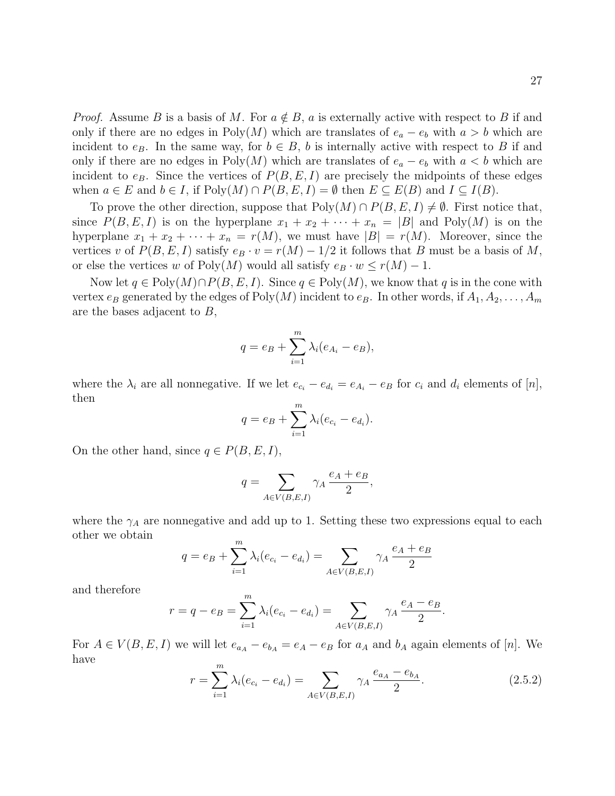*Proof.* Assume B is a basis of M. For  $a \notin B$ , a is externally active with respect to B if and only if there are no edges in Poly(M) which are translates of  $e_a - e_b$  with  $a > b$  which are incident to  $e_B$ . In the same way, for  $b \in B$ , b is internally active with respect to B if and only if there are no edges in  $Poly(M)$  which are translates of  $e_a - e_b$  with  $a < b$  which are incident to  $e_B$ . Since the vertices of  $P(B, E, I)$  are precisely the midpoints of these edges when  $a \in E$  and  $b \in I$ , if  $Poly(M) \cap P(B, E, I) = \emptyset$  then  $E \subseteq E(B)$  and  $I \subseteq I(B)$ .

To prove the other direction, suppose that  $Poly(M) \cap P(B, E, I) \neq \emptyset$ . First notice that, since  $P(B, E, I)$  is on the hyperplane  $x_1 + x_2 + \cdots + x_n = |B|$  and  $Poly(M)$  is on the hyperplane  $x_1 + x_2 + \cdots + x_n = r(M)$ , we must have  $|B| = r(M)$ . Moreover, since the vertices v of  $P(B, E, I)$  satisfy  $e_B \cdot v = r(M) - 1/2$  it follows that B must be a basis of M, or else the vertices w of Poly $(M)$  would all satisfy  $e_B \cdot w \le r(M) - 1$ .

Now let  $q \in \text{Poly}(M) \cap P(B, E, I)$ . Since  $q \in \text{Poly}(M)$ , we know that q is in the cone with vertex  $e_B$  generated by the edges of Poly $(M)$  incident to  $e_B$ . In other words, if  $A_1, A_2, \ldots, A_m$ are the bases adjacent to B,

$$
q = e_B + \sum_{i=1}^{m} \lambda_i (e_{A_i} - e_B),
$$

where the  $\lambda_i$  are all nonnegative. If we let  $e_{c_i} - e_{d_i} = e_{A_i} - e_B$  for  $c_i$  and  $d_i$  elements of  $[n]$ , then

$$
q = e_B + \sum_{i=1}^{m} \lambda_i (e_{c_i} - e_{d_i}).
$$

On the other hand, since  $q \in P(B, E, I)$ ,

$$
q = \sum_{A \in V(B,E,I)} \gamma_A \frac{e_A + e_B}{2},
$$

where the  $\gamma_A$  are nonnegative and add up to 1. Setting these two expressions equal to each other we obtain

$$
q = e_B + \sum_{i=1}^{m} \lambda_i (e_{c_i} - e_{d_i}) = \sum_{A \in V(B, E, I)} \gamma_A \frac{e_A + e_B}{2}
$$

and therefore

$$
r = q - e_B = \sum_{i=1}^{m} \lambda_i (e_{c_i} - e_{d_i}) = \sum_{A \in V(B, E, I)} \gamma_A \frac{e_A - e_B}{2}.
$$

For  $A \in V(B, E, I)$  we will let  $e_{a_A} - e_{b_A} = e_A - e_B$  for  $a_A$  and  $b_A$  again elements of [n]. We have

$$
r = \sum_{i=1}^{m} \lambda_i (e_{c_i} - e_{d_i}) = \sum_{A \in V(B, E, I)} \gamma_A \frac{e_{a_A} - e_{b_A}}{2}.
$$
 (2.5.2)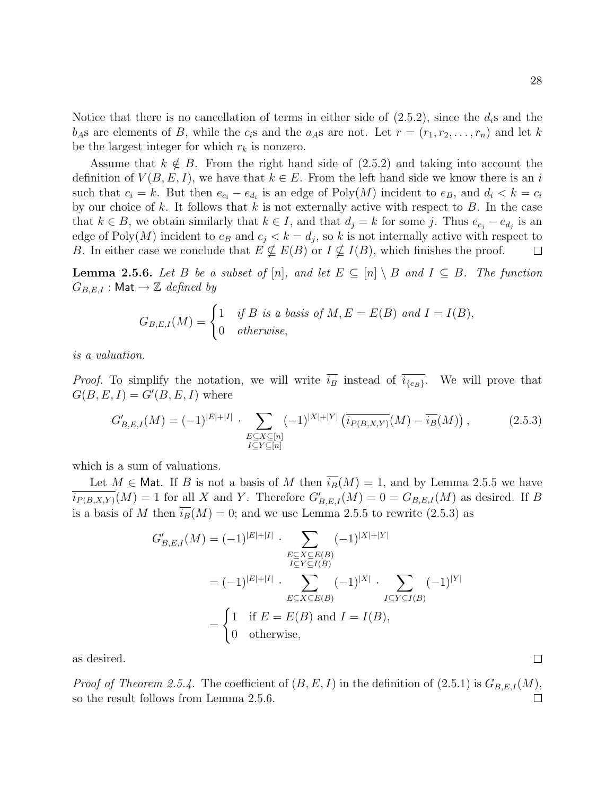Notice that there is no cancellation of terms in either side of  $(2.5.2)$ , since the  $d_i$ s and the  $b_A$ s are elements of B, while the  $c_i$ s and the  $a_A$ s are not. Let  $r = (r_1, r_2, \ldots, r_n)$  and let k be the largest integer for which  $r_k$  is nonzero.

Assume that  $k \notin B$ . From the right hand side of (2.5.2) and taking into account the definition of  $V(B, E, I)$ , we have that  $k \in E$ . From the left hand side we know there is an i such that  $c_i = k$ . But then  $e_{c_i} - e_{d_i}$  is an edge of Poly $(M)$  incident to  $e_B$ , and  $d_i < k = c_i$ by our choice of k. It follows that k is not externally active with respect to  $B$ . In the case that  $k \in B$ , we obtain similarly that  $k \in I$ , and that  $d_j = k$  for some j. Thus  $e_{c_j} - e_{d_j}$  is an edge of Poly $(M)$  incident to  $e_B$  and  $c_j < k = d_j$ , so k is not internally active with respect to B. In either case we conclude that  $E \nsubseteq E(B)$  or  $I \nsubseteq I(B)$ , which finishes the proof.  $\Box$ 

**Lemma 2.5.6.** Let B be a subset of [n], and let  $E \subseteq [n] \setminus B$  and  $I \subseteq B$ . The function  $G_{B,E,I}$ : Mat  $\rightarrow \mathbb{Z}$  defined by

$$
G_{B,E,I}(M) = \begin{cases} 1 & \text{if } B \text{ is a basis of } M, E = E(B) \text{ and } I = I(B), \\ 0 & \text{otherwise,} \end{cases}
$$

is a valuation.

*Proof.* To simplify the notation, we will write  $\overline{i_B}$  instead of  $\overline{i_{\{e_B\}}}$ . We will prove that  $G(B, E, I) = G'(B, E, I)$  where

$$
G'_{B,E,I}(M) = (-1)^{|E|+|I|} \cdot \sum_{\substack{E \subseteq X \subseteq [n] \\ I \subseteq Y \subseteq [n]}} (-1)^{|X|+|Y|} \left( \overline{i_{P(B,X,Y)}}(M) - \overline{i_B}(M) \right), \tag{2.5.3}
$$

which is a sum of valuations.

Let  $M \in \mathsf{Mat}$ . If B is not a basis of M then  $\overline{i_B}(M) = 1$ , and by Lemma 2.5.5 we have  $\overline{i_{P(B,X,Y)}}(M) = 1$  for all X and Y. Therefore  $G'_{B,E,I}(M) = 0 = G_{B,E,I}(M)$  as desired. If B is a basis of M then  $\overline{i_B}(M) = 0$ ; and we use Lemma 2.5.5 to rewrite (2.5.3) as

$$
G'_{B,E,I}(M) = (-1)^{|E|+|I|} \cdot \sum_{\substack{E \subseteq X \subseteq E(B) \\ I \subseteq Y \subseteq I(B)}} (-1)^{|X|+|Y|}
$$
  
=  $(-1)^{|E|+|I|} \cdot \sum_{E \subseteq X \subseteq E(B)} (-1)^{|X|} \cdot \sum_{I \subseteq Y \subseteq I(B)} (-1)^{|Y|}$   
=  $\begin{cases} 1 & \text{if } E = E(B) \text{ and } I = I(B), \\ 0 & \text{otherwise,} \end{cases}$ 

as desired.

*Proof of Theorem 2.5.4.* The coefficient of  $(B, E, I)$  in the definition of  $(2.5.1)$  is  $G_{B,E,I}(M)$ , so the result follows from Lemma 2.5.6. $\Box$ 

 $\Box$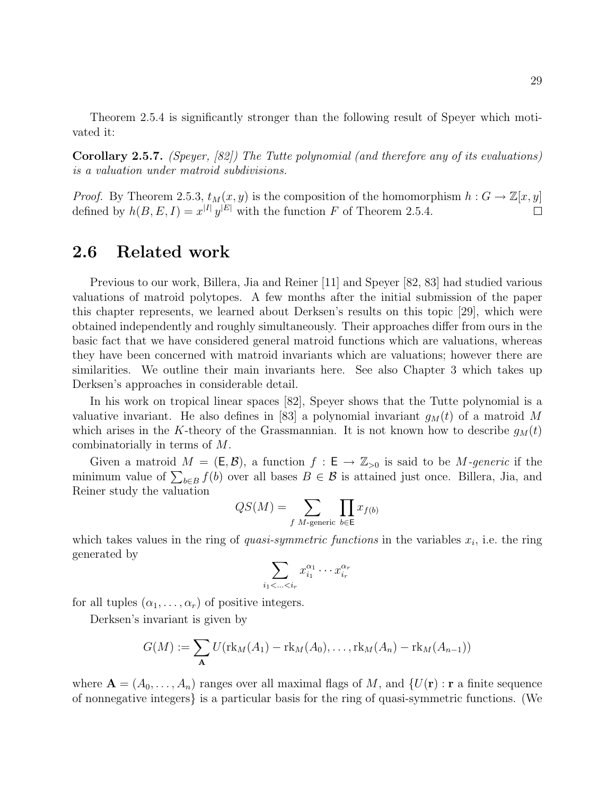Theorem 2.5.4 is significantly stronger than the following result of Speyer which motivated it:

Corollary 2.5.7. (Speyer, [82]) The Tutte polynomial (and therefore any of its evaluations) is a valuation under matroid subdivisions.

*Proof.* By Theorem 2.5.3,  $t_M(x, y)$  is the composition of the homomorphism  $h: G \to \mathbb{Z}[x, y]$ defined by  $h(B, E, I) = x^{|I|} y^{|E|}$  with the function F of Theorem 2.5.4.

## 2.6 Related work

Previous to our work, Billera, Jia and Reiner [11] and Speyer [82, 83] had studied various valuations of matroid polytopes. A few months after the initial submission of the paper this chapter represents, we learned about Derksen's results on this topic [29], which were obtained independently and roughly simultaneously. Their approaches differ from ours in the basic fact that we have considered general matroid functions which are valuations, whereas they have been concerned with matroid invariants which are valuations; however there are similarities. We outline their main invariants here. See also Chapter 3 which takes up Derksen's approaches in considerable detail.

In his work on tropical linear spaces [82], Speyer shows that the Tutte polynomial is a valuative invariant. He also defines in [83] a polynomial invariant  $g<sub>M</sub>(t)$  of a matroid M which arises in the K-theory of the Grassmannian. It is not known how to describe  $g_M(t)$ combinatorially in terms of M.

Given a matroid  $M = (E, \mathcal{B})$ , a function  $f : E \to \mathbb{Z}_{>0}$  is said to be M-generic if the minimum value of  $\sum_{b \in B} f(b)$  over all bases  $B \in \mathcal{B}$  is attained just once. Billera, Jia, and Reiner study the valuation

$$
QS(M) = \sum_{f \ M \text{-generic}} \prod_{b \in E} x_{f(b)}
$$

which takes values in the ring of *quasi-symmetric functions* in the variables  $x_i$ , i.e. the ring generated by

$$
\sum_{i_1 < \ldots < i_r} x_{i_1}^{\alpha_1} \cdots x_{i_r}^{\alpha_r}
$$

for all tuples  $(\alpha_1, \ldots, \alpha_r)$  of positive integers.

Derksen's invariant is given by

$$
G(M) := \sum_{\mathbf{A}} U(\text{rk}_M(A_1) - \text{rk}_M(A_0), \dots, \text{rk}_M(A_n) - \text{rk}_M(A_{n-1}))
$$

where  $\mathbf{A} = (A_0, \ldots, A_n)$  ranges over all maximal flags of M, and  $\{U(\mathbf{r}) : \mathbf{r} \text{ a finite sequence}\}$ of nonnegative integers} is a particular basis for the ring of quasi-symmetric functions. (We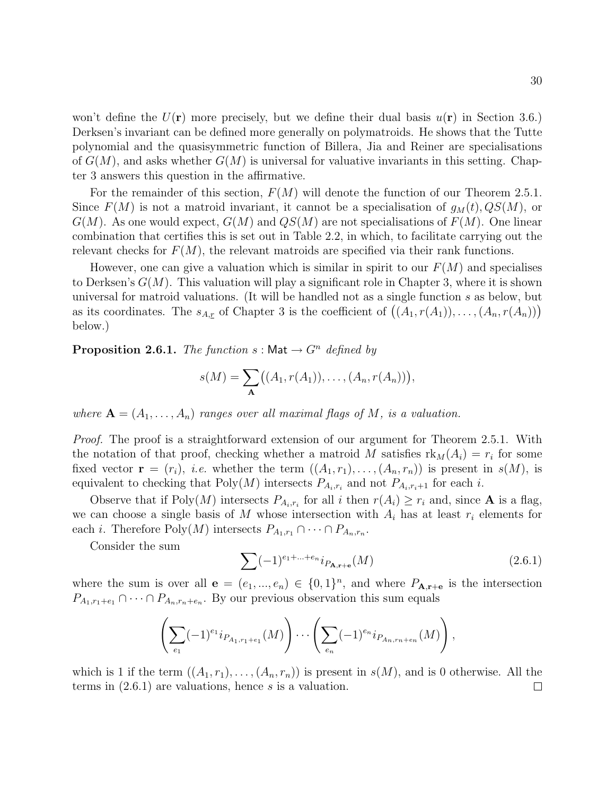won't define the  $U(\mathbf{r})$  more precisely, but we define their dual basis  $u(\mathbf{r})$  in Section 3.6.) Derksen's invariant can be defined more generally on polymatroids. He shows that the Tutte polynomial and the quasisymmetric function of Billera, Jia and Reiner are specialisations of  $G(M)$ , and asks whether  $G(M)$  is universal for valuative invariants in this setting. Chapter 3 answers this question in the affirmative.

For the remainder of this section,  $F(M)$  will denote the function of our Theorem 2.5.1. Since  $F(M)$  is not a matroid invariant, it cannot be a specialisation of  $g_M(t), QS(M)$ , or  $G(M)$ . As one would expect,  $G(M)$  and  $QS(M)$  are not specialisations of  $F(M)$ . One linear combination that certifies this is set out in Table 2.2, in which, to facilitate carrying out the relevant checks for  $F(M)$ , the relevant matroids are specified via their rank functions.

However, one can give a valuation which is similar in spirit to our  $F(M)$  and specialises to Derksen's  $G(M)$ . This valuation will play a significant role in Chapter 3, where it is shown universal for matroid valuations. (It will be handled not as a single function s as below, but as its coordinates. The  $s_{A,r}$  of Chapter 3 is the coefficient of  $((A_1, r(A_1)), \ldots, (A_n, r(A_n)))$ below.)

**Proposition 2.6.1.** The function s : Mat  $\rightarrow G^n$  defined by

$$
s(M) = \sum_{\mathbf{A}} ((A_1, r(A_1)), \ldots, (A_n, r(A_n))),
$$

where  $\mathbf{A} = (A_1, \ldots, A_n)$  ranges over all maximal flags of M, is a valuation.

Proof. The proof is a straightforward extension of our argument for Theorem 2.5.1. With the notation of that proof, checking whether a matroid M satisfies  $rk_M(A_i) = r_i$  for some fixed vector  $\mathbf{r} = (r_i)$ , *i.e.* whether the term  $((A_1, r_1), \ldots, (A_n, r_n))$  is present in  $s(M)$ , is equivalent to checking that  $Poly(M)$  intersects  $P_{A_i,r_i}$  and not  $P_{A_i,r_i+1}$  for each i.

Observe that if  $Poly(M)$  intersects  $P_{A_i,r_i}$  for all i then  $r(A_i) \geq r_i$  and, since **A** is a flag, we can choose a single basis of M whose intersection with  $A_i$  has at least  $r_i$  elements for each *i*. Therefore Poly $(M)$  intersects  $P_{A_1,r_1} \cap \cdots \cap P_{A_n,r_n}$ .

Consider the sum

$$
\sum (-1)^{e_1 + \dots + e_n} i_{P_{\mathbf{A}, \mathbf{r} + \mathbf{e}}}(M) \tag{2.6.1}
$$

where the sum is over all  $e = (e_1, ..., e_n) \in \{0, 1\}^n$ , and where  $P_{A,r+e}$  is the intersection  $P_{A_1,r_1+e_1} \cap \cdots \cap P_{A_n,r_n+e_n}$ . By our previous observation this sum equals

$$
\left(\sum_{e_1} (-1)^{e_1} i_{P_{A_1,r_1+e_1}}(M)\right)\cdots \left(\sum_{e_n} (-1)^{e_n} i_{P_{A_n,r_n+e_n}}(M)\right),
$$

which is 1 if the term  $((A_1, r_1), \ldots, (A_n, r_n))$  is present in  $s(M)$ , and is 0 otherwise. All the terms in  $(2.6.1)$  are valuations, hence s is a valuation.  $\Box$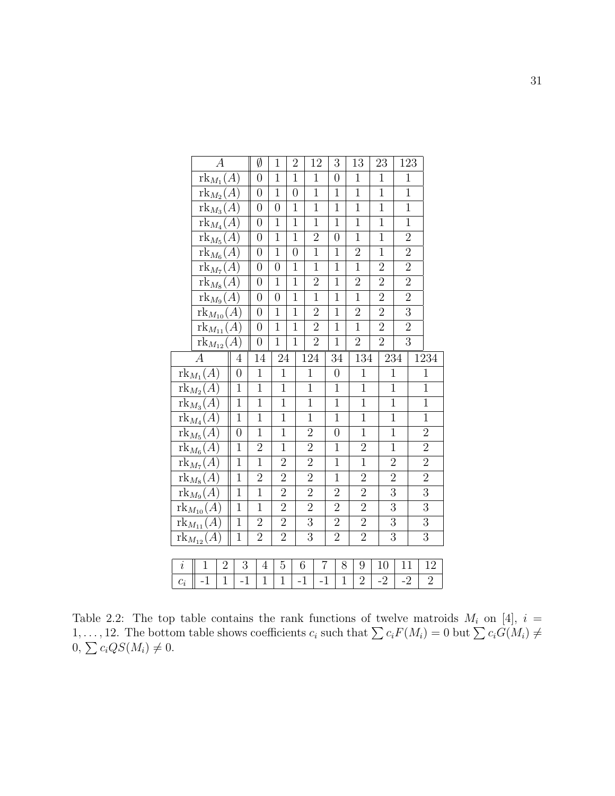|                                                   |                                          | $\boldsymbol{A}$ |                | $\emptyset$    | $\mathbf 1$    | $\overline{2}$ |                | 12             | $\overline{3}$ |                | 13             |   | 23             | 123            |                |                |
|---------------------------------------------------|------------------------------------------|------------------|----------------|----------------|----------------|----------------|----------------|----------------|----------------|----------------|----------------|---|----------------|----------------|----------------|----------------|
|                                                   | ${\rm rk}_{M_1}(A)$                      |                  |                | $\overline{0}$ | $\mathbf 1$    | $\mathbf 1$    |                | $\mathbf 1$    | $\overline{0}$ |                | $\mathbf{1}$   |   | $\mathbf 1$    | $\mathbf 1$    |                |                |
|                                                   | $\mathrm{rk}_{M_2}(A)$                   |                  |                | $\overline{0}$ | $\overline{1}$ | $\overline{0}$ |                | $\overline{1}$ | $\overline{1}$ |                | $\overline{1}$ |   | $\overline{1}$ | $\overline{1}$ |                |                |
|                                                   | $\text{rk}_{M_3}(A)$                     |                  |                | $\overline{0}$ | $\overline{0}$ | $\mathbf 1$    |                | $\mathbf 1$    | $\mathbf 1$    |                | $\mathbf{1}$   |   | $\mathbf 1$    | $\mathbf{1}$   |                |                |
|                                                   | $\bar{\text{rk}}_{M_4}$ (                |                  |                | $\overline{0}$ | $\mathbf 1$    | $\overline{1}$ |                | $\mathbf 1$    | $\overline{1}$ |                | $\overline{1}$ |   | $\overline{1}$ | $\mathbf 1$    |                |                |
|                                                   | $\text{rk}_{M_5}(A)$                     |                  |                | $\overline{0}$ | 1              | $\mathbf{1}$   |                | $\overline{2}$ | $\overline{0}$ |                | $\mathbf{1}$   |   | $\mathbf{1}$   | $\overline{2}$ |                |                |
|                                                   | $\operatorname{rk}_{M_6}(A)$             |                  |                | $\overline{0}$ | $\mathbf{1}$   | $\overline{0}$ |                | $\overline{1}$ | $\mathbf 1$    |                | $\overline{2}$ |   | $\mathbf{1}$   | $\overline{2}$ |                |                |
|                                                   | $\text{rk}_{M_7}(A)$                     |                  |                | $\overline{0}$ | $\overline{0}$ | $\mathbf 1$    |                | $\mathbf{1}$   | $\overline{1}$ |                | $\overline{1}$ |   | $\overline{2}$ | $\overline{2}$ |                |                |
|                                                   | $\bar{\text{rk}}_{M_{\underline{8}}}($   |                  |                | $\overline{0}$ | $\mathbf 1$    | $\overline{1}$ |                | $\overline{2}$ | $\mathbf 1$    |                | $\overline{2}$ |   | $\overline{2}$ | $\overline{2}$ |                |                |
|                                                   | $\operatorname{rk}_{M_9}(A)$             |                  |                | $\overline{0}$ | $\overline{0}$ | $\overline{1}$ |                | $\overline{1}$ | $\overline{1}$ |                | $\overline{1}$ |   | $\overline{2}$ | $\overline{2}$ |                |                |
|                                                   | $\mathrm{rk}_{M_{10}}($                  |                  | A)             | $\overline{0}$ | 1              | $\mathbf 1$    |                | $\overline{2}$ | $\mathbf{1}$   |                | $\overline{2}$ |   | $\overline{2}$ | $\overline{3}$ |                |                |
|                                                   | $\mathrm{rk}_{M_{1\underline{1}}}$       |                  |                | $\overline{0}$ | $\mathbf 1$    | $\mathbf{1}$   |                | $\overline{2}$ | $\overline{1}$ |                | $\overline{1}$ |   | $\overline{2}$ | $\overline{2}$ |                |                |
|                                                   | $\mathrm{rk}_{M_{12}}$                   |                  |                | $\overline{0}$ | $\mathbf{1}$   | $\overline{1}$ |                | $\overline{2}$ | $\overline{1}$ |                | $\overline{2}$ |   | $\overline{2}$ | $\overline{3}$ |                |                |
|                                                   | А                                        |                  | 4              | 14             | 24             |                | 124            |                | 34             |                | 134            |   | 234            |                |                | 1234           |
|                                                   | $\boldsymbol{0}$<br>$\text{rk}_{M_1}(A)$ |                  |                | $\overline{1}$ | $\overline{1}$ |                | $\mathbf{1}$   |                | $\overline{0}$ |                | $\mathbf{1}$   |   | $\mathbf 1$    |                |                | $\mathbf{1}$   |
|                                                   | $\text{rk}_{M_2}(A)$                     |                  | $\mathbf 1$    | $\mathbf{1}$   | $\overline{1}$ |                | $\mathbf{1}$   |                | $\mathbf{1}$   |                | $\mathbf{1}$   |   | $\mathbf{1}$   |                |                | $\mathbf{1}$   |
|                                                   | $\mathrm{rk}_{M_3}(A$                    |                  | $\overline{1}$ | $\overline{1}$ | $\overline{1}$ |                | $\overline{1}$ |                | $\overline{1}$ |                | $\overline{1}$ |   | $\overline{1}$ |                |                | $\overline{1}$ |
|                                                   | $\mathrm{rk}_{M_{4}}(A)$                 |                  | $\mathbf 1$    | $\mathbf{1}$   | $\overline{1}$ |                | $\mathbf{1}$   |                | $\mathbf{1}$   |                | $\mathbf{1}$   |   | $\mathbf 1$    |                |                | $\mathbf{1}$   |
| $\overline{\text{rk}}_{M_5}$ (                    |                                          |                  | $\overline{0}$ | $\overline{1}$ | $\overline{1}$ |                | $\overline{2}$ |                | $\overline{0}$ |                | $\overline{1}$ |   | $\overline{1}$ |                |                | $\overline{2}$ |
|                                                   | $\mathrm{rk}_{M_{6}}(A)$                 |                  | $\overline{1}$ | $\overline{2}$ | $\overline{1}$ |                | $\overline{2}$ |                | $\overline{1}$ |                | $\overline{2}$ |   | $\overline{1}$ |                |                | $\overline{2}$ |
|                                                   | $\text{rk}_{M_7}(A)$                     |                  | $\mathbf 1$    | $\mathbf{1}$   | $\overline{2}$ |                | $\overline{2}$ |                | $\mathbf{1}$   |                | $\mathbf{1}$   |   | $\overline{2}$ |                |                | $\overline{2}$ |
|                                                   | $\operatorname{rk}_{M_8}(A)$             |                  | $\overline{1}$ | $\overline{2}$ | $\overline{2}$ |                | $\overline{2}$ |                | $\overline{1}$ |                | $\overline{2}$ |   | $\overline{2}$ |                |                | $\overline{2}$ |
|                                                   | $\mathrm{rk}_{M_9}(A)$                   |                  | $\mathbf 1$    | $\mathbf{1}$   | $\overline{2}$ |                | $\overline{2}$ |                | $\overline{2}$ |                | $\overline{2}$ |   | 3              |                |                | $\overline{3}$ |
| $\bar\frak r\frak k_{M_{10}}$ (<br>$\overline{1}$ |                                          |                  | $\overline{1}$ | $\overline{2}$ |                | $\overline{2}$ |                | $\overline{2}$ |                |                | $\overline{2}$ |   | $\overline{3}$ |                | $\overline{3}$ |                |
| $\mathrm{rk}_{M_{11}}(A)$<br>$\mathbf 1$          |                                          |                  | $\overline{2}$ | $\overline{2}$ |                | 3              |                | $\overline{2}$ |                | $\overline{2}$ |                | 3 |                |                | 3              |                |
| $\mathbf 1$<br>$\mathrm{rk}_{M_{12}}$             |                                          | $\overline{2}$   | $\overline{2}$ |                | $\overline{3}$ |                | $\overline{2}$ |                | $\overline{2}$ |                | 3              |   |                | 3              |                |                |
|                                                   |                                          |                  |                |                |                |                |                |                |                |                |                |   |                |                |                |                |
| $\it i$                                           | $\mathbf{1}$                             | $\overline{2}$   | $\overline{3}$ | $\overline{4}$ | $\overline{5}$ |                | $\overline{6}$ | $\overline{7}$ |                | 8              | 9              |   | 10             | 11             |                | 12             |
| $c_i$                                             | $-1$                                     | $\overline{1}$   | $-1$           | $\mathbf{1}$   | $\mathbf{1}$   |                | $-1$           | $-1$           |                | $\overline{1}$ | $\overline{2}$ |   | $-2$           | $-2$           |                | $\overline{2}$ |

Table 2.2: The top table contains the rank functions of twelve matroids  $M_i$  on [4],  $i =$ 1,..., 12. The bottom table shows coefficients  $c_i$  such that  $\sum c_iF(M_i) = 0$  but  $\sum c_iG(M_i) \neq$  $0, \sum c_i QS(M_i) \neq 0.$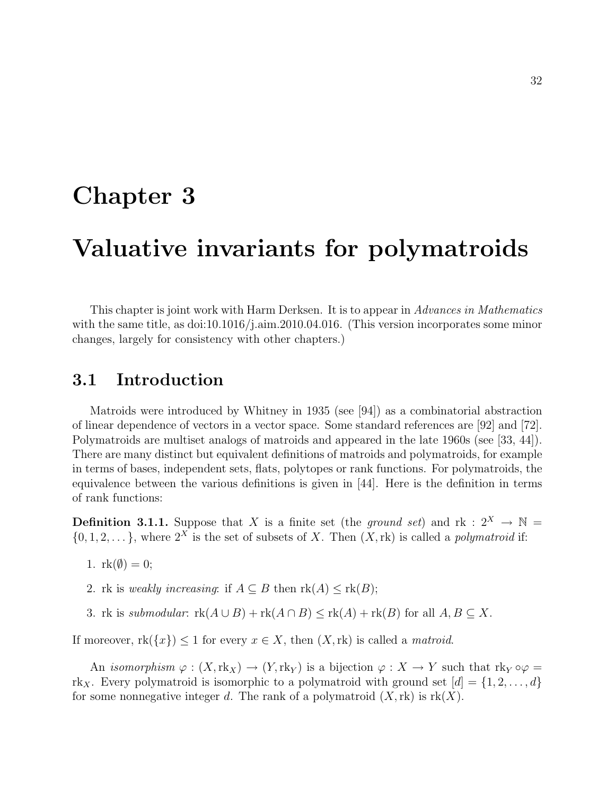## Chapter 3

## Valuative invariants for polymatroids

This chapter is joint work with Harm Derksen. It is to appear in Advances in Mathematics with the same title, as doi:10.1016/j.aim.2010.04.016. (This version incorporates some minor changes, largely for consistency with other chapters.)

#### 3.1 Introduction

Matroids were introduced by Whitney in 1935 (see [94]) as a combinatorial abstraction of linear dependence of vectors in a vector space. Some standard references are [92] and [72]. Polymatroids are multiset analogs of matroids and appeared in the late 1960s (see [33, 44]). There are many distinct but equivalent definitions of matroids and polymatroids, for example in terms of bases, independent sets, flats, polytopes or rank functions. For polymatroids, the equivalence between the various definitions is given in [44]. Here is the definition in terms of rank functions:

**Definition 3.1.1.** Suppose that X is a finite set (the *ground set*) and rk :  $2^X \rightarrow \mathbb{N}$  =  $\{0, 1, 2, \ldots\}$ , where  $2^X$  is the set of subsets of X. Then  $(X, \text{rk})$  is called a *polymatroid* if:

- 1.  $rk(\emptyset) = 0;$
- 2. rk is weakly increasing: if  $A \subseteq B$  then  $rk(A) \leq rk(B)$ ;
- 3. rk is submodular:  $rk(A \cup B) + rk(A \cap B) \leq rk(A) + rk(B)$  for all  $A, B \subseteq X$ .

If moreover,  $rk({x}) \leq 1$  for every  $x \in X$ , then  $(X, rk)$  is called a *matroid*.

An isomorphism  $\varphi : (X,\text{rk}_X) \to (Y,\text{rk}_Y)$  is a bijection  $\varphi : X \to Y$  such that  $\text{rk}_Y \circ \varphi =$ rk<sub>X</sub>. Every polymatroid is isomorphic to a polymatroid with ground set  $[d] = \{1, 2, \ldots, d\}$ for some nonnegative integer d. The rank of a polymatroid  $(X, \text{rk})$  is  $\text{rk}(X)$ .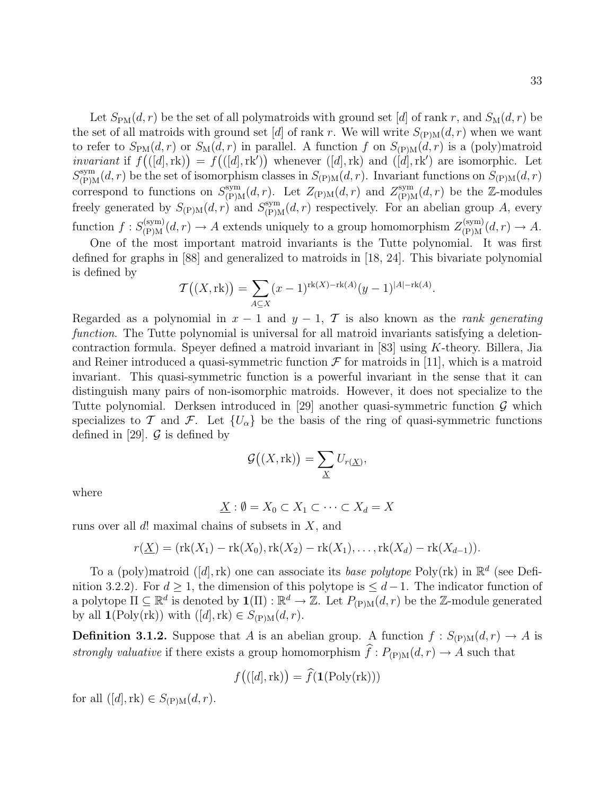Let  $S_{PM}(d, r)$  be the set of all polymatroids with ground set [d] of rank r, and  $S_M(d, r)$  be the set of all matroids with ground set [d] of rank r. We will write  $S_{(P)M}(d, r)$  when we want to refer to  $S_{PM}(d, r)$  or  $S_M(d, r)$  in parallel. A function f on  $S_{(P)M}(d, r)$  is a (poly)matroid *invariant* if  $f(([d], \text{rk})) = f(([d], \text{rk}'))$  whenever  $([d], \text{rk})$  and  $([d], \text{rk}')$  are isomorphic. Let  $S_{(P)M}^{\text{sym}}(d,r)$  be the set of isomorphism classes in  $S_{(P)M}(d,r)$ . Invariant functions on  $S_{(P)M}(d,r)$ correspond to functions on  $S_{(P)M}^{\text{sym}}(d,r)$ . Let  $Z_{(P)M}(d,r)$  and  $Z_{(P)M}^{\text{sym}}(d,r)$  be the Z-modules freely generated by  $S_{(P)M}(d, r)$  and  $S_{(P)M}^{sym}(d, r)$  respectively. For an abelian group A, every function  $f: S_{(P)M}^{(\text{sym})}(d,r) \to A$  extends uniquely to a group homomorphism  $Z_{(P)M}^{(\text{sym})}(d,r) \to A$ .

One of the most important matroid invariants is the Tutte polynomial. It was first defined for graphs in [88] and generalized to matroids in [18, 24]. This bivariate polynomial is defined by

$$
\mathcal{T}((X,\text{rk})) = \sum_{A \subseteq X} (x-1)^{\text{rk}(X) - \text{rk}(A)} (y-1)^{|A| - \text{rk}(A)}.
$$

Regarded as a polynomial in  $x - 1$  and  $y - 1$ , T is also known as the rank generating function. The Tutte polynomial is universal for all matroid invariants satisfying a deletioncontraction formula. Speyer defined a matroid invariant in [83] using K-theory. Billera, Jia and Reiner introduced a quasi-symmetric function  $\mathcal F$  for matroids in [11], which is a matroid invariant. This quasi-symmetric function is a powerful invariant in the sense that it can distinguish many pairs of non-isomorphic matroids. However, it does not specialize to the Tutte polynomial. Derksen introduced in [29] another quasi-symmetric function  $\mathcal G$  which specializes to T and F. Let  $\{U_{\alpha}\}\$ be the basis of the ring of quasi-symmetric functions defined in [29].  $\mathcal G$  is defined by

$$
\mathcal{G}((X,\mathrm{rk})) = \sum_{\underline{X}} U_{r(\underline{X})},
$$

where

$$
\underline{X} : \emptyset = X_0 \subset X_1 \subset \cdots \subset X_d = X
$$

runs over all  $d!$  maximal chains of subsets in  $X$ , and

$$
r(\underline{X}) = (rk(X_1) - rk(X_0), rk(X_2) - rk(X_1), \ldots, rk(X_d) - rk(X_{d-1})).
$$

To a (poly)matroid ([d], rk) one can associate its base polytope Poly(rk) in  $\mathbb{R}^d$  (see Definition 3.2.2). For  $d \geq 1$ , the dimension of this polytope is  $\leq d-1$ . The indicator function of a polytope  $\Pi \subseteq \mathbb{R}^d$  is denoted by  $\mathbf{1}(\Pi) : \mathbb{R}^d \to \mathbb{Z}$ . Let  $P_{(P)M}(d,r)$  be the Z-module generated by all  $\mathbf{1}(\text{Poly(rk)})$  with  $([d], \text{rk}) \in S_{(\text{PM}}(d, r)$ .

**Definition 3.1.2.** Suppose that A is an abelian group. A function  $f : S_{(P)M}(d, r) \to A$  is strongly valuative if there exists a group homomorphism  $\hat{f}: P_{(P)M}(d, r) \to A$  such that

$$
f\big(([d], \mathrm{rk})\big) = \widehat{f}(\mathbf{1}(\mathrm{Poly}(\mathrm{rk})))
$$

for all  $([d], \text{rk}) \in S_{(P)M}(d, r)$ .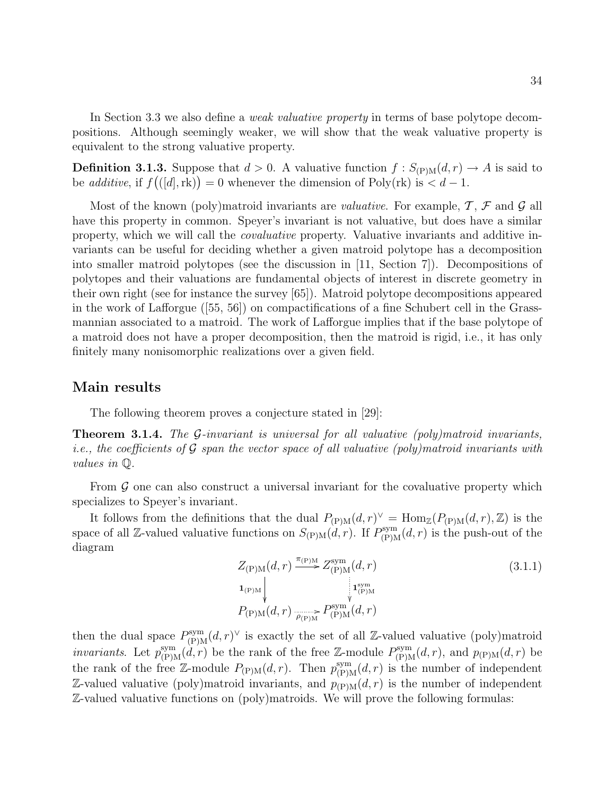In Section 3.3 we also define a *weak valuative property* in terms of base polytope decompositions. Although seemingly weaker, we will show that the weak valuative property is equivalent to the strong valuative property.

**Definition 3.1.3.** Suppose that  $d > 0$ . A valuative function  $f : S_{(P)M}(d,r) \to A$  is said to be *additive*, if  $f((d_r, \mathbf{rk})) = 0$  whenever the dimension of Poly(rk) is  $d - 1$ .

Most of the known (poly)matroid invariants are *valuative*. For example,  $\mathcal{T}, \mathcal{F}$  and  $\mathcal{G}$  all have this property in common. Speyer's invariant is not valuative, but does have a similar property, which we will call the covaluative property. Valuative invariants and additive invariants can be useful for deciding whether a given matroid polytope has a decomposition into smaller matroid polytopes (see the discussion in [11, Section 7]). Decompositions of polytopes and their valuations are fundamental objects of interest in discrete geometry in their own right (see for instance the survey [65]). Matroid polytope decompositions appeared in the work of Lafforgue ([55, 56]) on compactifications of a fine Schubert cell in the Grassmannian associated to a matroid. The work of Lafforgue implies that if the base polytope of a matroid does not have a proper decomposition, then the matroid is rigid, i.e., it has only finitely many nonisomorphic realizations over a given field.

#### Main results

The following theorem proves a conjecture stated in [29]:

**Theorem 3.1.4.** The  $G$ -invariant is universal for all valuative (poly)matroid invariants, *i.e., the coefficients of G span the vector space of all valuative (poly)matroid invariants with* values in Q.

From  $\mathcal G$  one can also construct a universal invariant for the covaluative property which specializes to Speyer's invariant.

It follows from the definitions that the dual  $P_{(P)M}(d,r)^{\vee} = \text{Hom}_{\mathbb{Z}}(P_{(P)M}(d,r),\mathbb{Z})$  is the space of all Z-valued valuative functions on  $S_{(P)M}(d, r)$ . If  $P_{(P)M}^{sym}(d, r)$  is the push-out of the diagram

Z(P)M(d, r) <sup>π</sup>(P)M / 1(P)M Z sym (P)M(d, r) 1 sym (P)M P(P)M(d, r) ρ(P)M /P sym (P)M(d, r) (3.1.1)

then the dual space  $P_{(P)M}^{sym}(d, r)^{\vee}$  is exactly the set of all Z-valued valuative (poly)matroid *invariants.* Let  $p_{(P)M}^{sym}(\tilde{d}, r)$  be the rank of the free Z-module  $P_{(P)M}^{sym}(d, r)$ , and  $p_{(P)M}(d, r)$  be the rank of the free Z-module  $P_{(P)M}(d, r)$ . Then  $p_{(P)M}^{sym}(d, r)$  is the number of independent Z-valued valuative (poly)matroid invariants, and  $p_{(P)M}(d, r)$  is the number of independent Z-valued valuative functions on (poly)matroids. We will prove the following formulas: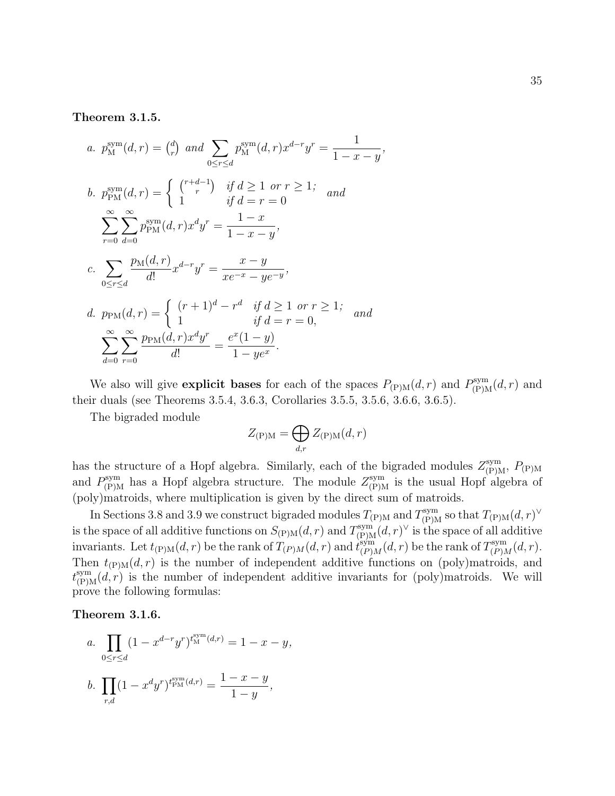#### Theorem 3.1.5.

a. 
$$
p_M^{\text{sym}}(d, r) = {d \choose r}
$$
 and  $\sum_{0 \le r \le d} p_M^{\text{sym}}(d, r) x^{d-r} y^r = \frac{1}{1 - x - y}$ ,  
\nb.  $p_{\text{PM}}^{\text{sym}}(d, r) = \begin{cases} {r+d-1 \choose r} & \text{if } d \ge 1 \text{ or } r \ge 1; \\ 1 & \text{if } d = r = 0 \end{cases}$  and  $\sum_{r=0}^{\infty} \sum_{d=0}^{\infty} p_{\text{PM}}^{\text{sym}}(d, r) x^d y^r = \frac{1 - x}{1 - x - y}$ ,  
\nc.  $\sum_{0 \le r \le d} \frac{p_M(d, r)}{d!} x^{d-r} y^r = \frac{x - y}{x e^{-x} - y e^{-y}}$ ,  
\nd.  $p_{\text{PM}}(d, r) = \begin{cases} (r+1)^d - r^d & \text{if } d \ge 1 \text{ or } r \ge 1; \\ 1 & \text{if } d = r = 0, \end{cases}$  and  $\sum_{d=0}^{\infty} \sum_{r=0}^{\infty} \frac{p_{\text{PM}}(d, r) x^d y^r}{d!} = \frac{e^x (1 - y)}{1 - y e^x}$ .

We also will give **explicit bases** for each of the spaces  $P_{(P)M}(d, r)$  and  $P_{(P)M}^{sym}(d, r)$  and their duals (see Theorems 3.5.4, 3.6.3, Corollaries 3.5.5, 3.5.6, 3.6.6, 3.6.5).

The bigraded module

$$
Z_{(\text{P})\text{M}} = \bigoplus_{d,r} Z_{(\text{P})\text{M}}(d,r)
$$

has the structure of a Hopf algebra. Similarly, each of the bigraded modules  $Z_{(P)M}^{sym}$ ,  $P_{(P)M}$ and  $P_{(P)M}^{sym}$  has a Hopf algebra structure. The module  $Z_{(P)M}^{sym}$  is the usual Hopf algebra of (poly)matroids, where multiplication is given by the direct sum of matroids.

In Sections 3.8 and 3.9 we construct bigraded modules  $T_{(P)M}$  and  $T_{(P)M}^{sym}$  so that  $T_{(P)M}(d,r)^{\vee}$ is the space of all additive functions on  $S_{(P)M}(d, r)$  and  $T_{(P)M}^{sym}(d, r)^{\vee}$  is the space of all additive invariants. Let  $t_{(P)M}(d,r)$  be the rank of  $T_{(P)M}(d,r)$  and  $\dot{t}_{(P)M}^{\text{sym}}(d,r)$  be the rank of  $T_{(P)M}^{\text{sym}}(d,r)$ . Then  $t_{(P)M}(d, r)$  is the number of independent additive functions on (poly)matroids, and  $t_{(P)M}^{sym}(d, r)$  is the number of independent additive invariants for (poly)matroids. We will prove the following formulas:

#### Theorem 3.1.6.

a.  $\prod$  $0 \leq r \leq d$  $(1-x^{d-r}y^r)^{t_{\text{M}}^{\text{sym}}(d,r)} = 1-x-y,$  $b. \ \prod$  $_{r,d}$  $(1-x^d y^r)^{t_{\text{PM}}^{\text{sym}}(d,r)} = \frac{1-x-y}{1}$  $1 - y$ ,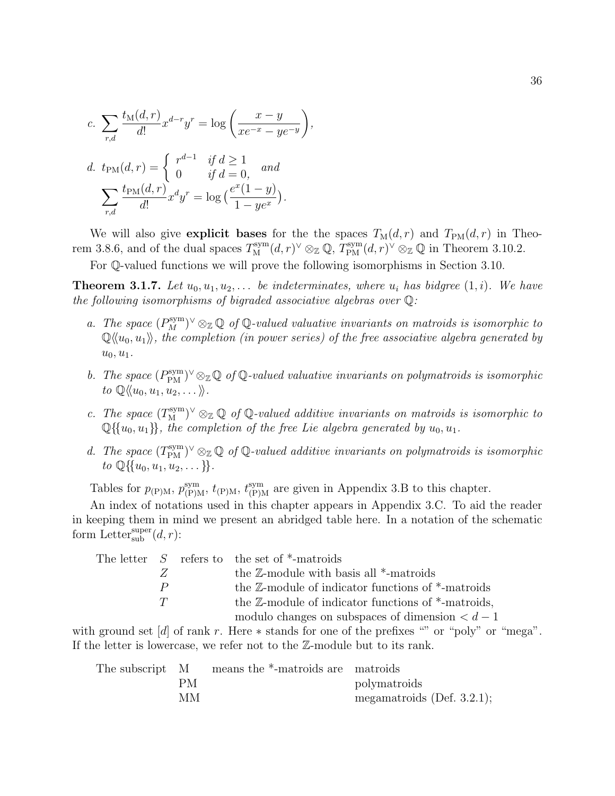c. 
$$
\sum_{r,d} \frac{t_M(d,r)}{d!} x^{d-r} y^r = \log \left( \frac{x-y}{x e^{-x} - y e^{-y}} \right)
$$
  
d. 
$$
t_{PM}(d,r) = \begin{cases} r^{d-1} & \text{if } d \ge 1 \\ 0 & \text{if } d = 0, \end{cases} and
$$

$$
\sum_{r,d} \frac{t_{PM}(d,r)}{d!} x^d y^r = \log \left( \frac{e^x (1-y)}{1 - y e^x} \right).
$$

We will also give explicit bases for the the spaces  $T_M(d, r)$  and  $T_{PM}(d, r)$  in Theorem 3.8.6, and of the dual spaces  $T_{\text{M}}^{\text{sym}}(d,r)^{\vee} \otimes_{\mathbb{Z}} \mathbb{Q}$ ,  $\overline{T_{\text{PM}}^{\text{sym}}(d,r)^{\vee} \otimes_{\mathbb{Z}} \mathbb{Q}}$  in Theorem 3.10.2.

,

For Q-valued functions we will prove the following isomorphisms in Section 3.10.

**Theorem 3.1.7.** Let  $u_0, u_1, u_2, \ldots$  be indeterminates, where  $u_i$  has bidgree  $(1, i)$ . We have the following isomorphisms of bigraded associative algebras over Q:

- a. The space  $(P_M^{\text{sym}})^{\vee} \otimes_{\mathbb{Z}} \mathbb{Q}$  of  $\mathbb{Q}\text{-valued }$  valuative invariants on matroids is isomorphic to  $\mathbb{Q}\langle\langle u_0, u_1 \rangle\rangle$ , the completion (in power series) of the free associative algebra generated by  $u_0, u_1.$
- b. The space  $(P_{PM}^{sym})^{\vee} \otimes_{\mathbb{Z}} \mathbb{Q}$  of  $\mathbb{Q}$ -valued valuative invariants on polymatroids is isomorphic to  $\mathbb{Q}\langle\!\langle u_0, u_1, u_2, \dots \rangle\!\rangle$ .
- c. The space  $(T_M^{\text{sym}})^{\vee} \otimes_{\mathbb{Z}} \mathbb{Q}$  of  $\mathbb{Q}$ -valued additive invariants on matroids is isomorphic to  $\mathbb{Q}\{\{u_0, u_1\}\}\$ , the completion of the free Lie algebra generated by  $u_0, u_1$ .
- d. The space  $(T_{PM}^{sym})^{\vee} \otimes_{\mathbb{Z}} \mathbb{Q}$  of  $\mathbb{Q}$ -valued additive invariants on polymatroids is isomorphic to  $\mathbb{Q}\{\{u_0, u_1, u_2, \dots\}\}.$

Tables for  $p_{(P)M}$ ,  $p_{(P)M}^{sym}$ ,  $t_{(P)M}$ ,  $t_{(P)M}^{sym}$  are given in Appendix 3.B to this chapter.

An index of notations used in this chapter appears in Appendix 3.C. To aid the reader in keeping them in mind we present an abridged table here. In a notation of the schematic form Letter $\sup_{\text{sub}}^{\text{super}}(d,r)$ :

|   | The letter $S$ refers to the set of $*$ -matroids                 |
|---|-------------------------------------------------------------------|
|   | the $\mathbb{Z}$ -module with basis all $*$ -matroids             |
| Р | the Z-module of indicator functions of *-matroids                 |
|   | the $\mathbb{Z}$ -module of indicator functions of $*$ -matroids, |
|   | modulo changes on subspaces of dimension $d-1$                    |

with ground set  $[d]$  of rank r. Here  $*$  stands for one of the prefixes "" or "poly" or "mega". If the letter is lowercase, we refer not to the Z-module but to its rank.

|    | The subscript $M$ means the $*$ -matroids are matroids |                               |
|----|--------------------------------------------------------|-------------------------------|
| РM |                                                        | polymatroids                  |
| MМ |                                                        | megamatroids (Def. $3.2.1$ ); |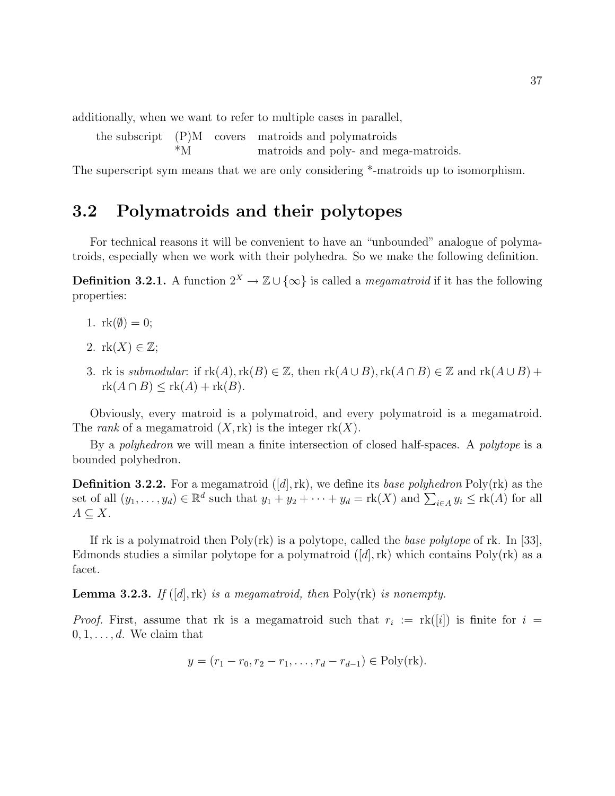additionally, when we want to refer to multiple cases in parallel,

the subscript (P)M covers matroids and polymatroids \*M matroids and poly- and mega-matroids.

The superscript sym means that we are only considering \*-matroids up to isomorphism.

### 3.2 Polymatroids and their polytopes

For technical reasons it will be convenient to have an "unbounded" analogue of polymatroids, especially when we work with their polyhedra. So we make the following definition.

**Definition 3.2.1.** A function  $2^X \to \mathbb{Z} \cup \{\infty\}$  is called a *megamatroid* if it has the following properties:

- 1.  $rk(\emptyset) = 0;$
- 2.  $rk(X) \in \mathbb{Z}$ ;
- 3. rk is submodular: if  $rk(A), rk(B) \in \mathbb{Z}$ , then  $rk(A \cup B), rk(A \cap B) \in \mathbb{Z}$  and  $rk(A \cup B)$  +  $rk(A \cap B) \leq rk(A) + rk(B).$

Obviously, every matroid is a polymatroid, and every polymatroid is a megamatroid. The *rank* of a megamatroid  $(X, \text{rk})$  is the integer  $\text{rk}(X)$ .

By a *polyhedron* we will mean a finite intersection of closed half-spaces. A *polytope* is a bounded polyhedron.

**Definition 3.2.2.** For a megamatroid  $([d], \text{rk})$ , we define its base polyhedron Poly(rk) as the set of all  $(y_1, \ldots, y_d) \in \mathbb{R}^d$  such that  $y_1 + y_2 + \cdots + y_d = \text{rk}(X)$  and  $\sum_{i \in A} y_i \leq \text{rk}(A)$  for all  $A \subseteq X$ .

If rk is a polymatroid then  $Poly(rk)$  is a polytope, called the *base polytope* of rk. In [33], Edmonds studies a similar polytope for a polymatroid  $([d], \text{rk})$  which contains Poly( $\text{rk}$ ) as a facet.

**Lemma 3.2.3.** If  $([d], \text{rk})$  is a megamatroid, then Poly( $\text{rk}$ ) is nonempty.

*Proof.* First, assume that rk is a megamatroid such that  $r_i := \text{rk}([i])$  is finite for  $i =$  $0, 1, \ldots, d$ . We claim that

$$
y = (r_1 - r_0, r_2 - r_1, \dots, r_d - r_{d-1}) \in Poly(\text{rk}).
$$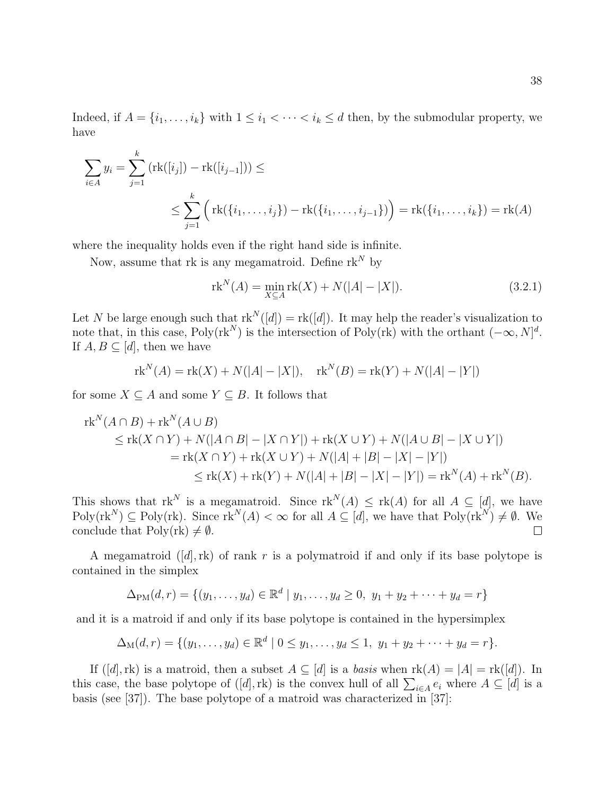Indeed, if  $A = \{i_1, \ldots, i_k\}$  with  $1 \leq i_1 < \cdots < i_k \leq d$  then, by the submodular property, we have

$$
\sum_{i \in A} y_i = \sum_{j=1}^k (\text{rk}([i_j]) - \text{rk}([i_{j-1}])) \le
$$
\n
$$
\le \sum_{j=1}^k \left( \text{rk}(\{i_1, \dots, i_j\}) - \text{rk}(\{i_1, \dots, i_{j-1}\}) \right) = \text{rk}(\{i_1, \dots, i_k\}) = \text{rk}(A)
$$

where the inequality holds even if the right hand side is infinite.

Now, assume that rk is any megamatroid. Define  $\text{rk}^N$  by

$$
rk^{N}(A) = \min_{X \subseteq A} rk(X) + N(|A| - |X|). \tag{3.2.1}
$$

Let N be large enough such that  $\text{rk}^N([d]) = \text{rk}([d])$ . It may help the reader's visualization to note that, in this case,  $Poly(rk^N)$  is the intersection of  $Poly(rk)$  with the orthant  $(-\infty, N]^d$ . If  $A, B \subseteq [d]$ , then we have

$$
rk^N(A) = rk(X) + N(|A| - |X|), \quad rk^N(B) = rk(Y) + N(|A| - |Y|)
$$

for some  $X \subseteq A$  and some  $Y \subseteq B$ . It follows that

$$
\mathrm{rk}^N(A \cap B) + \mathrm{rk}^N(A \cup B) \leq \mathrm{rk}(X \cap Y) + N(|A \cap B| - |X \cap Y|) + \mathrm{rk}(X \cup Y) + N(|A \cup B| - |X \cup Y|) \n= \mathrm{rk}(X \cap Y) + \mathrm{rk}(X \cup Y) + N(|A| + |B| - |X| - |Y|) \n\leq \mathrm{rk}(X) + \mathrm{rk}(Y) + N(|A| + |B| - |X| - |Y|) = \mathrm{rk}^N(A) + \mathrm{rk}^N(B).
$$

This shows that  $\text{rk}^N$  is a megamatroid. Since  $\text{rk}^N(A) \leq \text{rk}(A)$  for all  $A \subseteq [d]$ , we have  $Poly(\mathbf{rk}^N) \subseteq Poly(\mathbf{rk}).$  Since  $\mathbf{rk}^N(A) < \infty$  for all  $A \subseteq [d]$ , we have that  $Poly(\mathbf{rk}^N) \neq \emptyset$ . We conclude that  $Poly(rk) \neq \emptyset$ .  $\Box$ 

A megamatroid  $(|d|, \text{rk})$  of rank r is a polymatroid if and only if its base polytope is contained in the simplex

$$
\Delta_{PM}(d,r) = \{(y_1, \ldots, y_d) \in \mathbb{R}^d \mid y_1, \ldots, y_d \ge 0, y_1 + y_2 + \cdots + y_d = r\}
$$

and it is a matroid if and only if its base polytope is contained in the hypersimplex

$$
\Delta_{\mathcal{M}}(d,r) = \{ (y_1,\ldots,y_d) \in \mathbb{R}^d \mid 0 \leq y_1,\ldots,y_d \leq 1, y_1 + y_2 + \cdots + y_d = r \}.
$$

If  $([d], \text{rk})$  is a matroid, then a subset  $A \subseteq [d]$  is a basis when  $\text{rk}(A) = |A| = \text{rk}([d])$ . In this case, the base polytope of  $([d], \text{rk})$  is the convex hull of all  $\sum_{i \in A} e_i$  where  $A \subseteq [d]$  is a basis (see [37]). The base polytope of a matroid was characterized in [37]: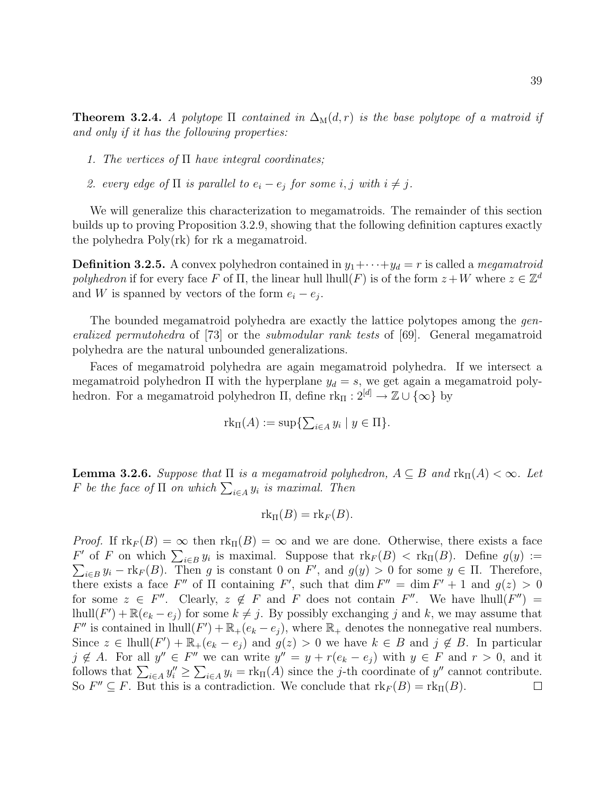**Theorem 3.2.4.** A polytope  $\Pi$  contained in  $\Delta_M(d,r)$  is the base polytope of a matroid if and only if it has the following properties:

- 1. The vertices of  $\Pi$  have integral coordinates;
- 2. every edge of  $\Pi$  is parallel to  $e_i e_j$  for some i, j with  $i \neq j$ .

We will generalize this characterization to megamatroids. The remainder of this section builds up to proving Proposition 3.2.9, showing that the following definition captures exactly the polyhedra Poly(rk) for rk a megamatroid.

**Definition 3.2.5.** A convex polyhedron contained in  $y_1 + \cdots + y_d = r$  is called a *megamatroid* polyhedron if for every face F of  $\Pi$ , the linear hull lhull(F) is of the form  $z + W$  where  $z \in \mathbb{Z}^d$ and W is spanned by vectors of the form  $e_i - e_j$ .

The bounded megamatroid polyhedra are exactly the lattice polytopes among the *gen*eralized permutohedra of [73] or the submodular rank tests of [69]. General megamatroid polyhedra are the natural unbounded generalizations.

Faces of megamatroid polyhedra are again megamatroid polyhedra. If we intersect a megamatroid polyhedron  $\Pi$  with the hyperplane  $y_d = s$ , we get again a megamatroid polyhedron. For a megamatroid polyhedron  $\Pi$ , define  $\mathrm{rk}_{\Pi}: 2^{[d]} \to \mathbb{Z} \cup {\infty}$  by

$$
\mathrm{rk}_{\Pi}(A) := \sup \{ \sum_{i \in A} y_i \mid y \in \Pi \}.
$$

**Lemma 3.2.6.** Suppose that  $\Pi$  is a megamatroid polyhedron,  $A \subseteq B$  and  $\text{rk}_{\Pi}(A) < \infty$ . Let F be the face of  $\Pi$  on which  $\sum_{i \in A} y_i$  is maximal. Then

$$
rk_{\Pi}(B) = rk_F(B).
$$

*Proof.* If  $\text{rk}_F(B) = \infty$  then  $\text{rk}_{\Pi}(B) = \infty$  and we are done. Otherwise, there exists a face F' of F on which  $\sum_{i\in B} y_i$  is maximal. Suppose that  $\text{rk}_F(B) < \text{rk}_{\Pi}(B)$ . Define  $g(y) :=$  $\sum_{i\in B} y_i - \text{rk}_F(B)$ . Then g is constant 0 on F', and  $g(y) > 0$  for some  $y \in \Pi$ . Therefore, there exists a face F'' of  $\Pi$  containing F', such that  $\dim F'' = \dim F' + 1$  and  $g(z) > 0$ for some  $z \in F''$ . Clearly,  $z \notin F$  and F does not contain F''. We have lhull(F'') = lhull(F') +  $\mathbb{R}(e_k - e_j)$  for some  $k \neq j$ . By possibly exchanging j and k, we may assume that  $F''$  is contained in lhull $(F') + \mathbb{R}_+(e_k - e_j)$ , where  $\mathbb{R}_+$  denotes the nonnegative real numbers. Since  $z \in \text{Ihull}(F') + \mathbb{R}_+(e_k - e_j)$  and  $g(z) > 0$  we have  $k \in B$  and  $j \notin B$ . In particular  $j \notin A$ . For all  $y'' \in F''$  we can write  $y'' = y + r(e_k - e_j)$  with  $y \in F$  and  $r > 0$ , and it follows that  $\sum_{i\in A} y_i'' \ge \sum_{i\in A} y_i = \text{rk}_{\Pi}(A)$  since the j-th coordinate of y'' cannot contribute. So  $F'' \subseteq F$ . But this is a contradiction. We conclude that  $\text{rk}_F(B) = \text{rk}_{\Pi}(B)$ .  $\Box$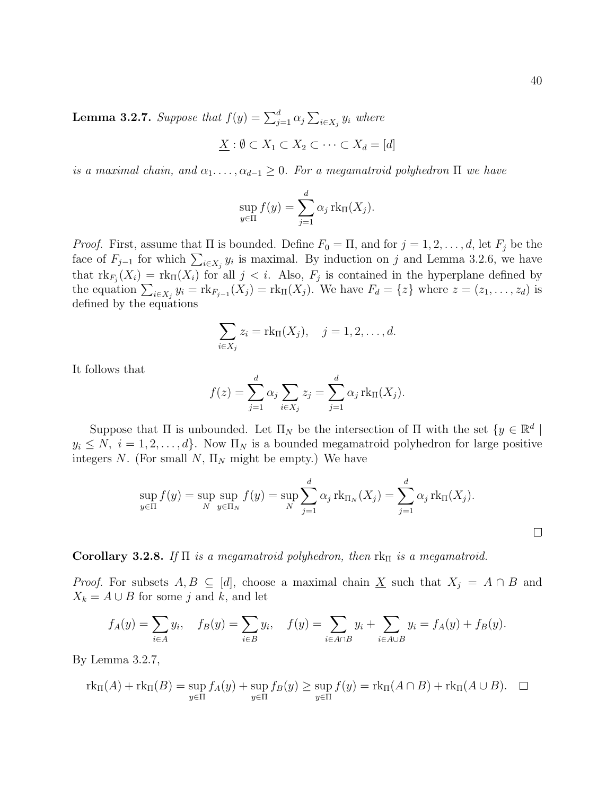**Lemma 3.2.7.** Suppose that  $f(y) = \sum_{j=1}^{d} \alpha_j \sum_{i \in X_j} y_i$  where

$$
\underline{X} : \emptyset \subset X_1 \subset X_2 \subset \cdots \subset X_d = [d]
$$

is a maximal chain, and  $\alpha_1, \ldots, \alpha_{d-1} \geq 0$ . For a megamatroid polyhedron  $\Pi$  we have

$$
\sup_{y \in \Pi} f(y) = \sum_{j=1}^{d} \alpha_j \operatorname{rk}_{\Pi}(X_j).
$$

*Proof.* First, assume that  $\Pi$  is bounded. Define  $F_0 = \Pi$ , and for  $j = 1, 2, \ldots, d$ , let  $F_j$  be the face of  $F_{j-1}$  for which  $\sum_{i\in X_j} y_i$  is maximal. By induction on j and Lemma 3.2.6, we have that  $\text{rk}_{F_j}(X_i) = \text{rk}_{\Pi}(X_i)$  for all  $j < i$ . Also,  $F_j$  is contained in the hyperplane defined by the equation  $\sum_{i\in X_j} y_i = \text{rk}_{F_{j-1}}(X_j) = \text{rk}_{\Pi}(X_j)$ . We have  $F_d = \{z\}$  where  $z = (z_1, \ldots, z_d)$  is defined by the equations

$$
\sum_{i\in X_j} z_i = \mathrm{rk}_{\Pi}(X_j), \quad j=1,2,\ldots,d.
$$

It follows that

$$
f(z) = \sum_{j=1}^{d} \alpha_j \sum_{i \in X_j} z_j = \sum_{j=1}^{d} \alpha_j \operatorname{rk}_{\Pi}(X_j).
$$

Suppose that  $\Pi$  is unbounded. Let  $\Pi_N$  be the intersection of  $\Pi$  with the set  $\{y \in \mathbb{R}^d \mid \Pi_N\}$  $y_i \leq N$ ,  $i = 1, 2, ..., d$ . Now  $\Pi_N$  is a bounded megamatroid polyhedron for large positive integers N. (For small N,  $\Pi_N$  might be empty.) We have

$$
\sup_{y \in \Pi} f(y) = \sup_{N} \sup_{y \in \Pi_N} f(y) = \sup_{N} \sum_{j=1}^{d} \alpha_j \operatorname{rk}_{\Pi_N}(X_j) = \sum_{j=1}^{d} \alpha_j \operatorname{rk}_{\Pi}(X_j).
$$

**Corollary 3.2.8.** If  $\Pi$  is a megamatroid polyhedron, then  $\text{rk}_{\Pi}$  is a megamatroid.

*Proof.* For subsets  $A, B \subseteq [d]$ , choose a maximal chain X such that  $X_j = A \cap B$  and  $X_k = A \cup B$  for some j and k, and let

$$
f_A(y) = \sum_{i \in A} y_i
$$
,  $f_B(y) = \sum_{i \in B} y_i$ ,  $f(y) = \sum_{i \in A \cap B} y_i + \sum_{i \in A \cup B} y_i = f_A(y) + f_B(y)$ .

By Lemma 3.2.7,

$$
\mathrm{rk}_{\Pi}(A) + \mathrm{rk}_{\Pi}(B) = \sup_{y \in \Pi} f_A(y) + \sup_{y \in \Pi} f_B(y) \ge \sup_{y \in \Pi} f(y) = \mathrm{rk}_{\Pi}(A \cap B) + \mathrm{rk}_{\Pi}(A \cup B). \quad \square
$$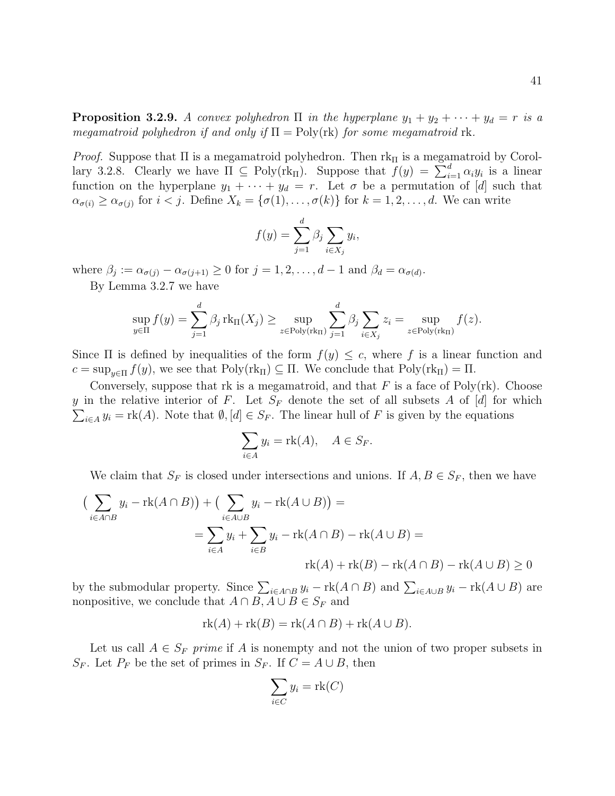**Proposition 3.2.9.** A convex polyhedron  $\Pi$  in the hyperplane  $y_1 + y_2 + \cdots + y_d = r$  is a megamatroid polyhedron if and only if  $\Pi = Poly(\text{rk})$  for some megamatroid  $\text{rk}$ .

*Proof.* Suppose that  $\Pi$  is a megamatroid polyhedron. Then  $rk_{\Pi}$  is a megamatroid by Corollary 3.2.8. Clearly we have  $\Pi \subseteq Poly(rk_{\Pi})$ . Suppose that  $f(y) = \sum_{i=1}^{d} \alpha_i y_i$  is a linear function on the hyperplane  $y_1 + \cdots + y_d = r$ . Let  $\sigma$  be a permutation of [d] such that  $\alpha_{\sigma(i)} \geq \alpha_{\sigma(j)}$  for  $i < j$ . Define  $X_k = {\sigma(1), \ldots, \sigma(k)}$  for  $k = 1, 2, \ldots, d$ . We can write

$$
f(y) = \sum_{j=1}^{d} \beta_j \sum_{i \in X_j} y_i,
$$

where  $\beta_j := \alpha_{\sigma(j)} - \alpha_{\sigma(j+1)} \geq 0$  for  $j = 1, 2, \ldots, d-1$  and  $\beta_d = \alpha_{\sigma(d)}$ .

By Lemma 3.2.7 we have

$$
\sup_{y \in \Pi} f(y) = \sum_{j=1}^d \beta_j \operatorname{rk}_{\Pi}(X_j) \ge \sup_{z \in \text{Poly}(\text{rk}_{\Pi})} \sum_{j=1}^d \beta_j \sum_{i \in X_j} z_i = \sup_{z \in \text{Poly}(\text{rk}_{\Pi})} f(z).
$$

Since  $\Pi$  is defined by inequalities of the form  $f(y) \leq c$ , where f is a linear function and  $c = \sup_{y \in \Pi} f(y)$ , we see that  $Poly(rk_{\Pi}) \subseteq \Pi$ . We conclude that  $Poly(rk_{\Pi}) = \Pi$ .

Conversely, suppose that rk is a megamatroid, and that  $F$  is a face of Poly(rk). Choose y in the relative interior of F. Let  $S_F$  denote the set of all subsets A of [d] for which  $\sum_{i\in A} y_i = \text{rk}(A)$ . Note that  $\emptyset$ ,  $[d] \in S_F$ . The linear hull of F is given by the equations

$$
\sum_{i \in A} y_i = \text{rk}(A), \quad A \in S_F.
$$

We claim that  $S_F$  is closed under intersections and unions. If  $A, B \in S_F$ , then we have

$$
\left(\sum_{i \in A \cap B} y_i - \text{rk}(A \cap B)\right) + \left(\sum_{i \in A \cup B} y_i - \text{rk}(A \cup B)\right) =
$$
  

$$
= \sum_{i \in A} y_i + \sum_{i \in B} y_i - \text{rk}(A \cap B) - \text{rk}(A \cup B) =
$$
  

$$
\text{rk}(A) + \text{rk}(B) - \text{rk}(A \cap B) - \text{rk}(A \cup B) \ge 0
$$

by the submodular property. Since  $\sum_{i\in A\cap B} y_i - \text{rk}(A\cap B)$  and  $\sum_{i\in A\cup B} y_i - \text{rk}(A\cup B)$  are nonpositive, we conclude that  $A \cap B$ ,  $A \cup B \in S_F$  and

$$
rk(A) + rk(B) = rk(A \cap B) + rk(A \cup B).
$$

Let us call  $A \in S_F$  prime if A is nonempty and not the union of two proper subsets in  $S_F$ . Let  $P_F$  be the set of primes in  $S_F$ . If  $C = A \cup B$ , then

$$
\sum_{i \in C} y_i = \text{rk}(C)
$$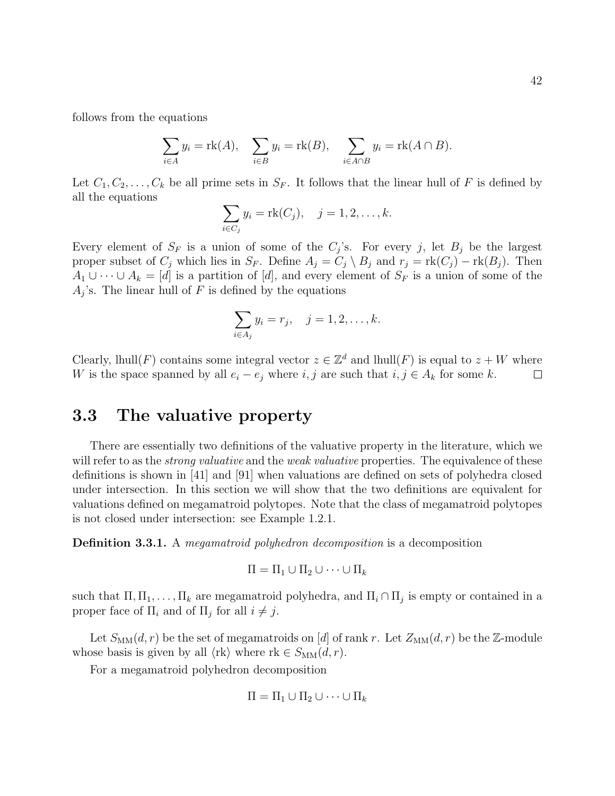follows from the equations

$$
\sum_{i \in A} y_i = \text{rk}(A), \quad \sum_{i \in B} y_i = \text{rk}(B), \quad \sum_{i \in A \cap B} y_i = \text{rk}(A \cap B).
$$

Let  $C_1, C_2, \ldots, C_k$  be all prime sets in  $S_F$ . It follows that the linear hull of F is defined by all the equations

$$
\sum_{i \in C_j} y_i = \text{rk}(C_j), \quad j = 1, 2, \dots, k.
$$

Every element of  $S_F$  is a union of some of the  $C_j$ 's. For every j, let  $B_j$  be the largest proper subset of  $C_j$  which lies in  $S_F$ . Define  $A_j = C_j \setminus B_j$  and  $r_j = \text{rk}(C_j) - \text{rk}(B_j)$ . Then  $A_1 \cup \cdots \cup A_k = [d]$  is a partition of [d], and every element of  $S_F$  is a union of some of the  $A_j$ 's. The linear hull of F is defined by the equations

$$
\sum_{i\in A_j} y_i = r_j, \quad j=1,2,\ldots,k.
$$

Clearly, lhull(F) contains some integral vector  $z \in \mathbb{Z}^d$  and lhull(F) is equal to  $z + W$  where W is the space spanned by all  $e_i - e_j$  where i, j are such that  $i, j \in A_k$  for some k.  $\Box$ 

### 3.3 The valuative property

There are essentially two definitions of the valuative property in the literature, which we will refer to as the *strong valuative* and the *weak valuative* properties. The equivalence of these definitions is shown in [41] and [91] when valuations are defined on sets of polyhedra closed under intersection. In this section we will show that the two definitions are equivalent for valuations defined on megamatroid polytopes. Note that the class of megamatroid polytopes is not closed under intersection: see Example 1.2.1.

**Definition 3.3.1.** A megamatroid polyhedron decomposition is a decomposition

$$
\Pi = \Pi_1 \cup \Pi_2 \cup \cdots \cup \Pi_k
$$

such that  $\Pi, \Pi_1, \ldots, \Pi_k$  are megamatroid polyhedra, and  $\Pi_i \cap \Pi_j$  is empty or contained in a proper face of  $\Pi_i$  and of  $\Pi_j$  for all  $i \neq j$ .

Let  $S_{MM}(d, r)$  be the set of megamatroids on [d] of rank r. Let  $Z_{MM}(d, r)$  be the Z-module whose basis is given by all  $\langle \text{rk} \rangle$  where  $\text{rk} \in S_{MM}(d, r)$ .

For a megamatroid polyhedron decomposition

$$
\Pi = \Pi_1 \cup \Pi_2 \cup \cdots \cup \Pi_k
$$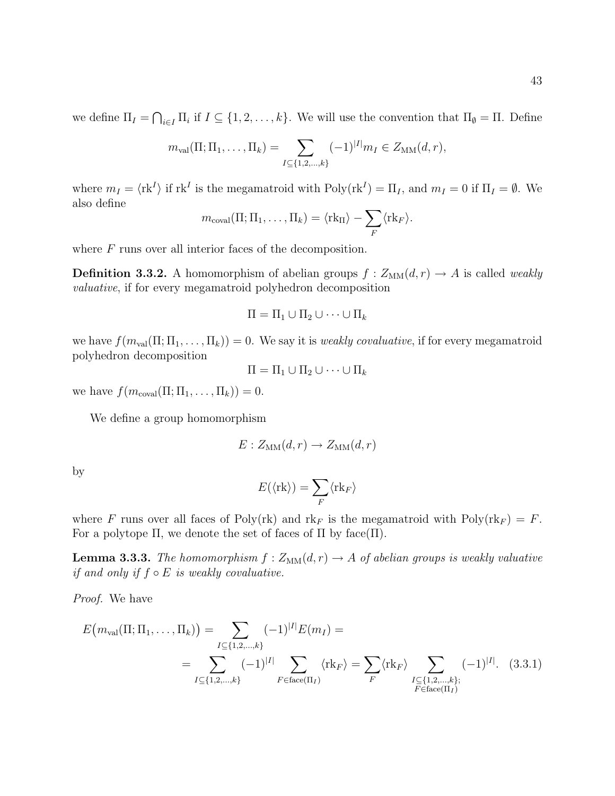we define  $\Pi_I = \bigcap_{i \in I} \Pi_i$  if  $I \subseteq \{1, 2, \ldots, k\}$ . We will use the convention that  $\Pi_{\emptyset} = \Pi$ . Define

$$
m_{\text{val}}(\Pi; \Pi_1, \dots, \Pi_k) = \sum_{I \subseteq \{1, 2, \dots, k\}} (-1)^{|I|} m_I \in Z_{\text{MM}}(d, r),
$$

where  $m_I = \langle \text{rk}^I \rangle$  if  $\text{rk}^I$  is the megamatroid with  $\text{Poly}(\text{rk}^I) = \Pi_I$ , and  $m_I = 0$  if  $\Pi_I = \emptyset$ . We also define

$$
m_{\text{coval}}(\Pi; \Pi_1, \ldots, \Pi_k) = \langle \text{rk}_{\Pi} \rangle - \sum_F \langle \text{rk}_F \rangle.
$$

where  $F$  runs over all interior faces of the decomposition.

**Definition 3.3.2.** A homomorphism of abelian groups  $f : Z_{MM}(d, r) \to A$  is called *weakly* valuative, if for every megamatroid polyhedron decomposition

$$
\Pi=\Pi_1\cup\Pi_2\cup\cdots\cup\Pi_k
$$

we have  $f(m_{val}(\Pi; \Pi_1, \ldots, \Pi_k)) = 0$ . We say it is *weakly covaluative*, if for every megamatroid polyhedron decomposition

$$
\Pi = \Pi_1 \cup \Pi_2 \cup \cdots \cup \Pi_k
$$

we have  $f(m_{\text{coval}}(\Pi; \Pi_1, \ldots, \Pi_k)) = 0.$ 

We define a group homomorphism

$$
E: Z_{\text{MM}}(d, r) \to Z_{\text{MM}}(d, r)
$$

by

$$
E(\langle \text{rk} \rangle) = \sum_{F} \langle \text{rk}_{F} \rangle
$$

where F runs over all faces of Poly(rk) and  $rk_F$  is the megamatroid with  $Poly(rk_F) = F$ . For a polytope  $\Pi$ , we denote the set of faces of  $\Pi$  by face $(\Pi)$ .

**Lemma 3.3.3.** The homomorphism  $f: Z_{MM}(d, r) \to A$  of abelian groups is weakly valuative if and only if  $f \circ E$  is weakly covaluative.

Proof. We have

$$
E(m_{val}(\Pi; \Pi_1, ..., \Pi_k)) = \sum_{I \subseteq \{1, 2, ..., k\}} (-1)^{|I|} E(m_I) =
$$
  
= 
$$
\sum_{I \subseteq \{1, 2, ..., k\}} (-1)^{|I|} \sum_{F \in \text{face}(\Pi_I)} \langle \text{rk}_F \rangle = \sum_{F} \langle \text{rk}_F \rangle \sum_{\substack{I \subseteq \{1, 2, ..., k\};\\F \in \text{face}(\Pi_I)}} (-1)^{|I|}.
$$
 (3.3.1)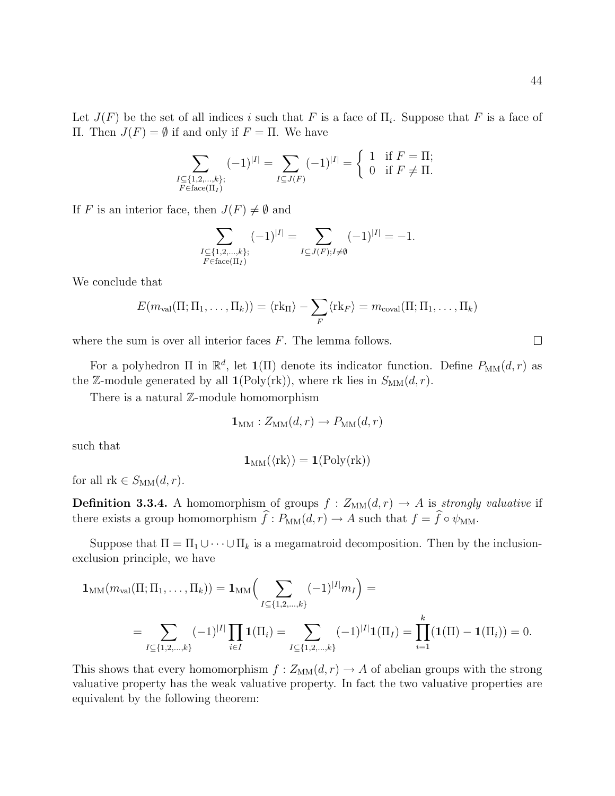Let  $J(F)$  be the set of all indices i such that F is a face of  $\Pi_i$ . Suppose that F is a face of Π. Then  $J(F) = \emptyset$  if and only if  $F = \Pi$ . We have

$$
\sum_{\substack{I \subseteq \{1,2,\ldots,k\};\\F \in \text{face}(\Pi_I)}} (-1)^{|I|} = \sum_{I \subseteq J(F)} (-1)^{|I|} = \begin{cases} 1 & \text{if } F = \Pi; \\ 0 & \text{if } F \neq \Pi. \end{cases}
$$

If F is an interior face, then  $J(F) \neq \emptyset$  and

$$
\sum_{\substack{I \subseteq \{1,2,\ldots,k\}; \\ F \in \text{face}(\Pi_I)}} (-1)^{|I|} = \sum_{I \subseteq J(F); I \neq \emptyset} (-1)^{|I|} = -1.
$$

We conclude that

$$
E(m_{val}(\Pi; \Pi_1, \ldots, \Pi_k)) = \langle \mathrm{rk}_{\Pi} \rangle - \sum_F \langle \mathrm{rk}_{F} \rangle = m_{\mathrm{coval}}(\Pi; \Pi_1, \ldots, \Pi_k)
$$

where the sum is over all interior faces F. The lemma follows.

For a polyhedron  $\Pi$  in  $\mathbb{R}^d$ , let  $\mathbf{1}(\Pi)$  denote its indicator function. Define  $P_{MM}(d, r)$  as the Z-module generated by all  $1(\text{Poly(rk)}),$  where rk lies in  $S_{MM}(d, r)$ .

There is a natural  $\mathbb{Z}$ -module homomorphism

$$
\mathbf{1}_{\text{MM}}: Z_{\text{MM}}(d, r) \to P_{\text{MM}}(d, r)
$$

such that

$$
\mathbf{1}_{\text{MM}}(\langle \text{rk} \rangle) = \mathbf{1}(\text{Poly}(\text{rk}))
$$

for all  $rk \in S_{MM}(d,r)$ .

**Definition 3.3.4.** A homomorphism of groups  $f: Z_{MM}(d,r) \rightarrow A$  is *strongly valuative* if there exists a group homomorphism  $f: P_{MM}(d, r) \to A$  such that  $f = f \circ \psi_{MM}$ .

Suppose that  $\Pi = \Pi_1 \cup \cdots \cup \Pi_k$  is a megamatroid decomposition. Then by the inclusionexclusion principle, we have

$$
\mathbf{1}_{\text{MM}}(m_{\text{val}}(\Pi; \Pi_1, \dots, \Pi_k)) = \mathbf{1}_{\text{MM}}\Big(\sum_{I \subseteq \{1, 2, \dots, k\}} (-1)^{|I|} m_I\Big) =
$$
  
= 
$$
\sum_{I \subseteq \{1, 2, \dots, k\}} (-1)^{|I|} \prod_{i \in I} \mathbf{1}(\Pi_i) = \sum_{I \subseteq \{1, 2, \dots, k\}} (-1)^{|I|} \mathbf{1}(\Pi_I) = \prod_{i=1}^k (\mathbf{1}(\Pi) - \mathbf{1}(\Pi_i)) = 0.
$$

This shows that every homomorphism  $f: Z_{MM}(d, r) \to A$  of abelian groups with the strong valuative property has the weak valuative property. In fact the two valuative properties are equivalent by the following theorem:

 $\Box$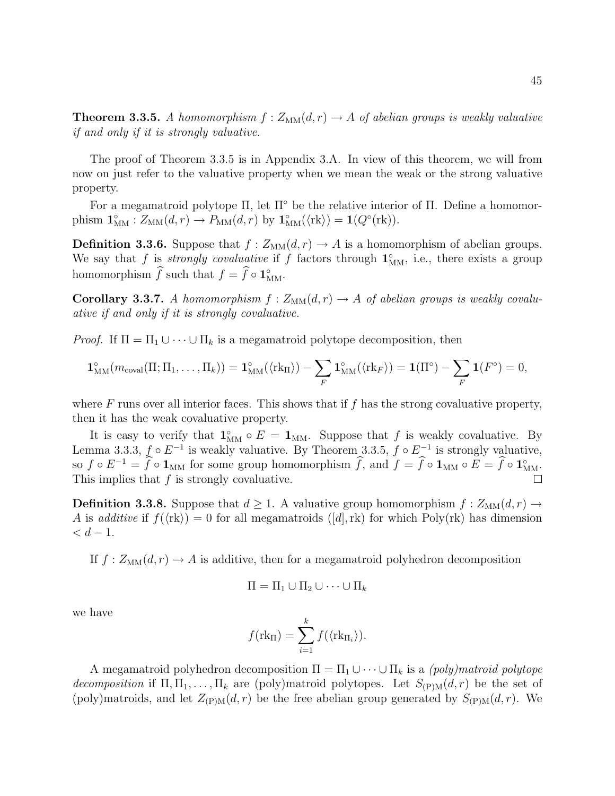**Theorem 3.3.5.** A homomorphism  $f : Z_{MM}(d, r) \to A$  of abelian groups is weakly valuative if and only if it is strongly valuative.

The proof of Theorem 3.3.5 is in Appendix 3.A. In view of this theorem, we will from now on just refer to the valuative property when we mean the weak or the strong valuative property.

For a megamatroid polytope  $\Pi$ , let  $\Pi^{\circ}$  be the relative interior of  $\Pi$ . Define a homomorphism  $\mathbf{1}_{\text{MM}}^{\circ}: Z_{\text{MM}}(d, r) \to P_{\text{MM}}(d, r)$  by  $\mathbf{1}_{\text{MM}}^{\circ}(\langle \text{rk} \rangle) = \mathbf{1}(Q^{\circ}(\text{rk})).$ 

**Definition 3.3.6.** Suppose that  $f : Z_{MM}(d, r) \to A$  is a homomorphism of abelian groups. We say that f is *strongly covaluative* if f factors through  $\mathbf{1}_{\text{MM}}^{\circ}$ , i.e., there exists a group homomorphism  $\hat{f}$  such that  $f = \hat{f} \circ \mathbf{1}_{\text{MM}}^{\circ}$ .

Corollary 3.3.7. A homomorphism  $f: Z_{MM}(d, r) \rightarrow A$  of abelian groups is weakly covaluative if and only if it is strongly covaluative.

*Proof.* If  $\Pi = \Pi_1 \cup \cdots \cup \Pi_k$  is a megamatroid polytope decomposition, then

$$
\mathbf{1}_{\text{MM}}^{\circ}(m_{\text{coval}}(\Pi;\Pi_1,\ldots,\Pi_k)) = \mathbf{1}_{\text{MM}}^{\circ}(\langle \text{rk}_{\Pi} \rangle) - \sum_{F} \mathbf{1}_{\text{MM}}^{\circ}(\langle \text{rk}_{F} \rangle) = \mathbf{1}(\Pi^{\circ}) - \sum_{F} \mathbf{1}(F^{\circ}) = 0,
$$

where  $F$  runs over all interior faces. This shows that if  $f$  has the strong covaluative property, then it has the weak covaluative property.

It is easy to verify that  $\mathbf{1}_{\text{MM}}^{\circ} \circ E = \mathbf{1}_{\text{MM}}$ . Suppose that f is weakly covaluative. By Lemma 3.3.3,  $f \circ E^{-1}$  is weakly valuative. By Theorem 3.3.5,  $f \circ E^{-1}$  is strongly valuative, so  $f \circ E^{-1} = \hat{f} \circ \mathbf{1}_{\text{MM}}$  for some group homomorphism  $\hat{f}$ , and  $f = \hat{f} \circ \mathbf{1}_{\text{MM}} \circ E = \hat{f} \circ \mathbf{1}_{\text{MM}}$ . This implies that  $f$  is strongly covaluative.

**Definition 3.3.8.** Suppose that  $d \geq 1$ . A valuative group homomorphism  $f : Z_{MM}(d, r) \rightarrow$ A is *additive* if  $f(\langle \text{rk} \rangle) = 0$  for all megamatroids ([d], rk) for which Poly(rk) has dimension  $d-1$ .

If  $f : Z_{MM}(d, r) \to A$  is additive, then for a megamatroid polyhedron decomposition

$$
\Pi = \Pi_1 \cup \Pi_2 \cup \cdots \cup \Pi_k
$$

we have

$$
f(\mathrm{rk}_{\Pi}) = \sum_{i=1}^{k} f(\langle \mathrm{rk}_{\Pi_i} \rangle).
$$

A megamatroid polyhedron decomposition  $\Pi = \Pi_1 \cup \cdots \cup \Pi_k$  is a *(poly)matroid polytope* decomposition if  $\Pi, \Pi_1, \ldots, \Pi_k$  are (poly)matroid polytopes. Let  $S_{(P)M}(d, r)$  be the set of (poly)matroids, and let  $Z_{(P)M}(d, r)$  be the free abelian group generated by  $S_{(P)M}(d, r)$ . We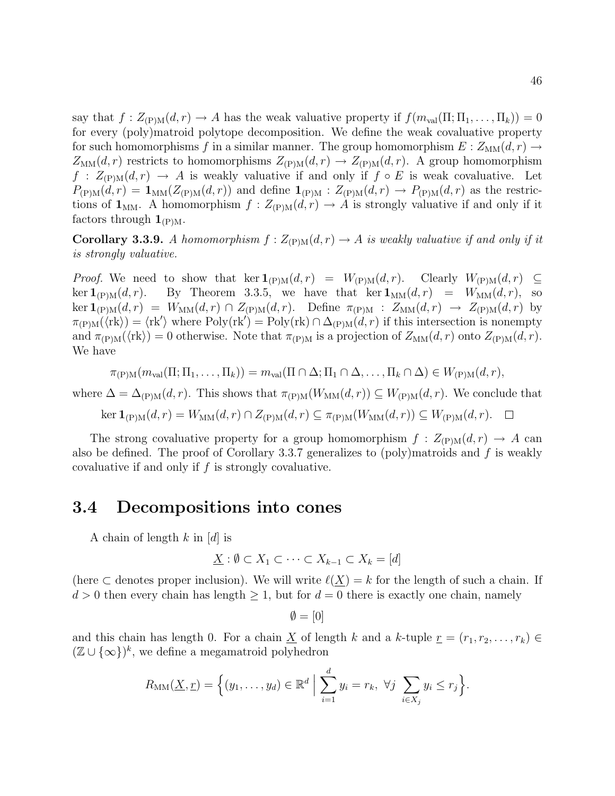say that  $f: Z_{(P)M}(d,r) \to A$  has the weak valuative property if  $f(m_{val}(\Pi; \Pi_1, \ldots, \Pi_k)) = 0$ for every (poly)matroid polytope decomposition. We define the weak covaluative property for such homomorphisms f in a similar manner. The group homomorphism  $E: Z_{MM}(d,r) \rightarrow$  $Z_{\text{MM}}(d, r)$  restricts to homomorphisms  $Z_{(\text{P})M}(d, r) \to Z_{(\text{P})M}(d, r)$ . A group homomorphism  $f: Z_{(P)M}(d,r) \to A$  is weakly valuative if and only if  $f \circ E$  is weak covaluative. Let  $P_{(P)M}(d, r) = \mathbf{1}_{MM}(Z_{(P)M}(d, r))$  and define  $\mathbf{1}_{(P)M}: Z_{(P)M}(d, r) \rightarrow P_{(P)M}(d, r)$  as the restrictions of  $\mathbf{1}_{MM}$ . A homomorphism  $f: Z_{(P)M}(d,r) \to A$  is strongly valuative if and only if it factors through  $\mathbf{1}_{(P)M}$ .

**Corollary 3.3.9.** A homomorphism  $f: Z_{(P)M}(d,r) \to A$  is weakly valuative if and only if it is strongly valuative.

*Proof.* We need to show that ker  $1_{(P)M}(d, r) = W_{(P)M}(d, r)$ . Clearly  $W_{(P)M}(d, r) \subseteq$ ker  $\mathbf{1}_{(P)M}(d,r)$ . By Theorem 3.3.5, we have that ker  $\mathbf{1}_{MM}(d,r) = W_{MM}(d,r)$ , so  $\ker \mathbf{1}_{(P)M}(d,r) = W_{MM}(d,r) \cap Z_{(P)M}(d,r)$ . Define  $\pi_{(P)M}: Z_{MM}(d,r) \to Z_{(P)M}(d,r)$  by  $\pi_{(P)M}(\langle \text{rk} \rangle) = \langle \text{rk}' \rangle$  where  $Poly(\text{rk}') = Poly(\text{rk}) \cap \Delta_{(P)M}(d, r)$  if this intersection is nonempty and  $\pi_{(P)M}(\langle \text{rk} \rangle) = 0$  otherwise. Note that  $\pi_{(P)M}$  is a projection of  $Z_{MM}(d, r)$  onto  $Z_{(P)M}(d, r)$ . We have

$$
\pi_{(\mathrm{P})\mathrm{M}}(m_{\mathrm{val}}(\Pi;\Pi_1,\ldots,\Pi_k))=m_{\mathrm{val}}(\Pi\cap\Delta;\Pi_1\cap\Delta,\ldots,\Pi_k\cap\Delta)\in W_{(\mathrm{P})\mathrm{M}}(d,r),
$$

where  $\Delta = \Delta_{(P)M}(d,r)$ . This shows that  $\pi_{(P)M}(W_{MM}(d,r)) \subseteq W_{(P)M}(d,r)$ . We conclude that

$$
\ker \mathbf{1}_{(P)M}(d,r) = W_{MM}(d,r) \cap Z_{(P)M}(d,r) \subseteq \pi_{(P)M}(W_{MM}(d,r)) \subseteq W_{(P)M}(d,r). \quad \Box
$$

The strong covaluative property for a group homomorphism  $f: Z_{(P)M}(d,r) \to A$  can also be defined. The proof of Corollary 3.3.7 generalizes to (poly)matroids and  $f$  is weakly covaluative if and only if  $f$  is strongly covaluative.

#### 3.4 Decompositions into cones

A chain of length  $k$  in  $[d]$  is

$$
\underline{X} : \emptyset \subset X_1 \subset \cdots \subset X_{k-1} \subset X_k = [d]
$$

(here  $\subset$  denotes proper inclusion). We will write  $\ell(X) = k$  for the length of such a chain. If  $d > 0$  then every chain has length  $\geq 1$ , but for  $d = 0$  there is exactly one chain, namely

$$
\emptyset = [0]
$$

and this chain has length 0. For a chain X of length k and a k-tuple  $\underline{r} = (r_1, r_2, \ldots, r_k) \in$  $(\mathbb{Z} \cup {\{\infty\}})^k$ , we define a megamatroid polyhedron

$$
R_{\text{MM}}(\underline{X}, \underline{r}) = \Big\{ (y_1, \ldots, y_d) \in \mathbb{R}^d \; \Big| \; \sum_{i=1}^d y_i = r_k, \; \forall j \; \sum_{i \in X_j} y_i \leq r_j \Big\}.
$$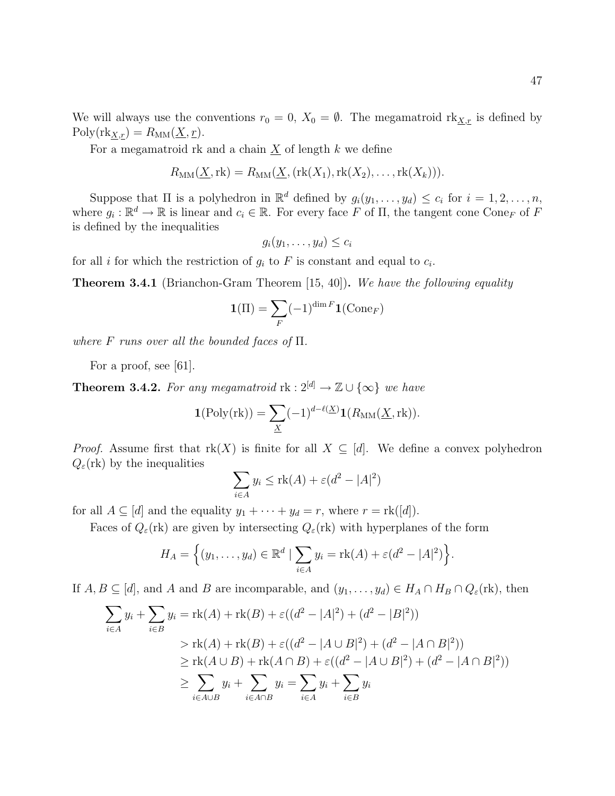We will always use the conventions  $r_0 = 0$ ,  $X_0 = \emptyset$ . The megamatroid rk<sub>X,r</sub> is defined by  $Poly(rk_{X,r}) = R_{MM}(\underline{X},\underline{r}).$ 

For a megamatroid rk and a chain  $\underline{X}$  of length k we define

$$
R_{\text{MM}}(\underline{X},\text{rk}) = R_{\text{MM}}(\underline{X},(\text{rk}(X_1),\text{rk}(X_2),\ldots,\text{rk}(X_k))).
$$

Suppose that  $\Pi$  is a polyhedron in  $\mathbb{R}^d$  defined by  $g_i(y_1,\ldots,y_d) \leq c_i$  for  $i=1,2,\ldots,n$ , where  $g_i : \mathbb{R}^d \to \mathbb{R}$  is linear and  $c_i \in \mathbb{R}$ . For every face F of  $\Pi$ , the tangent cone Cone<sub>F</sub> of F is defined by the inequalities

$$
g_i(y_1,\ldots,y_d)\leq c_i
$$

for all *i* for which the restriction of  $g_i$  to F is constant and equal to  $c_i$ .

**Theorem 3.4.1** (Brianchon-Gram Theorem [15, 40]). We have the following equality

$$
\mathbf{1}(\Pi) = \sum_{F} (-1)^{\dim F} \mathbf{1}(\text{Cone}_F)
$$

where F runs over all the bounded faces of  $\Pi$ .

For a proof, see [61].

**Theorem 3.4.2.** For any megamatroid  $\text{rk}: 2^{[d]} \to \mathbb{Z} \cup \{\infty\}$  we have

$$
\mathbf{1}(\mathrm{Poly}(\mathrm{rk})) = \sum_{\underline{X}} (-1)^{d-\ell(\underline{X})} \mathbf{1}(R_{\mathrm{MM}}(\underline{X}, \mathrm{rk})).
$$

*Proof.* Assume first that  $rk(X)$  is finite for all  $X \subseteq [d]$ . We define a convex polyhedron  $Q_{\varepsilon}$ (rk) by the inequalities

$$
\sum_{i \in A} y_i \le \text{rk}(A) + \varepsilon (d^2 - |A|^2)
$$

for all  $A \subseteq [d]$  and the equality  $y_1 + \cdots + y_d = r$ , where  $r = \text{rk}([d])$ .

Faces of  $Q_{\varepsilon}$ (rk) are given by intersecting  $Q_{\varepsilon}$ (rk) with hyperplanes of the form

$$
H_A = \left\{ (y_1, \ldots, y_d) \in \mathbb{R}^d \mid \sum_{i \in A} y_i = \text{rk}(A) + \varepsilon (d^2 - |A|^2) \right\}.
$$

If  $A, B \subseteq [d]$ , and A and B are incomparable, and  $(y_1, \ldots, y_d) \in H_A \cap H_B \cap Q_{\varepsilon}(\text{rk})$ , then

$$
\sum_{i \in A} y_i + \sum_{i \in B} y_i = \text{rk}(A) + \text{rk}(B) + \varepsilon((d^2 - |A|^2) + (d^2 - |B|^2))
$$
  
>  $\text{rk}(A) + \text{rk}(B) + \varepsilon((d^2 - |A \cup B|^2) + (d^2 - |A \cap B|^2))$   
>  $\text{rk}(A \cup B) + \text{rk}(A \cap B) + \varepsilon((d^2 - |A \cup B|^2) + (d^2 - |A \cap B|^2))$   
>  $\sum_{i \in A \cup B} y_i + \sum_{i \in A \cap B} y_i = \sum_{i \in A} y_i + \sum_{i \in B} y_i$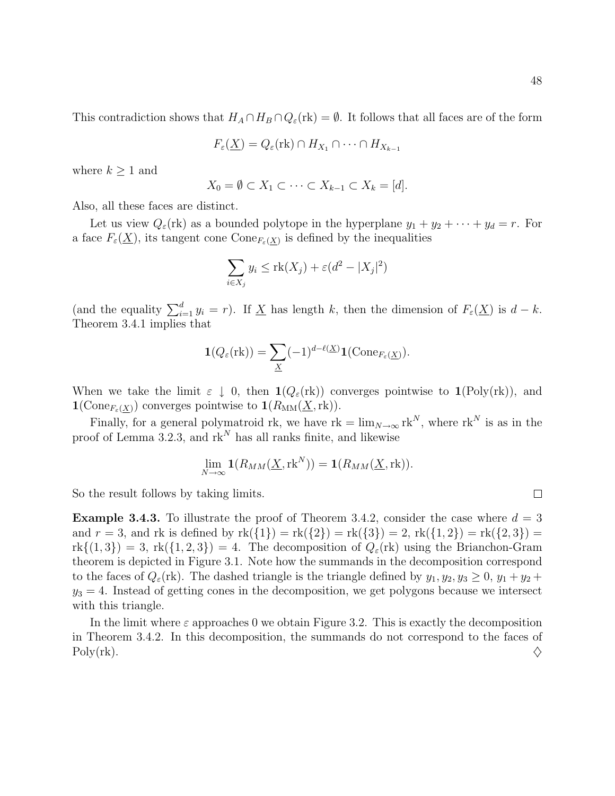This contradiction shows that  $H_A \cap H_B \cap Q_{\varepsilon}(\text{rk}) = \emptyset$ . It follows that all faces are of the form

$$
F_{\varepsilon}(\underline{X}) = Q_{\varepsilon}(\text{rk}) \cap H_{X_1} \cap \dots \cap H_{X_{k-1}}
$$

where  $k \geq 1$  and

$$
X_0 = \emptyset \subset X_1 \subset \cdots \subset X_{k-1} \subset X_k = [d].
$$

Also, all these faces are distinct.

Let us view  $Q_{\varepsilon}(\text{rk})$  as a bounded polytope in the hyperplane  $y_1 + y_2 + \cdots + y_d = r$ . For a face  $F_{\varepsilon}(\underline{X})$ , its tangent cone  $\text{Cone}_{F_{\varepsilon}(\underline{X})}$  is defined by the inequalities

$$
\sum_{i \in X_j} y_i \le \text{rk}(X_j) + \varepsilon (d^2 - |X_j|^2)
$$

(and the equality  $\sum_{i=1}^d y_i = r$ ). If  $\underline{X}$  has length k, then the dimension of  $F_{\varepsilon}(\underline{X})$  is  $d - k$ . Theorem 3.4.1 implies that

$$
\mathbf{1}(Q_{\varepsilon}(\text{rk})) = \sum_{\underline{X}} (-1)^{d-\ell(\underline{X})} \mathbf{1}(\text{Cone}_{F_{\varepsilon}(\underline{X})}).
$$

When we take the limit  $\varepsilon \downarrow 0$ , then  $\mathbf{1}(Q_{\varepsilon}(\text{rk}))$  converges pointwise to  $\mathbf{1}(\text{Poly}(\text{rk}))$ , and  $\mathbf{1}(\mathrm{Cone}_{F_{\varepsilon}(\underline{X})})$  converges pointwise to  $\mathbf{1}(R_{\text{MM}}(\underline{X},\text{rk})).$ 

Finally, for a general polymatroid rk, we have  $rk = \lim_{N \to \infty} rk^N$ , where  $rk^N$  is as in the proof of Lemma 3.2.3, and  $\text{rk}^N$  has all ranks finite, and likewise

$$
\lim_{N \to \infty} \mathbf{1}(R_{MM}(\underline{X}, \mathbf{rk}^N)) = \mathbf{1}(R_{MM}(\underline{X}, \mathbf{rk})).
$$

So the result follows by taking limits.

**Example 3.4.3.** To illustrate the proof of Theorem 3.4.2, consider the case where  $d = 3$ and  $r = 3$ , and rk is defined by  $rk({1}) = rk({2}) = rk({3}) = 2$ ,  $rk({1, 2}) = rk({2, 3}) =$  $rk{(1,3)} = 3, rk({1,2,3}) = 4.$  The decomposition of  $Q_{\varepsilon}(rk)$  using the Brianchon-Gram theorem is depicted in Figure 3.1. Note how the summands in the decomposition correspond to the faces of  $Q_{\varepsilon}(\text{rk})$ . The dashed triangle is the triangle defined by  $y_1, y_2, y_3 \geq 0$ ,  $y_1 + y_2 +$  $y_3 = 4$ . Instead of getting cones in the decomposition, we get polygons because we intersect with this triangle.

In the limit where  $\varepsilon$  approaches 0 we obtain Figure 3.2. This is exactly the decomposition in Theorem 3.4.2. In this decomposition, the summands do not correspond to the faces of  $Poly(rk). \qquad \qquad \diamond$ 

 $\Box$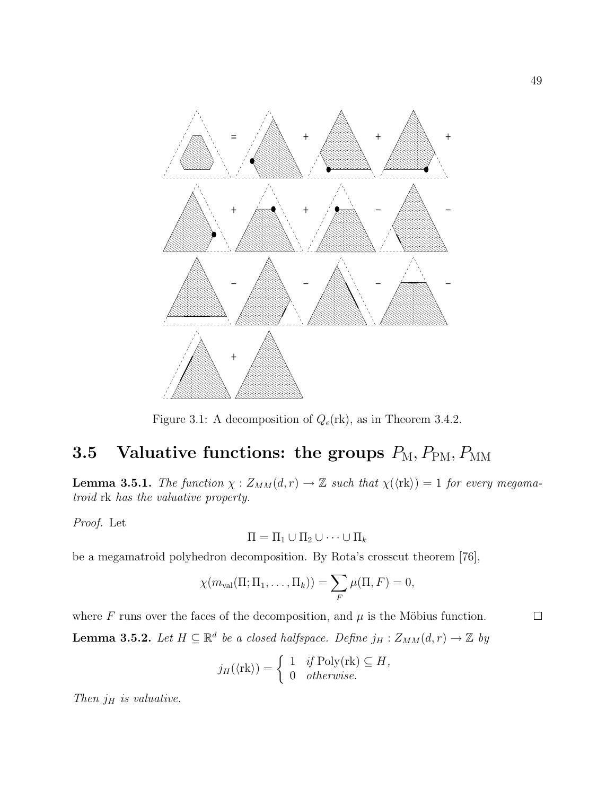

Figure 3.1: A decomposition of  $Q_{\epsilon}(\text{rk})$ , as in Theorem 3.4.2.

## 3.5 Valuative functions: the groups  $P_M$ ,  $P_{PM}$ ,  $P_{MM}$

**Lemma 3.5.1.** The function  $\chi : Z_{MM}(d,r) \to \mathbb{Z}$  such that  $\chi(\langle \text{rk} \rangle) = 1$  for every megamatroid rk has the valuative property.

Proof. Let

$$
\Pi = \Pi_1 \cup \Pi_2 \cup \cdots \cup \Pi_k
$$

be a megamatroid polyhedron decomposition. By Rota's crosscut theorem [76],

$$
\chi(m_{\text{val}}(\Pi; \Pi_1, \dots, \Pi_k)) = \sum_F \mu(\Pi, F) = 0,
$$

where F runs over the faces of the decomposition, and  $\mu$  is the Möbius function. **Lemma 3.5.2.** Let  $H \subseteq \mathbb{R}^d$  be a closed halfspace. Define  $j_H : Z_{MM}(d,r) \to \mathbb{Z}$  by

$$
j_H(\langle \text{rk} \rangle) = \begin{cases} 1 & \text{if Poly(rk)} \subseteq H, \\ 0 & \text{otherwise.} \end{cases}
$$

Then  $j_H$  is valuative.

 $\Box$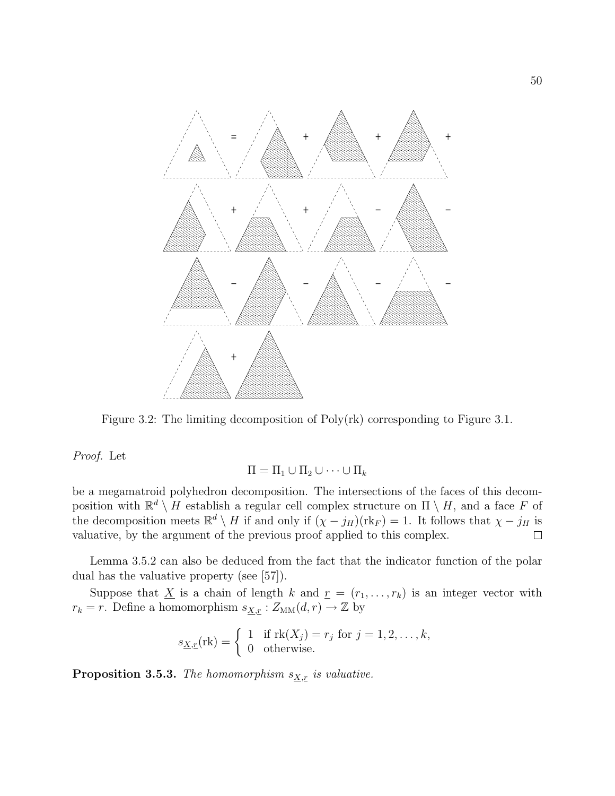

Figure 3.2: The limiting decomposition of Poly(rk) corresponding to Figure 3.1.

Proof. Let

$$
\Pi = \Pi_1 \cup \Pi_2 \cup \cdots \cup \Pi_k
$$

be a megamatroid polyhedron decomposition. The intersections of the faces of this decomposition with  $\mathbb{R}^d \setminus H$  establish a regular cell complex structure on  $\Pi \setminus H$ , and a face F of the decomposition meets  $\mathbb{R}^d \setminus H$  if and only if  $(\chi - j_H)(\text{rk}_F) = 1$ . It follows that  $\chi - j_H$  is valuative, by the argument of the previous proof applied to this complex.  $\Box$ 

Lemma 3.5.2 can also be deduced from the fact that the indicator function of the polar dual has the valuative property (see [57]).

Suppose that  $\underline{X}$  is a chain of length k and  $\underline{r} = (r_1, \ldots, r_k)$  is an integer vector with  $r_k = r$  . Define a homomorphism  $s_{\underline{X},\underline{r}} : Z_{\text{MM}}(d,r) \to \mathbb{Z}$  by

$$
s_{\underline{X},\underline{r}}(\text{rk}) = \begin{cases} 1 & \text{if } \text{rk}(X_j) = r_j \text{ for } j = 1, 2, \dots, k, \\ 0 & \text{otherwise.} \end{cases}
$$

**Proposition 3.5.3.** The homomorphism  $s_{\underline{X},\underline{r}}$  is valuative.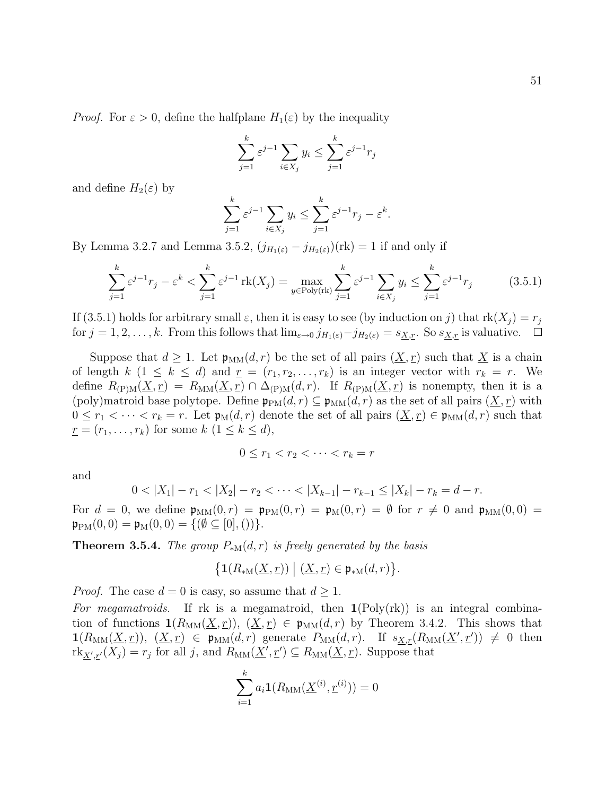$$
\sum_{j=1}^k \varepsilon^{j-1} \sum_{i \in X_j} y_i \leq \sum_{j=1}^k \varepsilon^{j-1} r_j
$$

and define  $H_2(\varepsilon)$  by

$$
\sum_{j=1}^k \varepsilon^{j-1} \sum_{i \in X_j} y_i \le \sum_{j=1}^k \varepsilon^{j-1} r_j - \varepsilon^k.
$$

By Lemma 3.2.7 and Lemma 3.5.2,  $(j_{H_1(\varepsilon)} - j_{H_2(\varepsilon)})(\text{rk}) = 1$  if and only if

$$
\sum_{j=1}^{k} \varepsilon^{j-1} r_j - \varepsilon^k < \sum_{j=1}^{k} \varepsilon^{j-1} \operatorname{rk}(X_j) = \max_{y \in \text{Poly(rk)}} \sum_{j=1}^{k} \varepsilon^{j-1} \sum_{i \in X_j} y_i \le \sum_{j=1}^{k} \varepsilon^{j-1} r_j \tag{3.5.1}
$$

If (3.5.1) holds for arbitrary small  $\varepsilon$ , then it is easy to see (by induction on j) that  $\text{rk}(X_j) = r_j$ for  $j = 1, 2, \ldots, k$ . From this follows that  $\lim_{\varepsilon \to 0} j_{H_1(\varepsilon)} - j_{H_2(\varepsilon)} = s_{\underline{X},\underline{r}}$ . So  $s_{\underline{X},\underline{r}}$  is valuative.  $\square$ 

Suppose that  $d \geq 1$ . Let  $\mathfrak{p}_{MM}(d,r)$  be the set of all pairs  $(\underline{X}, \underline{r})$  such that  $\underline{X}$  is a chain of length k  $(1 \leq k \leq d)$  and  $r = (r_1, r_2, \ldots, r_k)$  is an integer vector with  $r_k = r$ . We define  $R_{(P)M}(\underline{X},\underline{r}) = R_{MM}(\underline{X},\underline{r}) \cap \Delta_{(P)M}(d,\underline{r})$ . If  $R_{(P)M}(\underline{X},\underline{r})$  is nonempty, then it is a (poly)matroid base polytope. Define  $\mathfrak{p}_{PM}(d, r) \subseteq \mathfrak{p}_{MM}(d, r)$  as the set of all pairs  $(\underline{X}, \underline{r})$  with  $0 \leq r_1 < \cdots < r_k = r$ . Let  $\mathfrak{p}_M(d,r)$  denote the set of all pairs  $(\underline{X},\underline{r}) \in \mathfrak{p}_{MM}(d,r)$  such that  $\underline{r} = (r_1, \ldots, r_k)$  for some  $k$   $(1 \leq k \leq d)$ ,

$$
0 \le r_1 < r_2 < \cdots < r_k = r
$$

and

$$
0<|X_1|-r_1<|X_2|-r_2<\cdots<|X_{k-1}|-r_{k-1}\le|X_k|-r_k=d-r.
$$

For  $d = 0$ , we define  $\mathfrak{p}_{\text{MM}}(0,r) = \mathfrak{p}_{\text{PM}}(0,r) = \mathfrak{p}_{\text{M}}(0,r) = \emptyset$  for  $r \neq 0$  and  $\mathfrak{p}_{\text{MM}}(0,0) =$  $\mathfrak{p}_{\text{PM}}(0,0) = \mathfrak{p}_{\text{M}}(0,0) = \{ (\emptyset \subseteq [0], () \}.$ 

**Theorem 3.5.4.** The group  $P_{*M}(d,r)$  is freely generated by the basis

$$
\big\{ \mathbf{1}(R_{*M}(\underline{X},\underline{r})) \mid (\underline{X},\underline{r}) \in \mathfrak{p}_{*M}(d,r) \big\}.
$$

*Proof.* The case  $d = 0$  is easy, so assume that  $d \geq 1$ .

For megamatroids. If rk is a megamatroid, then  $1(Poly(rk))$  is an integral combination of functions  $\mathbf{1}(R_{\text{MM}}(\underline{X}, \underline{r}))$ ,  $(\underline{X}, \underline{r}) \in \mathfrak{p}_{\text{MM}}(d, r)$  by Theorem 3.4.2. This shows that  $1(R_{MM}(\underline{X},\underline{r}))$ ,  $(\underline{X},\underline{r}) \in \mathfrak{p}_{MM}(d,r)$  generate  $P_{MM}(d,r)$ . If  $s_{\underline{X},\underline{r}}(R_{MM}(\underline{X}',\underline{r}')) \neq 0$  then  ${\rm rk}_{X',r'}(X_j) = r_j$  for all j, and  $R_{\text{MM}}(\underline{X}',r') \subseteq R_{\text{MM}}(\underline{X},r)$ . Suppose that

$$
\sum_{i=1}^{k} a_i \mathbf{1}(R_{\text{MM}}(\underline{X}^{(i)}, \underline{r}^{(i)})) = 0
$$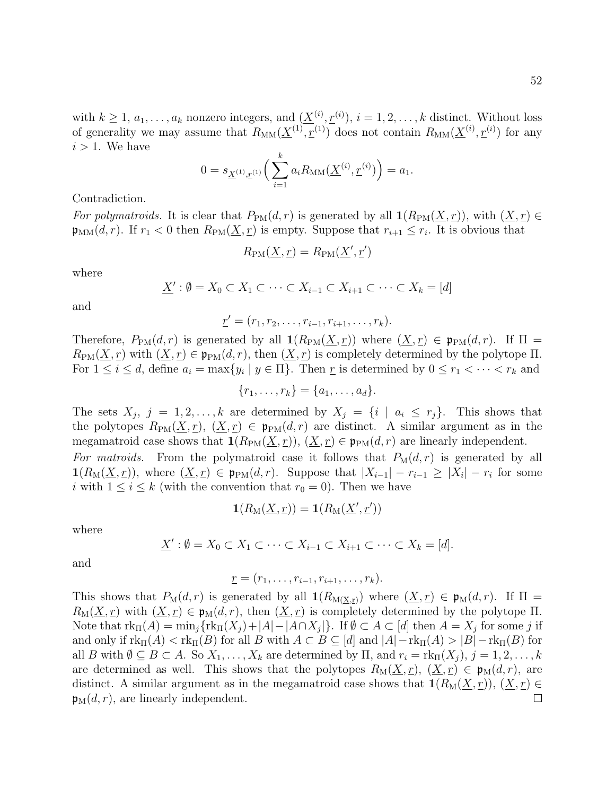with  $k \geq 1, a_1, \ldots, a_k$  nonzero integers, and  $(\underline{X}^{(i)}, \underline{r}^{(i)})$ ,  $i = 1, 2, \ldots, k$  distinct. Without loss of generality we may assume that  $R_{MM}(\underline{X}^{(1)}, \underline{r}^{(1)})$  does not contain  $R_{MM}(\underline{X}^{(i)}, \underline{r}^{(i)})$  for any  $i > 1$ . We have

$$
0 = s_{\underline{X}^{(1)}, \underline{r}^{(1)}} \left( \sum_{i=1}^{k} a_i R_{\text{MM}}(\underline{X}^{(i)}, \underline{r}^{(i)}) \right) = a_1.
$$

Contradiction.

For polymatroids. It is clear that  $P_{\text{PM}}(d, r)$  is generated by all  $\mathbf{1}(R_{\text{PM}}(X, r))$ , with  $(X, r) \in$  $\mathfrak{p}_{MM}(d,r)$ . If  $r_1 < 0$  then  $R_{PM}(\underline{X}, \underline{r})$  is empty. Suppose that  $r_{i+1} \leq r_i$ . It is obvious that

$$
R_{\rm PM}(\underline{X},\underline{r}) = R_{\rm PM}(\underline{X}',\underline{r}')
$$

where

$$
\underline{X}': \emptyset = X_0 \subset X_1 \subset \cdots \subset X_{i-1} \subset X_{i+1} \subset \cdots \subset X_k = [d]
$$

and

$$
\underline{r}' = (r_1, r_2, \dots, r_{i-1}, r_{i+1}, \dots, r_k).
$$

Therefore,  $P_{PM}(d, r)$  is generated by all  $\mathbf{1}(R_{PM}(\underline{X}, r))$  where  $(\underline{X}, r) \in \mathfrak{p}_{PM}(d, r)$ . If  $\Pi =$  $R_{\text{PM}}(\underline{X}, \underline{r})$  with  $(\underline{X}, \underline{r}) \in \mathfrak{p}_{\text{PM}}(d, r)$ , then  $(\underline{X}, \underline{r})$  is completely determined by the polytope  $\Pi$ . For  $1 \leq i \leq d$ , define  $a_i = \max\{y_i \mid y \in \Pi\}$ . Then  $\underline{r}$  is determined by  $0 \leq r_1 < \cdots < r_k$  and

 ${r_1, \ldots, r_k} = {a_1, \ldots, a_d}.$ 

The sets  $X_j$ ,  $j = 1, 2, ..., k$  are determined by  $X_j = \{i \mid a_i \leq r_j\}$ . This shows that the polytopes  $R_{PM}(\underline{X}, \underline{r}), (\underline{X}, \underline{r}) \in \mathfrak{p}_{PM}(d, r)$  are distinct. A similar argument as in the megamatroid case shows that  $\mathbf{1}(R_{\text{PM}}(\underline{X}, \underline{r}))$ ,  $(\underline{X}, \underline{r}) \in \mathfrak{p}_{\text{PM}}(d, r)$  are linearly independent.

For matroids. From the polymatroid case it follows that  $P_{\rm M}(d, r)$  is generated by all  $\mathbf{1}(R_{\mathrm{M}}(\underline{X}, \underline{r}))$ , where  $(\underline{X}, \underline{r}) \in \mathfrak{p}_{\mathrm{PM}}(d, r)$ . Suppose that  $|X_{i-1}| - r_{i-1} \geq |X_i| - r_i$  for some i with  $1 \leq i \leq k$  (with the convention that  $r_0 = 0$ ). Then we have

$$
\mathbf{1}(R_{\mathrm{M}}(\underline{X},\underline{r})) = \mathbf{1}(R_{\mathrm{M}}(\underline{X}',\underline{r}'))
$$

where

$$
\underline{X}' : \emptyset = X_0 \subset X_1 \subset \cdots \subset X_{i-1} \subset X_{i+1} \subset \cdots \subset X_k = [d].
$$

and

$$
\underline{r}=(r_1,\ldots,r_{i-1},r_{i+1},\ldots,r_k).
$$

This shows that  $P_M(d,r)$  is generated by all  $\mathbf{1}(R_{M(X,r)})$  where  $(\underline{X},\underline{r}) \in \mathfrak{p}_M(d,r)$ . If  $\Pi =$  $R_M(\underline{X}, \underline{r})$  with  $(\underline{X}, \underline{r}) \in \mathfrak{p}_M(d, r)$ , then  $(\underline{X}, \underline{r})$  is completely determined by the polytope  $\Pi$ . Note that  $\text{rk}_{\Pi}(A) = \min_j \{ \text{rk}_{\Pi}(X_j) + |A| - |A \cap X_j| \}$ . If  $\emptyset \subset A \subset [d]$  then  $A = X_j$  for some j if and only if  $\mathrm{rk}_{\Pi}(A) < \mathrm{rk}_{\Pi}(B)$  for all B with  $A \subset B \subseteq [d]$  and  $|A| - \mathrm{rk}_{\Pi}(A) > |B| - \mathrm{rk}_{\Pi}(B)$  for all B with  $\emptyset \subseteq B \subset A$ . So  $X_1, \ldots, X_k$  are determined by  $\Pi$ , and  $r_i = \text{rk}_{\Pi}(X_j)$ ,  $j = 1, 2, \ldots, k$ are determined as well. This shows that the polytopes  $R_M(\underline{X}, \underline{r})$ ,  $(\underline{X}, \underline{r}) \in \mathfrak{p}_M(d, r)$ , are distinct. A similar argument as in the megamatroid case shows that  $\mathbf{1}(R_M(\underline{X}, \underline{r}))$ ,  $(\underline{X}, \underline{r}) \in$  $\mathfrak{p}_{\text{M}}(d, r)$ , are linearly independent.  $\Box$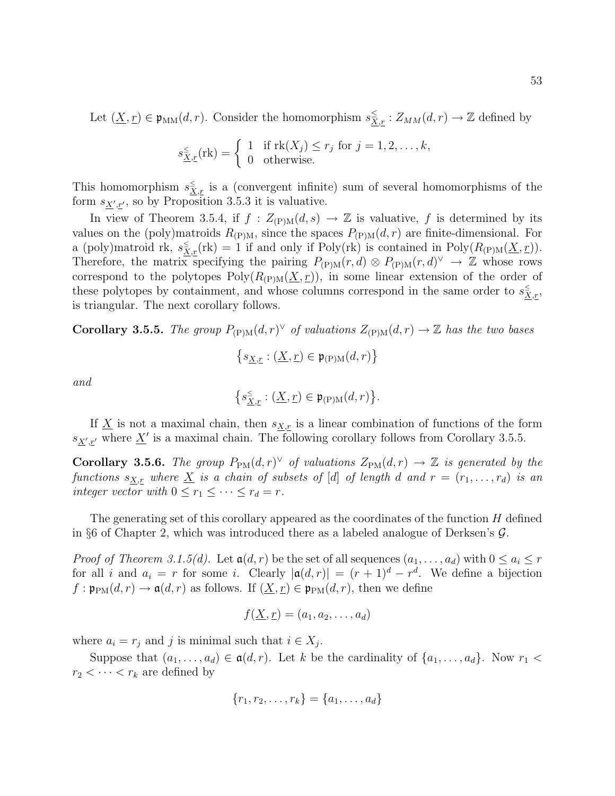Let  $(\underline{X}, \underline{r}) \in \mathfrak{p}_{MM}(d, r)$ . Consider the homomorphism  $s_{\overline{X}, r} \colon Z_{MM}(d, r) \to \mathbb{Z}$  defined by

$$
s_{\underline{X},\underline{r}}^{\leq}(rk) = \begin{cases} 1 & \text{if } rk(X_j) \leq r_j \text{ for } j = 1,2,\ldots,k, \\ 0 & \text{otherwise.} \end{cases}
$$

This homomorphism  $s_{X,r}^{\leq}$  is a (convergent infinite) sum of several homomorphisms of the form  $s_{X',\underline{r}'},$  so by Proposition 3.5.3 it is valuative.

In view of Theorem 3.5.4, if  $f: Z_{(P)M}(d, s) \to \mathbb{Z}$  is valuative, f is determined by its values on the (poly)matroids  $R_{(P)M}$ , since the spaces  $P_{(P)M}(d, r)$  are finite-dimensional. For a (poly)matroid rk,  $s_{X,r}^{\leq}(rk) = 1$  if and only if Poly(rk) is contained in Poly $(R_{(P)M}(\underline{X}, \underline{r}))$ . Therefore, the matrix specifying the pairing  $P_{(P)M}(r,d) \otimes P_{(P)M}(r,d)^{\vee} \to \mathbb{Z}$  whose rows correspond to the polytopes  $Poly(R_{(P)M}(\underline{X}, \underline{r}))$ , in some linear extension of the order of these polytopes by containment, and whose columns correspond in the same order to  $s_{X,r}^{\le}$ , is triangular. The next corollary follows.

**Corollary 3.5.5.** The group  $P_{(P)M}(d,r)$  of valuations  $Z_{(P)M}(d,r) \to \mathbb{Z}$  has the two bases

$$
\left\{s_{\underline{X},\underline{r}}:(\underline{X},\underline{r})\in\mathfrak{p}_{(\mathrm{P})\mathrm{M}}(d,r)\right\}
$$

and

$$
\big\{s^{\leq}_{\underline{X},\underline{r}}:(\underline{X},\underline{r})\in\mathfrak{p}_{(\mathrm{P})\mathrm{M}}(d,r)\big\}.
$$

If  $\underline{X}$  is not a maximal chain, then  $s_{\underline{X},\underline{r}}$  is a linear combination of functions of the form  $s_{X',r'}$  where  $\underline{X}'$  is a maximal chain. The following corollary follows from Corollary 3.5.5.

**Corollary 3.5.6.** The group  $P_{PM}(d,r)^{\vee}$  of valuations  $Z_{PM}(d,r) \rightarrow \mathbb{Z}$  is generated by the functions  $s_{X,r}$  where  $\underline{X}$  is a chain of subsets of [d] of length d and  $r = (r_1, \ldots, r_d)$  is an integer vector with  $0 \leq r_1 \leq \cdots \leq r_d = r$ .

The generating set of this corollary appeared as the coordinates of the function H defined in §6 of Chapter 2, which was introduced there as a labeled analogue of Derksen's  $\mathcal{G}$ .

*Proof of Theorem 3.1.5(d).* Let  $a(d, r)$  be the set of all sequences  $(a_1, \ldots, a_d)$  with  $0 \le a_i \le r$ for all i and  $a_i = r$  for some i. Clearly  $|\mathfrak{a}(d,r)| = (r+1)^d - r^d$ . We define a bijection  $f: \mathfrak{p}_{\text{PM}}(d,r) \to \mathfrak{a}(d,r)$  as follows. If  $(\underline{X}, \underline{r}) \in \mathfrak{p}_{\text{PM}}(d,r)$ , then we define

$$
f(\underline{X},\underline{r})=(a_1,a_2,\ldots,a_d)
$$

where  $a_i = r_j$  and j is minimal such that  $i \in X_j$ .

Suppose that  $(a_1, \ldots, a_d) \in \mathfrak{a}(d, r)$ . Let k be the cardinality of  $\{a_1, \ldots, a_d\}$ . Now  $r_1$  <  $r_2 < \cdots < r_k$  are defined by

$$
\{r_1, r_2, \dots, r_k\} = \{a_1, \dots, a_d\}
$$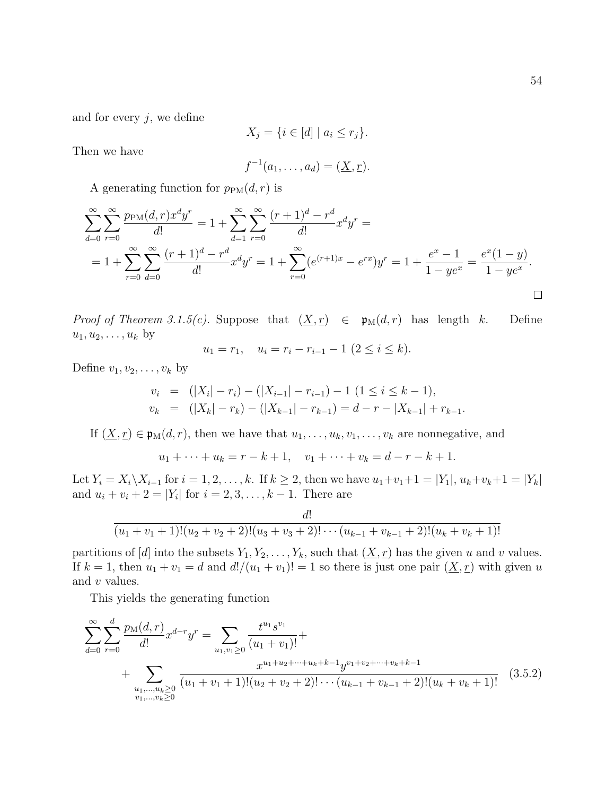and for every  $j$ , we define

$$
X_j = \{ i \in [d] \mid a_i \le r_j \}.
$$

Then we have

$$
f^{-1}(a_1,\ldots,a_d)=(\underline{X},\underline{r}).
$$

A generating function for  $p_{PM}(d, r)$  is

$$
\sum_{d=0}^{\infty} \sum_{r=0}^{\infty} \frac{p_{\text{PM}}(d,r)x^d y^r}{d!} = 1 + \sum_{d=1}^{\infty} \sum_{r=0}^{\infty} \frac{(r+1)^d - r^d}{d!} x^d y^r =
$$
  
=  $1 + \sum_{r=0}^{\infty} \sum_{d=0}^{\infty} \frac{(r+1)^d - r^d}{d!} x^d y^r = 1 + \sum_{r=0}^{\infty} (e^{(r+1)x} - e^{rx}) y^r = 1 + \frac{e^x - 1}{1 - y e^x} = \frac{e^x (1-y)}{1 - y e^x}.$ 

*Proof of Theorem 3.1.5(c).* Suppose that  $(\underline{X}, \underline{r}) \in \mathfrak{p}_M(d, r)$  has length k. Define  $u_1, u_2, \ldots, u_k$  by

$$
u_1 = r_1, \quad u_i = r_i - r_{i-1} - 1 \ (2 \le i \le k).
$$

Define  $v_1, v_2, \ldots, v_k$  by

$$
v_i = (|X_i| - r_i) - (|X_{i-1}| - r_{i-1}) - 1 \ (1 \le i \le k - 1),
$$
  
\n
$$
v_k = (|X_k| - r_k) - (|X_{k-1}| - r_{k-1}) = d - r - |X_{k-1}| + r_{k-1}.
$$

If  $(\underline{X}, \underline{r}) \in \mathfrak{p}_M(d, r)$ , then we have that  $u_1, \ldots, u_k, v_1, \ldots, v_k$  are nonnegative, and

 $u_1 + \cdots + u_k = r - k + 1, \quad v_1 + \cdots + v_k = d - r - k + 1.$ 

Let  $Y_i = X_i \setminus X_{i-1}$  for  $i = 1, 2, ..., k$ . If  $k \geq 2$ , then we have  $u_1 + v_1 + 1 = |Y_1|, u_k + v_k + 1 = |Y_k|$ and  $u_i + v_i + 2 = |Y_i|$  for  $i = 2, 3, ..., k - 1$ . There are

$$
\frac{d!}{(u_1+v_1+1)!(u_2+v_2+2)!(u_3+v_3+2)!\cdots(u_{k-1}+v_{k-1}+2)!(u_k+v_k+1)!}
$$

partitions of [d] into the subsets  $Y_1, Y_2, \ldots, Y_k$ , such that  $(\underline{X}, \underline{r})$  has the given u and v values. If  $k = 1$ , then  $u_1 + v_1 = d$  and  $d!/(u_1 + v_1)! = 1$  so there is just one pair  $(\underline{X}, \underline{r})$  with given u and v values.

This yields the generating function

$$
\sum_{d=0}^{\infty} \sum_{r=0}^{d} \frac{p_M(d,r)}{d!} x^{d-r} y^r = \sum_{u_1,v_1 \ge 0} \frac{t^{u_1} s^{v_1}}{(u_1 + v_1)!} + \sum_{\substack{u_1,\dots,u_k \ge 0 \\ v_1,\dots,v_k \ge 0}} \frac{x^{u_1 + u_2 + \dots + u_k + k - 1} y^{v_1 + v_2 + \dots + v_k + k - 1}}{(u_1 + v_1 + 1)!(u_2 + v_2 + 2)!\cdots(u_{k-1} + v_{k-1} + 2)!(u_k + v_k + 1)!} \tag{3.5.2}
$$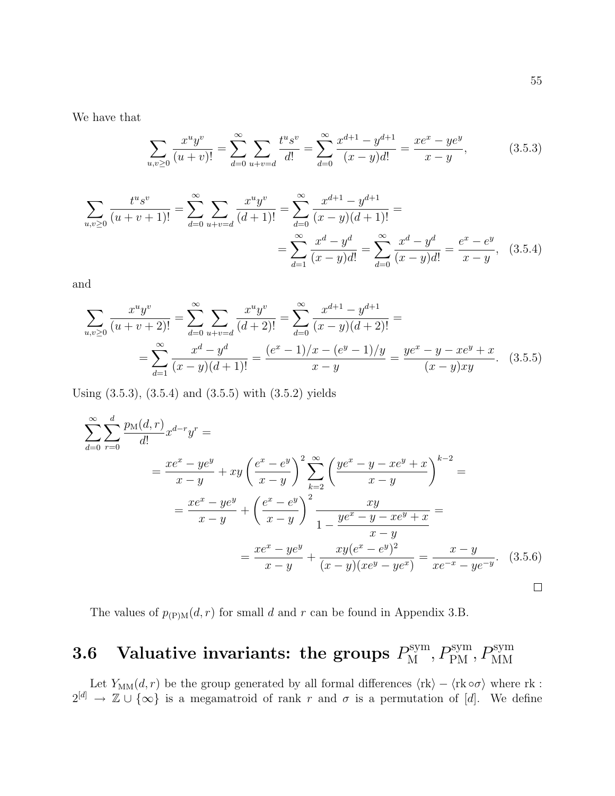We have that

$$
\sum_{u,v\geq 0} \frac{x^u y^v}{(u+v)!} = \sum_{d=0}^{\infty} \sum_{u+v=d} \frac{t^u s^v}{d!} = \sum_{d=0}^{\infty} \frac{x^{d+1} - y^{d+1}}{(x-y)d!} = \frac{xe^x - ye^y}{x-y},
$$
(3.5.3)

$$
\sum_{u,v\geq 0} \frac{t^u s^v}{(u+v+1)!} = \sum_{d=0}^{\infty} \sum_{u+v=d} \frac{x^u y^v}{(d+1)!} = \sum_{d=0}^{\infty} \frac{x^{d+1} - y^{d+1}}{(x-y)(d+1)!} = \sum_{d=0}^{\infty} \frac{x^d - y^d}{(x-y)d!} = \sum_{d=0}^{\infty} \frac{x^d - y^d}{(x-y)d!} = \frac{e^x - e^y}{x-y},
$$
(3.5.4)

and

$$
\sum_{u,v\geq 0} \frac{x^u y^v}{(u+v+2)!} = \sum_{d=0}^{\infty} \sum_{u+v=d} \frac{x^u y^v}{(d+2)!} = \sum_{d=0}^{\infty} \frac{x^{d+1} - y^{d+1}}{(x-y)(d+2)!} =
$$

$$
= \sum_{d=1}^{\infty} \frac{x^d - y^d}{(x-y)(d+1)!} = \frac{(e^x - 1)/x - (e^y - 1)/y}{x-y} = \frac{ye^x - y - xe^y + x}{(x-y)xy}.
$$
(3.5.5)

Using (3.5.3), (3.5.4) and (3.5.5) with (3.5.2) yields

$$
\sum_{d=0}^{\infty} \sum_{r=0}^{d} \frac{p_M(d,r)}{d!} x^{d-r} y^r =
$$
\n
$$
= \frac{xe^x - ye^y}{x - y} + xy \left(\frac{e^x - e^y}{x - y}\right)^2 \sum_{k=2}^{\infty} \left(\frac{ye^x - y - xe^y + x}{x - y}\right)^{k-2} =
$$
\n
$$
= \frac{xe^x - ye^y}{x - y} + \left(\frac{e^x - e^y}{x - y}\right)^2 \frac{xy}{1 - \frac{ye^x - y - xe^y + x}{x - y}} =
$$
\n
$$
= \frac{xe^x - ye^y}{x - y} + \frac{xy(e^x - e^y)^2}{(x - y)(xe^y - ye^x)} = \frac{x - y}{xe^{-x} - ye^{-y}}. \quad (3.5.6)
$$

The values of  $p_{(P)M}(d, r)$  for small d and r can be found in Appendix 3.B.

# 3.6 Valuative invariants: the groups  $P_{\rm M}^{\rm sym}, P_{\rm PM}^{\rm sym}, P_{\rm MM}^{\rm sym}$

Let  $Y_{MM}(d, r)$  be the group generated by all formal differences  $\langle \text{rk} \rangle - \langle \text{rk} \circ \sigma \rangle$  where rk :  $2^{[d]} \to \mathbb{Z} \cup {\infty}$  is a megamatroid of rank r and  $\sigma$  is a permutation of [d]. We define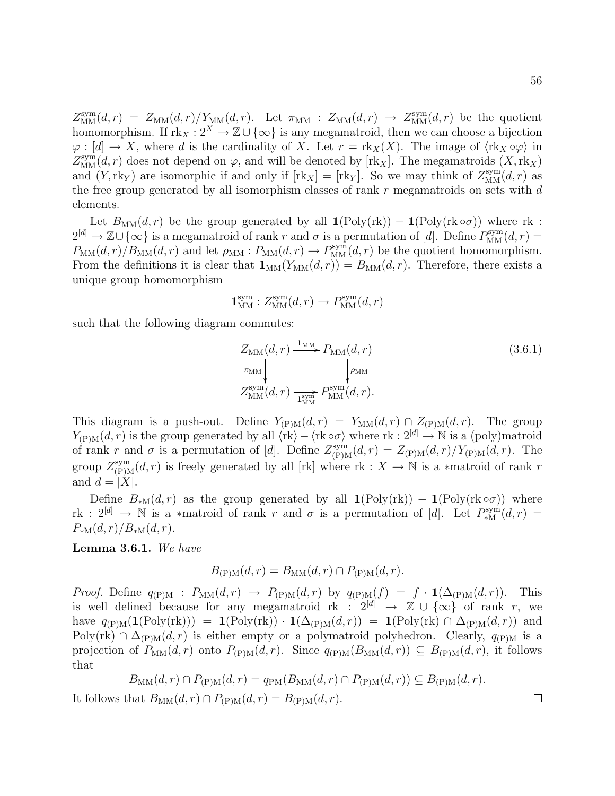$Z_{\text{MM}}^{\text{sym}}(d,r) = Z_{\text{MM}}(d,r)/Y_{\text{MM}}(d,r)$ . Let  $\pi_{\text{MM}} : Z_{\text{MM}}(d,r) \to Z_{\text{MM}}^{\text{sym}}(d,r)$  be the quotient homomorphism. If  $rk_X : 2^X \to \mathbb{Z} \cup {\infty}$  is any megamatroid, then we can choose a bijection  $\varphi : [d] \to X$ , where d is the cardinality of X. Let  $r = \text{rk}_X(X)$ . The image of  $\langle \text{rk}_X \circ \varphi \rangle$  in  $Z_{\text{MM}}^{\text{sym}}(d,r)$  does not depend on  $\varphi$ , and will be denoted by [rk<sub>X</sub>]. The megamatroids  $(X,\text{rk}_X)$ and  $(Y, \text{rk}_Y)$  are isomorphic if and only if  $[\text{rk}_X] = [\text{rk}_Y]$ . So we may think of  $Z_{\text{MM}}^{\text{sym}}(d, r)$  as the free group generated by all isomorphism classes of rank  $r$  megamatroids on sets with  $d$ elements.

Let  $B_{MM}(d, r)$  be the group generated by all  $1(Poly(rk)) - 1(Poly(rk \circ \sigma))$  where rk:  $2^{[d]} \to \mathbb{Z} \cup {\infty}$  is a megamatroid of rank r and  $\sigma$  is a permutation of [d]. Define  $P_{\text{MM}}^{\text{sym}}(d,r)$  =  $P_{MM}(d,r)/B_{MM}(d,r)$  and let  $\rho_{MM}: P_{MM}(d,r) \to P_{MM}^{sym}(d,r)$  be the quotient homomorphism. From the definitions it is clear that  $\mathbf{1}_{MM}(Y_{MM}(d, r)) = B_{MM}(d, r)$ . Therefore, there exists a unique group homomorphism

$$
\mathbf{1}_{\text{MM}}^{\text{sym}}: Z_{\text{MM}}^{\text{sym}}(d, r) \to P_{\text{MM}}^{\text{sym}}(d, r)
$$

such that the following diagram commutes:

$$
Z_{\text{MM}}(d,r) \xrightarrow{\text{1}_{\text{MM}}} P_{\text{MM}}(d,r) \qquad (3.6.1)
$$
  
\n
$$
Z_{\text{MM}}^{\text{FMM}} \downarrow \qquad \qquad \downarrow \qquad (3.6.1)
$$
  
\n
$$
Z_{\text{MM}}^{\text{sym}}(d,r) \xrightarrow{\text{1}_{\text{MM}}^{\text{sym}}} P_{\text{MM}}^{\text{sym}}(d,r).
$$

This diagram is a push-out. Define  $Y_{(P)M}(d, r) = Y_{MM}(d, r) \cap Z_{(P)M}(d, r)$ . The group  $Y_{(P)M}(d, r)$  is the group generated by all  $\langle \text{rk} \rangle - \langle \text{rk} \circ \sigma \rangle$  where  $\text{rk} : 2^{|d|} \to \mathbb{N}$  is a (poly)matroid of rank r and  $\sigma$  is a permutation of [d]. Define  $Z_{(P)M}^{\text{sym}}(d,r) = Z_{(P)M}(d,r)/Y_{(P)M}(d,r)$ . The group  $Z_{(P)M}^{\text{sym}}(d,r)$  is freely generated by all [rk] where rk :  $X \to \mathbb{N}$  is a \*matroid of rank r and  $d = |X|$ .

Define  $B_{\ast M}(d,r)$  as the group generated by all  $1(\text{Poly(rk)}) - 1(\text{Poly(rk} \circ \sigma))$  where  $r_k : 2^{[d]} \to \mathbb{N}$  is a \*matroid of rank r and  $\sigma$  is a permutation of [d]. Let  $P_{*M}^{sym}(d,r) =$  $P_{\rm *M}(d,r)/B_{\rm *M}(d,r).$ 

Lemma 3.6.1. We have

$$
B_{(P)M}(d,r) = B_{MM}(d,r) \cap P_{(P)M}(d,r).
$$

*Proof.* Define  $q_{(P)M}$  :  $P_{MM}(d, r) \rightarrow P_{(P)M}(d, r)$  by  $q_{(P)M}(f) = f \cdot \mathbf{1}(\Delta_{(P)M}(d, r))$ . This is well defined because for any megamatroid rk :  $2^{[d]} \rightarrow \mathbb{Z} \cup {\infty}$  of rank r, we have  $q_{(P)M}(1(\text{Poly(rk)})) = 1(\text{Poly(rk)}) \cdot 1(\Delta_{(P)M}(d,r)) = 1(\text{Poly(rk)} \cap \Delta_{(P)M}(d,r))$  and Poly(rk) ∩  $\Delta_{(P)M}(d,r)$  is either empty or a polymatroid polyhedron. Clearly,  $q_{(P)M}$  is a projection of  $P_{MM}(d, r)$  onto  $P_{(P)M}(d, r)$ . Since  $q_{(P)M}(B_{MM}(d, r)) \subseteq B_{(P)M}(d, r)$ , it follows that

$$
B_{\text{MM}}(d,r) \cap P_{(\text{P})\text{M}}(d,r) = q_{\text{PM}}(B_{\text{MM}}(d,r) \cap P_{(\text{P})\text{M}}(d,r)) \subseteq B_{(\text{P})\text{M}}(d,r).
$$

It follows that  $B_{MM}(d, r) \cap P_{(P)M}(d, r) = B_{(P)M}(d, r)$ .

 $\Box$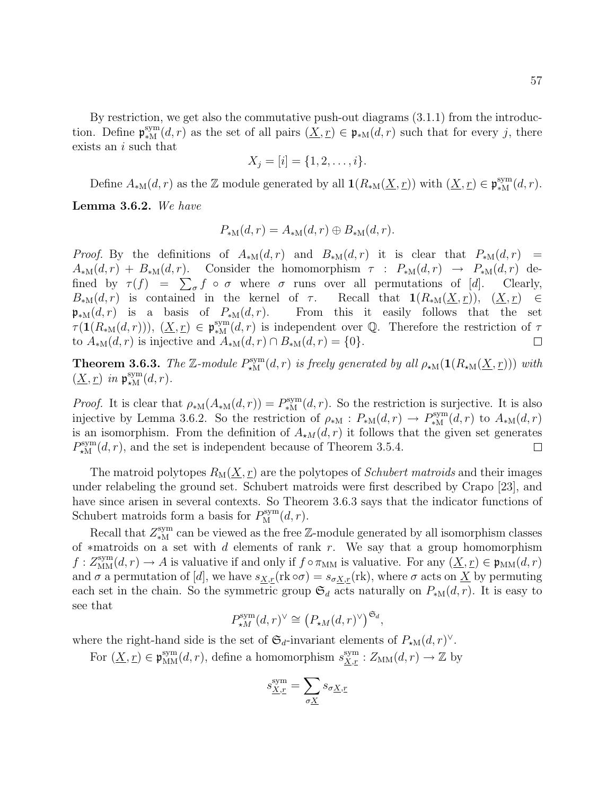By restriction, we get also the commutative push-out diagrams (3.1.1) from the introduction. Define  $\mathfrak{p}_{*M}^{\text{sym}}(d,r)$  as the set of all pairs  $(\underline{X},\underline{r}) \in \mathfrak{p}_{*M}(d,r)$  such that for every j, there exists an i such that

$$
X_j = [i] = \{1, 2, \ldots, i\}.
$$

Define  $A_{*M}(d,r)$  as the Z module generated by all  $\mathbf{1}(R_{*M}(\underline{X},\underline{r}))$  with  $(\underline{X},\underline{r}) \in \mathfrak{p}_{*M}^{\text{sym}}(d,r)$ .

Lemma 3.6.2. We have

$$
P_{\ast M}(d,r) = A_{\ast M}(d,r) \oplus B_{\ast M}(d,r).
$$

*Proof.* By the definitions of  $A_{*M}(d, r)$  and  $B_{*M}(d, r)$  it is clear that  $P_{*M}(d, r)$  =  $A_{\ast M}(d,r) + B_{\ast M}(d,r)$ . Consider the homomorphism  $\tau : P_{\ast M}(d,r) \to P_{\ast M}(d,r)$  defined by  $\tau(f) = \sum_{\sigma} f \circ \sigma$  where  $\sigma$  runs over all permutations of [d]. Clearly,  $B_{\ast M}(d, r)$  is contained in the kernel of  $\tau$ . Recall that  $\mathbf{1}(R_{\ast M}(\underline{X}, r))$ ,  $(\underline{X}, r) \in$  $\mathfrak{p}_{*M}(d,r)$  is a basis of  $P_{*M}(d,r)$ . From this it easily follows that the set  $\tau(1(R_{*M}(d,r))), (\underline{X}, \underline{r}) \in \mathfrak{p}_{*M}^{sym}(d,r)$  is independent over Q. Therefore the restriction of  $\tau$ to  $A_{\text{*M}}(d,r)$  is injective and  $A_{\text{*M}}(d,r) \cap B_{\text{*M}}(d,r) = \{0\}.$  $\Box$ 

**Theorem 3.6.3.** The Z-module  $P_{\star\text{M}}^{\text{sym}}(d,r)$  is freely generated by all  $\rho_{\star\text{M}}(\mathbf{1}(R_{\star\text{M}}(\underline{X},\underline{r})))$  with  $(\underline{X}, \underline{r})$  in  $\mathfrak{p}_{\star \text{M}}^{\text{sym}}(d, r)$ .

*Proof.* It is clear that  $\rho_{*M}(A_{*M}(d, r)) = P_{*M}^{sym}(d, r)$ . So the restriction is surjective. It is also injective by Lemma 3.6.2. So the restriction of  $\rho_{*M}: P_{*M}(d,r) \to P_{*M}^{sym}(d,r)$  to  $A_{*M}(d,r)$ is an isomorphism. From the definition of  $A_{\star M}(d, r)$  it follows that the given set generates  $P_{\star\text{M}}^{\text{sym}}(d,r)$ , and the set is independent because of Theorem 3.5.4.  $\Box$ 

The matroid polytopes  $R_M(\underline{X}, \underline{r})$  are the polytopes of *Schubert matroids* and their images under relabeling the ground set. Schubert matroids were first described by Crapo [23], and have since arisen in several contexts. So Theorem 3.6.3 says that the indicator functions of Schubert matroids form a basis for  $P_{\rm M}^{\rm sym}(d,r)$ .

Recall that  $Z_{*M}^{\text{sym}}$  can be viewed as the free Z-module generated by all isomorphism classes of \*matroids on a set with  $d$  elements of rank  $r$ . We say that a group homomorphism  $f: Z_{\text{MM}}^{\text{sym}}(d, r) \to A$  is valuative if and only if  $f \circ \pi_{\text{MM}}$  is valuative. For any  $(\underline{X}, \underline{r}) \in \mathfrak{p}_{\text{MM}}(d, r)$ and  $\sigma$  a permutation of [d], we have  $s_{X,r}(\text{rk} \circ \sigma) = s_{\sigma X,r}(\text{rk})$ , where  $\sigma$  acts on  $\underline{X}$  by permuting each set in the chain. So the symmetric group  $\mathfrak{S}_d$  acts naturally on  $P_{*M}(d, r)$ . It is easy to see that

$$
P_{\star M}^{\text{sym}}(d,r)^{\vee} \cong \left(P_{\star M}(d,r)^{\vee}\right)^{\mathfrak{S}_d}
$$

,

where the right-hand side is the set of  $\mathfrak{S}_d$ -invariant elements of  $P_{\star M}(d, r)^{\vee}$ .

For  $(\underline{X}, \underline{r}) \in \mathfrak{p}_{\text{MM}}^{\text{sym}}(d, r)$ , define a homomorphism  $s_{\underline{X}, \underline{r}}^{\text{sym}} : Z_{\text{MM}}(d, r) \to \mathbb{Z}$  by

$$
s_{\underline{X},\underline{r}}^{\text{sym}} = \sum_{\sigma \underline{X}} s_{\sigma \underline{X},\underline{r}}
$$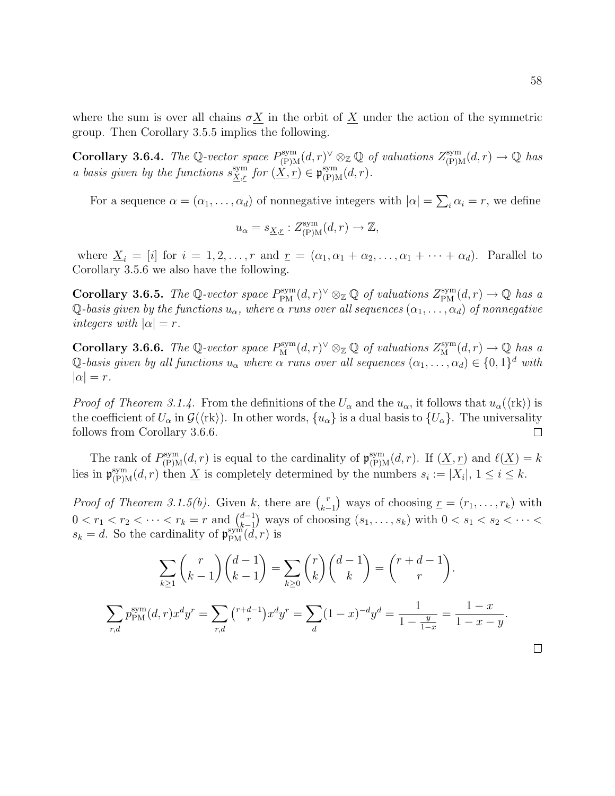**Corollary 3.6.4.** The Q-vector space  $P_{(P)M}^{sym}(d,r)^{\vee} \otimes_{\mathbb{Z}} \mathbb{Q}$  of valuations  $Z_{(P)M}^{sym}(d,r) \to \mathbb{Q}$  has a basis given by the functions  $s_{X,\underline{r}}^{sym}$  for  $(\underline{X},\underline{r}) \in \mathfrak{p}_{(P)M}^{sym}(d,r)$ .

For a sequence  $\alpha = (\alpha_1, \dots, \alpha_d)$  of nonnegative integers with  $|\alpha| = \sum_i \alpha_i = r$ , we define

$$
u_{\alpha} = s_{\underline{X},\underline{r}} : Z^{\text{sym}}_{(\underline{P})M}(d,r) \to \mathbb{Z},
$$

where  $\underline{X}_i = [i]$  for  $i = 1, 2, ..., r$  and  $\underline{r} = (\alpha_1, \alpha_1 + \alpha_2, ..., \alpha_1 + \cdots + \alpha_d)$ . Parallel to Corollary 3.5.6 we also have the following.

**Corollary 3.6.5.** The Q-vector space  $P_{\text{PM}}^{\text{sym}}(d,r)^{\vee} \otimes_{\mathbb{Z}} \mathbb{Q}$  of valuations  $Z_{\text{PM}}^{\text{sym}}(d,r) \to \mathbb{Q}$  has a Q-basis given by the functions  $u_{\alpha}$ , where  $\alpha$  runs over all sequences  $(\alpha_1, \ldots, \alpha_d)$  of nonnegative integers with  $|\alpha| = r$ .

**Corollary 3.6.6.** The Q-vector space  $P_M^{\text{sym}}(d,r)^{\vee} \otimes_{\mathbb{Z}} \mathbb{Q}$  of valuations  $Z_M^{\text{sym}}(d,r) \to \mathbb{Q}$  has a Q-basis given by all functions  $u_{\alpha}$  where  $\alpha$  runs over all sequences  $(\alpha_1, \ldots, \alpha_d) \in \{0,1\}^d$  with  $|\alpha| = r$ .

*Proof of Theorem 3.1.4.* From the definitions of the  $U_{\alpha}$  and the  $u_{\alpha}$ , it follows that  $u_{\alpha}(\langle \text{rk} \rangle)$  is the coefficient of  $U_\alpha$  in  $\mathcal{G}(\langle \text{rk} \rangle)$ . In other words,  $\{u_\alpha\}$  is a dual basis to  $\{U_\alpha\}$ . The universality follows from Corollary 3.6.6.  $\Box$ 

The rank of  $P_{(P)M}^{sym}(d,r)$  is equal to the cardinality of  $\mathfrak{p}_{(P)M}^{sym}(d,r)$ . If  $(\underline{X},\underline{r})$  and  $\ell(\underline{X})=k$ lies in  $\mathfrak{p}_{(P)M}^{\text{sym}}(d,r)$  then X is completely determined by the numbers  $s_i := |X_i|, 1 \le i \le k$ .

*Proof of Theorem 3.1.5(b).* Given k, there are  $\binom{r}{k}$  $\binom{r}{k-1}$  ways of choosing  $\underline{r} = (r_1, \ldots, r_k)$  with  $0 < r_1 < r_2 < \cdots < r_k = r$  and  $\binom{d-1}{k-1}$  $_{k-1}^{d-1}$ ) ways of choosing  $(s_1, \ldots, s_k)$  with  $0 < s_1 < s_2 < \cdots <$  $s_k = d$ . So the cardinality of  $\mathfrak{p}_{\text{PM}}^{\text{sym}^{\text{max}}}(d, r)$  is

$$
\sum_{k\geq 1} {r \choose k-1} {d-1 \choose k-1} = \sum_{k\geq 0} {r \choose k} {d-1 \choose k} = {r+d-1 \choose r}.
$$
  

$$
\sum_{r,d} p_{\text{PM}}^{\text{sym}}(d,r) x^d y^r = \sum_{r,d} {r+d-1 \choose r} x^d y^r = \sum_{d} (1-x)^{-d} y^d = \frac{1}{1-\frac{y}{1-x}} = \frac{1-x}{1-x-y}.
$$

 $\Box$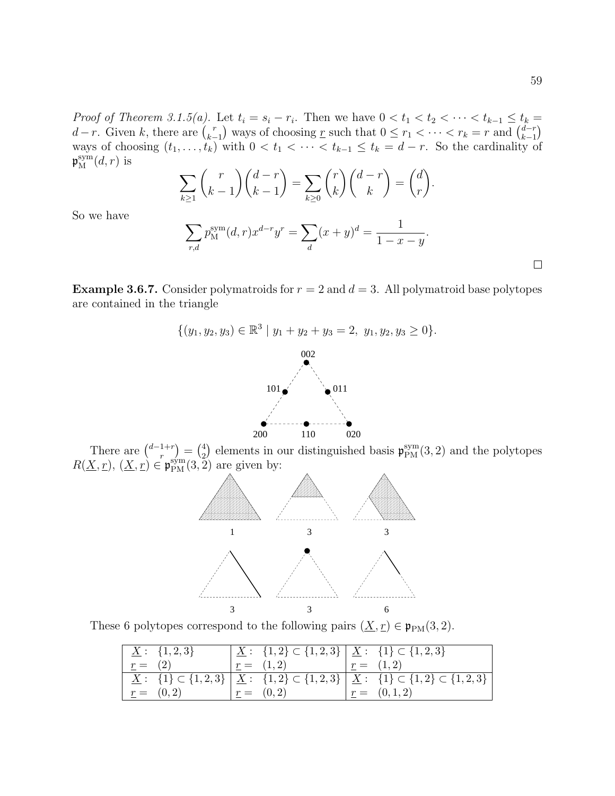$\Box$ 

*Proof of Theorem 3.1.5(a).* Let  $t_i = s_i - r_i$ . Then we have  $0 < t_1 < t_2 < \cdots < t_{k-1} \le t_k =$  $d-r$ . Given k, there are  $\binom{r}{r}$  $\binom{r}{k-1}$  ways of choosing <u>r</u> such that  $0 \leq r_1 < \cdots < r_k = r$  and  $\binom{d-r}{k-1}$  $\binom{d-r}{k-1}$ ways of choosing  $(t_1, \ldots, t_k)$  with  $0 < t_1 < \cdots < t_{k-1} \leq t_k = d-r$ . So the cardinality of  $\mathfrak{p}_{\rm M}^{\rm sym}(d,r)$  is

$$
\sum_{k\geq 1} {r \choose k-1} {d-r \choose k-1} = \sum_{k\geq 0} {r \choose k} {d-r \choose k} = {d \choose r}.
$$

So we have

$$
\sum_{r,d} p_M^{\text{sym}}(d,r) x^{d-r} y^r = \sum_d (x+y)^d = \frac{1}{1-x-y}.
$$

**Example 3.6.7.** Consider polymatroids for  $r = 2$  and  $d = 3$ . All polymatroid base polytopes are contained in the triangle



There are  $\binom{d-1+r}{r}$  $\binom{1+r}{r} = \binom{4}{2}$ <sup>4</sup>/<sub>2</sub>) elements in our distinguished basis  $\mathfrak{p}_{\text{PM}}^{\text{sym}}(3,2)$  and the polytopes



These 6 polytopes correspond to the following pairs  $(\underline{X}, \underline{r}) \in \mathfrak{p}_{PM}(3, 2)$ .

| $\mid \underline{X}: \{1,2,3\}$ | $\mid \underline{X}: \{1,2\} \subset \{1,2,3\} \mid \underline{X}: \{1\} \subset \{1,2,3\}$ |                                                                                                                                                                    |
|---------------------------------|---------------------------------------------------------------------------------------------|--------------------------------------------------------------------------------------------------------------------------------------------------------------------|
| $\underline{r} = (2)$           | $r = (1,2)$                                                                                 | $r = (1,2)$                                                                                                                                                        |
|                                 |                                                                                             | $\boxed{\underline{X} : \{1\} \subset \{1,2,3\} \mid \underline{X} : \{1,2\} \subset \{1,2,3\} \mid \underline{X} : \{1\} \subset \{1,2\} \subset \{1,2,3\} \mid}$ |
| $\underline{r} = (0,2)$         | $r = (0,2)$                                                                                 | $r = (0,1,2)$                                                                                                                                                      |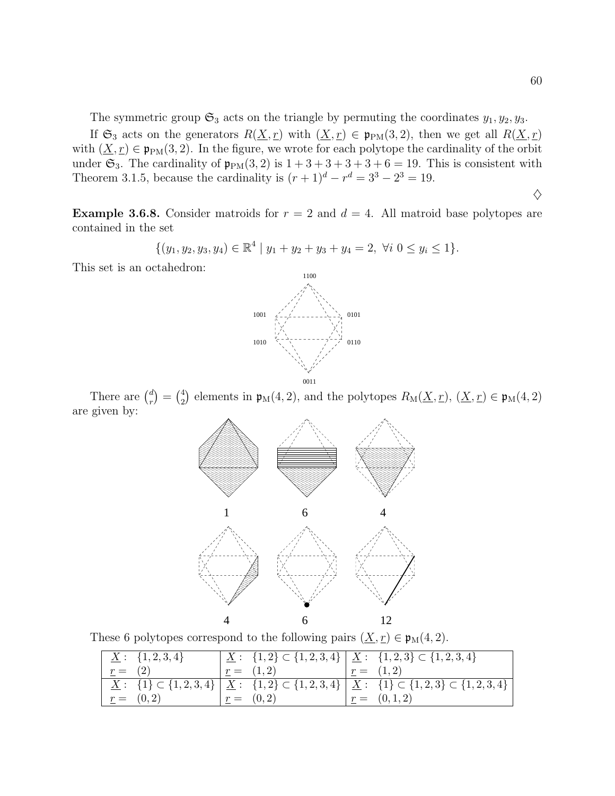The symmetric group  $\mathfrak{S}_3$  acts on the triangle by permuting the coordinates  $y_1, y_2, y_3$ .

If  $\mathfrak{S}_3$  acts on the generators  $R(\underline{X}, \underline{r})$  with  $(\underline{X}, \underline{r}) \in \mathfrak{p}_{PM}(3, 2)$ , then we get all  $R(\underline{X}, \underline{r})$ with  $(\underline{X}, \underline{r}) \in \mathfrak{p}_{PM}(3, 2)$ . In the figure, we wrote for each polytope the cardinality of the orbit under  $\mathfrak{S}_3$ . The cardinality of  $\mathfrak{p}_{PM}(3,2)$  is  $1+3+3+3+3+6=19$ . This is consistent with Theorem 3.1.5, because the cardinality is  $(r + 1)^d - r^d = 3^3 - 2^3 = 19$ .

 $\Diamond$ 

**Example 3.6.8.** Consider matroids for  $r = 2$  and  $d = 4$ . All matroid base polytopes are contained in the set

$$
\{(y_1, y_2, y_3, y_4) \in \mathbb{R}^4 \mid y_1 + y_2 + y_3 + y_4 = 2, \ \forall i \ 0 \le y_i \le 1\}.
$$

This set is an octahedron:



There are  $\binom{d}{r}$  $\binom{d}{r} = \binom{4}{2}$ <sup>4</sup>/<sub>2</sub>) elements in  $\mathfrak{p}_M(4,2)$ , and the polytopes  $R_M(\underline{X},\underline{r})$ ,  $(\underline{X},\underline{r}) \in \mathfrak{p}_M(4,2)$ are given by:



These 6 polytopes correspond to the following pairs  $(\underline{X}, \underline{r}) \in \mathfrak{p}_M(4, 2)$ .

| $\mid \underline{X}: \{1,2,3,4\}$ |  |                          | $\mid \underline{X}: \{1,2\} \subset \{1,2,3,4\} \mid \underline{X}: \{1,2,3\} \subset \{1,2,3,4\}$                                                                       |
|-----------------------------------|--|--------------------------|---------------------------------------------------------------------------------------------------------------------------------------------------------------------------|
| $r = (2)$                         |  | $r = (1,2)$              | $r = (1,2)$                                                                                                                                                               |
|                                   |  |                          | $\underline{X}$ : $\{1\} \subset \{1, 2, 3, 4\}$ $\underline{X}$ : $\{1, 2\} \subset \{1, 2, 3, 4\}$ $\underline{X}$ : $\{1\} \subset \{1, 2, 3\} \subset \{1, 2, 3, 4\}$ |
| $\underline{r} = (0,2)$           |  | $\underline{r} = (0, 2)$ | $r = (0, 1, 2)$                                                                                                                                                           |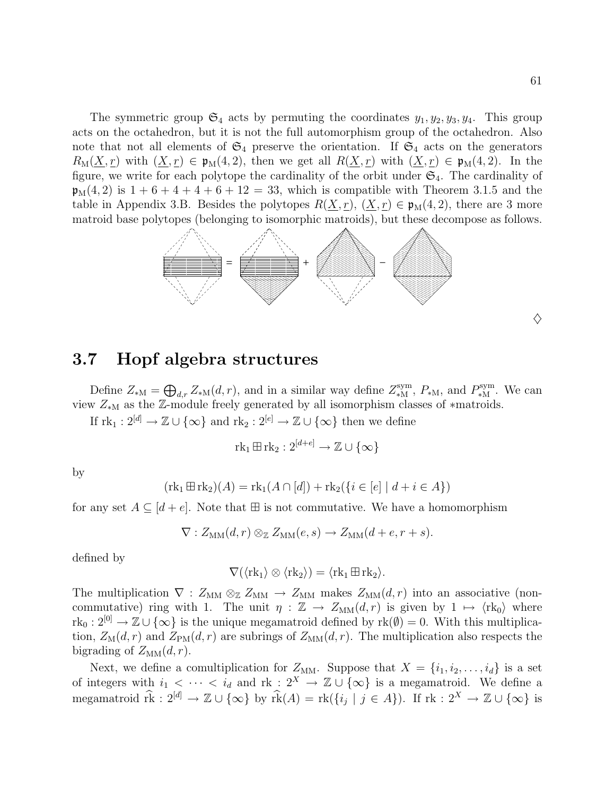The symmetric group  $\mathfrak{S}_4$  acts by permuting the coordinates  $y_1, y_2, y_3, y_4$ . This group acts on the octahedron, but it is not the full automorphism group of the octahedron. Also note that not all elements of  $\mathfrak{S}_4$  preserve the orientation. If  $\mathfrak{S}_4$  acts on the generators  $R_M(\underline{X}, \underline{r})$  with  $(\underline{X}, \underline{r}) \in \mathfrak{p}_M(4, 2)$ , then we get all  $R(\underline{X}, \underline{r})$  with  $(\underline{X}, \underline{r}) \in \mathfrak{p}_M(4, 2)$ . In the figure, we write for each polytope the cardinality of the orbit under  $\mathfrak{S}_4$ . The cardinality of  $\mathfrak{p}_M(4, 2)$  is  $1 + 6 + 4 + 4 + 6 + 12 = 33$ , which is compatible with Theorem 3.1.5 and the table in Appendix 3.B. Besides the polytopes  $R(\underline{X}, \underline{r}), (\underline{X}, \underline{r}) \in \mathfrak{p}_M(4, 2)$ , there are 3 more matroid base polytopes (belonging to isomorphic matroids), but these decompose as follows.



#### 3.7 Hopf algebra structures

Define  $Z_{*M} = \bigoplus_{d,r} Z_{*M}(d,r)$ , and in a similar way define  $Z_{*M}^{sym}$ ,  $P_{*M}$ , and  $P_{*M}^{sym}$ . We can view Z<sup>∗</sup><sup>M</sup> as the Z-module freely generated by all isomorphism classes of ∗matroids.

If  $\text{rk}_1 : 2^{[d]} \to \mathbb{Z} \cup \{\infty\}$  and  $\text{rk}_2 : 2^{[e]} \to \mathbb{Z} \cup \{\infty\}$  then we define

$$
\operatorname{rk}_1\boxplus \operatorname{rk}_2: 2^{[d+e]}\to \mathbb{Z}\cup\{\infty\}
$$

by

$$
(\mathrm{rk}_1 \boxplus \mathrm{rk}_2)(A) = \mathrm{rk}_1(A \cap [d]) + \mathrm{rk}_2(\{i \in [e] \mid d + i \in A\})
$$

for any set  $A \subseteq [d+e]$ . Note that  $\boxplus$  is not commutative. We have a homomorphism

 $\nabla: Z_{\text{MM}}(d, r) \otimes_{\mathbb{Z}} Z_{\text{MM}}(e, s) \to Z_{\text{MM}}(d+e, r+s).$ 

defined by

$$
\nabla(\langle \mathrm{rk}_1\rangle\otimes\langle \mathrm{rk}_2\rangle)=\langle \mathrm{rk}_1\boxplus \mathrm{rk}_2\rangle.
$$

The multiplication  $\nabla$  :  $Z_{\text{MM}} \otimes_{\mathbb{Z}} Z_{\text{MM}} \to Z_{\text{MM}}$  makes  $Z_{\text{MM}}(d,r)$  into an associative (noncommutative) ring with 1. The unit  $\eta : \mathbb{Z} \to Z_{MM}(d,r)$  is given by  $1 \mapsto \langle \text{rk}_0 \rangle$  where  $rk_0: 2^{[0]} \to \mathbb{Z} \cup {\infty}$  is the unique megamatroid defined by  $rk(\emptyset) = 0$ . With this multiplication,  $Z_M(d, r)$  and  $Z_{PM}(d, r)$  are subrings of  $Z_{MM}(d, r)$ . The multiplication also respects the bigrading of  $Z_{\text{MM}}(d, r)$ .

Next, we define a comultiplication for  $Z_{MM}$ . Suppose that  $X = \{i_1, i_2, \ldots, i_d\}$  is a set of integers with  $i_1 < \cdots < i_d$  and  $\mathrm{rk} : 2^X \to \mathbb{Z} \cup \{\infty\}$  is a megamatroid. We define a megamatroid  $\hat{rk}: 2^{[d]} \to \mathbb{Z} \cup {\infty}$  by  $\hat{rk}(A) = rk({i_j \mid j \in A})$ . If  $rk: 2^X \to \mathbb{Z} \cup {\infty}$  is

 $\Diamond$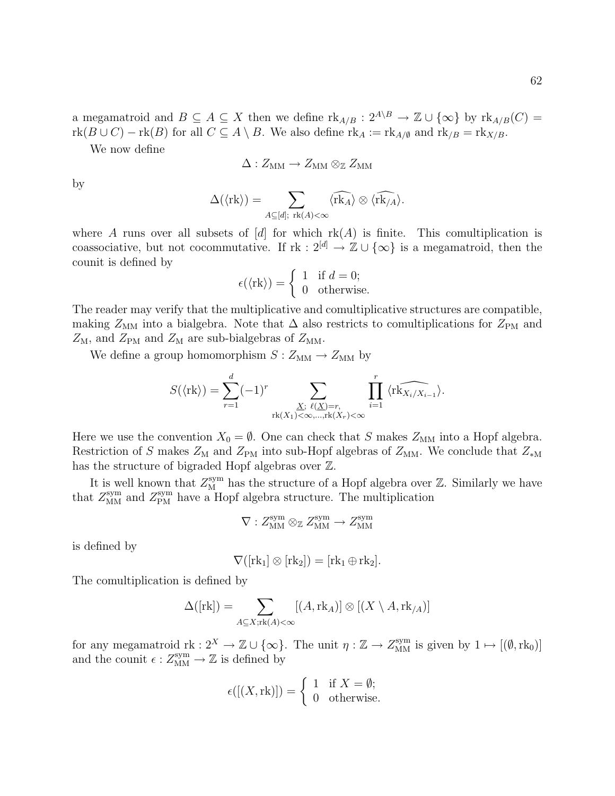a megamatroid and  $B \subseteq A \subseteq X$  then we define  $\text{rk}_{A/B} : 2^{A \setminus B} \to \mathbb{Z} \cup \{\infty\}$  by  $\text{rk}_{A/B}(C) =$  $r\mathbf{k}(B\cup C) - r\mathbf{k}(B)$  for all  $C \subseteq A \setminus B$ . We also define  $r\mathbf{k}_A := r\mathbf{k}_{A/\emptyset}$  and  $r\mathbf{k}_{B} = r\mathbf{k}_{X/B}$ .

We now define

$$
\Delta: Z_{\text{MM}} \to Z_{\text{MM}} \otimes_{\mathbb{Z}} Z_{\text{MM}}
$$

by

$$
\Delta(\langle \text{rk} \rangle) = \sum_{A \subseteq [d]; \text{rk}(A) < \infty} \langle \widehat{\text{rk}_A} \rangle \otimes \langle \widehat{\text{rk}_{/A}} \rangle.
$$

where A runs over all subsets of  $[d]$  for which  $rk(A)$  is finite. This comultiplication is coassociative, but not cocommutative. If  $\text{rk}: 2^{|d|} \to \mathbb{Z} \cup {\infty}$  is a megamatroid, then the counit is defined by

$$
\epsilon(\langle \text{rk} \rangle) = \begin{cases} 1 & \text{if } d = 0; \\ 0 & \text{otherwise.} \end{cases}
$$

The reader may verify that the multiplicative and comultiplicative structures are compatible, making  $Z_{\text{MM}}$  into a bialgebra. Note that  $\Delta$  also restricts to comultiplications for  $Z_{\text{PM}}$  and  $Z_{\text{M}}$ , and  $Z_{\text{PM}}$  and  $Z_{\text{M}}$  are sub-bialgebras of  $Z_{\text{MM}}$ .

We define a group homomorphism  $S: Z_{MM} \to Z_{MM}$  by

$$
S(\langle \mathbf{rk} \rangle) = \sum_{r=1}^d (-1)^r \sum_{\substack{\underline{X}; \ \ell(\underline{X}) = r, \\ \mathbf{rk}(X_1) < \infty, \dots, \mathbf{rk}(X_r) < \infty}} \prod_{i=1}^r \langle \widehat{\mathbf{rk}_{X_i/X_{i-1}}} \rangle.
$$

Here we use the convention  $X_0 = \emptyset$ . One can check that S makes  $Z_{MM}$  into a Hopf algebra. Restriction of S makes  $Z_M$  and  $Z_{PM}$  into sub-Hopf algebras of  $Z_{MM}$ . We conclude that  $Z_{*M}$ has the structure of bigraded Hopf algebras over Z.

It is well known that  $Z_{\text{M}}^{\text{sym}}$  has the structure of a Hopf algebra over  $\mathbb{Z}$ . Similarly we have that  $Z_{\text{MM}}^{\text{sym}}$  and  $Z_{\text{PM}}^{\text{sym}}$  have a Hopf algebra structure. The multiplication

$$
\nabla: Z_{\text{MM}}^{\text{sym}} \otimes_{\mathbb{Z}} Z_{\text{MM}}^{\text{sym}} \to Z_{\text{MM}}^{\text{sym}}
$$

is defined by

$$
\nabla([\mathrm{rk}_1] \otimes [\mathrm{rk}_2]) = [\mathrm{rk}_1 \oplus \mathrm{rk}_2].
$$

The comultiplication is defined by

$$
\Delta([\mathrm{rk}]) = \sum_{A \subseteq X; \mathrm{rk}(A) < \infty} [(A, \mathrm{rk}_A)] \otimes [(X \setminus A, \mathrm{rk}_A)]
$$

for any megamatroid  $rk: 2^X \to \mathbb{Z} \cup {\infty}$ . The unit  $\eta : \mathbb{Z} \to Z_{MM}^{sym}$  is given by  $1 \mapsto [(\emptyset, rk_0)]$ and the counit  $\epsilon : Z_{\text{MM}}^{\text{sym}} \to \mathbb{Z}$  is defined by

$$
\epsilon([(X,\text{rk})]) = \begin{cases} 1 & \text{if } X = \emptyset; \\ 0 & \text{otherwise.} \end{cases}
$$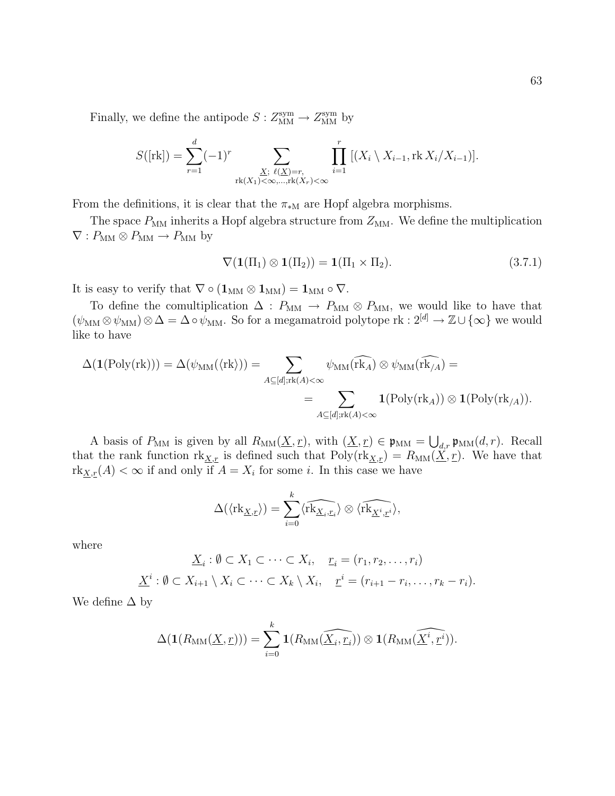Finally, we define the antipode  $S: Z_{\text{MM}}^{\text{sym}} \to Z_{\text{MM}}^{\text{sym}}$  by

$$
S([\mathrm{rk}]) = \sum_{r=1}^{d} (-1)^r \sum_{\substack{X: \ \ell(X) = r, \\ \mathrm{rk}(X_1) < \infty, \dots, \mathrm{rk}(X_r) < \infty}} \prod_{i=1}^r \left[ (X_i \setminus X_{i-1}, \mathrm{rk}(X_i / X_{i-1}) \right].
$$

From the definitions, it is clear that the  $\pi_{*M}$  are Hopf algebra morphisms.

The space  $P_{\text{MM}}$  inherits a Hopf algebra structure from  $Z_{\text{MM}}$ . We define the multiplication  $\nabla: P_{\text{MM}} \otimes P_{\text{MM}} \to P_{\text{MM}}$  by

$$
\nabla(\mathbf{1}(\Pi_1) \otimes \mathbf{1}(\Pi_2)) = \mathbf{1}(\Pi_1 \times \Pi_2). \tag{3.7.1}
$$

It is easy to verify that  $\nabla \circ (\mathbf{1}_{MM} \otimes \mathbf{1}_{MM}) = \mathbf{1}_{MM} \circ \nabla$ .

To define the comultiplication  $\Delta$  :  $P_{\text{MM}} \to P_{\text{MM}} \otimes P_{\text{MM}}$ , we would like to have that  $(\psi_{MM} \otimes \psi_{MM}) \otimes \Delta = \Delta \circ \psi_{MM}$ . So for a megamatroid polytope rk :  $2^{[d]} \rightarrow \mathbb{Z} \cup \{\infty\}$  we would like to have

$$
\Delta(\mathbf{1}(\text{Poly}(\text{rk}))) = \Delta(\psi_{\text{MM}}(\langle \text{rk} \rangle)) = \sum_{A \subseteq [d]; \text{rk}(A) < \infty} \psi_{\text{MM}}(\widehat{\text{rk}_{A}}) \otimes \psi_{\text{MM}}(\widehat{\text{rk}_{A}}) = \\ = \sum_{A \subseteq [d]; \text{rk}(A) < \infty} \mathbf{1}(\text{Poly}(\text{rk}_{A})) \otimes \mathbf{1}(\text{Poly}(\text{rk}_{A})).
$$

A basis of  $P_{MM}$  is given by all  $R_{MM}(\underline{X}, \underline{r})$ , with  $(\underline{X}, \underline{r}) \in \mathfrak{p}_{MM} = \bigcup_{d,r} \mathfrak{p}_{MM}(d,r)$ . Recall that the rank function  $rk_{\underline{X},\underline{r}}$  is defined such that  $Poly(rk_{\underline{X},\underline{r}}) = R_{MM}(\underline{X},\underline{r})$ . We have that  $\text{rk}_{X,\underline{r}}(A) < \infty$  if and only if  $A = X_i$  for some *i*. In this case we have

$$
\Delta(\langle \text{rk}_{\underline{X},\underline{r}} \rangle) = \sum_{i=0}^{k} \langle \widehat{\text{rk}_{\underline{X}_i,\underline{r}_i}} \rangle \otimes \langle \widehat{\text{rk}_{\underline{X}^i,\underline{r}^i}} \rangle,
$$

where

$$
\underline{X}_i : \emptyset \subset X_1 \subset \cdots \subset X_i, \quad \underline{r}_i = (r_1, r_2, \ldots, r_i)
$$
\n
$$
\underline{X}^i : \emptyset \subset X_{i+1} \setminus X_i \subset \cdots \subset X_k \setminus X_i, \quad \underline{r}^i = (r_{i+1} - r_i, \ldots, r_k - r_i).
$$

We define  $\Delta$  by

$$
\Delta(\mathbf{1}(R_{\text{MM}}(\underline{X},\underline{r})))=\sum_{i=0}^k\mathbf{1}(R_{\text{MM}}(\widehat{\underline{X}_i,\underline{r}_i}))\otimes\mathbf{1}(R_{\text{MM}}(\widehat{\underline{X}^i,\underline{r}^i})).
$$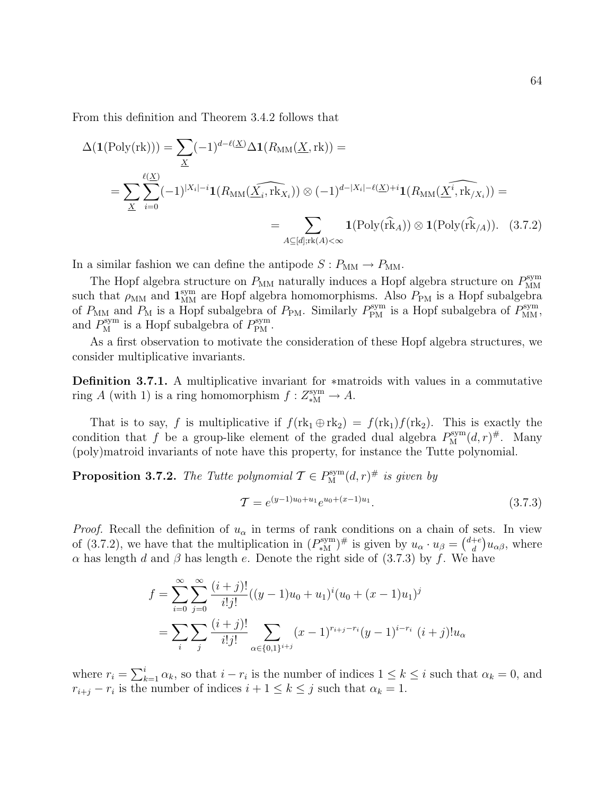From this definition and Theorem 3.4.2 follows that

$$
\Delta(\mathbf{1}(\text{Poly(rk)})) = \sum_{\underline{X}} (-1)^{d-\ell(\underline{X})} \Delta \mathbf{1}(R_{\text{MM}}(\underline{X}, \text{rk})) =
$$
\n
$$
= \sum_{\underline{X}} \sum_{i=0}^{\ell(\underline{X})} (-1)^{|X_i| - i} \mathbf{1}(R_{\text{MM}}(\widehat{\underline{X}_i, \text{rk}_{X_i}})) \otimes (-1)^{d - |X_i| - \ell(\underline{X}) + i} \mathbf{1}(R_{\text{MM}}(\widehat{\underline{X}^i, \text{rk}_{X_i}})) =
$$
\n
$$
= \sum_{A \subseteq [d]; \text{rk}(A) < \infty} \mathbf{1}(\text{Poly}(\widehat{\text{rk}}_A)) \otimes \mathbf{1}(\text{Poly}(\widehat{\text{rk}}_A)). \quad (3.7.2)
$$

In a similar fashion we can define the antipode  $S: P_{MM} \to P_{MM}$ .

The Hopf algebra structure on  $P_{\text{MM}}$  naturally induces a Hopf algebra structure on  $P_{\text{MM}}^{\text{sym}}$ MM such that  $\rho_{MM}$  and  $\mathbf{1}_{MM}^{sym}$  are Hopf algebra homomorphisms. Also  $P_{PM}$  is a Hopf subalgebra of  $P_{\text{MM}}$  and  $P_{\text{M}}$  is a Hopf subalgebra of  $P_{\text{PM}}$ . Similarly  $P_{\text{PM}}^{\text{sym}}$  is a Hopf subalgebra of  $P_{\text{MM}}^{\text{sym}}$ , and  $P_{\text{M}}^{\text{sym}}$  is a Hopf subalgebra of  $P_{\text{PM}}^{\text{sym}}$ .

As a first observation to motivate the consideration of these Hopf algebra structures, we consider multiplicative invariants.

Definition 3.7.1. A multiplicative invariant for ∗matroids with values in a commutative ring A (with 1) is a ring homomorphism  $f: Z_{*M}^{sym} \to A$ .

That is to say, f is multiplicative if  $f(\mathbf{rk}_1 \oplus \mathbf{rk}_2) = f(\mathbf{rk}_1) f(\mathbf{rk}_2)$ . This is exactly the condition that f be a group-like element of the graded dual algebra  $P_{\text{M}}^{\text{sym}}(d,r)^{\#}$ . Many (poly)matroid invariants of note have this property, for instance the Tutte polynomial.

**Proposition 3.7.2.** The Tutte polynomial  $\mathcal{T} \in P_M^{\text{sym}}(d,r)^{\#}$  is given by

$$
\mathcal{T} = e^{(y-1)u_0 + u_1} e^{u_0 + (x-1)u_1}.
$$
\n(3.7.3)

*Proof.* Recall the definition of  $u_{\alpha}$  in terms of rank conditions on a chain of sets. In view of (3.7.2), we have that the multiplication in  $(P_{*M}^{sym})^{\#}$  is given by  $u_{\alpha} \cdot u_{\beta} = \begin{pmatrix} d+e \\ d \end{pmatrix}$  $\binom{+e}{d}u_{\alpha\beta}$ , where α has length d and β has length e. Denote the right side of  $(3.7.3)$  by f. We have

$$
f = \sum_{i=0}^{\infty} \sum_{j=0}^{\infty} \frac{(i+j)!}{i!j!} ((y-1)u_0 + u_1)^i (u_0 + (x-1)u_1)^j
$$
  
= 
$$
\sum_{i} \sum_{j} \frac{(i+j)!}{i!j!} \sum_{\alpha \in \{0,1\}^{i+j}} (x-1)^{r_{i+j}-r_i} (y-1)^{i-r_i} (i+j)! u_{\alpha}
$$

where  $r_i = \sum_{k=1}^i \alpha_k$ , so that  $i - r_i$  is the number of indices  $1 \leq k \leq i$  such that  $\alpha_k = 0$ , and  $r_{i+j} - r_i$  is the number of indices  $i+1 \leq k \leq j$  such that  $\alpha_k = 1$ .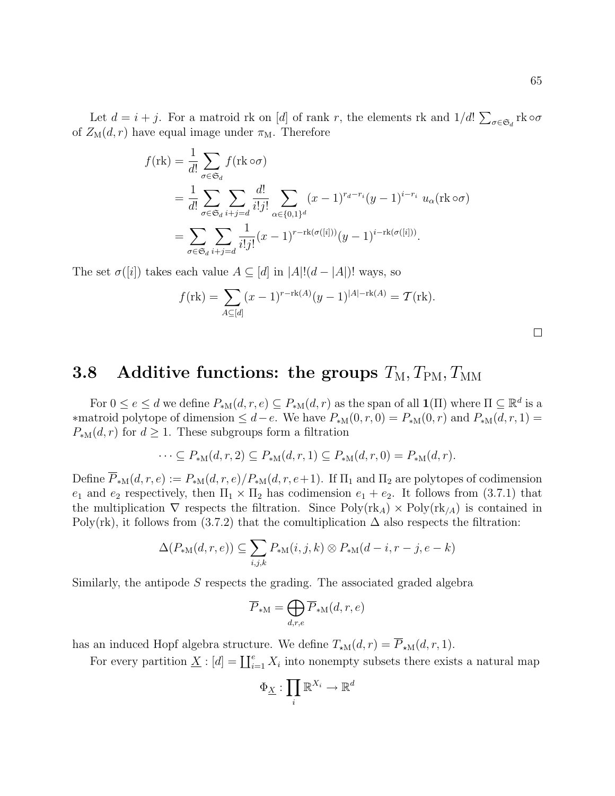Let  $d = i + j$ . For a matroid rk on [d] of rank r, the elements rk and  $1/d! \sum_{\sigma \in \mathfrak{S}_d}$  rk  $\circ \sigma$ of  $Z_M(d, r)$  have equal image under  $\pi_M$ . Therefore

$$
f(\mathbf{rk}) = \frac{1}{d!} \sum_{\sigma \in \mathfrak{S}_d} f(\mathbf{rk} \circ \sigma)
$$
  
= 
$$
\frac{1}{d!} \sum_{\sigma \in \mathfrak{S}_d} \sum_{i+j=d} \frac{d!}{i!j!} \sum_{\alpha \in \{0,1\}^d} (x-1)^{r_d-r_i} (y-1)^{i-r_i} u_\alpha(\mathbf{rk} \circ \sigma)
$$
  
= 
$$
\sum_{\sigma \in \mathfrak{S}_d} \sum_{i+j=d} \frac{1}{i!j!} (x-1)^{r-\mathbf{rk}(\sigma([i]))} (y-1)^{i-\mathbf{rk}(\sigma([i]))}.
$$

The set  $\sigma([i])$  takes each value  $A \subseteq [d]$  in  $|A|!(d - |A|)!$  ways, so

$$
f(\mathbf{rk}) = \sum_{A \subseteq [d]} (x-1)^{r-\mathbf{rk}(A)} (y-1)^{|A|-\mathbf{rk}(A)} = \mathcal{T}(\mathbf{rk}).
$$

 $\Box$ 

### **3.8** Additive functions: the groups  $T_{\rm M}$ ,  $T_{\rm PM}$ ,  $T_{\rm MM}$

For  $0 \le e \le d$  we define  $P_{M}(d, r, e) \subseteq P_{M}(d, r)$  as the span of all  $1(\Pi)$  where  $\Pi \subseteq \mathbb{R}^d$  is a ∗matroid polytope of dimension  $\leq d-e$ . We have  $P_{\text{*M}}(0,r,0) = P_{\text{*M}}(0,r)$  and  $P_{\text{*M}}(d,r,1) =$  $P_{\text{*M}}(d, r)$  for  $d \geq 1$ . These subgroups form a filtration

$$
\cdots \subseteq P_{*M}(d,r,2) \subseteq P_{*M}(d,r,1) \subseteq P_{*M}(d,r,0) = P_{*M}(d,r).
$$

Define  $\overline{P}_{*M}(d, r, e) := P_{*M}(d, r, e)/P_{*M}(d, r, e+1)$ . If  $\Pi_1$  and  $\Pi_2$  are polytopes of codimension  $e_1$  and  $e_2$  respectively, then  $\Pi_1 \times \Pi_2$  has codimension  $e_1 + e_2$ . It follows from (3.7.1) that the multiplication  $\nabla$  respects the filtration. Since Poly(rk<sub>A</sub>)  $\times$  Poly(rk<sub>A</sub>) is contained in Poly(rk), it follows from (3.7.2) that the comultiplication  $\Delta$  also respects the filtration:

$$
\Delta(P_{\rm *M}(d,r,e)) \subseteq \sum_{i,j,k} P_{\rm *M}(i,j,k) \otimes P_{\rm *M}(d-i,r-j,e-k)
$$

Similarly, the antipode  $S$  respects the grading. The associated graded algebra

$$
\overline{P}_{*M} = \bigoplus_{d,r,e} \overline{P}_{*M}(d,r,e)
$$

has an induced Hopf algebra structure. We define  $T_{\star M}(d, r) = \overline{P}_{\star M}(d, r, 1)$ .

For every partition  $\underline{X}$  :  $[d] = \coprod_{i=1}^{e} X_i$  into nonempty subsets there exists a natural map

$$
\Phi_{\underline{X}}:\prod_i \mathbb{R}^{X_i} \to \mathbb{R}^d
$$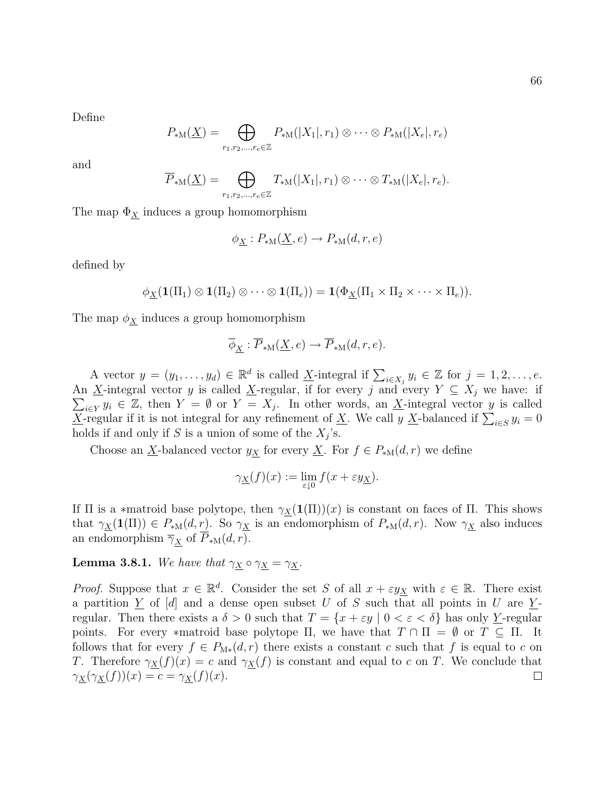Define

$$
P_{\mathsf{M}}(\underline{X}) = \bigoplus_{r_1, r_2, \dots, r_e \in \mathbb{Z}} P_{\mathsf{M}}(|X_1|, r_1) \otimes \dots \otimes P_{\mathsf{M}}(|X_e|, r_e)
$$

and

$$
\overline{P}_{*M}(\underline{X}) = \bigoplus_{r_1,r_2,\ldots,r_e \in \mathbb{Z}} T_{*M}(|X_1|,r_1) \otimes \cdots \otimes T_{*M}(|X_e|,r_e).
$$

The map  $\Phi_X$  induces a group homomorphism

$$
\phi_{\underline{X}}: P_{\ast M}(\underline{X}, e) \to P_{\ast M}(d, r, e)
$$

defined by

$$
\phi_{\underline{X}}(\mathbf{1}(\Pi_1) \otimes \mathbf{1}(\Pi_2) \otimes \cdots \otimes \mathbf{1}(\Pi_e)) = \mathbf{1}(\Phi_{\underline{X}}(\Pi_1 \times \Pi_2 \times \cdots \times \Pi_e)).
$$

The map  $\phi_X$  induces a group homomorphism

$$
\overline{\phi}_{\underline{X}} : \overline{P}_{*M}(\underline{X}, e) \to \overline{P}_{*M}(d, r, e).
$$

A vector  $y = (y_1, \ldots, y_d) \in \mathbb{R}^d$  is called X-integral if  $\sum_{i \in X_j} y_i \in \mathbb{Z}$  for  $j = 1, 2, \ldots, e$ . An X-integral vector y is called X-regular, if for every j and every  $Y \subseteq X_j$  we have: if  $\sum_{i\in Y} y_i \in \mathbb{Z}$ , then  $Y = \emptyset$  or  $Y = X_j$ . In other words, an X-integral vector y is called X-regular if it is not integral for any refinement of X. We call y X-balanced if  $\sum_{i \in S} y_i = 0$ holds if and only if S is a union of some of the  $X_j$ 's.

Choose an <u>X</u>-balanced vector  $y_X$  for every <u>X</u>. For  $f \in P_{*M}(d, r)$  we define

$$
\gamma_{\underline{X}}(f)(x) := \lim_{\varepsilon \downarrow 0} f(x + \varepsilon y_{\underline{X}}).
$$

If  $\Pi$  is a \*matroid base polytope, then  $\gamma_X(1(\Pi))(x)$  is constant on faces of  $\Pi$ . This shows that  $\gamma_X(\mathbf{1}(\Pi)) \in P_{*M}(d, r)$ . So  $\gamma_X$  is an endomorphism of  $P_{*M}(d, r)$ . Now  $\gamma_X$  also induces an endomorphism  $\overline{\gamma}_X$  of  $P_{*M}(d, r)$ .

**Lemma 3.8.1.** We have that  $\gamma_X \circ \gamma_X = \gamma_X$ .

*Proof.* Suppose that  $x \in \mathbb{R}^d$ . Consider the set S of all  $x + \varepsilon y_X$  with  $\varepsilon \in \mathbb{R}$ . There exist a partition  $\underline{Y}$  of [d] and a dense open subset U of S such that all points in U are  $\underline{Y}$ regular. Then there exists a  $\delta > 0$  such that  $T = \{x + \varepsilon y \mid 0 < \varepsilon < \delta\}$  has only Y-regular points. For every \*matroid base polytope  $\Pi$ , we have that  $T \cap \Pi = \emptyset$  or  $T \subseteq \Pi$ . It follows that for every  $f \in P_{M*}(d,r)$  there exists a constant c such that f is equal to c on T. Therefore  $\gamma_X(f)(x) = c$  and  $\gamma_X(f)$  is constant and equal to c on T. We conclude that  $\gamma_X(\gamma_X(f))(x) = c = \gamma_X(f)(x).$  $\Box$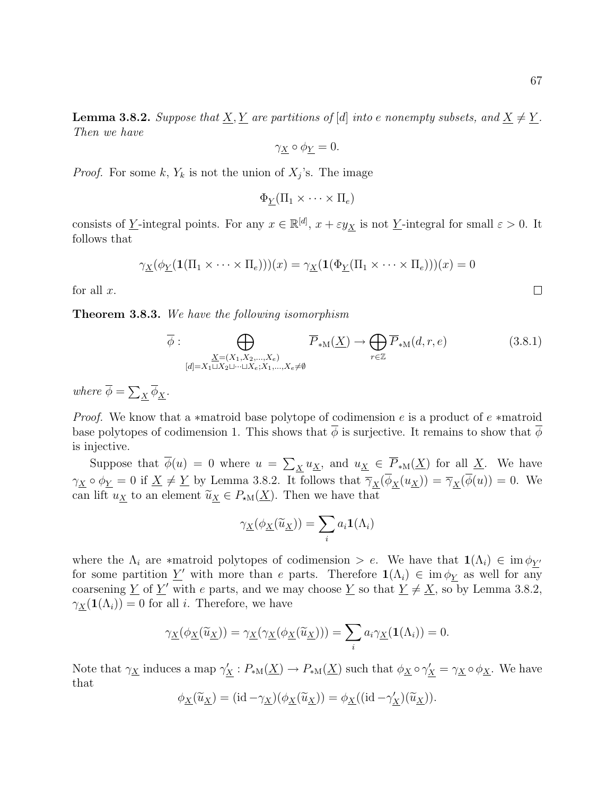**Lemma 3.8.2.** Suppose that <u>X</u>, <u>Y</u> are partitions of [d] into e nonempty subsets, and <u>X</u>  $\neq$  <u>Y</u>. Then we have

$$
\gamma_{\underline{X}} \circ \phi_{\underline{Y}} = 0.
$$

*Proof.* For some k,  $Y_k$  is not the union of  $X_j$ 's. The image

$$
\Phi_{\underline{Y}}(\Pi_1 \times \cdots \times \Pi_e)
$$

consists of Y-integral points. For any  $x \in \mathbb{R}^{[d]}$ ,  $x + \varepsilon y_X$  is not Y-integral for small  $\varepsilon > 0$ . It follows that

$$
\gamma_{\underline{X}}(\phi_{\underline{Y}}(\mathbf{1}(\Pi_1 \times \cdots \times \Pi_e))) (x) = \gamma_{\underline{X}}(\mathbf{1}(\Phi_{\underline{Y}}(\Pi_1 \times \cdots \times \Pi_e))) (x) = 0
$$

for all  $x$ .

**Theorem 3.8.3.** We have the following isomorphism

$$
\overline{\phi} : \bigoplus_{\substack{\underline{X} = (X_1, X_2, \dots, X_e) \\ [d] = X_1 \sqcup X_2 \sqcup \dots \sqcup X_e; X_1, \dots, X_e \neq \emptyset}} \overline{P}_{*M}(\underline{X}) \to \bigoplus_{r \in \mathbb{Z}} \overline{P}_{*M}(d, r, e)
$$
\n(3.8.1)

where  $\phi = \sum_{\underline{X}} \phi_{\underline{X}}$ .

*Proof.* We know that a ∗matroid base polytope of codimension e is a product of e ∗matroid base polytopes of codimension 1. This shows that  $\overline{\phi}$  is surjective. It remains to show that  $\overline{\phi}$ is injective.

Suppose that  $\phi(u) = 0$  where  $u = \sum_{X} u_{X}$ , and  $u_{X} \in \overline{P}_{*M}(X)$  for all X. We have  $\gamma_{\underline{X}} \circ \phi_{\underline{Y}} = 0$  if  $\underline{X} \neq \underline{Y}$  by Lemma 3.8.2. It follows that  $\overline{\gamma}_{\underline{X}}(\overline{\phi}_{\underline{X}}(u_{\underline{X}})) = \overline{\gamma}_{\underline{X}}(\overline{\phi}(u)) = 0$ . We can lift  $u_{\underline{X}}$  to an element  $\widetilde{u}_{\underline{X}} \in P_{\star M}(\underline{X})$ . Then we have that

$$
\gamma_{\underline{X}}(\phi_{\underline{X}}(\widetilde{u}_{\underline{X}})) = \sum_i a_i \mathbf{1}(\Lambda_i)
$$

where the  $\Lambda_i$  are \*matroid polytopes of codimension > e. We have that  $\mathbf{1}(\Lambda_i) \in \text{im } \phi_{\underline{Y'}}$ for some partition  $\underline{Y}'$  with more than e parts. Therefore  $1(\Lambda_i) \in \text{im } \phi_{\underline{Y}}$  as well for any coarsening <u>Y</u> of <u>Y'</u> with e parts, and we may choose <u>Y</u> so that  $\overline{Y} \neq \overline{X}$ , so by Lemma 3.8.2,  $\gamma_{\underline{X}}(1(\Lambda_i)) = 0$  for all *i*. Therefore, we have

$$
\gamma_{\underline{X}}(\phi_{\underline{X}}(\widetilde{u}_{\underline{X}})) = \gamma_{\underline{X}}(\gamma_{\underline{X}}(\phi_{\underline{X}}(\widetilde{u}_{\underline{X}}))) = \sum_i a_i \gamma_{\underline{X}}(\mathbf{1}(\Lambda_i)) = 0.
$$

Note that  $\gamma_{\underline{X}}$  induces a map  $\gamma'_{\underline{X}}: P_{*M}(\underline{X}) \to P_{*M}(\underline{X})$  such that  $\phi_{\underline{X}} \circ \gamma'_{\underline{X}} = \gamma_{\underline{X}} \circ \phi_{\underline{X}}$ . We have that

$$
\phi_{\underline{X}}(\widetilde{u}_{\underline{X}}) = (\mathrm{id} - \gamma_{\underline{X}})(\phi_{\underline{X}}(\widetilde{u}_{\underline{X}})) = \phi_{\underline{X}}((\mathrm{id} - \gamma_{\underline{X}}')(\widetilde{u}_{\underline{X}})).
$$

 $\Box$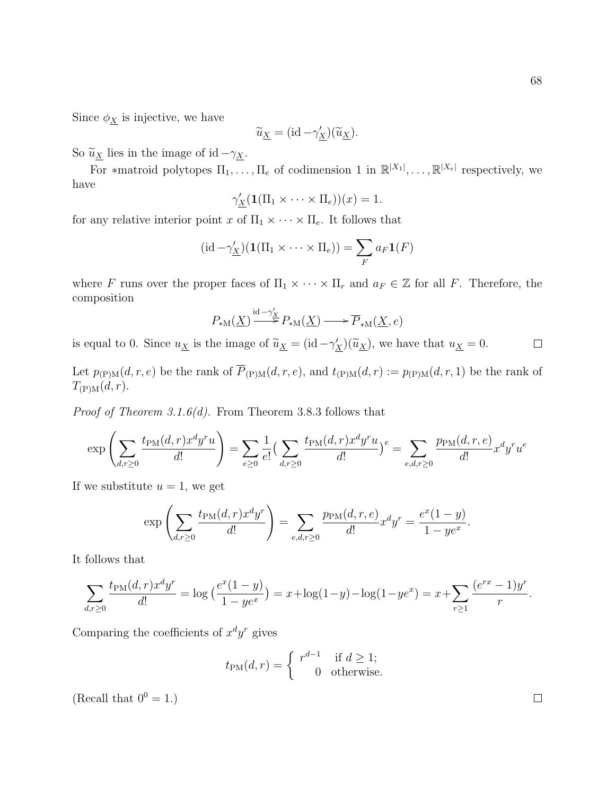Since  $\phi_{\underline{X}}$  is injective, we have

$$
\widetilde{u}_{\underline{X}} = (\mathrm{id} - \gamma'_{\underline{X}})(\widetilde{u}_{\underline{X}}).
$$

So  $\widetilde{u}_X$  lies in the image of id  $-\gamma_X$ .

For \*matroid polytopes  $\Pi_1,\ldots,\Pi_e$  of codimension 1 in  $\mathbb{R}^{|X_1|},\ldots,\mathbb{R}^{|X_e|}$  respectively, we have

$$
\gamma'_{\underline{X}}(\mathbf{1}(\Pi_1 \times \cdots \times \Pi_e))(x) = 1.
$$

for any relative interior point x of  $\Pi_1 \times \cdots \times \Pi_e$ . It follows that

$$
(\mathrm{id} - \gamma'_{\underline{X}})(\mathbf{1}(\Pi_1 \times \cdots \times \Pi_e)) = \sum_F a_F \mathbf{1}(F)
$$

where F runs over the proper faces of  $\Pi_1 \times \cdots \times \Pi_r$  and  $a_F \in \mathbb{Z}$  for all F. Therefore, the composition

$$
P_{\ast\mathrm{M}}(\underline{X}) \xrightarrow{\mathrm{id} - \gamma_{\underline{X}}'} P_{\ast\mathrm{M}}(\underline{X}) \longrightarrow \overline{P}_{\ast\mathrm{M}}(\underline{X}, e)
$$

is equal to 0. Since  $u_{\underline{X}}$  is the image of  $\tilde{u}_{\underline{X}} = (\text{id} - \gamma'_{\underline{X}})(\tilde{u}_{\underline{X}})$ , we have that  $u_{\underline{X}} = 0$ .  $\Box$ 

Let  $p_{(P)M}(d, r, e)$  be the rank of  $\overline{P}_{(P)M}(d, r, e)$ , and  $t_{(P)M}(d, r) := p_{(P)M}(d, r, 1)$  be the rank of  $T_{(P)M}(d, r).$ 

*Proof of Theorem 3.1.6(d)*. From Theorem 3.8.3 follows that

$$
\exp\left(\sum_{d,r\geq 0} \frac{t_{\text{PM}}(d,r)x^d y^r u}{d!}\right) = \sum_{e\geq 0} \frac{1}{e!} \Big(\sum_{d,r\geq 0} \frac{t_{\text{PM}}(d,r)x^d y^r u}{d!}\Big)^e = \sum_{e,d,r\geq 0} \frac{p_{\text{PM}}(d,r,e)}{d!} x^d y^r u^e
$$

If we substitute  $u = 1$ , we get

$$
\exp\left(\sum_{d,r\geq 0} \frac{t_{\text{PM}}(d,r)x^d y^r}{d!}\right) = \sum_{e,d,r\geq 0} \frac{p_{\text{PM}}(d,r,e)}{d!} x^d y^r = \frac{e^x (1-y)}{1 - y e^x}.
$$

It follows that

$$
\sum_{d,r\geq 0} \frac{t_{\text{PM}}(d,r)x^d y^r}{d!} = \log\left(\frac{e^x(1-y)}{1-ye^x}\right) = x + \log(1-y) - \log(1-ye^x) = x + \sum_{r\geq 1} \frac{(e^{rx}-1)y^r}{r}.
$$

Comparing the coefficients of  $x^d y^r$  gives

$$
t_{\rm PM}(d,r) = \begin{cases} r^{d-1} & \text{if } d \ge 1; \\ 0 & \text{otherwise.} \end{cases}
$$

(Recall that  $0^0 = 1$ .)

 $\Box$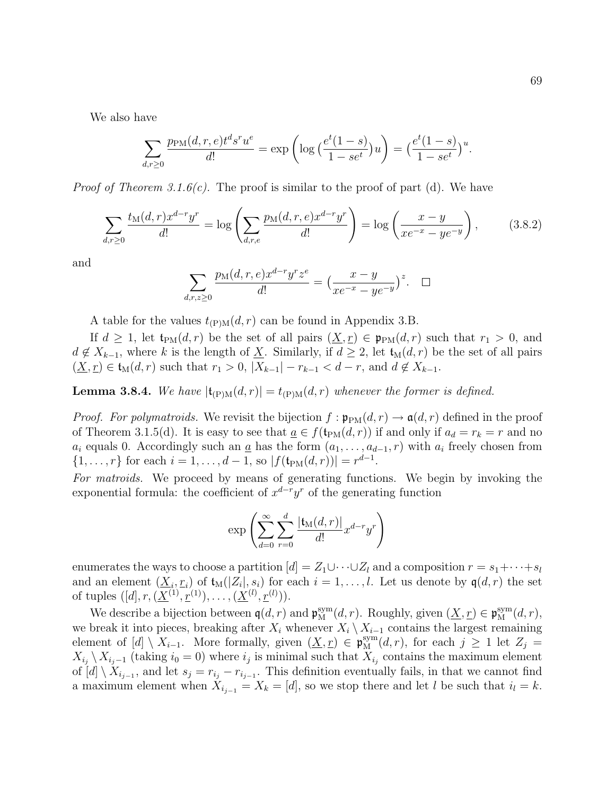We also have

$$
\sum_{d,r\geq 0} \frac{p_{\text{PM}}(d,r,e)t^d s^r u^e}{d!} = \exp\left(\log\left(\frac{e^t(1-s)}{1-se^t}\right)u\right) = \left(\frac{e^t(1-s)}{1-se^t}\right)^u
$$

*Proof of Theorem 3.1.6(c).* The proof is similar to the proof of part (d). We have

$$
\sum_{d,r\geq 0} \frac{t_M(d,r)x^{d-r}y^r}{d!} = \log \left( \sum_{d,r,e} \frac{p_M(d,r,e)x^{d-r}y^r}{d!} \right) = \log \left( \frac{x-y}{xe^{-x} - ye^{-y}} \right),\tag{3.8.2}
$$

and

$$
\sum_{d,r,z\geq 0}\frac{p_{\mathrm{M}}(d,r,e)x^{d-r}y^{r}z^{e}}{d!}=\left(\frac{x-y}{xe^{-x}-ye^{-y}}\right)^{z}.\quad \Box
$$

A table for the values  $t_{(P)M}(d, r)$  can be found in Appendix 3.B.

If  $d \geq 1$ , let  $t_{PM}(d, r)$  be the set of all pairs  $(\underline{X}, \underline{r}) \in \mathfrak{p}_{PM}(d, r)$  such that  $r_1 > 0$ , and  $d \notin X_{k-1}$ , where k is the length of X. Similarly, if  $d \geq 2$ , let  $\mathfrak{t}_{M}(d, r)$  be the set of all pairs  $(\underline{X}, \underline{r}) \in \mathfrak{t}_{M}(d, r)$  such that  $r_1 > 0$ ,  $|X_{k-1}| - r_{k-1} < d-r$ , and  $d \notin X_{k-1}$ .

**Lemma 3.8.4.** We have  $|\mathbf{t}_{(P)M}(d, r)| = t_{(P)M}(d, r)$  whenever the former is defined.

*Proof. For polymatroids.* We revisit the bijection  $f : \mathfrak{p}_{PM}(d, r) \to \mathfrak{a}(d, r)$  defined in the proof of Theorem 3.1.5(d). It is easy to see that  $\underline{a} \in f(\mathfrak{t}_{PM}(d, r))$  if and only if  $a_d = r_k = r$  and no  $a_i$  equals 0. Accordingly such an  $\underline{a}$  has the form  $(a_1, \ldots, a_{d-1}, r)$  with  $a_i$  freely chosen from  $\{1, \ldots, r\}$  for each  $i = 1, \ldots, d - 1$ , so  $|f(\mathfrak{t}_{PM}(d, r))| = r^{d-1}$ .

For matroids. We proceed by means of generating functions. We begin by invoking the exponential formula: the coefficient of  $x^{d-r}y^r$  of the generating function

$$
\exp\left(\sum_{d=0}^{\infty}\sum_{r=0}^{d}\frac{|\mathfrak{t}_{M}(d,r)|}{d!}x^{d-r}y^{r}\right)
$$

enumerates the ways to choose a partition  $[d] = Z_1 \cup \cdots \cup Z_l$  and a composition  $r = s_1 + \cdots + s_l$ and an element  $(\underline{X}_i, \underline{r}_i)$  of  $\mathfrak{t}_M(|Z_i|, s_i)$  for each  $i = 1, \ldots, l$ . Let us denote by  $\mathfrak{q}(d, r)$  the set of tuples  $([d], r, (\underline{X}^{(1)}, \underline{r}^{(1)}), \ldots, (\underline{X}^{(l)}, \underline{r}^{(l)})).$ 

We describe a bijection between  $\mathfrak{q}(d,r)$  and  $\mathfrak{p}_{\text{M}}^{\text{sym}}(d,r)$ . Roughly, given  $(\underline{X}, \underline{r}) \in \mathfrak{p}_{\text{M}}^{\text{sym}}(d,r)$ , we break it into pieces, breaking after  $X_i$  whenever  $X_i \setminus X_{i-1}$  contains the largest remaining element of  $[d] \setminus X_{i-1}$ . More formally, given  $(\underline{X}, \underline{r}) \in \mathfrak{p}_{\mathcal{M}}^{\text{sym}}(d, r)$ , for each  $j \geq 1$  let  $Z_j =$  $X_{i_j} \setminus X_{i_j-1}$  (taking  $i_0 = 0$ ) where  $i_j$  is minimal such that  $X_{i_j}$  contains the maximum element of  $[d] \setminus X_{i_{j-1}}$ , and let  $s_j = r_{i_j} - r_{i_{j-1}}$ . This definition eventually fails, in that we cannot find a maximum element when  $X_{i_{j-1}} = X_k = [d]$ , so we stop there and let l be such that  $i_l = k$ .

.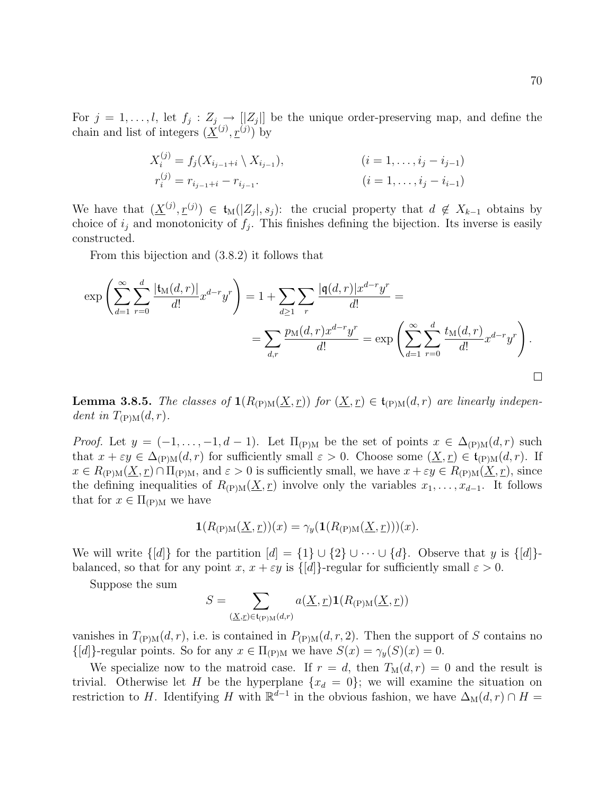For  $j = 1, \ldots, l$ , let  $f_j : Z_j \to [|Z_j|]$  be the unique order-preserving map, and define the chain and list of integers  $(\underline{X}^{(j)}, \underline{r}^{(j)})$  by

$$
X_i^{(j)} = f_j(X_{i_{j-1}+i} \setminus X_{i_{j-1}}),
$$
  
\n
$$
r_i^{(j)} = r_{i_{j-1}+i} - r_{i_{j-1}}.
$$
  
\n
$$
(i = 1, ..., i_j - i_{j-1})
$$
  
\n
$$
(i = 1, ..., i_j - i_{i-1})
$$

We have that  $(\underline{X}^{(j)}, \underline{r}^{(j)}) \in \mathfrak{t}_{M}(|Z_j|, s_j)$ : the crucial property that  $d \notin X_{k-1}$  obtains by choice of  $i_j$  and monotonicity of  $f_j$ . This finishes defining the bijection. Its inverse is easily constructed.

From this bijection and (3.8.2) it follows that

$$
\exp\left(\sum_{d=1}^{\infty}\sum_{r=0}^{d}\frac{|{\bf t}_{M}(d,r)|}{d!}x^{d-r}y^{r}\right) = 1 + \sum_{d\geq 1}\sum_{r}\frac{|{\bf q}(d,r)|x^{d-r}y^{r}}{d!} =
$$
  
= 
$$
\sum_{d,r}\frac{p_{M}(d,r)x^{d-r}y^{r}}{d!} = \exp\left(\sum_{d=1}^{\infty}\sum_{r=0}^{d}\frac{t_{M}(d,r)}{d!}x^{d-r}y^{r}\right).
$$

**Lemma 3.8.5.** The classes of  $\mathbf{1}(R_{(P)M}(\underline{X}, \underline{r}))$  for  $(\underline{X}, \underline{r}) \in \mathfrak{t}_{(P)M}(d, r)$  are linearly independent in  $T_{(P)M}(d, r)$ .

*Proof.* Let  $y = (-1, \ldots, -1, d-1)$ . Let  $\Pi_{(P)M}$  be the set of points  $x \in \Delta_{(P)M}(d, r)$  such that  $x + \varepsilon y \in \Delta_{(P)M}(d, r)$  for sufficiently small  $\varepsilon > 0$ . Choose some  $(\underline{X}, \underline{r}) \in {\mathfrak{t}}_{(P)M}(d, r)$ . If  $x \in R_{(P)M}(\underline{X}, \underline{r}) \cap \Pi_{(P)M}$ , and  $\varepsilon > 0$  is sufficiently small, we have  $x + \varepsilon y \in R_{(P)M}(\underline{X}, \underline{r})$ , since the defining inequalities of  $R_{(P)M}(\underline{X}, \underline{r})$  involve only the variables  $x_1, \ldots, x_{d-1}$ . It follows that for  $x \in \Pi_{(P)M}$  we have

$$
\mathbf{1}(R_{(\mathrm{P})\mathrm{M}}(\underline{X},\underline{r}))(x) = \gamma_y(\mathbf{1}(R_{(\mathrm{P})\mathrm{M}}(\underline{X},\underline{r}))) (x).
$$

We will write  $\{|d|\}$  for the partition  $|d| = \{1\} \cup \{2\} \cup \cdots \cup \{d\}$ . Observe that y is  $\{|d|\}$ balanced, so that for any point x,  $x + \varepsilon y$  is  $\{|d|\}$ -regular for sufficiently small  $\varepsilon > 0$ .

Suppose the sum

$$
S = \sum_{(\underline{X}, \underline{r}) \in \mathfrak{t}_{(\mathrm{P})\mathrm{M}}(d,r)} a(\underline{X}, \underline{r}) \mathbf{1}(R_{(\mathrm{P})\mathrm{M}}(\underline{X}, \underline{r}))
$$

vanishes in  $T_{(P)M}(d, r)$ , i.e. is contained in  $P_{(P)M}(d, r, 2)$ . Then the support of S contains no  ${[d]}$ -regular points. So for any  $x \in \Pi_{(P)M}$  we have  $S(x) = \gamma_y(S)(x) = 0$ .

We specialize now to the matroid case. If  $r = d$ , then  $T_M(d, r) = 0$  and the result is trivial. Otherwise let H be the hyperplane  $\{x_d = 0\}$ ; we will examine the situation on restriction to H. Identifying H with  $\mathbb{R}^{d-1}$  in the obvious fashion, we have  $\Delta_{\mathcal{M}}(d, r) \cap H =$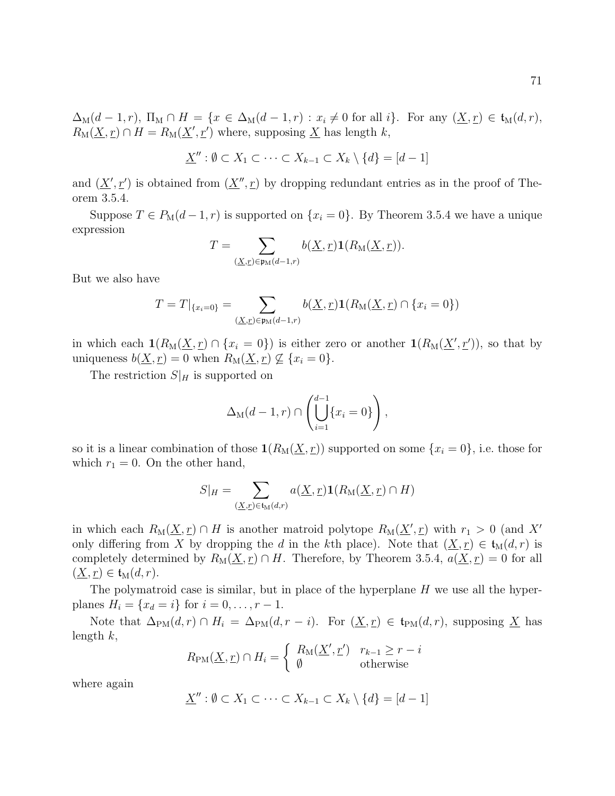$\Delta_M(d-1,r), \Pi_M \cap H = \{x \in \Delta_M(d-1,r) : x_i \neq 0 \text{ for all } i\}.$  For any  $(\underline{X}, \underline{r}) \in \mathfrak{t}_M(d,r),$  $R_M(\underline{X}, \underline{r}) \cap H = R_M(\underline{X}', \underline{r}')$  where, supposing  $\underline{X}$  has length  $k$ ,

$$
\underline{X}'' : \emptyset \subset X_1 \subset \cdots \subset X_{k-1} \subset X_k \setminus \{d\} = [d-1]
$$

and  $(\underline{X}', \underline{r}')$  is obtained from  $(\underline{X}'', \underline{r})$  by dropping redundant entries as in the proof of Theorem 3.5.4.

Suppose  $T \in P_M(d-1,r)$  is supported on  $\{x_i = 0\}$ . By Theorem 3.5.4 we have a unique expression

$$
T=\sum_{(\underline{X},\underline{r})\in\mathfrak{p}_{\mathrm{M}}(d-1,r)}b(\underline{X},\underline{r})\mathbf{1}\big(R_{\mathrm{M}}(\underline{X},\underline{r})\big).
$$

But we also have

$$
T = T|_{\{x_i = 0\}} = \sum_{(\underline{X}, \underline{r}) \in \mathfrak{p}_M(d-1, r)} b(\underline{X}, \underline{r}) \mathbf{1}(R_M(\underline{X}, \underline{r}) \cap \{x_i = 0\})
$$

in which each  $\mathbf{1}(R_M(\underline{X},\underline{r}) \cap \{x_i = 0\})$  is either zero or another  $\mathbf{1}(R_M(\underline{X}',\underline{r}'))$ , so that by uniqueness  $b(\underline{X}, \underline{r}) = 0$  when  $R_M(\underline{X}, \underline{r}) \nsubseteq \{x_i = 0\}.$ 

The restriction  $S|_H$  is supported on

$$
\Delta_M(d-1,r)\cap\left(\bigcup_{i=1}^{d-1}\{x_i=0\}\right),\,
$$

so it is a linear combination of those  $\mathbf{1}(R_M(\underline{X}, \underline{r}))$  supported on some  $\{x_i = 0\}$ , i.e. those for which  $r_1 = 0$ . On the other hand,

$$
S|_H = \sum_{(\underline{X},\underline{r}) \in t_{\mathcal{M}}(d,r)} a(\underline{X},\underline{r}) \mathbf{1}(R_{\mathcal{M}}(\underline{X},\underline{r}) \cap H)
$$

in which each  $R_M(\underline{X}, \underline{r}) \cap H$  is another matroid polytope  $R_M(\underline{X}', \underline{r})$  with  $r_1 > 0$  (and X' only differing from X by dropping the d in the kth place). Note that  $(\underline{X}, \underline{r}) \in \mathfrak{t}_M(d, r)$  is completely determined by  $R_M(\underline{X}, \underline{r}) \cap H$ . Therefore, by Theorem 3.5.4,  $a(\underline{X}, \underline{r}) = 0$  for all  $(\underline{X}, \underline{r}) \in \mathfrak{t}_{\mathrm{M}}(d, r).$ 

The polymatroid case is similar, but in place of the hyperplane H we use all the hyperplanes  $H_i = \{x_d = i\}$  for  $i = 0, ..., r - 1$ .

Note that  $\Delta_{PM}(d, r) \cap H_i = \Delta_{PM}(d, r - i)$ . For  $(\underline{X}, \underline{r}) \in \mathfrak{t}_{PM}(d, r)$ , supposing  $\underline{X}$  has length  $k$ ,

$$
R_{\text{PM}}(\underline{X}, \underline{r}) \cap H_i = \begin{cases} R_{\text{M}}(\underline{X}', \underline{r}') & r_{k-1} \ge r - i \\ \emptyset & \text{otherwise} \end{cases}
$$

where again

$$
\underline{X}'' : \emptyset \subset X_1 \subset \cdots \subset X_{k-1} \subset X_k \setminus \{d\} = [d-1]
$$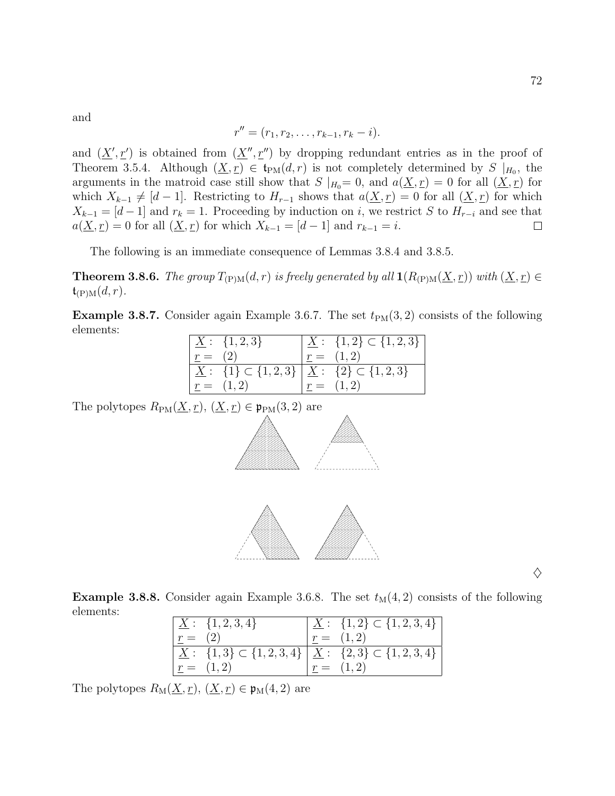and

$$
r'' = (r_1, r_2, \ldots, r_{k-1}, r_k - i).
$$

and  $(\underline{X}', \underline{r}')$  is obtained from  $(\underline{X}'', \underline{r}'')$  by dropping redundant entries as in the proof of Theorem 3.5.4. Although  $(\underline{X}, \underline{r}) \in \mathfrak{t}_{PM}(d, r)$  is not completely determined by  $S \mid_{H_0}$ , the arguments in the matroid case still show that  $S \mid_{H_0} = 0$ , and  $a(\underline{X}, \underline{r}) = 0$  for all  $(\underline{X}, \underline{r})$  for which  $X_{k-1} \neq [d-1]$ . Restricting to  $H_{r-1}$  shows that  $a(\underline{X}, \underline{r}) = 0$  for all  $(\underline{X}, \underline{r})$  for which  $X_{k-1} = [d-1]$  and  $r_k = 1$ . Proceeding by induction on i, we restrict S to  $H_{r-i}$  and see that  $a(\underline{X}, \underline{r}) = 0$  for all  $(\underline{X}, \underline{r})$  for which  $X_{k-1} = [d-1]$  and  $r_{k-1} = i$ .  $\Box$ 

The following is an immediate consequence of Lemmas 3.8.4 and 3.8.5.

**Theorem 3.8.6.** The group  $T_{(P)M}(d, r)$  is freely generated by all  $\mathbf{1}(R_{(P)M}(\underline{X}, r))$  with  $(\underline{X}, r) \in$  $\mathfrak{t}_{(P)M}(d,r).$ 

**Example 3.8.7.** Consider again Example 3.6.7. The set  $t_{PM}(3, 2)$  consists of the following elements:

| $\underline{X}$ : {1,2,3}                                                                | $\left  \frac{X}{r} \right  = \frac{\{1,2\} \subset \{1,2,3\}}{\{1,2\}}$ |
|------------------------------------------------------------------------------------------|--------------------------------------------------------------------------|
| $\underline{r} = (2)$                                                                    |                                                                          |
| $\underline{X}$ : {1} $\subset$ {1, 2, 3} $\mid \underline{X}$ : {2} $\subset$ {1, 2, 3} |                                                                          |
| $r = (1, 2)$                                                                             | $\vert \frac{r}{r} = (1,2) \vert$                                        |
|                                                                                          |                                                                          |

The polytopes  $R_{PM}(\underline{X}, \underline{r}), (\underline{X}, \underline{r}) \in \mathfrak{p}_{PM}(3, 2)$  are





 $\Diamond$ 

**Example 3.8.8.** Consider again Example 3.6.8. The set  $t_M(4, 2)$  consists of the following elements:

|           | $\vert \underline{X} : \{1,2,3,4\}$                                                               | $\underline{X}$ : {1,2} $\subset$ {1,2,3,4} |
|-----------|---------------------------------------------------------------------------------------------------|---------------------------------------------|
| $r = (2)$ |                                                                                                   | $r = (1,2)$                                 |
|           | $\mid \underline{X}: \{1,3\} \subset \{1,2,3,4\} \mid \underline{X}: \{2,3\} \subset \{1,2,3,4\}$ |                                             |
|           | $\vert \underline{r} = (1,2) \vert$                                                               | $r = (1,2)$                                 |

The polytopes  $R_M(\underline{X}, \underline{r}), (\underline{X}, \underline{r}) \in \mathfrak{p}_M(4, 2)$  are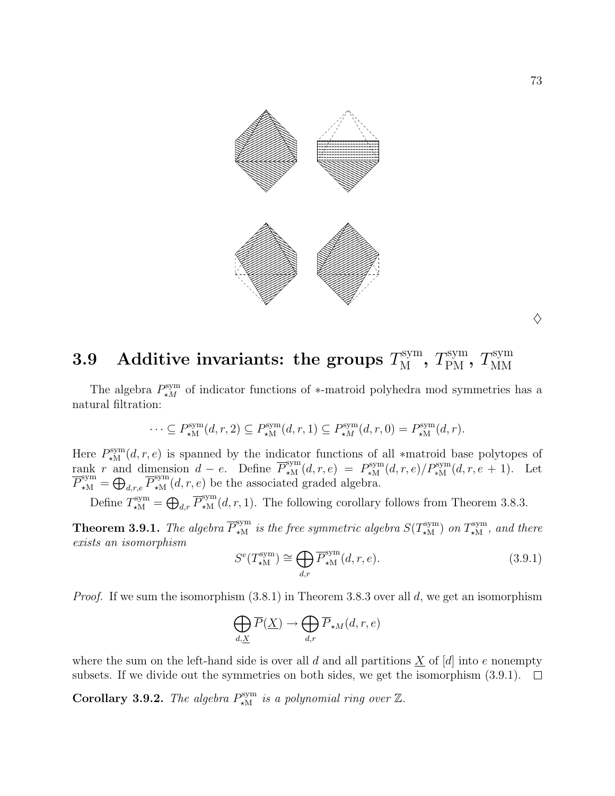

 $\diamondsuit$ 

#### 3.9 Additive invariants: the groups  $T_{\rm M}^{\rm sym},\, T_{\rm PM}^{\rm sym},\, T_{\rm MM}^{\rm sym}$ MM

The algebra  $P_{\star}^{\text{sym}}$  of indicator functions of  $*$ -matroid polyhedra mod symmetries has a natural filtration:

$$
\cdots \subseteq P_{\star\mathcal{M}}^{\text{sym}}(d,r,2) \subseteq P_{\star\mathcal{M}}^{\text{sym}}(d,r,1) \subseteq P_{\star\mathcal{M}}^{\text{sym}}(d,r,0) = P_{\star\mathcal{M}}^{\text{sym}}(d,r).
$$

Here  $P_{\star\text{M}}^{\text{sym}}(d,r,e)$  is spanned by the indicator functions of all \*matroid base polytopes of  $\lim_{n \to \infty} r$  and dimension  $d - e$ . Define  $\overline{P}_{\star\text{M}}^{\text{sym}}(d,r,e) = P_{\star\text{M}}^{\text{sym}}(d,r,e)/P_{\star\text{M}}^{\text{sym}}(d,r,e+1)$ . Let  $\overline{P}_{\star\text{M}}^{\text{sym}} = \bigoplus_{d,r,e} \overline{P}_{\star\text{M}}^{\text{sym}}(d,r,e)$  be the associated graded algebra.

Define  $T_{\star\text{M}}^{\text{sym}} = \bigoplus_{d,r} \overline{P}_{\star\text{M}}^{\text{sym}}(d,r,1)$ . The following corollary follows from Theorem 3.8.3.

**Theorem 3.9.1.** The algebra  $\overline{P}_{\star\text{M}}^{\text{sym}}$  is the free symmetric algebra  $S(T_{\star\text{M}}^{\text{sym}})$  on  $T_{\star\text{M}}^{\text{sym}}$ , and there exists an isomorphism

$$
S^{e}(T_{\star\mathcal{M}}^{\text{sym}}) \cong \bigoplus_{d,r} \overline{P}_{\star\mathcal{M}}^{\text{sym}}(d,r,e). \tag{3.9.1}
$$

*Proof.* If we sum the isomorphism  $(3.8.1)$  in Theorem 3.8.3 over all d, we get an isomorphism

$$
\bigoplus_{d,\underline{X}} \overline{P}(\underline{X}) \to \bigoplus_{d,r} \overline{P}_{\star M}(d,r,e)
$$

where the sum on the left-hand side is over all d and all partitions  $X$  of  $[d]$  into e nonempty subsets. If we divide out the symmetries on both sides, we get the isomorphism  $(3.9.1)$ .  $\Box$ 

**Corollary 3.9.2.** The algebra  $P_{\star\text{M}}^{\text{sym}}$  is a polynomial ring over  $\mathbb{Z}$ .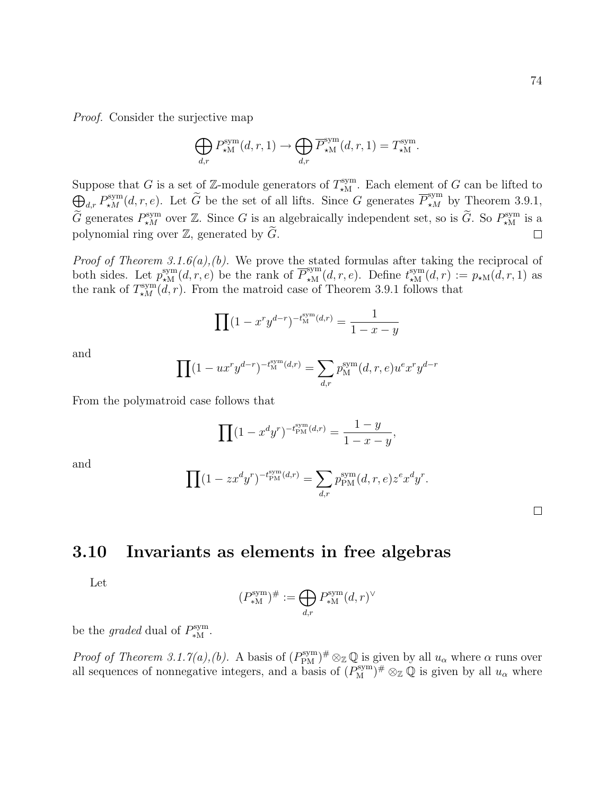Proof. Consider the surjective map

$$
\bigoplus_{d,r} P_{\star M}^{\text{sym}}(d,r,1) \to \bigoplus_{d,r} \overline{P}_{\star M}^{\text{sym}}(d,r,1) = T_{\star M}^{\text{sym}}.
$$

Suppose that G is a set of  $\mathbb{Z}$ -module generators of  $T_{\star M}^{\text{sym}}$ . Each element of G can be lifted to  $\bigoplus_{d,r} P_{\star M}^{\text{sym}}(d,r,e)$ . Let  $\widetilde{G}$  be the set of all lifts. Since G generates  $\overline{P}_{\star M}^{\text{sym}}$  by Theorem 3.9.1,  $\widetilde{G}$  generates  $P_{\star M}^{\text{sym}}$  over  $\mathbb{Z}$ . Since G is an algebraically independent set, so is  $\widetilde{G}$ . So  $P_{\star M}^{\text{sym}}$  is a polynomial ring over  $\mathbb{Z}$ , generated by  $\tilde{G}$ .  $\Box$ 

*Proof of Theorem 3.1.6(a),(b).* We prove the stated formulas after taking the reciprocal of both sides. Let  $p_{\star M}^{\text{sym}}(d, r, e)$  be the rank of  $\overline{P}_{\star M}^{\text{sym}}(d, r, e)$ . Define  $t_{\star M}^{\text{sym}}(d, r) := p_{\star M}(d, r, 1)$  as the rank of  $T_{\star M}^{\text{sym}}(\tilde{d},r)$ . From the matroid case of Theorem 3.9.1 follows that

$$
\prod (1 - x^r y^{d-r})^{-t_{\mathcal{M}}^{\text{sym}}(d,r)} = \frac{1}{1 - x - y}
$$

and

$$
\prod (1 - ux^r y^{d-r})^{-t_{\text{M}}^{\text{sym}}(d,r)} = \sum_{d,r} p_{\text{M}}^{\text{sym}}(d,r,e) u^e x^r y^{d-r}
$$

From the polymatroid case follows that

$$
\prod (1 - x^d y^r)^{-t_{\text{PM}}^{\text{sym}}(d,r)} = \frac{1 - y}{1 - x - y},
$$

and

$$
\prod (1 - zx^d y^r)^{-t_{\text{PM}}^{\text{sym}}(d,r)} = \sum_{d,r} p_{\text{PM}}^{\text{sym}}(d,r,e) z^e x^d y^r.
$$

 $\Box$ 

## 3.10 Invariants as elements in free algebras

Let

$$
(P_{*{\mathcal M}}^{\mathop{\rm sym}})^\#:=\bigoplus_{d,r}P_{*{\mathcal M}}^{\mathop{\rm sym}}(d,r)^\vee
$$

be the graded dual of  $P_{*M}^{sym}$ .

*Proof of Theorem 3.1.7(a),(b).* A basis of  $(P_{PM}^{sym})^{\#}\otimes_{\mathbb{Z}}\mathbb{Q}$  is given by all  $u_{\alpha}$  where  $\alpha$  runs over all sequences of nonnegative integers, and a basis of  $(P_M^{\text{sym}})^\# \otimes_{\mathbb{Z}} \mathbb{Q}$  is given by all  $u_\alpha$  where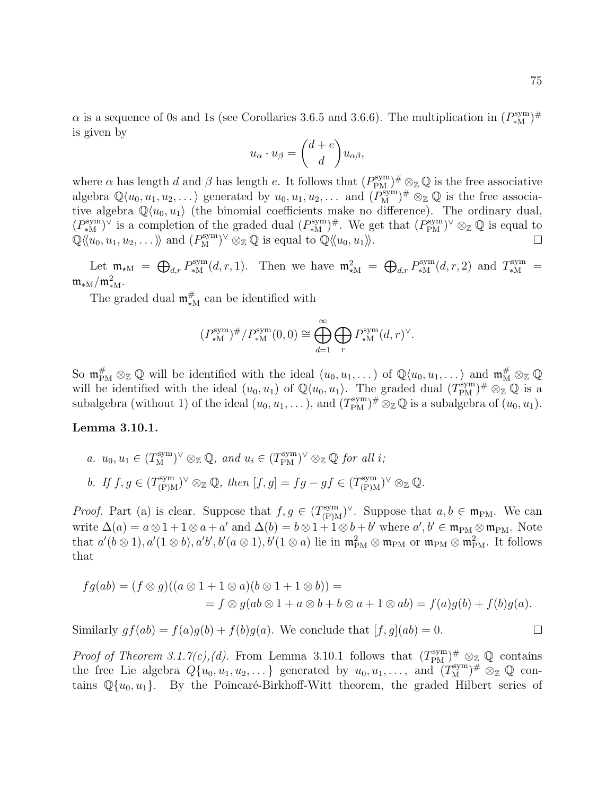$\alpha$  is a sequence of 0s and 1s (see Corollaries 3.6.5 and 3.6.6). The multiplication in  $(P_{*M}^{sym})^{\#}$ is given by

$$
u_{\alpha} \cdot u_{\beta} = \binom{d+e}{d} u_{\alpha\beta},
$$

where  $\alpha$  has length d and  $\beta$  has length e. It follows that  $(P_{PM}^{sym})^{\#}\otimes_{\mathbb{Z}}\mathbb{Q}$  is the free associative algebra  $\mathbb{Q}\langle u_0, u_1, u_2, \dots \rangle$  generated by  $u_0, u_1, u_2, \dots$  and  $(P_M^{\text{sym}})^\# \otimes_{\mathbb{Z}} \mathbb{Q}$  is the free associative algebra  $\mathbb{Q}\langle u_0, u_1 \rangle$  (the binomial coefficients make no difference). The ordinary dual,  $(P_{*M}^{\text{sym}})^{\vee}$  is a completion of the graded dual  $(P_{*M}^{\text{sym}})^{\#}$ . We get that  $(P_{\text{PM}}^{\text{sym}})^{\vee} \otimes_{\mathbb{Z}} \mathbb{Q}$  is equal to  $\mathbb{Q}\langle\!\langle u_0, u_1, u_2, \ldots \rangle\!\rangle$  and  $(P_M^{\text{sym}})^{\vee} \otimes_{\mathbb{Z}} \mathbb{Q}$  is equal to  $\mathbb{Q}\langle\!\langle u_0, u_1 \rangle\!\rangle$ .  $\Box$ 

Let  $\mathfrak{m}_{\star M} = \bigoplus_{d,r} P_{\star M}^{\text{sym}}(d,r,1)$ . Then we have  $\mathfrak{m}_{\star M}^2 = \bigoplus_{d,r} P_{\star M}^{\text{sym}}(d,r,2)$  and  $T_{\star M}^{\text{sym}} =$  $\mathfrak{m}_{* \text{M}}/\mathfrak{m}^2_{* \text{M}}$ .

The graded dual  $\mathfrak{m}_{\star\mathrm{M}}^{\#}$  can be identified with

$$
(P_{\star\mathcal{M}}^{\text{sym}})^{\#}/P_{\star\mathcal{M}}^{\text{sym}}(0,0) \cong \bigoplus_{d=1}^{\infty} \bigoplus_{r} P_{\star\mathcal{M}}^{\text{sym}}(d,r)^{\vee}.
$$

So  $\mathfrak{m}_{\text{PM}}^{\#}\otimes_{\mathbb{Z}}\mathbb{Q}$  will be identified with the ideal  $(u_0, u_1, \dots)$  of  $\mathbb{Q}\langle u_0, u_1, \dots \rangle$  and  $\mathfrak{m}_{\text{M}}^{\#}\otimes_{\mathbb{Z}}\mathbb{Q}$ will be identified with the ideal  $(u_0, u_1)$  of  $\mathbb{Q}\langle u_0, u_1 \rangle$ . The graded dual  $(T_{\text{PM}}^{\text{sym}})^{\#} \otimes_{\mathbb{Z}} \mathbb{Q}$  is a subalgebra (without 1) of the ideal  $(u_0, u_1, \ldots)$ , and  $(T_{PM}^{sym})^{\#}\otimes_{\mathbb{Z}}\mathbb{Q}$  is a subalgebra of  $(u_0, u_1)$ .

#### Lemma 3.10.1.

a. 
$$
u_0, u_1 \in (T_M^{\text{sym}})^{\vee} \otimes_{\mathbb{Z}} \mathbb{Q}
$$
, and  $u_i \in (T_{\text{PM}}^{\text{sym}})^{\vee} \otimes_{\mathbb{Z}} \mathbb{Q}$  for all  $i$ ;  
\nb. If  $f, g \in (T_{(\text{PM})}^{\text{sym}})^{\vee} \otimes_{\mathbb{Z}} \mathbb{Q}$ , then  $[f, g] = fg - gf \in (T_{(\text{PM})}^{\text{sym}})^{\vee} \otimes_{\mathbb{Z}} \mathbb{Q}$ .

*Proof.* Part (a) is clear. Suppose that  $f, g \in (T_{(P)M}^{sym})^{\vee}$ . Suppose that  $a, b \in \mathfrak{m}_{PM}$ . We can write  $\Delta(a) = a \otimes 1 + 1 \otimes a + a'$  and  $\Delta(b) = b \otimes 1 + 1 \otimes b + b'$  where  $a', b' \in \mathfrak{m}_{\text{PM}} \otimes \mathfrak{m}_{\text{PM}}$ . Note that  $a'(b\otimes 1), a'(1\otimes b), a'b', b'(a\otimes 1), b'(1\otimes a)$  lie in  $\mathfrak{m}_{\text{PM}}^2 \otimes \mathfrak{m}_{\text{PM}}$  or  $\mathfrak{m}_{\text{PM}} \otimes \mathfrak{m}_{\text{PM}}^2$ . It follows that

$$
fg(ab) = (f \otimes g)((a \otimes 1 + 1 \otimes a)(b \otimes 1 + 1 \otimes b)) =
$$
  
=  $f \otimes g(ab \otimes 1 + a \otimes b + b \otimes a + 1 \otimes ab) = f(a)g(b) + f(b)g(a).$ 

Similarly  $gf(ab) = f(a)g(b) + f(b)g(a)$ . We conclude that  $[f, g](ab) = 0$ .  $\Box$ 

*Proof of Theorem 3.1.7(c),(d)*. From Lemma 3.10.1 follows that  $(T_{PM}^{sym})^{\#} \otimes_{\mathbb{Z}} \mathbb{Q}$  contains the free Lie algebra  $Q\{u_0, u_1, u_2, \dots\}$  generated by  $u_0, u_1, \dots$ , and  $(T_M^{\text{sym}})^\# \otimes_{\mathbb{Z}} \mathbb{Q}$  contains  $\mathbb{Q}\{u_0, u_1\}$ . By the Poincaré-Birkhoff-Witt theorem, the graded Hilbert series of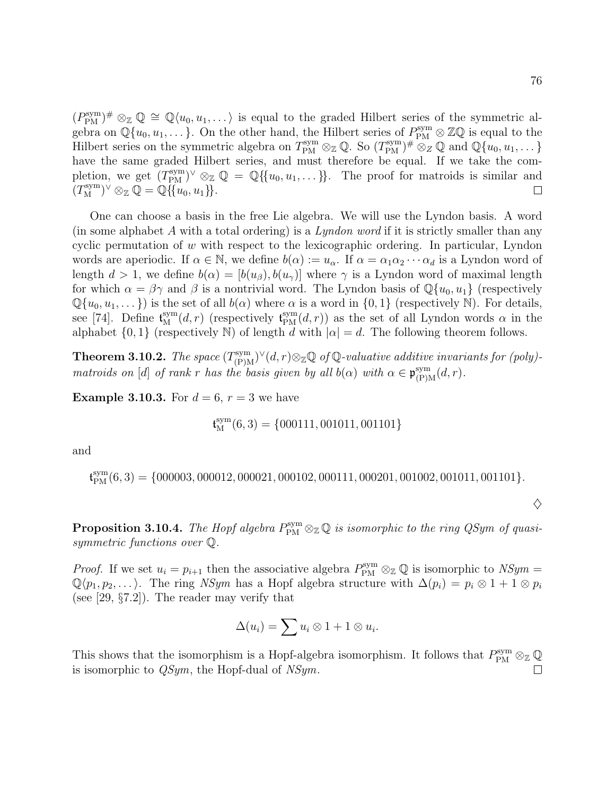$(P_{\text{PM}}^{\text{sym}})^{\#} \otimes_{\mathbb{Z}} \mathbb{Q} \cong \mathbb{Q}\langle u_0, u_1, \dots \rangle$  is equal to the graded Hilbert series of the symmetric algebra on  $\mathbb{Q}\{u_0, u_1, \ldots\}$ . On the other hand, the Hilbert series of  $P_{\text{PM}}^{\text{sym}} \otimes \mathbb{Z}\mathbb{Q}$  is equal to the Hilbert series on the symmetric algebra on  $T_{PM}^{sym} \otimes_{\mathbb{Z}} \mathbb{Q}$ . So  $(T_{PM}^{sym})^{\#} \otimes_{\mathbb{Z}} \mathbb{Q}$  and  $\mathbb{Q}\{u_0, u_1, \dots\}$ have the same graded Hilbert series, and must therefore be equal. If we take the completion, we get  $(T_{PM}^{sym})^{\vee} \otimes_{\mathbb{Z}} \mathbb{Q} = \mathbb{Q}\{\{u_0, u_1, \dots\}\}.$  The proof for matroids is similar and  $(T_{\mathcal{M}}^{\text{sym}})^{\vee} \otimes_{\mathbb{Z}} \mathbb{Q} = \mathbb{Q} \{ \{u_0, u_1\} \}.$  $\Box$ 

One can choose a basis in the free Lie algebra. We will use the Lyndon basis. A word (in some alphabet A with a total ordering) is a  $Lyndon$  word if it is strictly smaller than any cyclic permutation of  $w$  with respect to the lexicographic ordering. In particular, Lyndon words are aperiodic. If  $\alpha \in \mathbb{N}$ , we define  $b(\alpha) := u_{\alpha}$ . If  $\alpha = \alpha_1 \alpha_2 \cdots \alpha_d$  is a Lyndon word of length  $d > 1$ , we define  $b(\alpha) = [b(u_{\beta}), b(u_{\gamma})]$  where  $\gamma$  is a Lyndon word of maximal length for which  $\alpha = \beta \gamma$  and  $\beta$  is a nontrivial word. The Lyndon basis of  $\mathbb{Q}\{u_0, u_1\}$  (respectively  $\mathbb{Q}\{u_0, u_1, \dots\}$  is the set of all  $b(\alpha)$  where  $\alpha$  is a word in  $\{0, 1\}$  (respectively N). For details, see [74]. Define  $\mathfrak{t}_{M}^{\text{sym}}(d,r)$  (respectively  $\mathfrak{t}_{PM}^{\text{sym}}(d,r)$ ) as the set of all Lyndon words  $\alpha$  in the alphabet  $\{0,1\}$  (respectively N) of length d with  $|\alpha|=d$ . The following theorem follows.

**Theorem 3.10.2.** The space  $(T_{(P)M}^{sym})^{\vee}(d,r)\otimes_{\mathbb{Z}}\mathbb{Q}$  of  $\mathbb{Q}$ -valuative additive invariants for (poly)matroids on [d] of rank r has the basis given by all  $b(\alpha)$  with  $\alpha \in \mathfrak{p}_{(P)M}^{sym}(d,r)$ .

**Example 3.10.3.** For  $d = 6$ ,  $r = 3$  we have

$$
\mathfrak{t}^{\mathrm{sym}}_{\mathrm{M}}(6,3)=\{000111,001011,001101\}
$$

and

 $\mathfrak{t}_{\rm PM}^{\rm sym}(6,3)=\{000003,000012,000021,000102,000111,000201,001002,001011,001101\}.$ 

 $\Diamond$ 

**Proposition 3.10.4.** The Hopf algebra  $P_{\text{PM}}^{\text{sym}} \otimes_{\mathbb{Z}} \mathbb{Q}$  is isomorphic to the ring QSym of quasisymmetric functions over Q.

*Proof.* If we set  $u_i = p_{i+1}$  then the associative algebra  $P_{\text{PM}}^{\text{sym}} \otimes_{\mathbb{Z}} \mathbb{Q}$  is isomorphic to  $NSym =$  $\mathbb{Q}\langle p_1, p_2, \ldots \rangle$ . The ring NSym has a Hopf algebra structure with  $\Delta(p_i) = p_i \otimes 1 + 1 \otimes p_i$ (see [29, §7.2]). The reader may verify that

$$
\Delta(u_i) = \sum u_i \otimes 1 + 1 \otimes u_i.
$$

This shows that the isomorphism is a Hopf-algebra isomorphism. It follows that  $P_{\text{PM}}^{\text{sym}} \otimes_{\mathbb{Z}} \mathbb{Q}$ is isomorphic to  $QSym$ , the Hopf-dual of NSym. П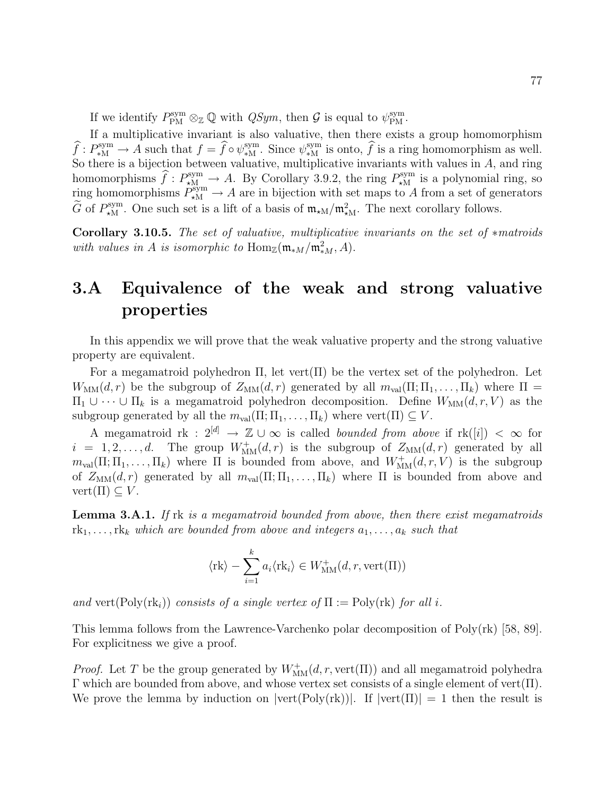If we identify  $P_{\text{PM}}^{\text{sym}} \otimes_{\mathbb{Z}} \mathbb{Q}$  with  $QSym$ , then  $\mathcal{G}$  is equal to  $\psi_{\text{PM}}^{\text{sym}}$ .

If a multiplicative invariant is also valuative, then there exists a group homomorphism  $\widehat{f}: P_{*M}^{sym} \to A$  such that  $f = \widehat{f} \circ \psi_{*M}^{sym}$ . Since  $\psi_{*M}^{sym}$  is onto,  $\widehat{f}$  is a ring homomorphism as well. So there is a bijection between valuative, multiplicative invariants with values in A, and ring homomorphisms  $\hat{f} : P_{\star M}^{\text{sym}} \to A$ . By Corollary 3.9.2, the ring  $P_{\star M}^{\text{sym}}$  is a polynomial ring, so ring homomorphisms  $\hat{P}_{*M}^{sym} \to A$  are in bijection with set maps to A from a set of generators  $\widetilde{G}$  of  $P_{\star\text{M}}^{\text{sym}}$ . One such set is a lift of a basis of  $\mathfrak{m}_{\star\text{M}}/\mathfrak{m}_{\star\text{M}}^2$ . The next corollary follows.

Corollary 3.10.5. The set of valuative, multiplicative invariants on the set of ∗matroids with values in A is isomorphic to  $\text{Hom}_{\mathbb{Z}}(\mathfrak{m}_{*M}/\mathfrak{m}^2_{*M}, A)$ .

## 3.A Equivalence of the weak and strong valuative properties

In this appendix we will prove that the weak valuative property and the strong valuative property are equivalent.

For a megamatroid polyhedron  $\Pi$ , let vert $(\Pi)$  be the vertex set of the polyhedron. Let  $W_{\text{MM}}(d, r)$  be the subgroup of  $Z_{\text{MM}}(d, r)$  generated by all  $m_{\text{val}}(\Pi; \Pi_1, \ldots, \Pi_k)$  where  $\Pi =$  $\Pi_1 \cup \cdots \cup \Pi_k$  is a megamatroid polyhedron decomposition. Define  $W_{MM}(d, r, V)$  as the subgroup generated by all the  $m_{val}(\Pi;\Pi_1,\ldots,\Pi_k)$  where vert $(\Pi) \subseteq V$ .

A megamatroid rk :  $2^{[d]} \rightarrow \mathbb{Z} \cup \infty$  is called *bounded from above* if  $rk([i]) < \infty$  for  $i = 1, 2, \ldots, d$ . The group  $W^+_{MM}(d, r)$  is the subgroup of  $Z_{MM}(d, r)$  generated by all  $m_{val}(\Pi; \Pi_1, \ldots, \Pi_k)$  where  $\Pi$  is bounded from above, and  $W^+_{MM}(d, r, V)$  is the subgroup of  $Z_{MM}(d, r)$  generated by all  $m_{val}(\Pi; \Pi_1, \ldots, \Pi_k)$  where  $\Pi$  is bounded from above and  $vert(\Pi) \subseteq V$ .

**Lemma 3.A.1.** If rk is a megamatroid bounded from above, then there exist megamatroids  $rk_1, \ldots, rk_k$  which are bounded from above and integers  $a_1, \ldots, a_k$  such that

$$
\langle \text{rk} \rangle - \sum_{i=1}^{k} a_i \langle \text{rk}_i \rangle \in W_{\text{MM}}^+(d, r, \text{vert}(\Pi))
$$

and vert( $Poly(rk_i)$ ) consists of a single vertex of  $\Pi := Poly(rk)$  for all i.

This lemma follows from the Lawrence-Varchenko polar decomposition of Poly(rk) [58, 89]. For explicitness we give a proof.

*Proof.* Let T be the group generated by  $W^+_{MM}(d, r, vert(\Pi))$  and all megamatroid polyhedra  $Γ$  which are bounded from above, and whose vertex set consists of a single element of vert(Π). We prove the lemma by induction on  $|\text{vert(Poly(rk))}|$ . If  $|\text{vert}(\Pi)| = 1$  then the result is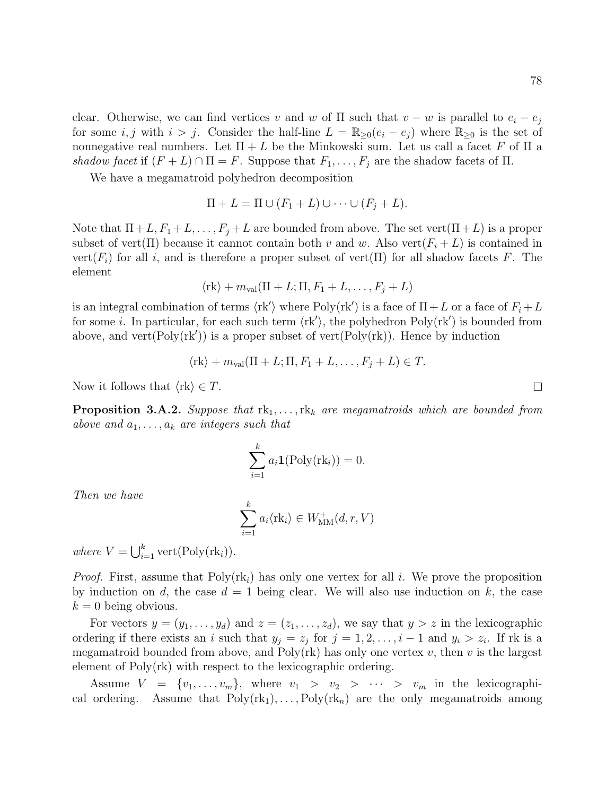clear. Otherwise, we can find vertices v and w of  $\Pi$  such that  $v - w$  is parallel to  $e_i - e_j$ for some i, j with  $i > j$ . Consider the half-line  $L = \mathbb{R}_{\geq 0}(e_i - e_j)$  where  $\mathbb{R}_{\geq 0}$  is the set of nonnegative real numbers. Let  $\Pi + L$  be the Minkowski sum. Let us call a facet F of  $\Pi$  a shadow facet if  $(F + L) \cap \Pi = F$ . Suppose that  $F_1, \ldots, F_j$  are the shadow facets of  $\Pi$ .

We have a megamatroid polyhedron decomposition

$$
\Pi + L = \Pi \cup (F_1 + L) \cup \cdots \cup (F_j + L).
$$

Note that  $\Pi + L, F_1 + L, \ldots, F_j + L$  are bounded from above. The set vert $(\Pi + L)$  is a proper subset of vert(Π) because it cannot contain both v and w. Also vert( $F_i + L$ ) is contained in vert( $F_i$ ) for all i, and is therefore a proper subset of vert( $\Pi$ ) for all shadow facets F. The element

$$
\langle \mathrm{rk} \rangle + m_{\mathrm{val}}(\Pi + L; \Pi, F_1 + L, \dots, F_j + L)
$$

is an integral combination of terms  $\langle \text{rk}' \rangle$  where Poly $(\text{rk}')$  is a face of  $\Pi + L$  or a face of  $F_i + L$ for some *i*. In particular, for each such term  $\langle \text{rk}' \rangle$ , the polyhedron Poly $(\text{rk}')$  is bounded from above, and vert $(Poly(rk'))$  is a proper subset of vert $(Poly(rk))$ . Hence by induction

$$
\langle \text{rk} \rangle + m_{\text{val}}(\Pi + L; \Pi, F_1 + L, \dots, F_j + L) \in T.
$$

Now it follows that  $\langle \text{rk} \rangle \in T$ .

**Proposition 3.A.2.** Suppose that  $rk_1, \ldots, rk_k$  are megamatroids which are bounded from above and  $a_1, \ldots, a_k$  are integers such that

$$
\sum_{i=1}^{k} a_i \mathbf{1}(\text{Poly}(\text{rk}_i)) = 0.
$$

Then we have

$$
\sum_{i=1}^{k} a_i \langle \text{rk}_i \rangle \in W_{\text{MM}}^+(d, r, V)
$$

where  $V = \bigcup_{i=1}^{k} \text{vert}(\text{Poly}(\text{rk}_i)).$ 

*Proof.* First, assume that  $Poly(r_{kj})$  has only one vertex for all i. We prove the proposition by induction on d, the case  $d = 1$  being clear. We will also use induction on k, the case  $k = 0$  being obvious.

For vectors  $y = (y_1, \ldots, y_d)$  and  $z = (z_1, \ldots, z_d)$ , we say that  $y > z$  in the lexicographic ordering if there exists an i such that  $y_j = z_j$  for  $j = 1, 2, ..., i - 1$  and  $y_i > z_i$ . If rk is a megamatroid bounded from above, and  $Poly(rk)$  has only one vertex v, then v is the largest element of Poly(rk) with respect to the lexicographic ordering.

Assume  $V = \{v_1, \ldots, v_m\}$ , where  $v_1 > v_2 > \cdots > v_m$  in the lexicographical ordering. Assume that  $Poly(rk_1), \ldots, Poly(rk_n)$  are the only megamatroids among

 $\Box$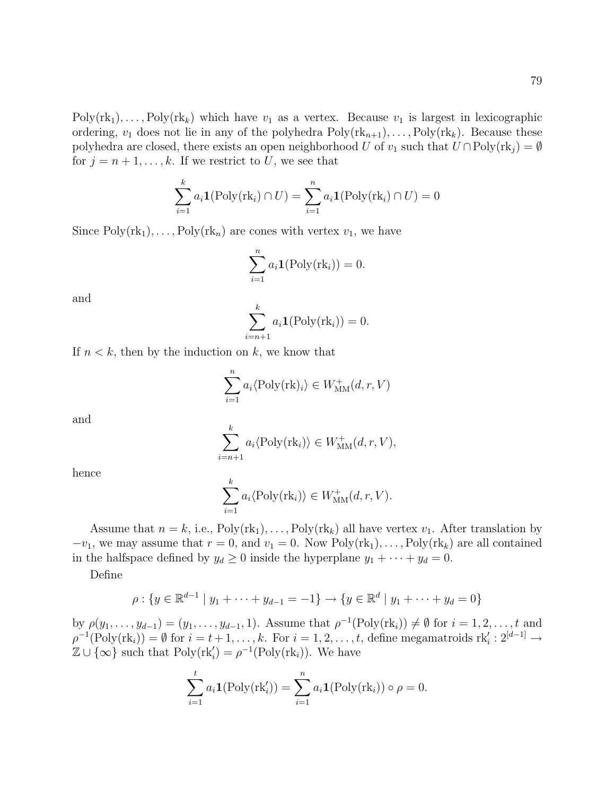$Poly(rk_1), \ldots, Poly(rk_k)$  which have  $v_1$  as a vertex. Because  $v_1$  is largest in lexicographic ordering,  $v_1$  does not lie in any of the polyhedra  $Poly(rk_{n+1}), \ldots, Poly(rk_k)$ . Because these polyhedra are closed, there exists an open neighborhood U of  $v_1$  such that  $U \cap \text{Poly}(\text{rk}_j) = \emptyset$ for  $j = n + 1, \ldots, k$ . If we restrict to U, we see that

$$
\sum_{i=1}^{k} a_i \mathbf{1}(\text{Poly}(\text{rk}_i) \cap U) = \sum_{i=1}^{n} a_i \mathbf{1}(\text{Poly}(\text{rk}_i) \cap U) = 0
$$

Since  $Poly(rk_1), \ldots, Poly(rk_n)$  are cones with vertex  $v_1$ , we have

$$
\sum_{i=1}^{n} a_i \mathbf{1}(\text{Poly}(\text{rk}_i)) = 0.
$$

and

$$
\sum_{i=n+1}^{k} a_i \mathbf{1}(\text{Poly}(\text{rk}_i)) = 0.
$$

If  $n < k$ , then by the induction on k, we know that

$$
\sum_{i=1}^{n} a_i \langle \text{Poly(rk)}_i \rangle \in W_{\text{MM}}^+(d, r, V)
$$

and

$$
\sum_{i=n+1}^{k} a_i \langle \text{Poly}(\text{rk}_i) \rangle \in W_{\text{MM}}^+(d, r, V),
$$

hence

$$
\sum_{i=1}^{k} a_i \langle \text{Poly}(\text{rk}_i) \rangle \in W^+_{\text{MM}}(d, r, V).
$$

Assume that  $n = k$ , i.e.,  $Poly(rk_1), \ldots, Poly(rk_k)$  all have vertex  $v_1$ . After translation by  $-v_1$ , we may assume that  $r = 0$ , and  $v_1 = 0$ . Now Poly(rk<sub>1</sub>), ..., Poly(rk<sub>k</sub>) are all contained in the halfspace defined by  $y_d \geq 0$  inside the hyperplane  $y_1 + \cdots + y_d = 0$ .

Define

$$
\rho: \{y \in \mathbb{R}^{d-1} \mid y_1 + \dots + y_{d-1} = -1\} \to \{y \in \mathbb{R}^d \mid y_1 + \dots + y_d = 0\}
$$

by  $\rho(y_1,\ldots,y_{d-1})=(y_1,\ldots,y_{d-1},1)$ . Assume that  $\rho^{-1}(\text{Poly}(\text{rk}_i))\neq\emptyset$  for  $i=1,2,\ldots,t$  and  $\rho^{-1}(\text{Poly}(\text{rk}_i)) = \emptyset$  for  $i = t + 1, \ldots, k$ . For  $i = 1, 2, \ldots, t$ , define megamatroids  $\text{rk}'_i : 2^{[d-1]} \to$  $\mathbb{Z} \cup \{\infty\}$  such that  $Poly(rk'_i) = \rho^{-1}(Poly(rk_i)).$  We have

$$
\sum_{i=1}^{t} a_i \mathbf{1}(\text{Poly}(\text{rk}_i')) = \sum_{i=1}^{n} a_i \mathbf{1}(\text{Poly}(\text{rk}_i)) \circ \rho = 0.
$$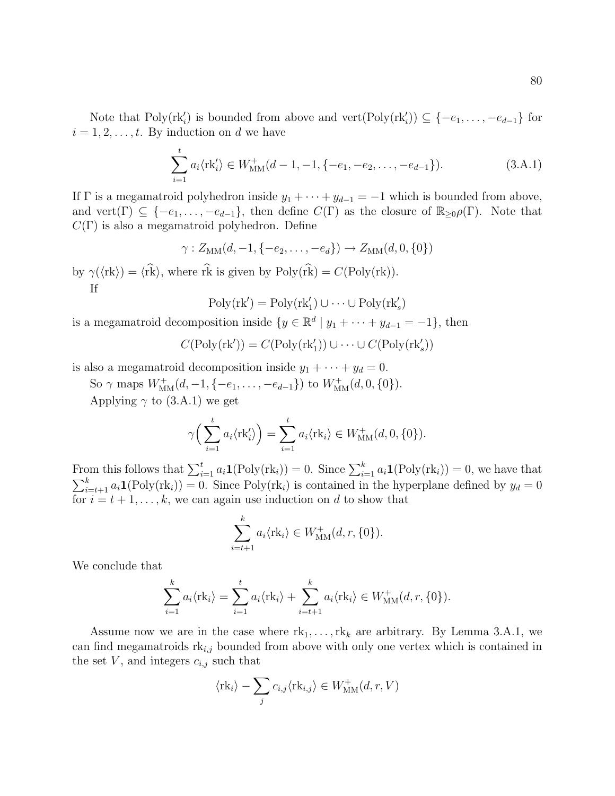Note that  $Poly(rk'_i)$  is bounded from above and  $vert(Poly(rk'_i)) \subseteq \{-e_1, \ldots, -e_{d-1}\}\$ for  $i = 1, 2, \ldots, t$ . By induction on d we have

$$
\sum_{i=1}^{t} a_i \langle \text{rk}'_i \rangle \in W_{\text{MM}}^+(d-1, -1, \{-e_1, -e_2, \dots, -e_{d-1}\}). \tag{3.A.1}
$$

If  $\Gamma$  is a megamatroid polyhedron inside  $y_1 + \cdots + y_{d-1} = -1$  which is bounded from above, and vert(Γ)  $\subseteq$  {- $e_1, \ldots, -e_{d-1}$ }, then define  $C(\Gamma)$  as the closure of  $\mathbb{R}_{\geq 0}\rho(\Gamma)$ . Note that  $C(\Gamma)$  is also a megamatroid polyhedron. Define

$$
\gamma : Z_{\text{MM}}(d, -1, \{-e_2, \ldots, -e_d\}) \to Z_{\text{MM}}(d, 0, \{0\})
$$

by  $\gamma(\langle \text{rk} \rangle) = \langle \hat{\text{rk}} \rangle$ , where  $\hat{\text{rk}}$  is given by  $\text{Poly}(\hat{\text{rk}}) = C(\text{Poly}(\text{rk})).$ If

$$
\mathrm{Poly}(\mathrm{rk}') = \mathrm{Poly}(\mathrm{rk}'_1) \cup \cdots \cup \mathrm{Poly}(\mathrm{rk}'_s)
$$

is a megamatroid decomposition inside  $\{y \in \mathbb{R}^d \mid y_1 + \cdots + y_{d-1} = -1\}$ , then

$$
C(\text{Poly}(\text{rk}'))=C(\text{Poly}(\text{rk}'_1))\cup\cdots\cup C(\text{Poly}(\text{rk}'_s))
$$

is also a megamatroid decomposition inside  $y_1 + \cdots + y_d = 0$ .

So  $\gamma$  maps  $W_{\text{MM}}^+(d, -1, \{-e_1, \ldots, -e_{d-1}\})$  to  $W_{\text{MM}}^+(d, 0, \{0\})$ .

Applying  $\gamma$  to (3.A.1) we get

$$
\gamma\Big(\sum_{i=1}^t a_i \langle \text{rk}'_i \rangle\Big) = \sum_{i=1}^t a_i \langle \text{rk}_i \rangle \in W_{\text{MM}}^+(d, 0, \{0\}).
$$

From this follows that  $\sum_{i=1}^{t} a_i \mathbf{1}(\text{Poly}(\text{rk}_i)) = 0$ . Since  $\sum_{i=1}^{k} a_i \mathbf{1}(\text{Poly}(\text{rk}_i)) = 0$ , we have that  $\sum_{i=t+1}^{k} a_i \mathbf{1}(\text{Poly}(\text{rk}_i)) = 0$ . Since Poly(rk<sub>i</sub>) is contained in the hyperplane defined by  $y_d = 0$ for  $i = t + 1, \ldots, k$ , we can again use induction on d to show that

$$
\sum_{i=t+1}^{k} a_i \langle \text{rk}_i \rangle \in W_{\text{MM}}^+(d, r, \{0\}).
$$

We conclude that

$$
\sum_{i=1}^{k} a_i \langle \text{rk}_i \rangle = \sum_{i=1}^{t} a_i \langle \text{rk}_i \rangle + \sum_{i=t+1}^{k} a_i \langle \text{rk}_i \rangle \in W_{\text{MM}}^+(d, r, \{0\}).
$$

Assume now we are in the case where  $rk_1, \ldots, rk_k$  are arbitrary. By Lemma 3.A.1, we can find megamatroids  $rk_{i,j}$  bounded from above with only one vertex which is contained in the set  $V$ , and integers  $c_{i,j}$  such that

$$
\langle \text{rk}_i \rangle - \sum_j c_{i,j} \langle \text{rk}_{i,j} \rangle \in W_{\text{MM}}^+(d,r,V)
$$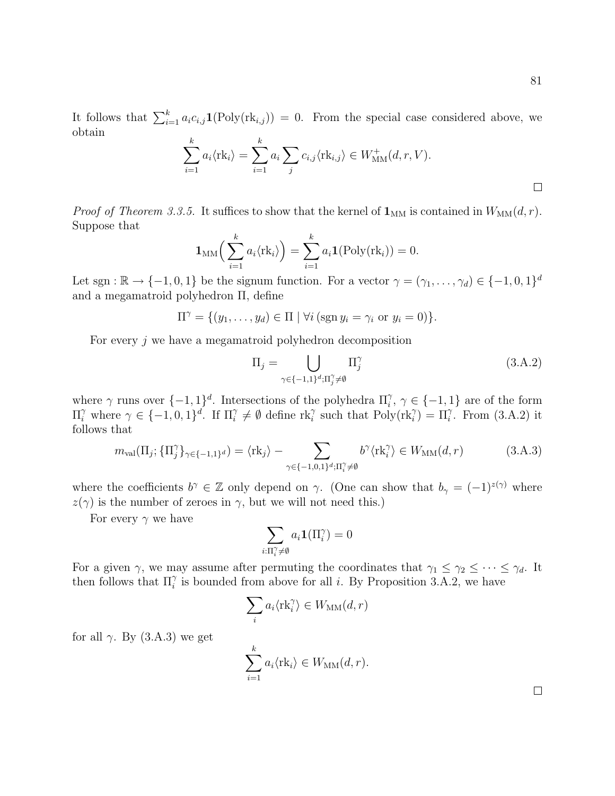81

It follows that  $\sum_{i=1}^{k} a_i c_{i,j} \mathbf{1}(\text{Poly}(\text{rk}_{i,j})) = 0$ . From the special case considered above, we obtain

$$
\sum_{i=1}^{k} a_i \langle \text{rk}_i \rangle = \sum_{i=1}^{k} a_i \sum_j c_{i,j} \langle \text{rk}_{i,j} \rangle \in W_{\text{MM}}^+(d,r,V).
$$

*Proof of Theorem 3.3.5.* It suffices to show that the kernel of  $\mathbf{1}_{MM}$  is contained in  $W_{MM}(d, r)$ . Suppose that

$$
\mathbf{1}_{\text{MM}}\left(\sum_{i=1}^k a_i \langle \text{rk}_i \rangle\right) = \sum_{i=1}^k a_i \mathbf{1}(\text{Poly}(\text{rk}_i)) = 0.
$$

Let sgn :  $\mathbb{R} \to \{-1, 0, 1\}$  be the signum function. For a vector  $\gamma = (\gamma_1, \dots, \gamma_d) \in \{-1, 0, 1\}^d$ and a megamatroid polyhedron Π, define

$$
\Pi^{\gamma} = \{ (y_1, \ldots, y_d) \in \Pi \mid \forall i (\operatorname{sgn} y_i = \gamma_i \text{ or } y_i = 0) \}.
$$

For every  $j$  we have a megamatroid polyhedron decomposition

$$
\Pi_j = \bigcup_{\gamma \in \{-1,1\}^d; \Pi_j^{\gamma} \neq \emptyset} \Pi_j^{\gamma}
$$
\n(3.A.2)

where  $\gamma$  runs over  $\{-1,1\}^d$ . Intersections of the polyhedra  $\Pi_i^{\gamma}$ ,  $\gamma \in \{-1,1\}$  are of the form  $\Pi_i^{\gamma}$  where  $\gamma \in \{-1,0,1\}^d$ . If  $\Pi_i^{\gamma} \neq \emptyset$  define  $\mathrm{rk}_i^{\gamma}$  such that  $\mathrm{Poly}(\mathrm{rk}_i^{\gamma}) = \Pi_i^{\gamma}$ . From (3.A.2) it follows that

$$
m_{\text{val}}(\Pi_j; \{\Pi_j^{\gamma}\}_{\gamma \in \{-1,1\}^d}) = \langle \text{rk}_j \rangle - \sum_{\gamma \in \{-1,0,1\}^d; \Pi_i^{\gamma} \neq \emptyset} b^{\gamma} \langle \text{rk}_i^{\gamma} \rangle \in W_{\text{MM}}(d, r) \tag{3.A.3}
$$

where the coefficients  $b^{\gamma} \in \mathbb{Z}$  only depend on  $\gamma$ . (One can show that  $b_{\gamma} = (-1)^{z(\gamma)}$  where  $z(\gamma)$  is the number of zeroes in  $\gamma$ , but we will not need this.)

For every  $\gamma$  we have

$$
\sum_{i:\Pi_i^\gamma\neq\emptyset}a_i\mathbf{1}(\Pi_i^\gamma)=0
$$

For a given  $\gamma$ , we may assume after permuting the coordinates that  $\gamma_1 \leq \gamma_2 \leq \cdots \leq \gamma_d$ . It then follows that  $\Pi_i^{\gamma}$  is bounded from above for all *i*. By Proposition 3.A.2, we have

$$
\sum_i a_i \langle \text{rk}_i^{\gamma} \rangle \in W_{\text{MM}}(d, r)
$$

for all  $\gamma$ . By (3.A.3) we get

$$
\sum_{i=1}^{k} a_i \langle \text{rk}_i \rangle \in W_{\text{MM}}(d, r).
$$

 $\Box$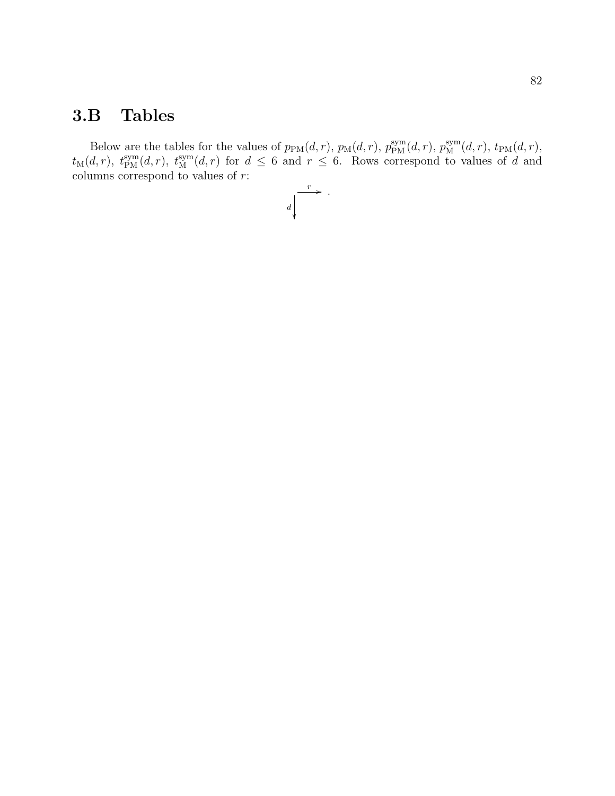## 3.B Tables

Below are the tables for the values of  $p_{PM}(d, r)$ ,  $p_M(d, r)$ ,  $p_{PM}^{sym}(d, r)$ ,  $p_M^{sym}(d, r)$ ,  $t_{PM}(d, r)$ ,  $t_M(d,r)$ ,  $t_{\text{PM}}^{\text{sym}}(d,r)$ ,  $t_M^{\text{sym}}(d,r)$  for  $d \leq 6$  and  $r \leq 6$ . Rows correspond to values of d and columns correspond to values of  $r$ :

$$
\frac{r}{d} \Bigg| \Bigg| \frac{r}{\Bigg|} \Bigg| \, .
$$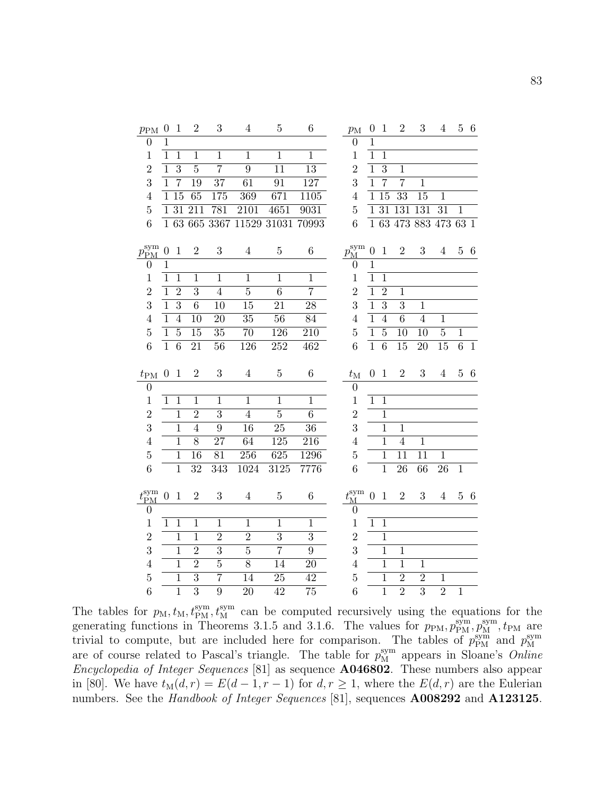| $p_{\rm PM}$ 0                   |                | $\mathbf{1}$    | $\overline{2}$  | 3               | 4                | $\overline{5}$                  | 6                | $p_M$                           | $\boldsymbol{0}$ | $\mathbf{1}$    | $\overline{2}$   | 3                | $\overline{4}$ | $\bf 5$        | $6\phantom{.}6$ |
|----------------------------------|----------------|-----------------|-----------------|-----------------|------------------|---------------------------------|------------------|---------------------------------|------------------|-----------------|------------------|------------------|----------------|----------------|-----------------|
| $\overline{0}$                   | $\mathbf{1}$   |                 |                 |                 |                  |                                 |                  | $\overline{0}$                  | $\mathbf{1}$     |                 |                  |                  |                |                |                 |
| $\mathbf{1}$                     | $\mathbf{1}$   | $\mathbf 1$     | $\mathbf{1}$    | $\overline{1}$  | $\overline{1}$   | $\overline{1}$                  | $\overline{1}$   | $\mathbf{1}$                    | $\overline{1}$   | $\mathbf{1}$    |                  |                  |                |                |                 |
| $\overline{2}$                   | $\overline{1}$ | $\overline{3}$  | $\overline{5}$  | $\overline{7}$  | $\boldsymbol{9}$ | 11                              | 13               | $\overline{2}$                  | $\overline{1}$   | $\overline{3}$  | $\mathbf{1}$     |                  |                |                |                 |
| 3                                | $\overline{1}$ | $\overline{7}$  | 19              | $\overline{37}$ | 61               | 91                              | 127              | 3                               | $\mathbf{1}$     | $\overline{7}$  | $\overline{7}$   | $\mathbf{1}$     |                |                |                 |
| $\overline{4}$                   |                | 115             | $\overline{65}$ | 175             | 369              | 671                             | 1105             | $\overline{4}$                  | $\overline{1}$   | $\overline{15}$ | $\overline{33}$  | 15               | $\mathbf{1}$   |                |                 |
| 5                                |                |                 | 1 31 211        | 781             | 2101             | 4651                            | 9031             | $\overline{5}$                  | $\overline{1}$   | $\overline{31}$ | $\overline{131}$ | $\overline{131}$ | 31             | $\mathbf{1}$   |                 |
| $6\phantom{.}6$                  |                |                 |                 |                 |                  | 1 63 665 3367 11529 31031 70993 |                  | $\,6$                           |                  |                 |                  | 163473883473631  |                |                |                 |
| $p_{\mathrm{PM}}^{\mathrm{sym}}$ | $\overline{0}$ | $\mathbf{1}$    | $\overline{2}$  | 3               | $\overline{4}$   | $\overline{5}$                  | 6                | sym<br>$p_{\tilde{\textrm{M}}}$ | $\overline{0}$   | $\mathbf{1}$    | $\overline{2}$   | 3                | 4              |                | 56              |
| $\boldsymbol{0}$                 | $\mathbf{1}$   |                 |                 |                 |                  |                                 |                  | $\boldsymbol{0}$                | $\mathbf 1$      |                 |                  |                  |                |                |                 |
| $\mathbf{1}$                     | $\mathbf{1}$   | $\mathbf{1}$    | $\mathbf{1}$    | $\mathbf{1}$    | $\mathbf{1}$     | $\mathbf{1}$                    | $\mathbf{1}$     | $\mathbf{1}$                    | $\overline{1}$   | $\mathbf{1}$    |                  |                  |                |                |                 |
| $\overline{2}$                   | $\overline{1}$ | $\overline{2}$  | $\overline{3}$  | $\overline{4}$  | $\overline{5}$   | $\overline{6}$                  | $\overline{7}$   | $\overline{2}$                  | $\overline{1}$   | $\overline{2}$  | $\mathbf{1}$     |                  |                |                |                 |
| 3                                | $\overline{1}$ | $\overline{3}$  | $\overline{6}$  | 10              | 15               | $\overline{21}$                 | $\overline{28}$  | 3                               | $\overline{1}$   | $\overline{3}$  | $\overline{3}$   | $\mathbf{1}$     |                |                |                 |
| $\overline{4}$                   | $\overline{1}$ | $\overline{4}$  | $\overline{10}$ | 20              | $\overline{35}$  | $\overline{56}$                 | 84               | $\overline{4}$                  | $\overline{1}$   | $\overline{4}$  | $\overline{6}$   | $\overline{4}$   | $\mathbf{1}$   |                |                 |
| $\overline{5}$                   | $\overline{1}$ | $\bf 5$         | 15              | $\overline{35}$ | $\overline{70}$  | $\overline{126}$                | 210              | $\overline{5}$                  | $\overline{1}$   | $\overline{5}$  | 10               | 10               | $\bf 5$        | $\,1\,$        |                 |
| $6\phantom{.}6$                  | $\mathbf{1}$   | $6\phantom{.}6$ | 21              | 56              | 126              | 252                             | 462              | $\,6$                           | $\mathbf{1}$     | $\overline{6}$  | 15               | 20               | 15             | $\,6$          | $\mathbf{1}$    |
| $t_{\mathrm{PM}}$                | $\overline{0}$ | $\mathbf{1}$    | $\overline{2}$  | 3               | $\overline{4}$   | $\overline{5}$                  | 6                | $t_{\rm M}$                     | $\boldsymbol{0}$ | $\mathbf{1}$    | $\overline{2}$   | 3                | $\overline{4}$ | $\bf 5$        | $6\phantom{.}6$ |
| $\boldsymbol{0}$                 |                |                 |                 |                 |                  |                                 |                  | $\boldsymbol{0}$                |                  |                 |                  |                  |                |                |                 |
| $\,1$                            | $\mathbf{1}$   | $\mathbf{1}$    | $\mathbf{1}$    | $\mathbf{1}$    | $\mathbf{1}$     | $\mathbf{1}$                    | $\overline{1}$   | $\mathbf 1$                     | $\overline{1}$   | $\,1$           |                  |                  |                |                |                 |
| $\overline{2}$                   |                | $\overline{1}$  | $\overline{2}$  | $\overline{3}$  | $\overline{4}$   | $\overline{5}$                  | $\boldsymbol{6}$ | $\overline{2}$                  |                  | $\overline{1}$  |                  |                  |                |                |                 |
| 3                                |                | $\overline{1}$  | $\overline{4}$  | $\overline{9}$  | 16               | $\overline{25}$                 | 36               | 3                               |                  | $\overline{1}$  | $\mathbf{1}$     |                  |                |                |                 |
| $\overline{4}$                   |                | $\mathbf{1}$    | 8               | 27              | 64               | 125                             | 216              | $\overline{4}$                  |                  | $\mathbf 1$     | $\overline{4}$   | $\mathbf{1}$     |                |                |                 |
| $\overline{5}$                   |                | $\mathbf{1}$    | $\overline{16}$ | 81              | $\overline{256}$ | 625                             | 1296             | $\overline{5}$                  |                  | $\mathbf{1}$    | 11               | 11               | $\mathbf{1}$   |                |                 |
| $\overline{6}$                   |                | $\overline{1}$  | $\overline{32}$ | 343             | 1024             | 3125                            | 7776             | $\sqrt{6}$                      |                  | $\overline{1}$  | $\overline{26}$  | $\overline{66}$  | 26             | $\mathbf{1}$   |                 |
| $t_{\rm PM}^{\rm sym}$           | $\overline{0}$ | $\mathbf{1}$    | $\overline{2}$  | 3               | $\overline{4}$   | 5                               | 6                | $t_{\mathrm{M}}^{\mathrm{sym}}$ | $\overline{0}$   | $\mathbf{1}$    | $\overline{2}$   | 3                | $\overline{4}$ | $\overline{5}$ | 6               |
| $\boldsymbol{0}$                 |                |                 |                 |                 |                  |                                 |                  | $\boldsymbol{0}$                |                  |                 |                  |                  |                |                |                 |
| $\mathbf{1}$                     | $\mathbf{1}$   | $\mathbf 1$     | $\mathbf 1$     | $\mathbf{1}$    | $\mathbf{1}$     | $\mathbf{1}$                    | $\mathbf 1$      | $\mathbf{1}$                    | $\mathbf 1$      | $\mathbf{1}$    |                  |                  |                |                |                 |
| $\overline{2}$                   |                | $\mathbf{1}$    | $\mathbf{1}$    | $\overline{2}$  | $\overline{2}$   | $\overline{3}$                  | $\overline{3}$   | $\overline{2}$                  |                  | $\mathbf 1$     |                  |                  |                |                |                 |
| 3                                |                | $\mathbf{1}$    | $\overline{2}$  | $\overline{3}$  | $\overline{5}$   | $\overline{7}$                  | $\overline{9}$   | 3                               |                  | $\overline{1}$  | $\mathbf{1}$     |                  |                |                |                 |
| $\overline{4}$                   |                | $\overline{1}$  | $\overline{2}$  | $\overline{5}$  | $\overline{8}$   | 14                              | 20               | $\overline{4}$                  |                  | $\overline{1}$  | $\overline{1}$   | $\mathbf{1}$     |                |                |                 |
| $\overline{5}$                   |                | $\overline{1}$  | $\overline{3}$  | $\overline{7}$  | $\overline{14}$  | $\overline{25}$                 | $\overline{42}$  | $\overline{5}$                  |                  | $\overline{1}$  | $\overline{2}$   | $\overline{2}$   | $\mathbf{1}$   |                |                 |
| $\overline{6}$                   |                | $\overline{1}$  | $\overline{3}$  | $\overline{9}$  | $\overline{2}0$  | 42                              | 75               | $\overline{6}$                  |                  | $\overline{1}$  | $\overline{2}$   | $\overline{3}$   | $\overline{2}$ | $\mathbf{1}$   |                 |

The tables for  $p_M, t_M, t_M^{\text{sym}}, t_M^{\text{sym}}$  can be computed recursively using the equations for the generating functions in Theorems 3.1.5 and 3.1.6. The values for  $p_{PM}$ ,  $p_{PM}^{\text{sym}}, p_M^{\text{sym}}, t_{PM}$  are trivial to compute, but are included here for comparison. The tables of  $p_{\text{PM}}^{\text{sym}}$  and  $p_{\text{M}}^{\text{sym}}$ M are of course related to Pascal's triangle. The table for  $p_M^{\text{sym}}$  appears in Sloane's *Online* Encyclopedia of Integer Sequences [81] as sequence A046802. These numbers also appear in [80]. We have  $t_M(d, r) = E(d - 1, r - 1)$  for  $d, r \ge 1$ , where the  $E(d, r)$  are the Eulerian numbers. See the *Handbook of Integer Sequences* [81], sequences **A008292** and **A123125**.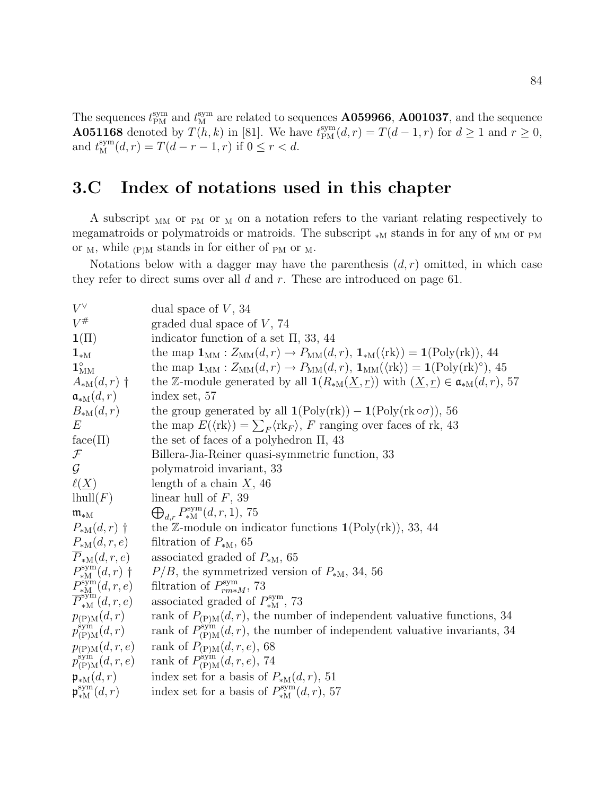The sequences  $t_{\text{PM}}^{\text{sym}}$  and  $t_{\text{M}}^{\text{sym}}$  are related to sequences **A059966**, **A001037**, and the sequence **A051168** denoted by  $T(h, k)$  in [81]. We have  $t_{\text{PM}}^{\text{sym}}(d, r) = T(d - 1, r)$  for  $d \ge 1$  and  $r \ge 0$ , and  $t_{\text{M}}^{\text{sym}}(d,r) = T(d-r-1,r)$  if  $0 \le r < d$ .

## 3.C Index of notations used in this chapter

A subscript  $_{\text{MM}}$  or  $_{\text{PM}}$  or  $_{\text{M}}$  on a notation refers to the variant relating respectively to megamatroids or polymatroids or matroids. The subscript  $_{*M}$  stands in for any of  $_{MM}$  or  $_{PM}$ or  $_M$ , while  $(P)$ <sup>M</sup> stands in for either of  $P_M$  or  $_M$ .

Notations below with a dagger may have the parenthesis  $(d, r)$  omitted, in which case they refer to direct sums over all  $d$  and  $r$ . These are introduced on page 61.

| $V^{\vee}$                              | dual space of $V$ , 34                                                                                                                                   |
|-----------------------------------------|----------------------------------------------------------------------------------------------------------------------------------------------------------|
| $V^{\#}$                                | graded dual space of $V$ , 74                                                                                                                            |
| $\mathbf{1}(\Pi)$                       | indicator function of a set $\Pi$ , 33, 44                                                                                                               |
| $\mathbf{1}_{*M}$                       | the map $\mathbf{1}_{MM} : Z_{MM}(d,r) \to P_{MM}(d,r), \mathbf{1}_{*M}(\langle \text{rk} \rangle) = \mathbf{1}(\text{Poly}(\text{rk})), 44$             |
| $\mathbf{1}_{\text{MM}}^{\circ}$        | the map $\mathbf{1}_{MM} : Z_{MM}(d,r) \to P_{MM}(d,r)$ , $\mathbf{1}_{MM}(\langle \text{rk} \rangle) = \mathbf{1}(\text{Poly}(\text{rk})^{\circ})$ , 45 |
| $A_{\ast\mathrm{M}}(d,r)$ †             | the Z-module generated by all $\mathbf{1}(R_{*M}(\underline{X}, \underline{r}))$ with $(\underline{X}, \underline{r}) \in \mathfrak{a}_{*M}(d, r)$ , 57  |
| $\mathfrak{a}_{*M}(d,r)$                | index set, 57                                                                                                                                            |
| $B_{\ast\mathrm{M}}(d,r)$               | the group generated by all $1(\text{Poly(rk)}) - 1(\text{Poly(rk}\circ\sigma))$ , 56                                                                     |
| E                                       | the map $E(\langle \text{rk} \rangle) = \sum_{F} \langle \text{rk}_F \rangle$ , F ranging over faces of rk, 43                                           |
| $face(\Pi)$                             | the set of faces of a polyhedron $\Pi$ , 43                                                                                                              |
| ${\mathcal F}$                          | Billera-Jia-Reiner quasi-symmetric function, 33                                                                                                          |
| $\cal G$                                | polymatroid invariant, 33                                                                                                                                |
| $\ell(\underline{X})$                   | length of a chain $\underline{X}$ , 46                                                                                                                   |
| $\text{hull}(F)$                        | linear hull of $F$ , 39                                                                                                                                  |
| $\mathfrak{m}_{*M}$                     | $\bigoplus_{d,r} P_{*M}^{sym}(d,r,1), 75$                                                                                                                |
| $P_{\ast M}(d,r)$ †                     | the Z-module on indicator functions $1(\text{Poly(rk)}), 33, 44$                                                                                         |
| $P_{\rm *M}(d,r,e)$                     | filtration of $P_{\rm *M}$ , 65                                                                                                                          |
| $P_{*M}(d,r,e)$                         | associated graded of $P_{\rm *M}$ , 65                                                                                                                   |
| $P_{*M}^{\rm sym}(d,r)$ †               | $P/B$ , the symmetrized version of $P_{\rm *M}$ , 34, 56                                                                                                 |
| $P_{*M}^{\text{sym}}(d,r,e)$            | filtration of $P_{rm*M}^{\text{sym}}$ , 73                                                                                                               |
| $\overline{P}_{*M}^{\text{sym}}(d,r,e)$ | associated graded of $P_{*M}^{\text{sym}}$ , 73                                                                                                          |
| $p_{(P)M}(d,r)$                         | rank of $P_{(P)M}(d,r)$ , the number of independent valuative functions, 34                                                                              |
| $p_{(P)M}^{sym}(d,r)$                   | rank of $P_{(P)M}^{sym}(d,r)$ , the number of independent valuative invariants, 34                                                                       |
| $p_{(P)M}(d,r,e)$                       | rank of $P_{(P)M}(d, r, e)$ , 68                                                                                                                         |
| $p_{(P)M}^{sym}(d,r,e)$                 | rank of $P_{(P)M}^{sym}(d,r,e)$ , 74                                                                                                                     |
| $\mathfrak{p}_{*M}(d,r)$                | index set for a basis of $P_{\text{*M}}(d,r)$ , 51                                                                                                       |
| $\mathfrak{p}_{*M}^{\text{sym}}(d,r)$   | index set for a basis of $P_{*M}^{sym}(d,r)$ , 57                                                                                                        |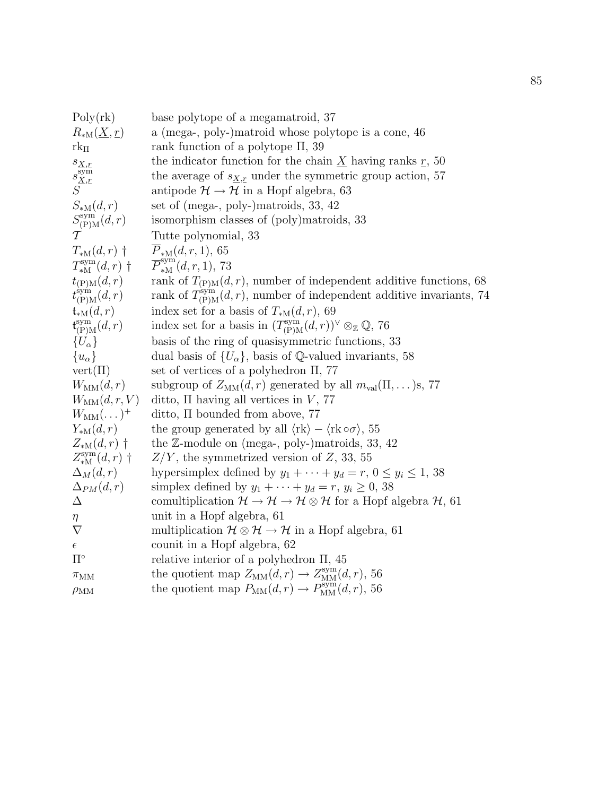| Poly(rk)                                                                                                    | base polytope of a megamatroid, 37                                                                                       |
|-------------------------------------------------------------------------------------------------------------|--------------------------------------------------------------------------------------------------------------------------|
| $R_{\rm *M}(\underline{X},\underline{r})$                                                                   | a (mega-, poly-)matroid whose polytope is a cone, 46                                                                     |
| $rk_{\Pi}$                                                                                                  | rank function of a polytope $\Pi$ , 39                                                                                   |
|                                                                                                             | the indicator function for the chain $\underline{X}$ having ranks $\underline{r}$ , 50                                   |
| $\begin{array}{l} s_{\underline{X},\underline{r}} \\ s_{\underline{X},\underline{r}} \\ S \\ \end{array}$   | the average of $s_{\underline{X},\underline{r}}$ under the symmetric group action, 57                                    |
|                                                                                                             | antipode $\mathcal{H} \rightarrow \mathcal{H}$ in a Hopf algebra, 63                                                     |
|                                                                                                             | set of (mega-, poly-)matroids, 33, 42                                                                                    |
| $\begin{array}{l} S_{*\mathrm{M}}(d,r) \\ S_{\mathrm{(P)M}}^{\mathrm{sym}}(d,r) \\ \mathcal{T} \end{array}$ | isomorphism classes of (poly)matroids, 33                                                                                |
|                                                                                                             | Tutte polynomial, 33                                                                                                     |
| $T_{\rm *M}(d,r)$ †                                                                                         | $\overline{P}_{*M}(d,r,1), 65$                                                                                           |
| $T^{\textrm{sym}}_{*\mathrm{M}}(d,r)$ †                                                                     | $\overline{P}_{*M}^{\text{sym}}(d,r,1)$ , 73                                                                             |
|                                                                                                             | rank of $T_{(P)M}(d,r)$ , number of independent additive functions, 68                                                   |
| $t_{\rm (P)M}(d,r) \newline t_{\rm (P)M}^{\rm sym}(d,r)$                                                    | rank of $T^{\text{sym}}_{(\text{P})M}(d,r)$ , number of independent additive invariants, 74                              |
|                                                                                                             | index set for a basis of $T_{\text{*M}}(d,r)$ , 69                                                                       |
| $\mathfrak{t}_{* \mathcal{M}}(d,r) \\ \mathfrak{t}_{(\mathrm{P}) \mathcal{M}}^{\mathrm{sym}}(d,r)$          | index set for a basis in $(T_{(P)M}^{sym}(d,r))^{\vee} \otimes_{\mathbb{Z}} \mathbb{Q}$ , 76                             |
| $\{U_{\alpha}\}\$                                                                                           | basis of the ring of quasisymmetric functions, 33                                                                        |
| ${u_\alpha}$                                                                                                | dual basis of $\{U_{\alpha}\}\$ , basis of Q-valued invariants, 58                                                       |
| $vert(\Pi)$                                                                                                 | set of vertices of a polyhedron II, 77                                                                                   |
| $W_{\text{MM}}(d,r)$                                                                                        | subgroup of $Z_{MM}(d,r)$ generated by all $m_{val}(\Pi,\dots)$ s, 77                                                    |
| $W_{\text{MM}}(d,r,V)$                                                                                      | ditto, $\Pi$ having all vertices in $V$ , 77                                                                             |
| $W_{\text{MM}}(\dots)^+$                                                                                    | ditto, $\Pi$ bounded from above, 77                                                                                      |
| $Y_{\ast M}(d,r)$                                                                                           | the group generated by all $\langle \text{rk} \rangle - \langle \text{rk} \circ \sigma \rangle$ , 55                     |
| $Z_{\rm *M}(d,r)$ †                                                                                         | the $\mathbb{Z}$ -module on (mega-, poly-)matroids, 33, 42                                                               |
| $Z_{*M}^{\rm sym}(d,r)$ †                                                                                   | $Z/Y$ , the symmetrized version of Z, 33, 55                                                                             |
| $\Delta_M(d,r)$                                                                                             | hypersimplex defined by $y_1 + \cdots + y_d = r$ , $0 \le y_i \le 1$ , 38                                                |
| $\Delta_{PM}(d,r)$                                                                                          | simplex defined by $y_1 + \cdots + y_d = r$ , $y_i \ge 0$ , 38                                                           |
| $\Delta$                                                                                                    | comultiplication $\mathcal{H} \to \mathcal{H} \to \mathcal{H} \otimes \mathcal{H}$ for a Hopf algebra $\mathcal{H}$ , 61 |
| $\eta$                                                                                                      | unit in a Hopf algebra, 61                                                                                               |
| $\nabla$                                                                                                    | multiplication $\mathcal{H} \otimes \mathcal{H} \to \mathcal{H}$ in a Hopf algebra, 61                                   |
| $\epsilon$                                                                                                  | counit in a Hopf algebra, 62                                                                                             |
| $\Pi^{\circ}$                                                                                               | relative interior of a polyhedron $\Pi$ , 45                                                                             |
| $\pi_{\rm MM}$                                                                                              | the quotient map $Z_{\text{MM}}(d,r) \to Z_{\text{MM}}^{\text{sym}}(d,r)$ , 56                                           |
| $\rho_{\rm MM}$                                                                                             | the quotient map $P_{MM}(d,r) \rightarrow P_{MM}^{sym}(d,r)$ , 56                                                        |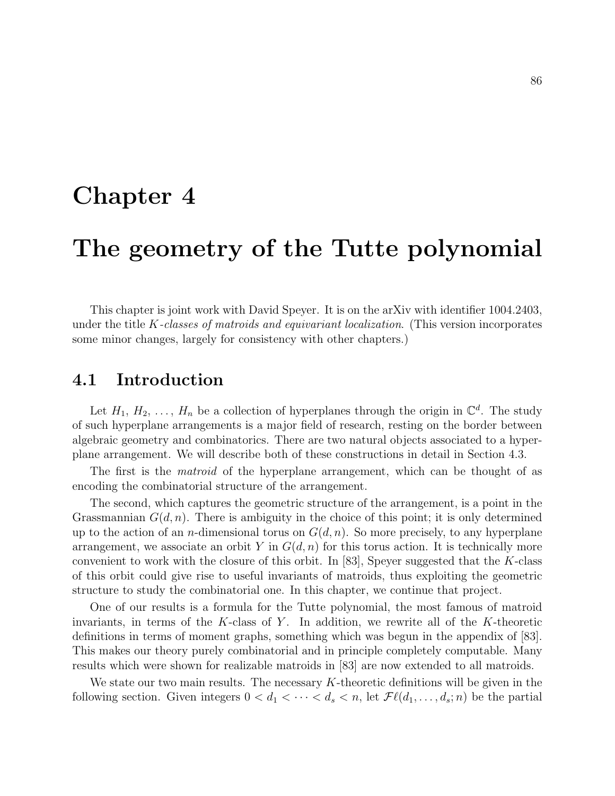# Chapter 4

# The geometry of the Tutte polynomial

This chapter is joint work with David Speyer. It is on the arXiv with identifier 1004.2403, under the title K-classes of matroids and equivariant localization. (This version incorporates some minor changes, largely for consistency with other chapters.)

### 4.1 Introduction

Let  $H_1, H_2, \ldots, H_n$  be a collection of hyperplanes through the origin in  $\mathbb{C}^d$ . The study of such hyperplane arrangements is a major field of research, resting on the border between algebraic geometry and combinatorics. There are two natural objects associated to a hyperplane arrangement. We will describe both of these constructions in detail in Section 4.3.

The first is the *matroid* of the hyperplane arrangement, which can be thought of as encoding the combinatorial structure of the arrangement.

The second, which captures the geometric structure of the arrangement, is a point in the Grassmannian  $G(d, n)$ . There is ambiguity in the choice of this point; it is only determined up to the action of an *n*-dimensional torus on  $G(d, n)$ . So more precisely, to any hyperplane arrangement, we associate an orbit Y in  $G(d, n)$  for this torus action. It is technically more convenient to work with the closure of this orbit. In [83], Speyer suggested that the K-class of this orbit could give rise to useful invariants of matroids, thus exploiting the geometric structure to study the combinatorial one. In this chapter, we continue that project.

One of our results is a formula for the Tutte polynomial, the most famous of matroid invariants, in terms of the  $K$ -class of Y. In addition, we rewrite all of the  $K$ -theoretic definitions in terms of moment graphs, something which was begun in the appendix of [83]. This makes our theory purely combinatorial and in principle completely computable. Many results which were shown for realizable matroids in [83] are now extended to all matroids.

We state our two main results. The necessary  $K$ -theoretic definitions will be given in the following section. Given integers  $0 < d_1 < \cdots < d_s < n$ , let  $\mathcal{F}\ell(d_1, \ldots, d_s; n)$  be the partial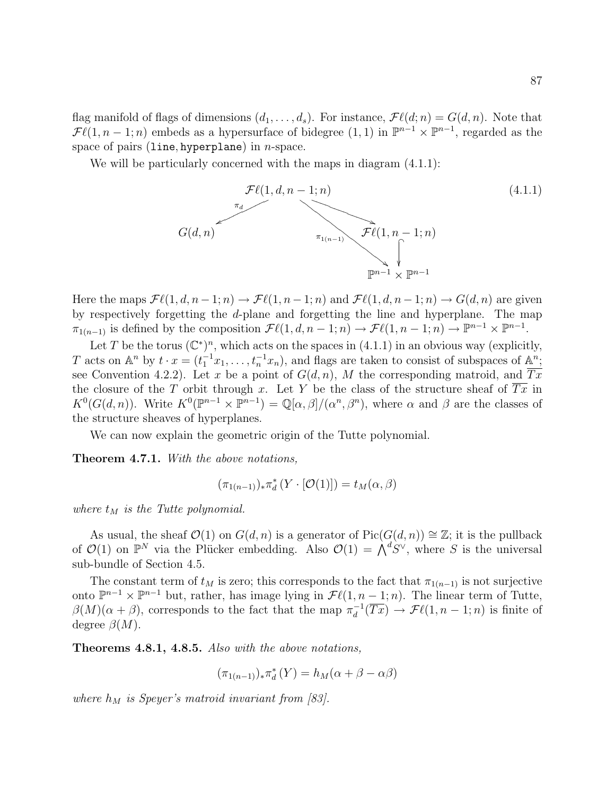flag manifold of flags of dimensions  $(d_1, \ldots, d_s)$ . For instance,  $\mathcal{F}\ell(d; n) = G(d, n)$ . Note that  $\mathcal{F}\ell(1, n-1; n)$  embeds as a hypersurface of bidegree  $(1, 1)$  in  $\mathbb{P}^{n-1} \times \mathbb{P}^{n-1}$ , regarded as the space of pairs (line, hyperplane) in  $n$ -space.

We will be particularly concerned with the maps in diagram  $(4.1.1)$ :



Here the maps  $\mathcal{F}\ell(1, d, n - 1; n) \to \mathcal{F}\ell(1, n - 1; n)$  and  $\mathcal{F}\ell(1, d, n - 1; n) \to G(d, n)$  are given by respectively forgetting the d-plane and forgetting the line and hyperplane. The map  $\pi_{1(n-1)}$  is defined by the composition  $\mathcal{F}\ell(1, d, n-1; n) \to \mathcal{F}\ell(1, n-1; n) \to \mathbb{P}^{n-1} \times \mathbb{P}^{n-1}.$ 

Let T be the torus  $(\mathbb{C}^*)^n$ , which acts on the spaces in (4.1.1) in an obvious way (explicitly, T acts on  $\mathbb{A}^n$  by  $t \cdot x = (t_1^{-1}x_1, \ldots, t_n^{-1}x_n)$ , and flags are taken to consist of subspaces of  $\mathbb{A}^n$ ; see Convention 4.2.2). Let x be a point of  $G(d, n)$ , M the corresponding matroid, and  $Tx$ the closure of the T orbit through x. Let Y be the class of the structure sheaf of  $\overline{Tx}$  in  $K^0(G(d, n))$ . Write  $K^0(\mathbb{P}^{n-1} \times \mathbb{P}^{n-1}) = \mathbb{Q}[\alpha, \beta]/(\alpha^n, \beta^n)$ , where  $\alpha$  and  $\beta$  are the classes of the structure sheaves of hyperplanes.

We can now explain the geometric origin of the Tutte polynomial.

**Theorem 4.7.1.** With the above notations,

$$
(\pi_{1(n-1)})_*\pi_d^*\left(Y\cdot[\mathcal{O}(1)]\right)=t_M(\alpha,\beta)
$$

where  $t_M$  is the Tutte polynomial.

As usual, the sheaf  $\mathcal{O}(1)$  on  $G(d, n)$  is a generator of  $Pic(G(d, n)) \cong \mathbb{Z}$ ; it is the pullback of  $\mathcal{O}(1)$  on  $\mathbb{P}^N$  via the Plücker embedding. Also  $\mathcal{O}(1) = \bigwedge^d S^{\vee}$ , where S is the universal sub-bundle of Section 4.5.

The constant term of  $t_M$  is zero; this corresponds to the fact that  $\pi_{1(n-1)}$  is not surjective onto  $\mathbb{P}^{n-1} \times \mathbb{P}^{n-1}$  but, rather, has image lying in  $\mathcal{F}\ell(1, n-1; n)$ . The linear term of Tutte,  $\beta(M)(\alpha+\beta)$ , corresponds to the fact that the map  $\pi_d^{-1}$  $\tau_d^{-1}(Tx) \to \mathcal{F}\ell(1, n-1; n)$  is finite of degree  $\beta(M)$ .

Theorems 4.8.1, 4.8.5. Also with the above notations,

$$
(\pi_{1(n-1)})_* \pi_d^* (Y) = h_M(\alpha + \beta - \alpha \beta)
$$

where  $h_M$  is Speyer's matroid invariant from [83].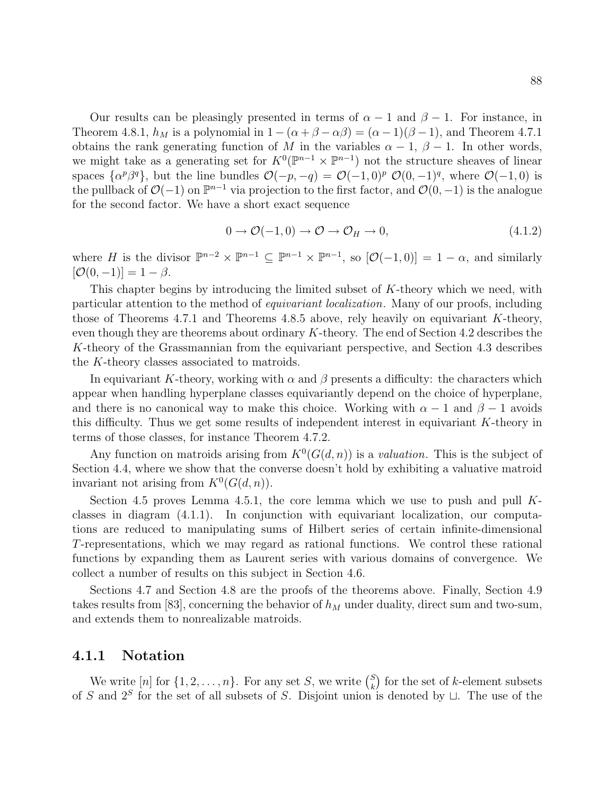Our results can be pleasingly presented in terms of  $\alpha - 1$  and  $\beta - 1$ . For instance, in Theorem 4.8.1,  $h_M$  is a polynomial in  $1 - (\alpha + \beta - \alpha \beta) = (\alpha - 1)(\beta - 1)$ , and Theorem 4.7.1 obtains the rank generating function of M in the variables  $\alpha - 1$ ,  $\beta - 1$ . In other words, we might take as a generating set for  $K^0(\mathbb{P}^{n-1}\times \mathbb{P}^{n-1})$  not the structure sheaves of linear spaces  $\{\alpha^p\beta^q\}$ , but the line bundles  $\mathcal{O}(-p,-q) = \mathcal{O}(-1,0)^p \mathcal{O}(0,-1)^q$ , where  $\mathcal{O}(-1,0)$  is the pullback of  $\mathcal{O}(-1)$  on  $\mathbb{P}^{n-1}$  via projection to the first factor, and  $\mathcal{O}(0,-1)$  is the analogue for the second factor. We have a short exact sequence

$$
0 \to \mathcal{O}(-1,0) \to \mathcal{O} \to \mathcal{O}_H \to 0, \tag{4.1.2}
$$

where H is the divisor  $\mathbb{P}^{n-2} \times \mathbb{P}^{n-1} \subseteq \mathbb{P}^{n-1} \times \mathbb{P}^{n-1}$ , so  $[\mathcal{O}(-1,0)] = 1 - \alpha$ , and similarly  $[\mathcal{O}(0, -1)] = 1 - \beta.$ 

This chapter begins by introducing the limited subset of K-theory which we need, with particular attention to the method of equivariant localization. Many of our proofs, including those of Theorems 4.7.1 and Theorems 4.8.5 above, rely heavily on equivariant  $K$ -theory, even though they are theorems about ordinary K-theory. The end of Section 4.2 describes the K-theory of the Grassmannian from the equivariant perspective, and Section 4.3 describes the K-theory classes associated to matroids.

In equivariant K-theory, working with  $\alpha$  and  $\beta$  presents a difficulty: the characters which appear when handling hyperplane classes equivariantly depend on the choice of hyperplane, and there is no canonical way to make this choice. Working with  $\alpha - 1$  and  $\beta - 1$  avoids this difficulty. Thus we get some results of independent interest in equivariant  $K$ -theory in terms of those classes, for instance Theorem 4.7.2.

Any function on matroids arising from  $K^0(G(d, n))$  is a valuation. This is the subject of Section 4.4, where we show that the converse doesn't hold by exhibiting a valuative matroid invariant not arising from  $K^0(G(d, n))$ .

Section 4.5 proves Lemma 4.5.1, the core lemma which we use to push and pull  $K$ classes in diagram (4.1.1). In conjunction with equivariant localization, our computations are reduced to manipulating sums of Hilbert series of certain infinite-dimensional T-representations, which we may regard as rational functions. We control these rational functions by expanding them as Laurent series with various domains of convergence. We collect a number of results on this subject in Section 4.6.

Sections 4.7 and Section 4.8 are the proofs of the theorems above. Finally, Section 4.9 takes results from [83], concerning the behavior of  $h_M$  under duality, direct sum and two-sum, and extends them to nonrealizable matroids.

#### 4.1.1 Notation

We write  $[n]$  for  $\{1, 2, \ldots, n\}$ . For any set S, we write  $\binom{S}{k}$  $\binom{S}{k}$  for the set of k-element subsets of S and  $2^S$  for the set of all subsets of S. Disjoint union is denoted by  $\Box$ . The use of the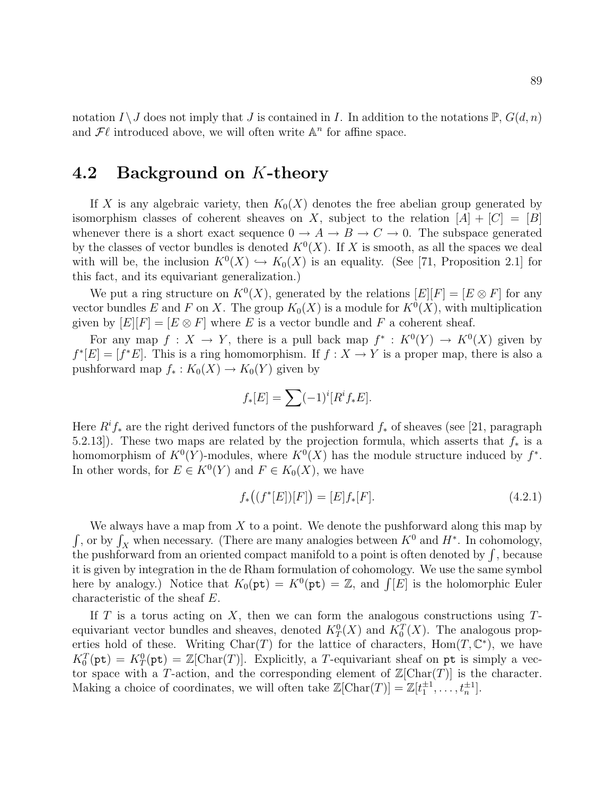notation  $I \setminus J$  does not imply that J is contained in I. In addition to the notations  $\mathbb{P}, G(d, n)$ and  $\mathcal{F}\ell$  introduced above, we will often write  $\mathbb{A}^n$  for affine space.

## 4.2 Background on K-theory

If X is any algebraic variety, then  $K_0(X)$  denotes the free abelian group generated by isomorphism classes of coherent sheaves on X, subject to the relation  $[A] + [C] = [B]$ whenever there is a short exact sequence  $0 \to A \to B \to C \to 0$ . The subspace generated by the classes of vector bundles is denoted  $K^0(X)$ . If X is smooth, as all the spaces we deal with will be, the inclusion  $K^0(X) \hookrightarrow K_0(X)$  is an equality. (See [71, Proposition 2.1] for this fact, and its equivariant generalization.)

We put a ring structure on  $K^0(X)$ , generated by the relations  $[E][F] = [E \otimes F]$  for any vector bundles E and F on X. The group  $K_0(X)$  is a module for  $K^0(X)$ , with multiplication given by  $[E][F] = [E \otimes F]$  where E is a vector bundle and F a coherent sheaf.

For any map  $f: X \to Y$ , there is a pull back map  $f^* : K^0(Y) \to K^0(X)$  given by  $f^*[E] = [f^*E]$ . This is a ring homomorphism. If  $f : X \to Y$  is a proper map, there is also a pushforward map  $f_*: K_0(X) \to K_0(Y)$  given by

$$
f_*[E] = \sum (-1)^i [R^i f_* E].
$$

Here  $R^if_*$  are the right derived functors of the pushforward  $f_*$  of sheaves (see [21, paragraph 5.2.13]). These two maps are related by the projection formula, which asserts that  $f_*$  is a homomorphism of  $K^0(Y)$ -modules, where  $K^0(X)$  has the module structure induced by  $f^*$ . In other words, for  $E \in K^0(Y)$  and  $F \in K_0(X)$ , we have

$$
f_*((f^*[E])[F]) = [E]f_*[F].
$$
\n(4.2.1)

We always have a map from  $X$  to a point. We denote the pushforward along this map by f, or by  $\int_X$  when necessary. (There are many analogies between  $K^0$  and  $H^*$ . In cohomology, the pushforward from an oriented compact manifold to a point is often denoted by  $\int$ , because it is given by integration in the de Rham formulation of cohomology. We use the same symbol here by analogy.) Notice that  $K_0(\text{pt}) = K^0(\text{pt}) = \mathbb{Z}$ , and  $\int [E]$  is the holomorphic Euler characteristic of the sheaf E.

If  $T$  is a torus acting on  $X$ , then we can form the analogous constructions using  $T$ equivariant vector bundles and sheaves, denoted  $K_T^0(X)$  and  $K_T^T(X)$ . The analogous properties hold of these. Writing Char(T) for the lattice of characters,  $Hom(T, \mathbb{C}^*)$ , we have  $K_0^T(\text{pt}) = K_T^0(\text{pt}) = \mathbb{Z}[\text{Char}(T)].$  Explicitly, a T-equivariant sheaf on pt is simply a vector space with a T-action, and the corresponding element of  $\mathbb{Z}[\text{Char}(T)]$  is the character. Making a choice of coordinates, we will often take  $\mathbb{Z}[\text{Char}(T)] = \mathbb{Z}[t_1^{\pm 1}, \dots, t_n^{\pm 1}].$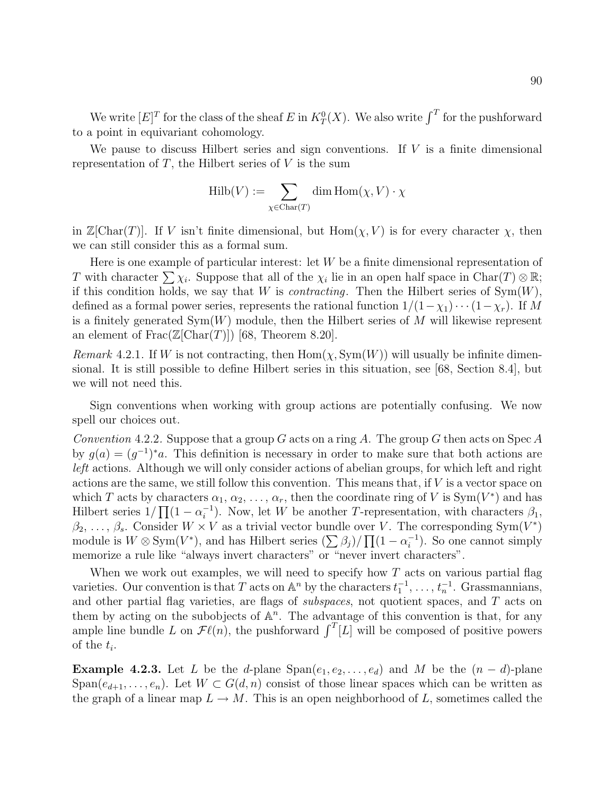We write  $[E]^T$  for the class of the sheaf E in  $K^0_T(X)$ . We also write  $\int^T$  for the pushforward to a point in equivariant cohomology.

We pause to discuss Hilbert series and sign conventions. If  $V$  is a finite dimensional representation of  $T$ , the Hilbert series of  $V$  is the sum

$$
\mathrm{Hilb}(V):=\sum_{\chi\in\mathrm{Char}(T)}\dim\mathrm{Hom}(\chi,V)\cdot\chi
$$

in  $\mathbb{Z}[\text{Char}(T)]$ . If V isn't finite dimensional, but  $\text{Hom}(\chi, V)$  is for every character  $\chi$ , then we can still consider this as a formal sum.

Here is one example of particular interest: let  $W$  be a finite dimensional representation of T with character  $\sum \chi_i$ . Suppose that all of the  $\chi_i$  lie in an open half space in Char(T)  $\otimes \mathbb{R}$ ; if this condition holds, we say that W is *contracting*. Then the Hilbert series of  $Sym(W)$ , defined as a formal power series, represents the rational function  $1/(1-\chi_1)\cdots(1-\chi_r)$ . If M is a finitely generated  $Sym(W)$  module, then the Hilbert series of M will likewise represent an element of  $Frac(\mathbb{Z}[\text{Char}(T)])$  [68, Theorem 8.20].

Remark 4.2.1. If W is not contracting, then  $\text{Hom}(\chi, \text{Sym}(W))$  will usually be infinite dimensional. It is still possible to define Hilbert series in this situation, see [68, Section 8.4], but we will not need this.

Sign conventions when working with group actions are potentially confusing. We now spell our choices out.

Convention 4.2.2. Suppose that a group G acts on a ring A. The group G then acts on Spec A by  $g(a) = (g^{-1})^* a$ . This definition is necessary in order to make sure that both actions are left actions. Although we will only consider actions of abelian groups, for which left and right actions are the same, we still follow this convention. This means that, if  $V$  is a vector space on which T acts by characters  $\alpha_1, \alpha_2, \ldots, \alpha_r$ , then the coordinate ring of V is  $\text{Sym}(V^*)$  and has Hilbert series  $1/\prod_{i}(1-\alpha_i^{-1})$  $i^{-1}$ ). Now, let W be another T-representation, with characters  $\beta_1$ ,  $\beta_2, \ldots, \beta_s$ . Consider  $W \times V$  as a trivial vector bundle over V. The corresponding Sym $(V^*)$ module is  $W \otimes \text{Sym}(V^*)$ , and has Hilbert series  $(\sum \beta_j)/\prod_{i=1}^N (1 - \alpha_i^{-1})$  $i^{-1}$ ). So one cannot simply memorize a rule like "always invert characters" or "never invert characters".

When we work out examples, we will need to specify how  $T$  acts on various partial flag varieties. Our convention is that T acts on  $\mathbb{A}^n$  by the characters  $t_1^{-1}, \ldots, t_n^{-1}$ . Grassmannians, and other partial flag varieties, are flags of subspaces, not quotient spaces, and T acts on them by acting on the subobjects of  $\mathbb{A}^n$ . The advantage of this convention is that, for any ample line bundle L on  $\mathcal{F}\ell(n)$ , the pushforward  $\int^T [L]$  will be composed of positive powers of the  $t_i$ .

**Example 4.2.3.** Let L be the d-plane  $Span(e_1, e_2, \ldots, e_d)$  and M be the  $(n-d)$ -plane  $Span(e_{d+1}, \ldots, e_n)$ . Let  $W \subset G(d, n)$  consist of those linear spaces which can be written as the graph of a linear map  $L \to M$ . This is an open neighborhood of L, sometimes called the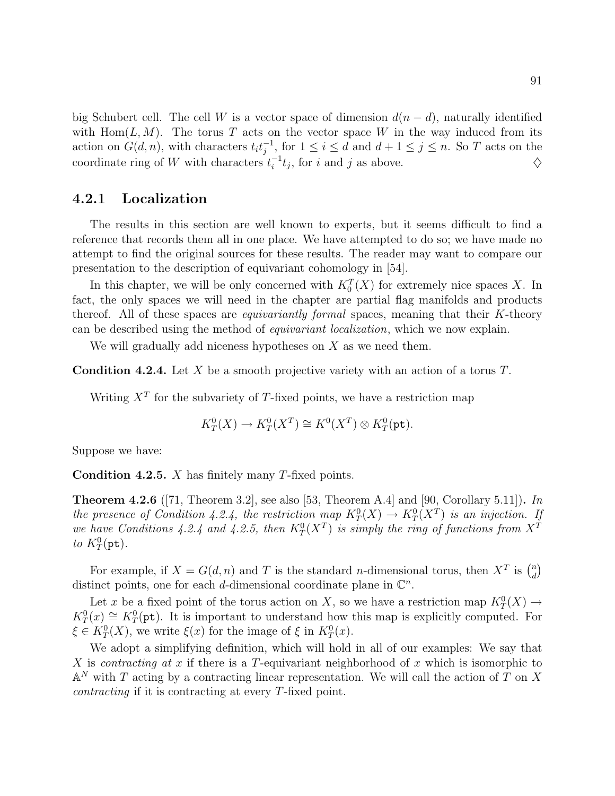big Schubert cell. The cell W is a vector space of dimension  $d(n - d)$ , naturally identified with  $Hom(L, M)$ . The torus T acts on the vector space W in the way induced from its action on  $G(d, n)$ , with characters  $t_i t_i^{-1}$  $j^{-1}$ , for  $1 \leq i \leq d$  and  $d+1 \leq j \leq n$ . So T acts on the coordinate ring of W with characters  $t_i^{-1}$  $i^{-1}t_j$ , for i and j as above.

#### 4.2.1 Localization

The results in this section are well known to experts, but it seems difficult to find a reference that records them all in one place. We have attempted to do so; we have made no attempt to find the original sources for these results. The reader may want to compare our presentation to the description of equivariant cohomology in [54].

In this chapter, we will be only concerned with  $K_0^T(X)$  for extremely nice spaces X. In fact, the only spaces we will need in the chapter are partial flag manifolds and products thereof. All of these spaces are *equivariantly formal* spaces, meaning that their K-theory can be described using the method of equivariant localization, which we now explain.

We will gradually add niceness hypotheses on  $X$  as we need them.

**Condition 4.2.4.** Let X be a smooth projective variety with an action of a torus  $T$ .

Writing  $X<sup>T</sup>$  for the subvariety of T-fixed points, we have a restriction map

$$
K_T^0(X) \to K_T^0(X^T) \cong K^0(X^T) \otimes K_T^0(\operatorname{\mathsf{pt}}).
$$

Suppose we have:

**Condition 4.2.5.** X has finitely many T-fixed points.

**Theorem 4.2.6** ([71, Theorem 3.2], see also [53, Theorem A.4] and [90, Corollary 5.11]). In the presence of Condition 4.2.4, the restriction map  $K_T^0(X) \to K_T^0(X^T)$  is an injection. If we have Conditions 4.2.4 and 4.2.5, then  $K_T^0(X^T)$  is simply the ring of functions from  $X^T$ to  $K_T^0(\text{pt})$ .

For example, if  $X = G(d, n)$  and T is the standard *n*-dimensional torus, then  $X<sup>T</sup>$  is  $\binom{n}{d}$  $\binom{n}{d}$ distinct points, one for each d-dimensional coordinate plane in  $\mathbb{C}^n$ .

Let x be a fixed point of the torus action on X, so we have a restriction map  $K_T^0(X) \to$  $K_T^0(x) \cong K_T^0(\text{pt})$ . It is important to understand how this map is explicitly computed. For  $\xi \in K_T^0(X)$ , we write  $\xi(x)$  for the image of  $\xi$  in  $K_T^0(x)$ .

We adopt a simplifying definition, which will hold in all of our examples: We say that X is *contracting at x* if there is a T-equivariant neighborhood of x which is isomorphic to  $\mathbb{A}^N$  with T acting by a contracting linear representation. We will call the action of T on X contracting if it is contracting at every T-fixed point.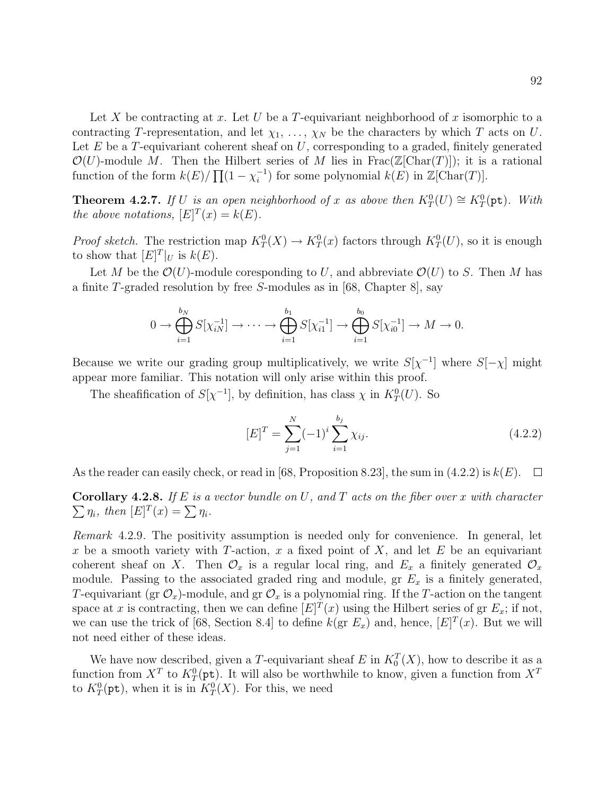Let X be contracting at x. Let U be a T-equivariant neighborhood of x isomorphic to a contracting T-representation, and let  $\chi_1, \ldots, \chi_N$  be the characters by which T acts on U. Let  $E$  be a T-equivariant coherent sheaf on  $U$ , corresponding to a graded, finitely generated  $\mathcal{O}(U)$ -module M. Then the Hilbert series of M lies in Frac( $\mathbb{Z}[\text{Char}(T)]$ ); it is a rational function of the form  $k(E)/\prod_{i=1}^{n} (1 - \chi_i^{-1})$  $i<sup>-1</sup>$  for some polynomial  $k(E)$  in  $\mathbb{Z}[\text{Char}(T)].$ 

**Theorem 4.2.7.** If U is an open neighborhood of x as above then  $K_T^0(U) \cong K_T^0(\text{pt})$ . With the above notations,  $[E]^T(x) = k(E)$ .

*Proof sketch*. The restriction map  $K_T^0(X) \to K_T^0(x)$  factors through  $K_T^0(U)$ , so it is enough to show that  $[E]^T|_U$  is  $k(E)$ .

Let M be the  $\mathcal{O}(U)$ -module coresponding to U, and abbreviate  $\mathcal{O}(U)$  to S. Then M has a finite T-graded resolution by free S-modules as in [68, Chapter 8], say

$$
0 \to \bigoplus_{i=1}^{b_N} S[\chi_{iN}^{-1}] \to \cdots \to \bigoplus_{i=1}^{b_1} S[\chi_{i1}^{-1}] \to \bigoplus_{i=1}^{b_0} S[\chi_{i0}^{-1}] \to M \to 0.
$$

Because we write our grading group multiplicatively, we write  $S[\chi^{-1}]$  where  $S[-\chi]$  might appear more familiar. This notation will only arise within this proof.

The sheafification of  $S[\chi^{-1}]$ , by definition, has class  $\chi$  in  $K_T^0(U)$ . So

$$
[E]^T = \sum_{j=1}^N (-1)^i \sum_{i=1}^{b_j} \chi_{ij}.
$$
\n(4.2.2)

As the reader can easily check, or read in [68, Proposition 8.23], the sum in  $(4.2.2)$  is  $k(E)$ .  $\Box$ 

**Corollary 4.2.8.** If E is a vector bundle on U, and T acts on the fiber over x with character  $\sum \eta_i$ , then  $[E]^T(x) = \sum \eta_i$ .

Remark 4.2.9. The positivity assumption is needed only for convenience. In general, let x be a smooth variety with T-action, x a fixed point of  $X$ , and let  $E$  be an equivariant coherent sheaf on X. Then  $\mathcal{O}_x$  is a regular local ring, and  $E_x$  a finitely generated  $\mathcal{O}_x$ module. Passing to the associated graded ring and module,  $gr E_x$  is a finitely generated, T-equivariant (gr  $\mathcal{O}_x$ )-module, and gr  $\mathcal{O}_x$  is a polynomial ring. If the T-action on the tangent space at x is contracting, then we can define  $[E]^T(x)$  using the Hilbert series of gr  $E_x$ ; if not, we can use the trick of [68, Section 8.4] to define  $k(\text{gr } E_x)$  and, hence,  $[E]^T(x)$ . But we will not need either of these ideas.

We have now described, given a T-equivariant sheaf E in  $K_0^T(X)$ , how to describe it as a function from  $X^T$  to  $K_T^0(\text{pt})$ . It will also be worthwhile to know, given a function from  $X^T$ to  $K_T^0(\text{pt})$ , when it is in  $K_T^0(X)$ . For this, we need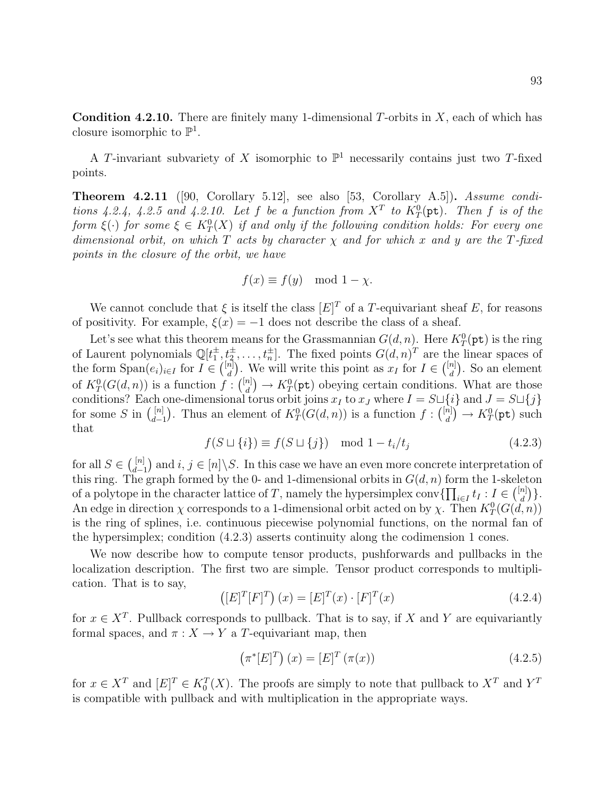**Condition 4.2.10.** There are finitely many 1-dimensional T-orbits in  $X$ , each of which has closure isomorphic to  $\mathbb{P}^1$ .

A T-invariant subvariety of X isomorphic to  $\mathbb{P}^1$  necessarily contains just two T-fixed points.

Theorem 4.2.11 ([90, Corollary 5.12], see also [53, Corollary A.5]). Assume conditions 4.2.4, 4.2.5 and 4.2.10. Let f be a function from  $X^T$  to  $K_T^0(\text{pt})$ . Then f is of the form  $\xi(\cdot)$  for some  $\xi \in K_T^0(X)$  if and only if the following condition holds: For every one dimensional orbit, on which T acts by character  $\chi$  and for which x and y are the T-fixed points in the closure of the orbit, we have

$$
f(x) \equiv f(y) \mod 1 - \chi.
$$

We cannot conclude that  $\xi$  is itself the class  $[E]^T$  of a T-equivariant sheaf E, for reasons of positivity. For example,  $\xi(x) = -1$  does not describe the class of a sheaf.

Let's see what this theorem means for the Grassmannian  $G(d, n)$ . Here  $K_T^0(\text{pt})$  is the ring of Laurent polynomials  $\mathbb{Q}[t_1^{\pm}, t_2^{\pm}, \ldots, t_n^{\pm}]$ . The fixed points  $G(d, n)^T$  are the linear spaces of the form  $\text{Span}(e_i)_{i \in I}$  for  $I \in \binom{[n]}{d}$  $\binom{n}{d}$ . We will write this point as  $x_I$  for  $I \in \binom{[n]}{d}$  $\binom{n}{d}$ . So an element of  $K^0_T(G(d, n))$  is a function  $f: \binom{[n]}{d}$  $\binom{n}{d}$   $\rightarrow$   $K_T^0(\text{pt})$  obeying certain conditions. What are those conditions? Each one-dimensional torus orbit joins  $x_I$  to  $x_J$  where  $I = S \sqcup \{i\}$  and  $J = S \sqcup \{j\}$ for some S in  $\binom{[n]}{d}$  $\binom{[n]}{d-1}$ . Thus an element of  $K^0_T(G(d,n))$  is a function  $f: \binom{[n]}{d}$  $\binom{m}{d} \to K^0_T(\texttt{pt})$  such that

$$
f(S \sqcup \{i\}) \equiv f(S \sqcup \{j\}) \mod 1 - t_i/t_j \tag{4.2.3}
$$

for all  $S \in \binom{[n]}{d-1}$  $\binom{[n]}{d-1}$  and  $i, j \in [n] \backslash S$ . In this case we have an even more concrete interpretation of this ring. The graph formed by the 0- and 1-dimensional orbits in  $G(d, n)$  form the 1-skeleton of a polytope in the character lattice of T, namely the hypersimplex conv $\{\prod_{i\in I}t_i: I\in \binom{[n]}{d}\}$  $\binom{n}{d}$ . An edge in direction  $\chi$  corresponds to a 1-dimensional orbit acted on by  $\chi$ . Then  $K_T^0(G(\tilde{d}, n))$ is the ring of splines, i.e. continuous piecewise polynomial functions, on the normal fan of the hypersimplex; condition (4.2.3) asserts continuity along the codimension 1 cones.

We now describe how to compute tensor products, pushforwards and pullbacks in the localization description. The first two are simple. Tensor product corresponds to multiplication. That is to say,

$$
([E]^T [F]^T) (x) = [E]^T (x) \cdot [F]^T (x)
$$
\n(4.2.4)

for  $x \in X^T$ . Pullback corresponds to pullback. That is to say, if X and Y are equivariantly formal spaces, and  $\pi : X \to Y$  a T-equivariant map, then

$$
(\pi^*[E]^T)(x) = [E]^T(\pi(x))
$$
\n(4.2.5)

for  $x \in X^T$  and  $[E]^T \in K_0^T(X)$ . The proofs are simply to note that pullback to  $X^T$  and  $Y^T$ is compatible with pullback and with multiplication in the appropriate ways.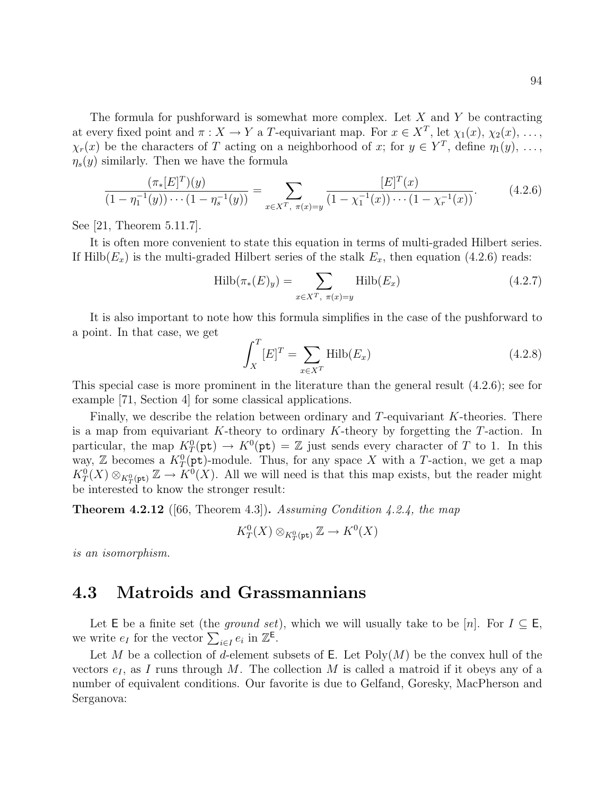The formula for pushforward is somewhat more complex. Let  $X$  and  $Y$  be contracting at every fixed point and  $\pi : X \to Y$  a T-equivariant map. For  $x \in X^T$ , let  $\chi_1(x)$ ,  $\chi_2(x)$ , ...,  $\chi_r(x)$  be the characters of T acting on a neighborhood of x; for  $y \in Y^T$ , define  $\eta_1(y)$ , ...,  $\eta_s(y)$  similarly. Then we have the formula

$$
\frac{(\pi_*[E]^T)(y)}{(1-\eta_1^{-1}(y))\cdots(1-\eta_s^{-1}(y))} = \sum_{x \in X^T, \ \pi(x)=y} \frac{[E]^T(x)}{(1-\chi_1^{-1}(x))\cdots(1-\chi_r^{-1}(x))}.
$$
(4.2.6)

See [21, Theorem 5.11.7].

It is often more convenient to state this equation in terms of multi-graded Hilbert series. If Hilb( $E_x$ ) is the multi-graded Hilbert series of the stalk  $E_x$ , then equation (4.2.6) reads:

$$
\mathrm{Hilb}(\pi_*(E)_y) = \sum_{x \in X^T, \ \pi(x) = y} \mathrm{Hilb}(E_x) \tag{4.2.7}
$$

It is also important to note how this formula simplifies in the case of the pushforward to a point. In that case, we get

$$
\int_{X}^{T} [E]^T = \sum_{x \in X^T} \text{Hilb}(E_x)
$$
\n(4.2.8)

This special case is more prominent in the literature than the general result (4.2.6); see for example [71, Section 4] for some classical applications.

Finally, we describe the relation between ordinary and  $T$ -equivariant K-theories. There is a map from equivariant K-theory to ordinary K-theory by forgetting the  $T$ -action. In particular, the map  $K_T^0(\text{pt}) \to K^0(\text{pt}) = \mathbb{Z}$  just sends every character of T to 1. In this way, Z becomes a  $K_T^0(\mathsf{pt})$ -module. Thus, for any space X with a T-action, we get a map  $K^0_T(X) \otimes_{K^0_T(\text{pt})} \mathbb{Z} \to K^0(X)$ . All we will need is that this map exists, but the reader might be interested to know the stronger result:

**Theorem 4.2.12** ([66, Theorem 4.3]). Assuming Condition 4.2.4, the map

$$
K^0_T(X)\otimes_{K^0_T(\text{pt})}\mathbb{Z}\to K^0(X)
$$

is an isomorphism.

### 4.3 Matroids and Grassmannians

Let E be a finite set (the ground set), which we will usually take to be [n]. For  $I \subseteq E$ , we write  $e_I$  for the vector  $\sum_{i\in I} e_i$  in  $\mathbb{Z}^{\mathsf{E}}$ .

Let M be a collection of d-element subsets of E. Let  $Poly(M)$  be the convex hull of the vectors  $e_I$ , as I runs through M. The collection M is called a matroid if it obeys any of a number of equivalent conditions. Our favorite is due to Gelfand, Goresky, MacPherson and Serganova: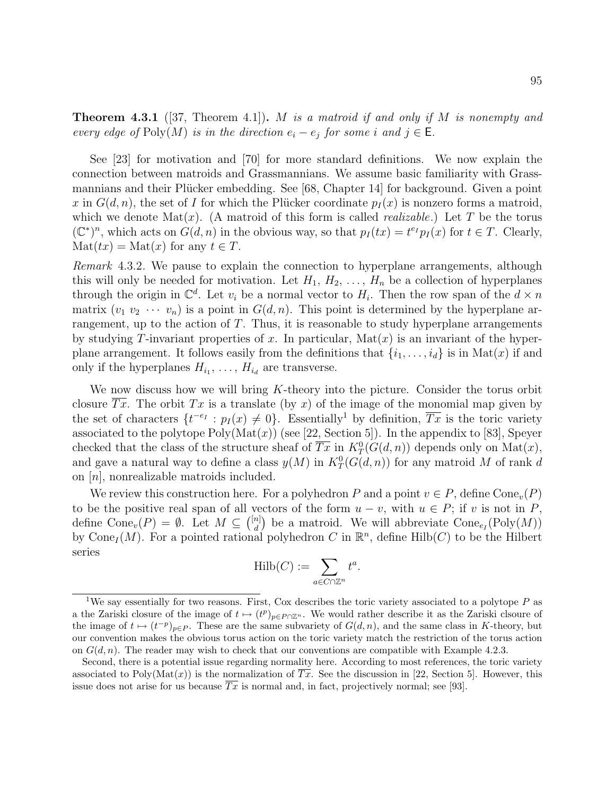**Theorem 4.3.1** ([37, Theorem 4.1]). M is a matroid if and only if M is nonempty and every edge of Poly $(M)$  is in the direction  $e_i - e_j$  for some i and  $j \in E$ .

See [23] for motivation and [70] for more standard definitions. We now explain the connection between matroids and Grassmannians. We assume basic familiarity with Grassmannians and their Plücker embedding. See [68, Chapter 14] for background. Given a point x in  $G(d, n)$ , the set of I for which the Plücker coordinate  $p_I(x)$  is nonzero forms a matroid, which we denote  $\text{Mat}(x)$ . (A matroid of this form is called *realizable*.) Let T be the torus  $(\mathbb{C}^*)^n$ , which acts on  $G(d, n)$  in the obvious way, so that  $p_I(tx) = t^{e_I}p_I(x)$  for  $t \in T$ . Clearly,  $\text{Mat}(tx) = \text{Mat}(x)$  for any  $t \in T$ .

Remark 4.3.2. We pause to explain the connection to hyperplane arrangements, although this will only be needed for motivation. Let  $H_1, H_2, \ldots, H_n$  be a collection of hyperplanes through the origin in  $\mathbb{C}^d$ . Let  $v_i$  be a normal vector to  $H_i$ . Then the row span of the  $d \times n$ matrix  $(v_1 v_2 \cdots v_n)$  is a point in  $G(d, n)$ . This point is determined by the hyperplane arrangement, up to the action of  $T$ . Thus, it is reasonable to study hyperplane arrangements by studying T-invariant properties of x. In particular,  $\text{Mat}(x)$  is an invariant of the hyperplane arrangement. It follows easily from the definitions that  $\{i_1, \ldots, i_d\}$  is in Mat $(x)$  if and only if the hyperplanes  $H_{i_1}, \ldots, H_{i_d}$  are transverse.

We now discuss how we will bring K-theory into the picture. Consider the torus orbit closure  $\overline{Tx}$ . The orbit Tx is a translate (by x) of the image of the monomial map given by the set of characters  $\{t^{-e_I} : p_I(x) \neq 0\}$ . Essentially<sup>1</sup> by definition,  $\overline{Tx}$  is the toric variety associated to the polytope  $Poly(Mat(x))$  (see [22, Section 5]). In the appendix to [83], Speyer checked that the class of the structure sheaf of  $\overline{Tx}$  in  $K_T^0(G(d, n))$  depends only on  $\text{Mat}(x)$ , and gave a natural way to define a class  $y(M)$  in  $K_T^0(G(d, n))$  for any matroid M of rank d on [n], nonrealizable matroids included.

We review this construction here. For a polyhedron P and a point  $v \in P$ , define  $Cone<sub>v</sub>(P)$ to be the positive real span of all vectors of the form  $u - v$ , with  $u \in P$ ; if v is not in P, define Cone<sub>v</sub> $(P) = \emptyset$ . Let  $M \subseteq {[n] \choose d}$  $\binom{n}{d}$  be a matroid. We will abbreviate  $\text{Cone}_{e_I}(\text{Poly}(M))$ by Cone<sub>I</sub>(M). For a pointed rational polyhedron C in  $\mathbb{R}^n$ , define Hilb(C) to be the Hilbert series

$$
\mathrm{Hilb}(C) := \sum_{a \in C \cap \mathbb{Z}^n} t^a.
$$

<sup>&</sup>lt;sup>1</sup>We say essentially for two reasons. First, Cox describes the toric variety associated to a polytope  $P$  as a the Zariski closure of the image of  $t \mapsto (t^p)_{p \in P \cap \mathbb{Z}^n}$ . We would rather describe it as the Zariski clsoure of the image of  $t \mapsto (t^{-p})_{p \in P}$ . These are the same subvariety of  $G(d, n)$ , and the same class in K-theory, but our convention makes the obvious torus action on the toric variety match the restriction of the torus action on  $G(d, n)$ . The reader may wish to check that our conventions are compatible with Example 4.2.3.

Second, there is a potential issue regarding normality here. According to most references, the toric variety associated to  $Poly(Mat(x))$  is the normalization of  $\overline{Tx}$ . See the discussion in [22, Section 5]. However, this issue does not arise for us because  $\overline{T}x$  is normal and, in fact, projectively normal; see [93].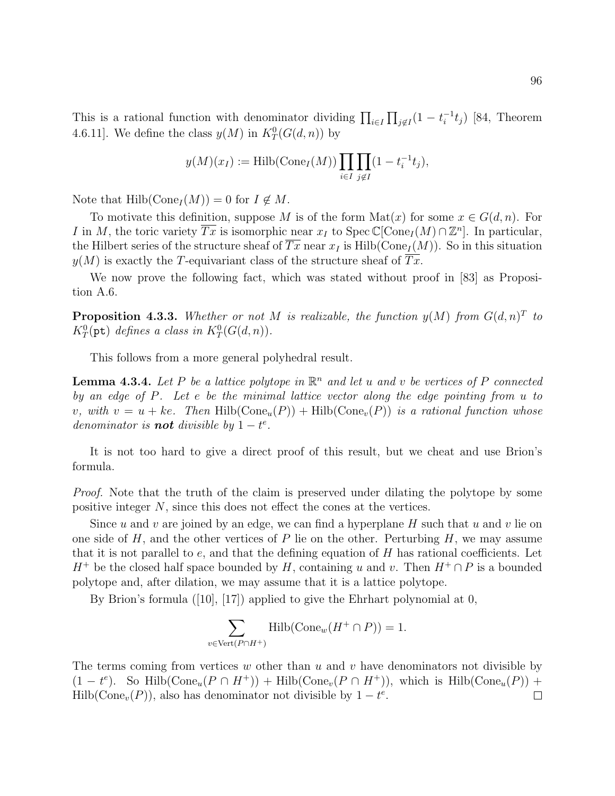This is a rational function with denominator dividing  $\prod_{i\in I}\prod_{j\not\in I}(1-t_i^{-1})$  $\binom{-1}{i}$  [84, Theorem 4.6.11]. We define the class  $y(M)$  in  $K_T^0(G(d, n))$  by

$$
y(M)(x_I) := \text{Hilb}(\text{Cone}_I(M)) \prod_{i \in I} \prod_{j \notin I} (1 - t_i^{-1} t_j),
$$

Note that  $Hilb(Cone<sub>I</sub>(M)) = 0$  for  $I \notin M$ .

To motivate this definition, suppose M is of the form  $\text{Mat}(x)$  for some  $x \in G(d, n)$ . For I in M, the toric variety  $\overline{Tx}$  is isomorphic near  $x_I$  to  $Spec \mathbb{C}[\text{Cone}_I(M) \cap \mathbb{Z}^n]$ . In particular, the Hilbert series of the structure sheaf of Tx near  $x_I$  is Hilb(Cone<sub>I</sub>(M)). So in this situation  $y(M)$  is exactly the T-equivariant class of the structure sheaf of  $\overline{Tx}$ .

We now prove the following fact, which was stated without proof in [83] as Proposition A.6.

**Proposition 4.3.3.** Whether or not M is realizable, the function  $y(M)$  from  $G(d, n)^T$  to  $K_T^0(\text{pt})$  defines a class in  $K_T^0(G(d, n))$ .

This follows from a more general polyhedral result.

**Lemma 4.3.4.** Let P be a lattice polytope in  $\mathbb{R}^n$  and let u and v be vertices of P connected by an edge of P. Let e be the minimal lattice vector along the edge pointing from u to v, with  $v = u + ke$ . Then Hilb( $\text{Cone}_{u}(P)$ ) + Hilb( $\text{Cone}_{v}(P)$ ) is a rational function whose denominator is **not** divisible by  $1 - t^e$ .

It is not too hard to give a direct proof of this result, but we cheat and use Brion's formula.

Proof. Note that the truth of the claim is preserved under dilating the polytope by some positive integer N, since this does not effect the cones at the vertices.

Since u and v are joined by an edge, we can find a hyperplane H such that u and v lie on one side of  $H$ , and the other vertices of P lie on the other. Perturbing  $H$ , we may assume that it is not parallel to  $e$ , and that the defining equation of  $H$  has rational coefficients. Let  $H^+$  be the closed half space bounded by H, containing u and v. Then  $H^+ \cap P$  is a bounded polytope and, after dilation, we may assume that it is a lattice polytope.

By Brion's formula  $([10], [17])$  applied to give the Ehrhart polynomial at 0,

$$
\sum_{v \in \text{Vert}(P \cap H^+)} \text{Hilb}(\text{Cone}_w(H^+ \cap P)) = 1.
$$

The terms coming from vertices w other than u and v have denominators not divisible by  $(1-t^e)$ . So Hilb(Cone<sub>u</sub> $(P \cap H^+)$ ) + Hilb(Cone<sub>v</sub> $(P \cap H^+)$ ), which is Hilb(Cone<sub>u</sub> $(P)$ ) + Hilb( $\text{Cone}_v(P)$ ), also has denominator not divisible by  $1-t^e$ .  $\Box$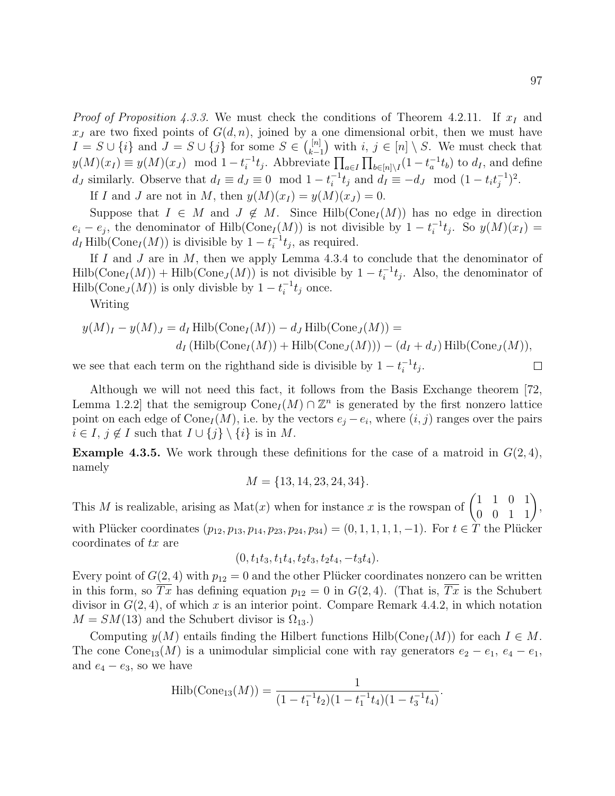*Proof of Proposition 4.3.3.* We must check the conditions of Theorem 4.2.11. If  $x_I$  and  $x_J$  are two fixed points of  $G(d, n)$ , joined by a one dimensional orbit, then we must have  $I = S \cup \{i\}$  and  $J = S \cup \{j\}$  for some  $S \in {[n] \choose k-1}$  $\binom{[n]}{k-1}$  with  $i, j \in [n] \setminus S$ . We must check that  $y(M)(x_I) \equiv y(M)(x_J) \mod 1 - t_i^{-1}$  $\prod_{a \in I} \prod_{b \in [n] \setminus I} (1 - t_a^{-1} t_b)$  to  $d_I$ , and define d<sub>J</sub> similarly. Observe that  $d_I \equiv d_J \equiv 0 \mod 1 - t_i^{-1}$  $i_t^{-1}t_j$  and  $d_I \equiv -d_J \mod (1 - t_i t_j^{-1})$  $j^{-1})^2$ .

If I and J are not in M, then  $y(M)(x_I) = y(M)(x_J) = 0$ .

Suppose that  $I \in M$  and  $J \notin M$ . Since Hilb( $Cone<sub>I</sub>(M)$ ) has no edge in direction  $e_i - e_j$ , the denominator of Hilb(Cone<sub>I</sub>(M)) is not divisible by  $1 - t_i^{-1}$  $i^{-1}t_j$ . So  $y(M)(x_I) =$  $d_I$  Hilb(Cone<sub>I</sub>(M)) is divisible by  $1 - t_i^{-1}$  $i^{-1}t_j$ , as required.

If I and J are in  $M$ , then we apply Lemma 4.3.4 to conclude that the denominator of  $\mathrm{Hilb}(\mathrm{Cone}_I(M)) + \mathrm{Hilb}(\mathrm{Cone}_J(M))$  is not divisible by  $1 - t_i^{-1}$  $i^{-1}t_j$ . Also, the denominator of  $\mathrm{Hilb}(\mathrm{Cone}_J(M))$  is only divisble by  $1-t_i^{-1}$  $i^{-1}t_j$  once.

Writing

$$
y(M)_I - y(M)_J = d_I \operatorname{Hilb}(Cone_I(M)) - d_J \operatorname{Hilb}(Cone_J(M)) =
$$
  

$$
d_I(\operatorname{Hilb}(Cone_I(M)) + \operatorname{Hilb}(Cone_J(M))) - (d_I + d_J) \operatorname{Hilb}(Cone_J(M)),
$$

we see that each term on the righthand side is divisible by  $1-t_i^{-1}$  $i^{-1}t_j.$ 

Although we will not need this fact, it follows from the Basis Exchange theorem [72, Lemma 1.2.2 that the semigroup  $\text{Cone}_I(M) \cap \mathbb{Z}^n$  is generated by the first nonzero lattice point on each edge of  $\text{Cone}_I(M)$ , i.e. by the vectors  $e_j - e_i$ , where  $(i, j)$  ranges over the pairs  $i \in I, j \notin I$  such that  $I \cup \{j\} \setminus \{i\}$  is in M.

**Example 4.3.5.** We work through these definitions for the case of a matroid in  $G(2,4)$ , namely

$$
M = \{13, 14, 23, 24, 34\}.
$$

This M is realizable, arising as  $\text{Mat}(x)$  when for instance x is the rowspan of  $\begin{pmatrix} 1 & 1 & 0 & 1 \\ 0 & 0 & 1 & 1 \end{pmatrix}$ , with Plücker coordinates  $(p_{12}, p_{13}, p_{14}, p_{23}, p_{24}, p_{34}) = (0, 1, 1, 1, 1, -1)$ . For  $t \in \overline{T}$  the Plücker coordinates of tx are

$$
(0, t_1t_3, t_1t_4, t_2t_3, t_2t_4, -t_3t_4).
$$

Every point of  $G(2, 4)$  with  $p_{12} = 0$  and the other Plücker coordinates nonzero can be written in this form, so Tx has defining equation  $p_{12} = 0$  in  $G(2, 4)$ . (That is, Tx is the Schubert divisor in  $G(2, 4)$ , of which x is an interior point. Compare Remark 4.4.2, in which notation  $M = SM(13)$  and the Schubert divisor is  $\Omega_{13}$ .

Computing  $y(M)$  entails finding the Hilbert functions Hilb(Cone<sub>I</sub>(M)) for each  $I \in M$ . The cone Cone<sub>13</sub>(M) is a unimodular simplicial cone with ray generators  $e_2 - e_1$ ,  $e_4 - e_1$ , and  $e_4 - e_3$ , so we have

Hilb(Cone<sub>13</sub>
$$
(M)
$$
) = 
$$
\frac{1}{(1 - t_1^{-1}t_2)(1 - t_1^{-1}t_4)(1 - t_3^{-1}t_4)}.
$$

 $\Box$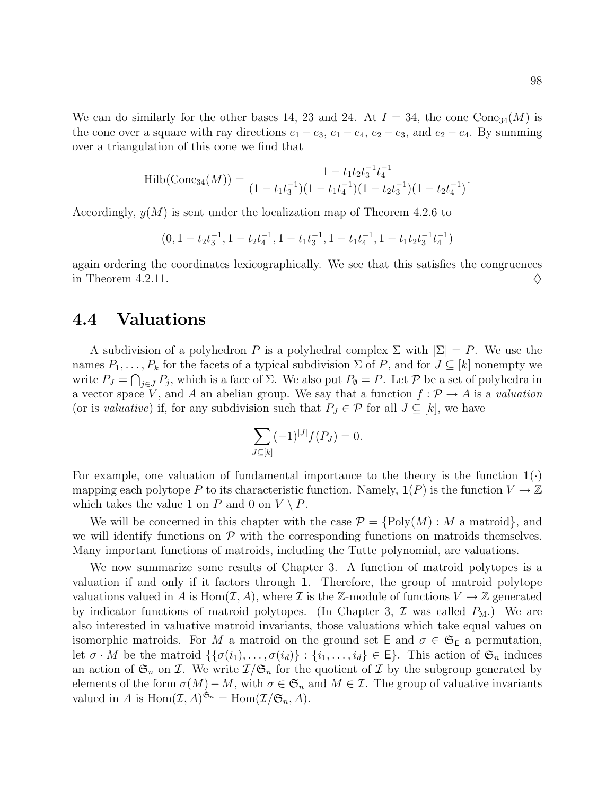We can do similarly for the other bases 14, 23 and 24. At  $I = 34$ , the cone Cone<sub>34</sub>(M) is the cone over a square with ray directions  $e_1 - e_3$ ,  $e_1 - e_4$ ,  $e_2 - e_3$ , and  $e_2 - e_4$ . By summing over a triangulation of this cone we find that

Hilb(Cone<sub>34</sub>
$$
(M)
$$
) = 
$$
\frac{1 - t_1 t_2 t_3^{-1} t_4^{-1}}{(1 - t_1 t_3^{-1})(1 - t_1 t_4^{-1})(1 - t_2 t_3^{-1})(1 - t_2 t_4^{-1})}.
$$

Accordingly,  $y(M)$  is sent under the localization map of Theorem 4.2.6 to

$$
(0, 1-t_2t_3^{-1}, 1-t_2t_4^{-1}, 1-t_1t_3^{-1}, 1-t_1t_4^{-1}, 1-t_1t_2t_3^{-1}t_4^{-1})
$$

again ordering the coordinates lexicographically. We see that this satisfies the congruences in Theorem 4.2.11.  $\diamondsuit$ 

### 4.4 Valuations

A subdivision of a polyhedron P is a polyhedral complex  $\Sigma$  with  $|\Sigma| = P$ . We use the names  $P_1, \ldots, P_k$  for the facets of a typical subdivision  $\Sigma$  of P, and for  $J \subseteq [k]$  nonempty we write  $P_J = \bigcap_{j \in J} P_j$ , which is a face of  $\Sigma$ . We also put  $P_{\emptyset} = P$ . Let  $P$  be a set of polyhedra in a vector space V, and A an abelian group. We say that a function  $f: \mathcal{P} \to A$  is a valuation (or is valuative) if, for any subdivision such that  $P_J \in \mathcal{P}$  for all  $J \subseteq [k]$ , we have

$$
\sum_{J \subseteq [k]} (-1)^{|J|} f(P_J) = 0.
$$

For example, one valuation of fundamental importance to the theory is the function  $\mathbf{1}(\cdot)$ mapping each polytope P to its characteristic function. Namely,  $\mathbf{1}(P)$  is the function  $V \to \mathbb{Z}$ which takes the value 1 on P and 0 on  $V \setminus P$ .

We will be concerned in this chapter with the case  $\mathcal{P} = \{Poly(M): M \text{ a matroid}\},$  and we will identify functions on  $\mathcal P$  with the corresponding functions on matroids themselves. Many important functions of matroids, including the Tutte polynomial, are valuations.

We now summarize some results of Chapter 3. A function of matroid polytopes is a valuation if and only if it factors through 1. Therefore, the group of matroid polytope valuations valued in A is Hom $(\mathcal{I}, A)$ , where  $\mathcal I$  is the Z-module of functions  $V \to \mathbb Z$  generated by indicator functions of matroid polytopes. (In Chapter 3,  $\mathcal I$  was called  $P_M$ .) We are also interested in valuative matroid invariants, those valuations which take equal values on isomorphic matroids. For M a matroid on the ground set E and  $\sigma \in \mathfrak{S}_{\mathsf{E}}$  a permutation, let  $\sigma \cdot M$  be the matroid  $\{\{\sigma(i_1), \ldots, \sigma(i_d)\} : \{i_1, \ldots, i_d\} \in \mathsf{E}\}\.$  This action of  $\mathfrak{S}_n$  induces an action of  $\mathfrak{S}_n$  on  $\mathcal{I}$ . We write  $\mathcal{I}/\mathfrak{S}_n$  for the quotient of  $\mathcal{I}$  by the subgroup generated by elements of the form  $\sigma(M)-M$ , with  $\sigma \in \mathfrak{S}_n$  and  $M \in \mathcal{I}$ . The group of valuative invariants valued in A is  $\text{Hom}(\mathcal{I}, A)^{\mathfrak{S}_n} = \text{Hom}(\mathcal{I}/\mathfrak{S}_n, A)$ .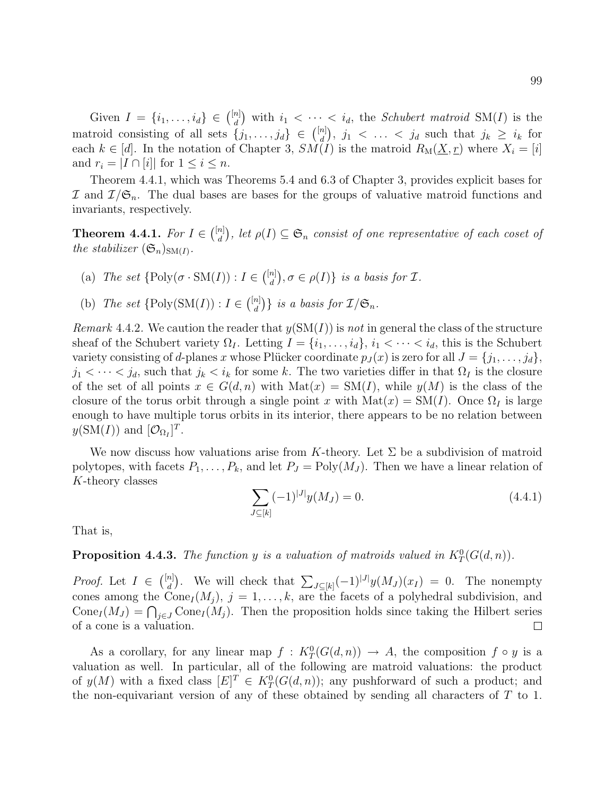Given  $I = \{i_1, \ldots, i_d\} \in \binom{[n]}{d}$  $\binom{n}{d}$  with  $i_1 < \cdots < i_d$ , the *Schubert matroid* SM(*I*) is the matroid consisting of all sets  $\{j_1, \ldots, j_d\} \in \binom{[n]}{d}$  $\binom{n}{d}$ ,  $j_1$  < ... <  $j_d$  such that  $j_k$   $\geq$   $i_k$  for each  $k \in [d]$ . In the notation of Chapter 3,  $SM(I)$  is the matroid  $R_M(\underline{X}, \underline{r})$  where  $X_i = [i]$ and  $r_i = |I \cap [i]|$  for  $1 \leq i \leq n$ .

Theorem 4.4.1, which was Theorems 5.4 and 6.3 of Chapter 3, provides explicit bases for I and  $\mathcal{I}/\mathfrak{S}_n$ . The dual bases are bases for the groups of valuative matroid functions and invariants, respectively.

Theorem 4.4.1. For  $I \in \binom{[n]}{d}$  $\mathbb{E}_d^{[n]}$ , let  $\rho(I) \subseteq \mathfrak{S}_n$  consist of one representative of each coset of the stabilizer  $(\mathfrak{S}_n)_{\text{SM}(I)}$ .

- (a) The set  $\{\text{Poly}(\sigma \cdot \text{SM}(I)) : I \in \binom{[n]}{d}\}\$  $\{a\}^{n|l}, \sigma \in \rho(I)\}$  is a basis for  $\mathcal{I}.$
- (b) The set  $\{\text{Poly(SM}(I)): I \in \binom{[n]}{d}\}$  ${n| \choose d}$  is a basis for  $\mathcal{I}/\mathfrak{S}_n$ .

Remark 4.4.2. We caution the reader that  $y(SM(I))$  is not in general the class of the structure sheaf of the Schubert variety  $\Omega_I$ . Letting  $I = \{i_1, \ldots, i_d\}, i_1 < \cdots < i_d$ , this is the Schubert variety consisting of d-planes x whose Plücker coordinate  $p_J(x)$  is zero for all  $J = \{j_1, \ldots, j_d\}$ ,  $j_1 < \cdots < j_d$ , such that  $j_k < i_k$  for some k. The two varieties differ in that  $\Omega_I$  is the closure of the set of all points  $x \in G(d, n)$  with  $\text{Mat}(x) = \text{SM}(I)$ , while  $y(M)$  is the class of the closure of the torus orbit through a single point x with  $\text{Mat}(x) = \text{SM}(I)$ . Once  $\Omega_I$  is large enough to have multiple torus orbits in its interior, there appears to be no relation between  $y(\mathrm{SM}(I))$  and  $[\mathcal{O}_{\Omega_I}]^T$ .

We now discuss how valuations arise from K-theory. Let  $\Sigma$  be a subdivision of matroid polytopes, with facets  $P_1, \ldots, P_k$ , and let  $P_J = \text{Poly}(M_J)$ . Then we have a linear relation of K-theory classes

$$
\sum_{J \subseteq [k]} (-1)^{|J|} y(M_J) = 0. \tag{4.4.1}
$$

That is,

**Proposition 4.4.3.** The function y is a valuation of matroids valued in  $K_T^0(G(d, n))$ .

*Proof.* Let  $I \in \binom{[n]}{d}$  $\binom{n}{d}$ . We will check that  $\sum_{J \subseteq [k]} (-1)^{|J|} y(M_J)(x_I) = 0$ . The nonempty cones among the Cone<sub>I</sub>  $(M_i)$ ,  $j = 1, ..., k$ , are the facets of a polyhedral subdivision, and  $\text{Cone}_I(M_J) = \bigcap_{j \in J} \text{Cone}_I(M_j)$ . Then the proposition holds since taking the Hilbert series of a cone is a valuation.  $\Box$ 

As a corollary, for any linear map  $f: K_T^0(G(d, n)) \to A$ , the composition  $f \circ y$  is a valuation as well. In particular, all of the following are matroid valuations: the product of  $y(M)$  with a fixed class  $[E]^T \in K^0_T(G(d, n))$ ; any pushforward of such a product; and the non-equivariant version of any of these obtained by sending all characters of T to 1.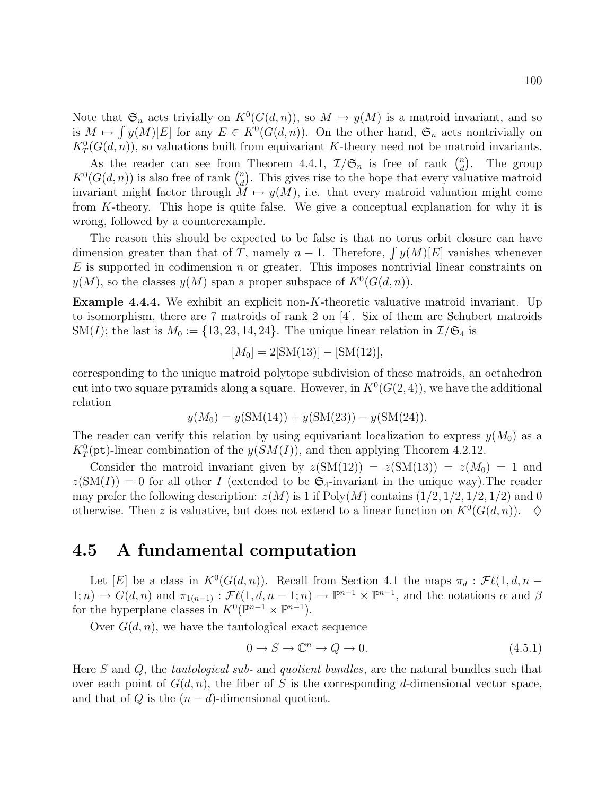Note that  $\mathfrak{S}_n$  acts trivially on  $K^0(G(d, n))$ , so  $M \mapsto y(M)$  is a matroid invariant, and so is  $M \mapsto \int y(M)[E]$  for any  $E \in K^0(G(d, n))$ . On the other hand,  $\mathfrak{S}_n$  acts nontrivially on  $K_T^0(G(d, n))$ , so valuations built from equivariant K-theory need not be matroid invariants.

As the reader can see from Theorem 4.4.1,  $\mathcal{I}/\mathfrak{S}_n$  is free of rank  $\binom{n}{d}$  $\binom{n}{d}$ . The group  $K^0(G(d, n))$  is also free of rank  $\binom{n}{d}$  $\binom{n}{d}$ . This gives rise to the hope that every valuative matroid invariant might factor through  $M \mapsto y(M)$ , i.e. that every matroid valuation might come from K-theory. This hope is quite false. We give a conceptual explanation for why it is wrong, followed by a counterexample.

The reason this should be expected to be false is that no torus orbit closure can have dimension greater than that of T, namely  $n-1$ . Therefore,  $\int y(M)[E]$  vanishes whenever  $E$  is supported in codimension n or greater. This imposes nontrivial linear constraints on  $y(M)$ , so the classes  $y(M)$  span a proper subspace of  $K^0(G(d, n))$ .

**Example 4.4.4.** We exhibit an explicit non- $K$ -theoretic valuative matroid invariant. Up to isomorphism, there are 7 matroids of rank 2 on [4]. Six of them are Schubert matroids SM(I); the last is  $M_0 := \{13, 23, 14, 24\}$ . The unique linear relation in  $\mathcal{I}/\mathfrak{S}_4$  is

$$
[M_0] = 2[\text{SM}(13)] - [\text{SM}(12)],
$$

corresponding to the unique matroid polytope subdivision of these matroids, an octahedron cut into two square pyramids along a square. However, in  $K^0(G(2,4))$ , we have the additional relation

$$
y(M_0) = y(\text{SM}(14)) + y(\text{SM}(23)) - y(\text{SM}(24)).
$$

The reader can verify this relation by using equivariant localization to express  $y(M_0)$  as a  $K_T^0(\text{pt})$ -linear combination of the  $y(SM(I))$ , and then applying Theorem 4.2.12.

Consider the matroid invariant given by  $z(SM(12)) = z(SM(13)) = z(M_0) = 1$  and  $z(SM(I)) = 0$  for all other I (extended to be  $\mathfrak{S}_4$ -invariant in the unique way). The reader may prefer the following description:  $z(M)$  is 1 if  $Poly(M)$  contains  $(1/2, 1/2, 1/2, 1/2)$  and 0 otherwise. Then z is valuative, but does not extend to a linear function on  $K^0(G(d, n))$ .  $\diamond$ 

#### 4.5 A fundamental computation

Let [E] be a class in  $K^0(G(d, n))$ . Recall from Section 4.1 the maps  $\pi_d : \mathcal{F}\ell(1, d, n 1; n) \to G(d, n)$  and  $\pi_{1(n-1)} : \mathcal{F}\ell(1, d, n-1; n) \to \mathbb{P}^{n-1} \times \mathbb{P}^{n-1}$ , and the notations  $\alpha$  and  $\beta$ for the hyperplane classes in  $K^0(\mathbb{P}^{n-1}\times \mathbb{P}^{n-1})$ .

Over  $G(d, n)$ , we have the tautological exact sequence

$$
0 \to S \to \mathbb{C}^n \to Q \to 0. \tag{4.5.1}
$$

Here S and Q, the *tautological sub-* and *quotient bundles*, are the natural bundles such that over each point of  $G(d, n)$ , the fiber of S is the corresponding d-dimensional vector space, and that of  $Q$  is the  $(n - d)$ -dimensional quotient.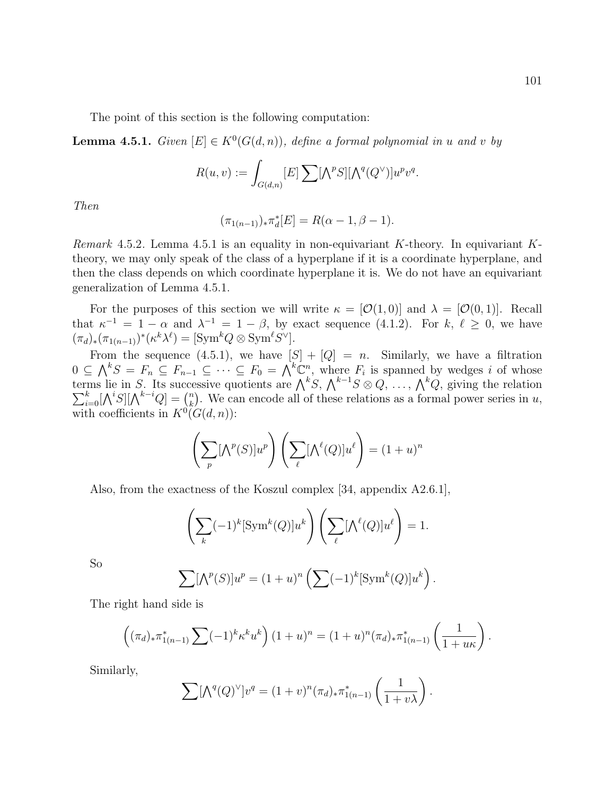The point of this section is the following computation:

**Lemma 4.5.1.** Given  $[E] \in K^0(G(d, n))$ , define a formal polynomial in u and v by

$$
R(u, v) := \int_{G(d,n)} [E] \sum [\Lambda^p S] [\Lambda^q(Q^\vee)] u^p v^q.
$$

Then

$$
(\pi_{1(n-1)})_*\pi_d^*[E] = R(\alpha - 1, \beta - 1).
$$

*Remark* 4.5.2. Lemma 4.5.1 is an equality in non-equivariant K-theory. In equivariant Ktheory, we may only speak of the class of a hyperplane if it is a coordinate hyperplane, and then the class depends on which coordinate hyperplane it is. We do not have an equivariant generalization of Lemma 4.5.1.

For the purposes of this section we will write  $\kappa = [\mathcal{O}(1,0)]$  and  $\lambda = [\mathcal{O}(0,1)]$ . Recall that  $\kappa^{-1} = 1 - \alpha$  and  $\lambda^{-1} = 1 - \beta$ , by exact sequence (4.1.2). For  $k, \ell \geq 0$ , we have  $(\pi_d)_*(\pi_{1(n-1)})^*(\kappa^k \lambda^{\ell}) = [\operatorname{Sym}^k Q \otimes \operatorname{Sym}^{\ell} S^{\vee}].$ 

From the sequence (4.5.1), we have  $[S] + [Q] = n$ . Similarly, we have a filtration  $0 \subseteq \bigwedge^k S = F_n \subseteq F_{n-1} \subseteq \cdots \subseteq F_0 = \bigwedge^k \mathbb{C}^n$ , where  $F_i$  is spanned by wedges i of whose terms lie in S. Its successive quotients are  $\bigwedge^k S, \bigwedge^{k-1} S \otimes Q, \ldots, \bigwedge^k S$  $\sum$ ms lie in S. Its successive quotients are  $\bigwedge^k S$ ,  $\bigwedge^{k-1} S \otimes Q$ , ...,  $\bigwedge^k Q$ , giving the relation  $\binom{k}{i=0} \bigwedge^i S\big] [\bigwedge^{k-i} Q] = \binom{n}{k}$ . We can encode all of these relations as a formal power series in u,  $\binom{n}{k}$ . We can encode all of these relations as a formal power series in u, with coefficients in  $K^0(G(d, n))$ :

$$
\left(\sum_{p} [\Lambda^p(S)]u^p\right)\left(\sum_{\ell} [\Lambda^{\ell}(Q)]u^{\ell}\right) = (1+u)^n
$$

Also, from the exactness of the Koszul complex [34, appendix A2.6.1],

$$
\left(\sum_{k}(-1)^{k}[\operatorname{Sym}^{k}(Q)]u^{k}\right)\left(\sum_{\ell}[\Lambda^{\ell}(Q)]u^{\ell}\right)=1.
$$

So

$$
\sum [\Lambda^p(S)]u^p = (1+u)^n \left(\sum (-1)^k [\text{Sym}^k(Q)]u^k\right)
$$

.

The right hand side is

$$
\left( (\pi_d)_* \pi_{1(n-1)}^* \sum (-1)^k \kappa^k u^k \right) (1+u)^n = (1+u)^n (\pi_d)_* \pi_{1(n-1)}^* \left( \frac{1}{1+u\kappa} \right).
$$

Similarly,

$$
\sum [\bigwedge^q(Q)^\vee]v^q = (1+v)^n (\pi_d)_* \pi_{1(n-1)}^* \left(\frac{1}{1+v\lambda}\right).
$$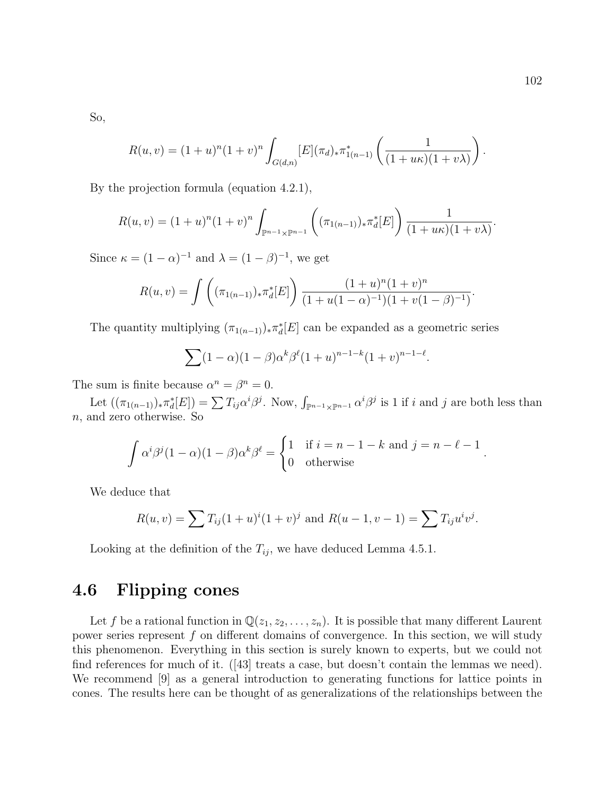So,

$$
R(u, v) = (1 + u)^{n} (1 + v)^{n} \int_{G(d,n)} [E](\pi_{d})_{*} \pi_{1(n-1)}^{*} \left( \frac{1}{(1 + u\kappa)(1 + v\lambda)} \right)
$$

By the projection formula (equation 4.2.1),

$$
R(u,v) = (1+u)^n (1+v)^n \int_{\mathbb{P}^{n-1} \times \mathbb{P}^{n-1}} \left( (\pi_{1(n-1)})_* \pi_d^*[E] \right) \frac{1}{(1+u\kappa)(1+v\lambda)}.
$$

Since  $\kappa = (1 - \alpha)^{-1}$  and  $\lambda = (1 - \beta)^{-1}$ , we get

$$
R(u,v) = \int \left( (\pi_{1(n-1)})_* \pi_d^*[E] \right) \frac{(1+u)^n (1+v)^n}{(1+u(1-\alpha)^{-1})(1+v(1-\beta)^{-1})}.
$$

The quantity multiplying  $(\pi_{1(n-1)})_* \pi_d^*[E]$  can be expanded as a geometric series

$$
\sum (1 - \alpha)(1 - \beta)\alpha^{k}\beta^{\ell}(1 + u)^{n-1-k}(1 + v)^{n-1-\ell}.
$$

The sum is finite because  $\alpha^n = \beta^n = 0$ .

Let  $((\pi_{1(n-1)})_*\pi_d^*[E]) = \sum T_{ij}\alpha^i\beta^j$ . Now,  $\int_{\mathbb{P}^{n-1}\times\mathbb{P}^{n-1}}\alpha^i\beta^j$  is 1 if i and j are both less than n, and zero otherwise. So

$$
\int \alpha^i \beta^j (1-\alpha)(1-\beta)\alpha^k \beta^\ell = \begin{cases} 1 & \text{if } i = n-1-k \text{ and } j = n-\ell-1 \\ 0 & \text{otherwise} \end{cases}.
$$

We deduce that

$$
R(u, v) = \sum T_{ij} (1 + u)^{i} (1 + v)^{j}
$$
 and  $R(u - 1, v - 1) = \sum T_{ij} u^{i} v^{j}$ .

Looking at the definition of the  $T_{ij}$ , we have deduced Lemma 4.5.1.

# 4.6 Flipping cones

Let f be a rational function in  $\mathbb{Q}(z_1, z_2, \ldots, z_n)$ . It is possible that many different Laurent power series represent  $f$  on different domains of convergence. In this section, we will study this phenomenon. Everything in this section is surely known to experts, but we could not find references for much of it. ([43] treats a case, but doesn't contain the lemmas we need). We recommend [9] as a general introduction to generating functions for lattice points in cones. The results here can be thought of as generalizations of the relationships between the

.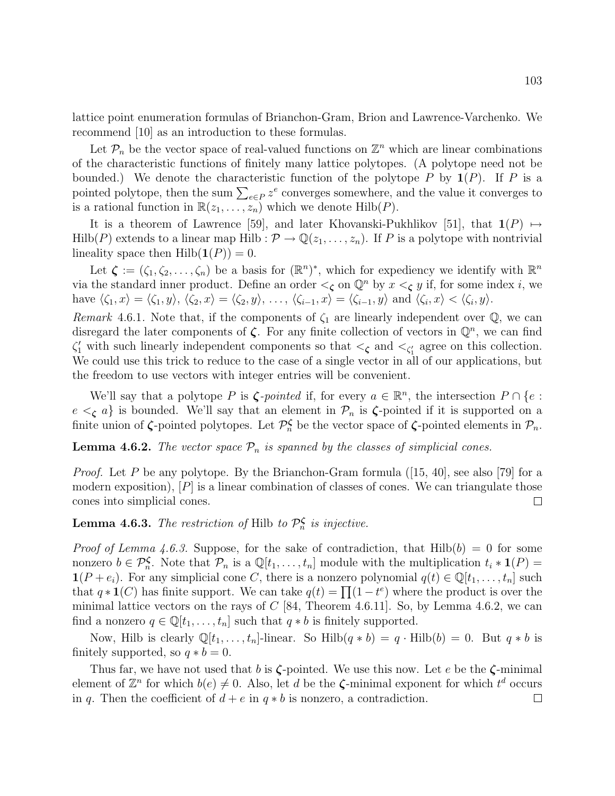lattice point enumeration formulas of Brianchon-Gram, Brion and Lawrence-Varchenko. We recommend [10] as an introduction to these formulas.

Let  $\mathcal{P}_n$  be the vector space of real-valued functions on  $\mathbb{Z}^n$  which are linear combinations of the characteristic functions of finitely many lattice polytopes. (A polytope need not be bounded.) We denote the characteristic function of the polytope P by  $\mathbf{1}(P)$ . If P is a pointed polytope, then the sum  $\sum_{e \in P} z^e$  converges somewhere, and the value it converges to is a rational function in  $\mathbb{R}(z_1, \ldots, z_n)$  which we denote  $\text{Hilb}(P)$ .

It is a theorem of Lawrence [59], and later Khovanski-Pukhlikov [51], that  $\mathbf{1}(P) \mapsto$ Hilb(P) extends to a linear map Hilb :  $\mathcal{P} \to \mathbb{Q}(z_1,\ldots,z_n)$ . If P is a polytope with nontrivial lineality space then  $Hilb(1(P)) = 0$ .

Let  $\boldsymbol{\zeta} := (\zeta_1, \zeta_2, \ldots, \zeta_n)$  be a basis for  $(\mathbb{R}^n)^*$ , which for expediency we identify with  $\mathbb{R}^n$ via the standard inner product. Define an order  $\lt_\zeta$  on  $\mathbb{Q}^n$  by  $x \lt_\zeta y$  if, for some index i, we have  $\langle \zeta_1, x \rangle = \langle \zeta_1, y \rangle, \langle \zeta_2, x \rangle = \langle \zeta_2, y \rangle, \ldots, \langle \zeta_{i-1}, x \rangle = \langle \zeta_{i-1}, y \rangle$  and  $\langle \zeta_i, x \rangle < \langle \zeta_i, y \rangle$ .

Remark 4.6.1. Note that, if the components of  $\zeta_1$  are linearly independent over  $\mathbb{Q}$ , we can disregard the later components of  $\zeta$ . For any finite collection of vectors in  $\mathbb{Q}^n$ , we can find  $\zeta'_1$  with such linearly independent components so that  $\langle \zeta \rangle$  and  $\langle \zeta'_1 \rangle$  agree on this collection. We could use this trick to reduce to the case of a single vector in all of our applications, but the freedom to use vectors with integer entries will be convenient.

We'll say that a polytope P is  $\zeta$ -pointed if, for every  $a \in \mathbb{R}^n$ , the intersection  $P \cap \{e :$  $e \leq \zeta a$  is bounded. We'll say that an element in  $\mathcal{P}_n$  is  $\zeta$ -pointed if it is supported on a finite union of  $\zeta$ -pointed polytopes. Let  $\mathcal{P}_n^{\zeta}$  be the vector space of  $\zeta$ -pointed elements in  $\mathcal{P}_n$ .

**Lemma 4.6.2.** The vector space  $\mathcal{P}_n$  is spanned by the classes of simplicial cones.

*Proof.* Let P be any polytope. By the Brianchon-Gram formula  $(15, 40)$ , see also [79] for a modern exposition),  $[P]$  is a linear combination of classes of cones. We can triangulate those cones into simplicial cones.  $\Box$ 

**Lemma 4.6.3.** The restriction of Hilb to  $\mathcal{P}_n^{\zeta}$  is injective.

*Proof of Lemma 4.6.3.* Suppose, for the sake of contradiction, that  $Hilb(b) = 0$  for some nonzero  $b \in \mathcal{P}_n^{\zeta}$ . Note that  $\mathcal{P}_n$  is a  $\mathbb{Q}[t_1,\ldots,t_n]$  module with the multiplication  $t_i * \mathbf{1}(P) =$  $\mathbf{1}(P + e_i)$ . For any simplicial cone C, there is a nonzero polynomial  $q(t) \in \mathbb{Q}[t_1, \ldots, t_n]$  such that  $q \ast \mathbf{1}(C)$  has finite support. We can take  $q(t) = \prod_{i=1}^{n} (1 - t^e)$  where the product is over the minimal lattice vectors on the rays of  $C$  [84, Theorem 4.6.11]. So, by Lemma 4.6.2, we can find a nonzero  $q \in \mathbb{Q}[t_1, \ldots, t_n]$  such that  $q * b$  is finitely supported.

Now, Hilb is clearly  $\mathbb{Q}[t_1,\ldots,t_n]$ -linear. So Hilb $(q * b) = q \cdot \text{Hilb}(b) = 0$ . But  $q * b$  is finitely supported, so  $q * b = 0$ .

Thus far, we have not used that b is  $\zeta$ -pointed. We use this now. Let e be the  $\zeta$ -minimal element of  $\mathbb{Z}^n$  for which  $b(e) \neq 0$ . Also, let d be the  $\zeta$ -minimal exponent for which  $t^d$  occurs in q. Then the coefficient of  $d + e$  in  $q * b$  is nonzero, a contradiction.  $\Box$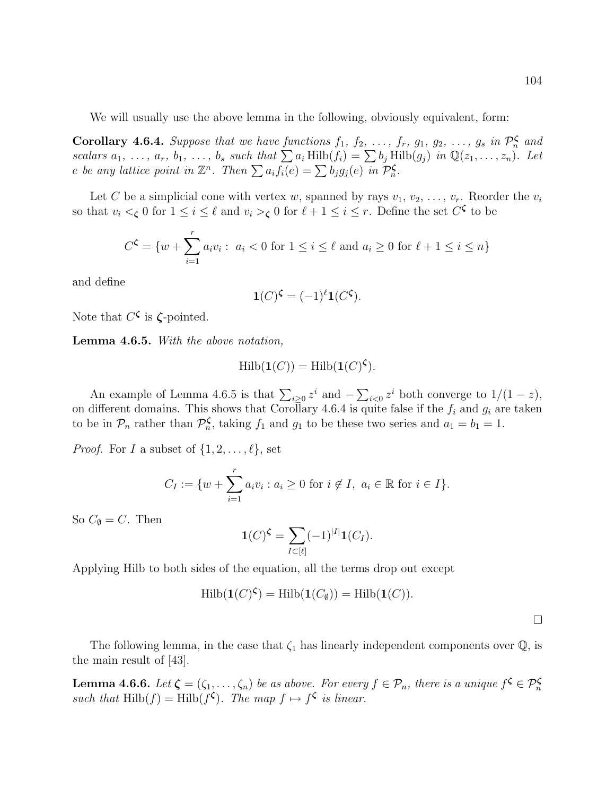We will usually use the above lemma in the following, obviously equivalent, form:

**Corollary 4.6.4.** Suppose that we have functions  $f_1, f_2, \ldots, f_r, g_1, g_2, \ldots, g_s$  in  $\mathcal{P}_n^{\zeta}$  and scalars  $a_1, \ldots, a_r, b_1, \ldots, b_s$  such that  $\sum a_i \mathrm{Hilb}(f_i) = \sum b_j \mathrm{Hilb}(g_j)$  in  $\mathbb{Q}(z_1, \ldots, z_n)$ . Let e be any lattice point in  $\mathbb{Z}^n$ . Then  $\sum a_i f_i(e) = \sum b_j g_j(e)$  in  $\mathcal{P}_n^{\zeta}$ .

Let C be a simplicial cone with vertex w, spanned by rays  $v_1, v_2, \ldots, v_r$ . Reorder the  $v_i$ so that  $v_i <_\zeta 0$  for  $1 \leq i \leq \ell$  and  $v_i >_\zeta 0$  for  $\ell + 1 \leq i \leq r$ . Define the set  $C^{\zeta}$  to be

$$
C^{\zeta} = \{ w + \sum_{i=1}^{r} a_i v_i : a_i < 0 \text{ for } 1 \le i \le \ell \text{ and } a_i \ge 0 \text{ for } \ell + 1 \le i \le n \}
$$

and define

$$
\mathbf{1}(C)^\zeta = (-1)^\ell \mathbf{1}(C^\zeta).
$$

Note that  $C^{\zeta}$  is  $\zeta$ -pointed.

Lemma 4.6.5. With the above notation,

$$
\mathrm{Hilb}(\mathbf{1}(C)) = \mathrm{Hilb}(\mathbf{1}(C)^{\zeta}).
$$

An example of Lemma 4.6.5 is that  $\sum_{i\geq 0} z^i$  and  $-\sum_{i\leq 0} z^i$  both converge to  $1/(1-z)$ , on different domains. This shows that Corollary 4.6.4 is quite false if the  $f_i$  and  $g_i$  are taken to be in  $\mathcal{P}_n$  rather than  $\mathcal{P}_n^{\zeta}$ , taking  $f_1$  and  $g_1$  to be these two series and  $a_1 = b_1 = 1$ .

*Proof.* For I a subset of  $\{1, 2, \ldots, \ell\}$ , set

$$
C_I := \{ w + \sum_{i=1}^r a_i v_i : a_i \ge 0 \text{ for } i \notin I, \ a_i \in \mathbb{R} \text{ for } i \in I \}.
$$

So  $C_{\emptyset} = C$ . Then

$$
\mathbf{1}(C)^{\zeta} = \sum_{I \subset [\ell]} (-1)^{|I|} \mathbf{1}(C_I).
$$

Applying Hilb to both sides of the equation, all the terms drop out except

$$
\mathrm{Hilb}(\mathbf{1}(C)^{\zeta}) = \mathrm{Hilb}(\mathbf{1}(C_{\emptyset})) = \mathrm{Hilb}(\mathbf{1}(C)).
$$

 $\Box$ 

The following lemma, in the case that  $\zeta_1$  has linearly independent components over  $\mathbb{Q}$ , is the main result of [43].

**Lemma 4.6.6.** Let  $\zeta = (\zeta_1, \ldots, \zeta_n)$  be as above. For every  $f \in \mathcal{P}_n$ , there is a unique  $f^{\zeta} \in \mathcal{P}_n^{\zeta}$ such that  $\text{Hilb}(f) = \text{Hilb}(f^{\zeta})$ . The map  $f \mapsto f^{\zeta}$  is linear.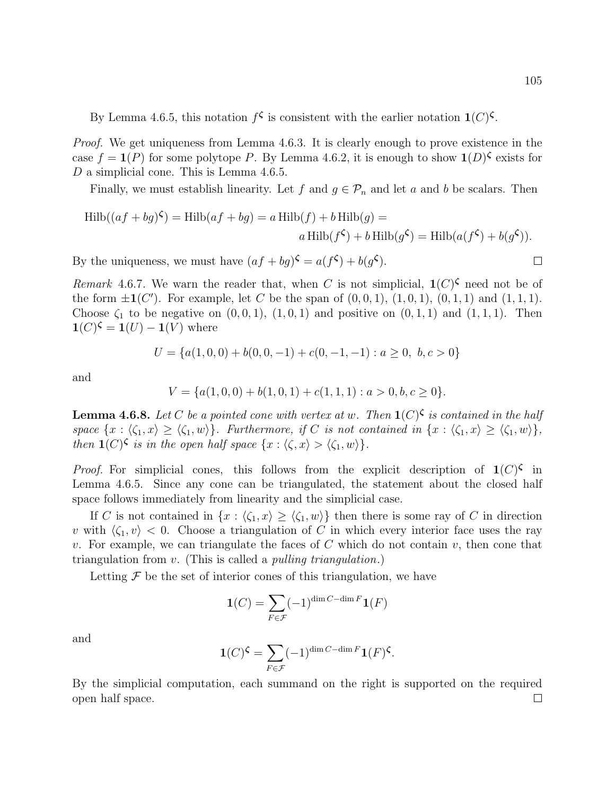By Lemma 4.6.5, this notation  $f^{\zeta}$  is consistent with the earlier notation  $\mathbb{1}(C)^{\zeta}$ .

Proof. We get uniqueness from Lemma 4.6.3. It is clearly enough to prove existence in the case  $f = \mathbf{1}(P)$  for some polytope P. By Lemma 4.6.2, it is enough to show  $\mathbf{1}(D)^{\mathsf{c}}$  exists for D a simplicial cone. This is Lemma 4.6.5.

Finally, we must establish linearity. Let f and  $g \in \mathcal{P}_n$  and let a and b be scalars. Then

$$
\text{Hilb}((af + bg)^{\zeta}) = \text{Hilb}(af + bg) = a \text{Hilb}(f) + b \text{Hilb}(g) = a \text{Hilb}(f^{\zeta}) + b \text{Hilb}(g^{\zeta}) = \text{Hilb}(a(f^{\zeta}) + b(g^{\zeta})).
$$

By the uniqueness, we must have  $(af + bg)^{\zeta} = a(f^{\zeta}) + b(g^{\zeta})$ .

Remark 4.6.7. We warn the reader that, when C is not simplicial,  $1(C)^{\zeta}$  need not be of the form  $\pm 1(C')$ . For example, let C be the span of  $(0,0,1)$ ,  $(1,0,1)$ ,  $(0,1,1)$  and  $(1,1,1)$ . Choose  $\zeta_1$  to be negative on  $(0, 0, 1)$ ,  $(1, 0, 1)$  and positive on  $(0, 1, 1)$  and  $(1, 1, 1)$ . Then  $1(C)^{\zeta} = 1(U) - 1(V)$  where

$$
U = \{a(1,0,0) + b(0,0,-1) + c(0,-1,-1) : a \ge 0, b, c > 0\}
$$

and

$$
V = \{a(1,0,0) + b(1,0,1) + c(1,1,1) : a > 0, b, c \ge 0\}.
$$

**Lemma 4.6.8.** Let C be a pointed cone with vertex at w. Then  $\mathbf{1}(C)^{\zeta}$  is contained in the half space  $\{x : \langle \zeta_1, x \rangle \geq \langle \zeta_1, w \rangle\}$ . Furthermore, if C is not contained in  $\{x : \langle \zeta_1, x \rangle \geq \langle \zeta_1, w \rangle\}$ , then  $\mathbf{1}(C)^\zeta$  is in the open half space  $\{x : \langle \zeta, x \rangle > \langle \zeta_1, w \rangle\}.$ 

*Proof.* For simplicial cones, this follows from the explicit description of  $1(C)^{\zeta}$  in Lemma 4.6.5. Since any cone can be triangulated, the statement about the closed half space follows immediately from linearity and the simplicial case.

If C is not contained in  $\{x : \langle \zeta_1, x \rangle \geq \langle \zeta_1, w \rangle\}$  then there is some ray of C in direction v with  $\langle \zeta_1, v \rangle$  < 0. Choose a triangulation of C in which every interior face uses the ray v. For example, we can triangulate the faces of  $C$  which do not contain v, then cone that triangulation from  $v$ . (This is called a *pulling triangulation*.)

Letting  $\mathcal F$  be the set of interior cones of this triangulation, we have

$$
\mathbf{1}(C) = \sum_{F \in \mathcal{F}} (-1)^{\dim C - \dim F} \mathbf{1}(F)
$$

and

$$
\mathbf{1}(C)^{\zeta} = \sum_{F \in \mathcal{F}} (-1)^{\dim C - \dim F} \mathbf{1}(F)^{\zeta}.
$$

By the simplicial computation, each summand on the right is supported on the required open half space. $\Box$ 

 $\Box$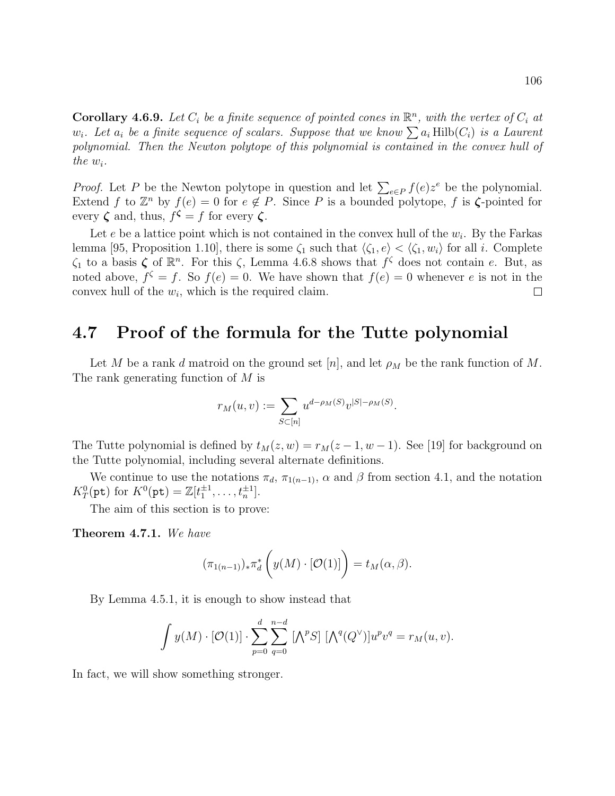**Corollary 4.6.9.** Let  $C_i$  be a finite sequence of pointed cones in  $\mathbb{R}^n$ , with the vertex of  $C_i$  at  $w_i$ . Let  $a_i$  be a finite sequence of scalars. Suppose that we know  $\sum a_i \text{Hilb}(C_i)$  is a Laurent polynomial. Then the Newton polytope of this polynomial is contained in the convex hull of the  $w_i$ .

*Proof.* Let P be the Newton polytope in question and let  $\sum_{e \in P} f(e) z^e$  be the polynomial. Extend f to  $\mathbb{Z}^n$  by  $f(e) = 0$  for  $e \notin P$ . Since P is a bounded polytope, f is  $\zeta$ -pointed for every  $\zeta$  and, thus,  $f^{\zeta} = f$  for every  $\zeta$ .

Let  $e$  be a lattice point which is not contained in the convex hull of the  $w_i$ . By the Farkas lemma [95, Proposition 1.10], there is some  $\zeta_1$  such that  $\langle \zeta_1, e \rangle < \langle \zeta_1, w_i \rangle$  for all i. Complete  $\zeta_1$  to a basis  $\zeta$  of  $\mathbb{R}^n$ . For this  $\zeta$ , Lemma 4.6.8 shows that  $f^{\zeta}$  does not contain e. But, as noted above,  $f^{\zeta} = f$ . So  $f(e) = 0$ . We have shown that  $f(e) = 0$  whenever e is not in the convex hull of the  $w_i$ , which is the required claim.  $\Box$ 

## 4.7 Proof of the formula for the Tutte polynomial

Let M be a rank d matroid on the ground set [n], and let  $\rho_M$  be the rank function of M. The rank generating function of M is

$$
r_M(u, v) := \sum_{S \subset [n]} u^{d - \rho_M(S)} v^{|S| - \rho_M(S)}.
$$

The Tutte polynomial is defined by  $t_M(z, w) = r_M(z - 1, w - 1)$ . See [19] for background on the Tutte polynomial, including several alternate definitions.

We continue to use the notations  $\pi_d$ ,  $\pi_{1(n-1)}$ ,  $\alpha$  and  $\beta$  from section 4.1, and the notation  $K_T^0(\text{pt})$  for  $K^0(\text{pt}) = \mathbb{Z}[t_1^{\pm 1}, \dots, t_n^{\pm 1}].$ 

The aim of this section is to prove:

Theorem 4.7.1. We have

$$
(\pi_{1(n-1)})_* \pi_d^* \left( y(M) \cdot [\mathcal{O}(1)] \right) = t_M(\alpha, \beta).
$$

By Lemma 4.5.1, it is enough to show instead that

$$
\int y(M) \cdot [\mathcal{O}(1)] \cdot \sum_{p=0}^d \sum_{q=0}^{n-d} [\bigwedge^p S] [\bigwedge^q (Q^{\vee})] u^p v^q = r_M(u, v).
$$

In fact, we will show something stronger.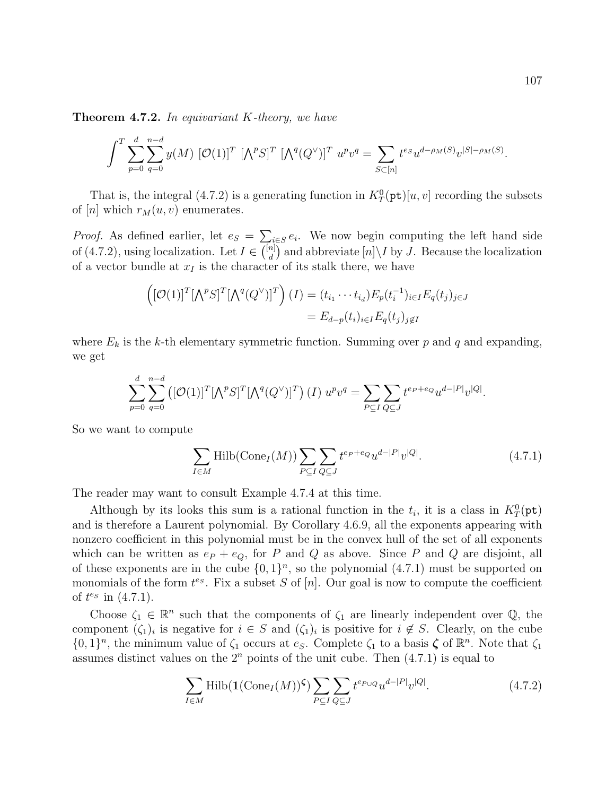Theorem 4.7.2. In equivariant K-theory, we have

$$
\int^{T} \sum_{p=0}^{d} \sum_{q=0}^{n-d} y(M) \, [\mathcal{O}(1)]^{T} \, [\bigwedge^{p} S]^{T} \, [\bigwedge^{q} (Q^{\vee})]^{T} \, u^{p}v^{q} = \sum_{S \subset [n]} t^{e_{S}} u^{d-\rho_{M}(S)} v^{|S|-\rho_{M}(S)}.
$$

That is, the integral (4.7.2) is a generating function in  $K_T^0(\text{pt})[u, v]$  recording the subsets of [n] which  $r_M(u, v)$  enumerates.

*Proof.* As defined earlier, let  $e_S = \sum_{i \in S} e_i$ . We now begin computing the left hand side of (4.7.2), using localization. Let  $I \in \binom{[n]}{d}$  $\binom{n}{d}$  and abbreviate  $[n] \backslash I$  by J. Because the localization of a vector bundle at  $x_I$  is the character of its stalk there, we have

$$
\left( [\mathcal{O}(1)]^T [\Lambda^p S]^T [\Lambda^q (Q^\vee)]^T \right) (I) = (t_{i_1} \cdots t_{i_d}) E_p (t_i^{-1})_{i \in I} E_q (t_j)_{j \in J}
$$

$$
= E_{d-p} (t_i)_{i \in I} E_q (t_j)_{j \notin I}
$$

where  $E_k$  is the k-th elementary symmetric function. Summing over p and q and expanding, we get

$$
\sum_{p=0}^{d} \sum_{q=0}^{n-d} \left( [\mathcal{O}(1)]^T [\Lambda^p S]^T [\Lambda^q (Q^\vee)]^T \right) (I) \ u^p v^q = \sum_{P \subseteq I} \sum_{Q \subseteq J} t^{e_P + e_Q} u^{d-|P|} v^{|Q|}.
$$

So we want to compute

$$
\sum_{I \in M} \text{Hilb}(\text{Cone}_I(M)) \sum_{P \subseteq I} \sum_{Q \subseteq J} t^{e_P + e_Q} u^{d - |P|} v^{|Q|}.
$$
 (4.7.1)

The reader may want to consult Example 4.7.4 at this time.

Although by its looks this sum is a rational function in the  $t_i$ , it is a class in  $K_T^0(\text{pt})$ and is therefore a Laurent polynomial. By Corollary 4.6.9, all the exponents appearing with nonzero coefficient in this polynomial must be in the convex hull of the set of all exponents which can be written as  $e_P + e_Q$ , for P and Q as above. Since P and Q are disjoint, all of these exponents are in the cube  $\{0,1\}^n$ , so the polynomial  $(4.7.1)$  must be supported on monomials of the form  $t^{e_s}$ . Fix a subset S of [n]. Our goal is now to compute the coefficient of  $t^{es}$  in  $(4.7.1)$ .

Choose  $\zeta_1 \in \mathbb{R}^n$  such that the components of  $\zeta_1$  are linearly independent over  $\mathbb{Q}$ , the component  $(\zeta_1)_i$  is negative for  $i \in S$  and  $(\zeta_1)_i$  is positive for  $i \notin S$ . Clearly, on the cube  $\{0,1\}^n$ , the minimum value of  $\zeta_1$  occurs at  $e_S$ . Complete  $\zeta_1$  to a basis  $\zeta$  of  $\mathbb{R}^n$ . Note that  $\zeta_1$ assumes distinct values on the  $2^n$  points of the unit cube. Then  $(4.7.1)$  is equal to

$$
\sum_{I \in M} \text{Hilb}(\mathbf{1}(\text{Cone}_I(M))^{\zeta}) \sum_{P \subseteq I} \sum_{Q \subseteq J} t^{e_{P \cup Q}} u^{d-|P|} v^{|Q|}.
$$
 (4.7.2)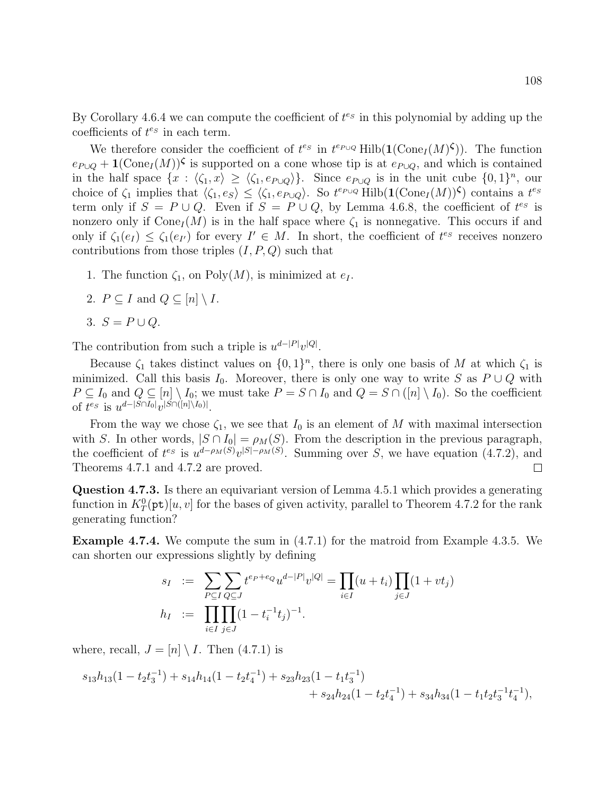By Corollary 4.6.4 we can compute the coefficient of  $t^{es}$  in this polynomial by adding up the coefficients of  $t^{e_S}$  in each term.

We therefore consider the coefficient of  $t^{e_S}$  in  $t^{e_{P\cup Q}}$  Hilb $(\mathbf{1}(Cone_I(M)^{\zeta}))$ . The function  $e_{P\cup Q} + \mathbf{1}(\text{Cone}_I(M))^{\zeta}$  is supported on a cone whose tip is at  $e_{P\cup Q}$ , and which is contained in the half space  $\{x : \langle \zeta_1, x \rangle \geq \langle \zeta_1, e_{P \cup Q} \rangle\}$ . Since  $e_{P \cup Q}$  is in the unit cube  $\{0, 1\}^n$ , our choice of  $\zeta_1$  implies that  $\langle \zeta_1, e_S \rangle \leq \langle \zeta_1, e_{P \cup Q} \rangle$ . So  $t^{e_{P \cup Q}}$  Hilb $(\mathbf{1}(Cone_I(M))^{\zeta})$  contains a  $t^{e_S}$ term only if  $S = P \cup Q$ . Even if  $S = P \cup Q$ , by Lemma 4.6.8, the coefficient of  $t^{e_S}$  is nonzero only if  $\text{Cone}_I(M)$  is in the half space where  $\zeta_1$  is nonnegative. This occurs if and only if  $\zeta_1(e_I) \leq \zeta_1(e_{I'})$  for every  $I' \in M$ . In short, the coefficient of  $t^{e_S}$  receives nonzero contributions from those triples  $(I, P, Q)$  such that

- 1. The function  $\zeta_1$ , on Poly $(M)$ , is minimized at  $e_I$ .
- 2.  $P \subset I$  and  $Q \subset [n] \setminus I$ .
- 3.  $S = P \cup Q$ .

The contribution from such a triple is  $u^{d-|P|}v^{|Q|}$ .

Because  $\zeta_1$  takes distinct values on  $\{0,1\}^n$ , there is only one basis of M at which  $\zeta_1$  is minimized. Call this basis  $I_0$ . Moreover, there is only one way to write S as  $P \cup Q$  with  $P \subseteq I_0$  and  $Q \subseteq [n] \setminus I_0$ ; we must take  $P = S \cap I_0$  and  $Q = S \cap ([n] \setminus I_0)$ . So the coefficient of  $t^{e_S}$  is  $u^{d-|S\cap I_0|}v^{|S\cap([n]\setminus I_0)|}$ .

From the way we chose  $\zeta_1$ , we see that  $I_0$  is an element of M with maximal intersection with S. In other words,  $|S \cap I_0| = \rho_M(S)$ . From the description in the previous paragraph, the coefficient of  $t^{e_s}$  is  $u^{d-\rho_M(S)}v^{|S|-\rho_M(S)}$ . Summing over S, we have equation (4.7.2), and Theorems 4.7.1 and 4.7.2 are proved.  $\Box$ 

Question 4.7.3. Is there an equivariant version of Lemma 4.5.1 which provides a generating function in  $K_T^0(\text{pt})[u, v]$  for the bases of given activity, parallel to Theorem 4.7.2 for the rank generating function?

Example 4.7.4. We compute the sum in (4.7.1) for the matroid from Example 4.3.5. We can shorten our expressions slightly by defining

$$
s_I := \sum_{P \subseteq I} \sum_{Q \subseteq J} t^{e_P + e_Q} u^{d - |P|} v^{|Q|} = \prod_{i \in I} (u + t_i) \prod_{j \in J} (1 + vt_j)
$$
  

$$
h_I := \prod_{i \in I} \prod_{j \in J} (1 - t_i^{-1} t_j)^{-1}.
$$

where, recall,  $J = [n] \setminus I$ . Then (4.7.1) is

$$
s_{13}h_{13}(1-t_2t_3^{-1})+s_{14}h_{14}(1-t_2t_4^{-1})+s_{23}h_{23}(1-t_1t_3^{-1})+\newline s_{24}h_{24}(1-t_2t_4^{-1})+s_{34}h_{34}(1-t_1t_2t_3^{-1}t_4^{-1}),
$$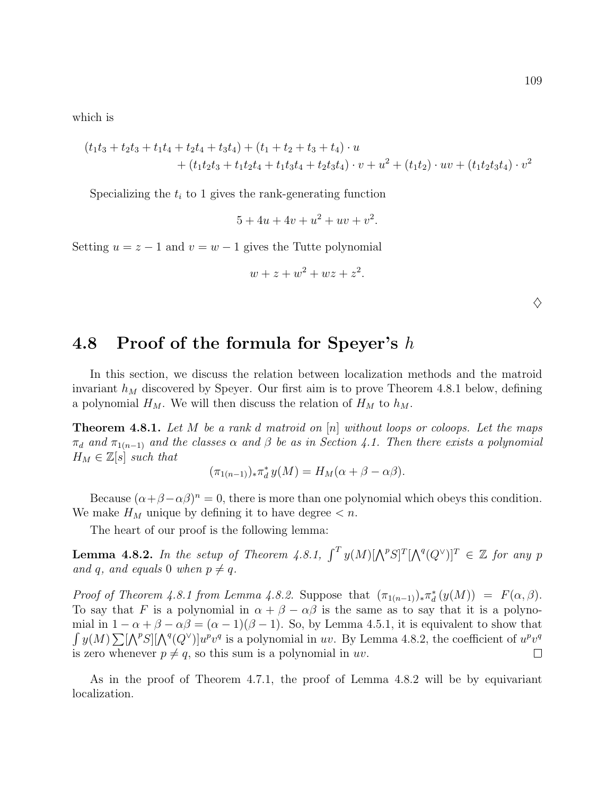which is

$$
(t_1t_3 + t_2t_3 + t_1t_4 + t_2t_4 + t_3t_4) + (t_1 + t_2 + t_3 + t_4) \cdot u
$$
  
+ 
$$
(t_1t_2t_3 + t_1t_2t_4 + t_1t_3t_4 + t_2t_3t_4) \cdot v + u^2 + (t_1t_2) \cdot uv + (t_1t_2t_3t_4) \cdot v^2
$$

Specializing the  $t_i$  to 1 gives the rank-generating function

$$
5 + 4u + 4v + u^2 + uv + v^2.
$$

Setting  $u = z - 1$  and  $v = w - 1$  gives the Tutte polynomial

$$
w + z + w^2 + wz + z^2
$$

.

 $\diamondsuit$ 

## 4.8 Proof of the formula for Speyer's h

In this section, we discuss the relation between localization methods and the matroid invariant  $h_M$  discovered by Speyer. Our first aim is to prove Theorem 4.8.1 below, defining a polynomial  $H_M$ . We will then discuss the relation of  $H_M$  to  $h_M$ .

**Theorem 4.8.1.** Let M be a rank d matroid on  $[n]$  without loops or coloops. Let the maps  $\pi_d$  and  $\pi_{1(n-1)}$  and the classes  $\alpha$  and  $\beta$  be as in Section 4.1. Then there exists a polynomial  $H_M \in \mathbb{Z}[s]$  such that

$$
(\pi_{1(n-1)})_* \pi_d^* y(M) = H_M(\alpha + \beta - \alpha \beta).
$$

Because  $(\alpha + \beta - \alpha \beta)^n = 0$ , there is more than one polynomial which obeys this condition. We make  $H_M$  unique by defining it to have degree  $\lt n$ .

The heart of our proof is the following lemma:

**Lemma 4.8.2.** In the setup of Theorem 4.8.1,  $\int^T y(M)[\Lambda^p S]^T [\Lambda^q(Q^\vee)]^T \in \mathbb{Z}$  for any p and q, and equals 0 when  $p \neq q$ .

Proof of Theorem 4.8.1 from Lemma 4.8.2. Suppose that  $(\pi_{1(n-1)})_* \pi_d^*(y(M)) = F(\alpha, \beta)$ . To say that F is a polynomial in  $\alpha + \beta - \alpha \beta$  is the same as to say that it is a polynomial in  $1 - \alpha + \beta - \alpha \beta = (\alpha - 1)(\beta - 1)$ . So, by Lemma 4.5.1, it is equivalent to show that  $\int y(M) \sum [\bigwedge^p S] [\bigwedge^q (Q^{\vee})] u^p v^q$  is a polynomial in uv. By Lemma 4.8.2, the coefficient of  $u^p v^q$ is zero whenever  $p \neq q$ , so this sum is a polynomial in uv.  $\Box$ 

As in the proof of Theorem 4.7.1, the proof of Lemma 4.8.2 will be by equivariant localization.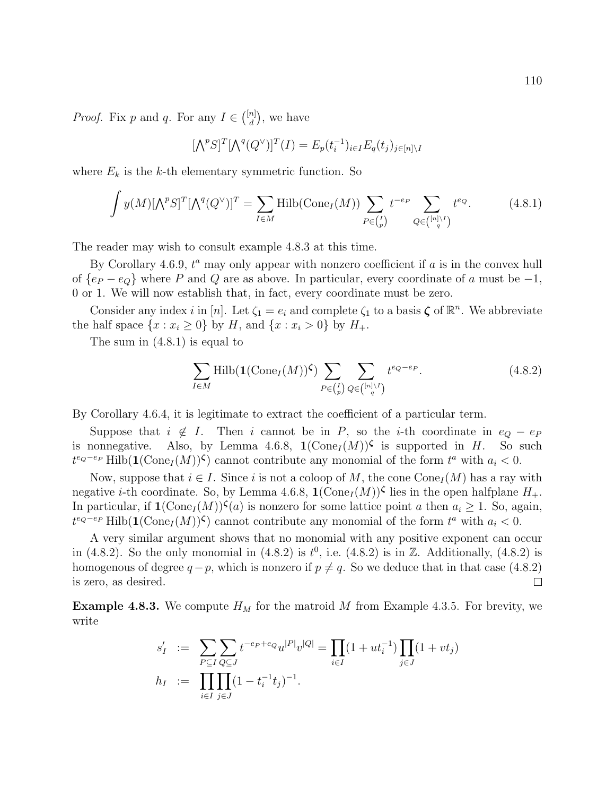*Proof.* Fix p and q. For any  $I \in \binom{[n]}{d}$  $\binom{n}{d}$ , we have

$$
[\bigwedge^p S]^T [\bigwedge^q (Q^\vee)]^T (I) = E_p(t_i^{-1})_{i \in I} E_q(t_j)_{j \in [n] \setminus I}
$$

where  $E_k$  is the k-th elementary symmetric function. So

$$
\int y(M)[\bigwedge^p S]^T [\bigwedge^q (Q^\vee)]^T = \sum_{I \in M} \text{Hilb}(\text{Cone}_I(M)) \sum_{P \in {I \choose p}} t^{-e_P} \sum_{Q \in {[n] \setminus I \choose q}} t^{e_Q}.
$$
 (4.8.1)

The reader may wish to consult example 4.8.3 at this time.

By Corollary 4.6.9,  $t^a$  may only appear with nonzero coefficient if  $a$  is in the convex hull of  $\{e_P - e_Q\}$  where P and Q are as above. In particular, every coordinate of a must be  $-1$ , 0 or 1. We will now establish that, in fact, every coordinate must be zero.

Consider any index i in [n]. Let  $\zeta_1 = e_i$  and complete  $\zeta_1$  to a basis  $\zeta$  of  $\mathbb{R}^n$ . We abbreviate the half space  $\{x : x_i \geq 0\}$  by H, and  $\{x : x_i > 0\}$  by  $H_+$ .

The sum in (4.8.1) is equal to

$$
\sum_{I \in M} \text{Hilb}(\mathbf{1}(\text{Cone}_I(M))^{\zeta}) \sum_{P \in \binom{I}{p}} \sum_{Q \in \binom{[n] \setminus I}{q}} t^{e_Q - e_P}.
$$
\n(4.8.2)

By Corollary 4.6.4, it is legitimate to extract the coefficient of a particular term.

Suppose that  $i \notin I$ . Then i cannot be in P, so the i-th coordinate in  $e_Q - e_P$ is nonnegative. Also, by Lemma 4.6.8,  $\mathbf{1}(\mathrm{Cone}_I(M))^{\zeta}$  is supported in H. So such  $t^{e_Q-e_P}$  Hilb(1(Cone<sub>I</sub>(M))<sup> $\zeta$ </sup>) cannot contribute any monomial of the form  $t^a$  with  $a_i < 0$ .

Now, suppose that  $i \in I$ . Since i is not a coloop of M, the cone  $Cone_I(M)$  has a ray with negative *i*-th coordinate. So, by Lemma 4.6.8,  $\mathbf{1}(\text{Cone}_I(M))^{\zeta}$  lies in the open halfplane  $H_+$ . In particular, if  $\mathbf{1}(\text{Cone}_I(M))^{\zeta}(a)$  is nonzero for some lattice point a then  $a_i \geq 1$ . So, again,  $t^{e_Q-e_P}$  Hilb(1(Cone<sub>I</sub>(M))<sup> $\zeta$ </sup>) cannot contribute any monomial of the form  $t^a$  with  $a_i < 0$ .

A very similar argument shows that no monomial with any positive exponent can occur in (4.8.2). So the only monomial in (4.8.2) is  $t^0$ , i.e. (4.8.2) is in Z. Additionally, (4.8.2) is homogenous of degree  $q-p$ , which is nonzero if  $p \neq q$ . So we deduce that in that case (4.8.2) is zero, as desired.  $\Box$ 

**Example 4.8.3.** We compute  $H_M$  for the matroid M from Example 4.3.5. For brevity, we write

$$
s'_I := \sum_{P \subseteq I} \sum_{Q \subseteq J} t^{-ep+e_Q} u^{|P|} v^{|Q|} = \prod_{i \in I} (1 + ut_i^{-1}) \prod_{j \in J} (1 + vt_j)
$$
  

$$
h_I := \prod_{i \in I} \prod_{j \in J} (1 - t_i^{-1} t_j)^{-1}.
$$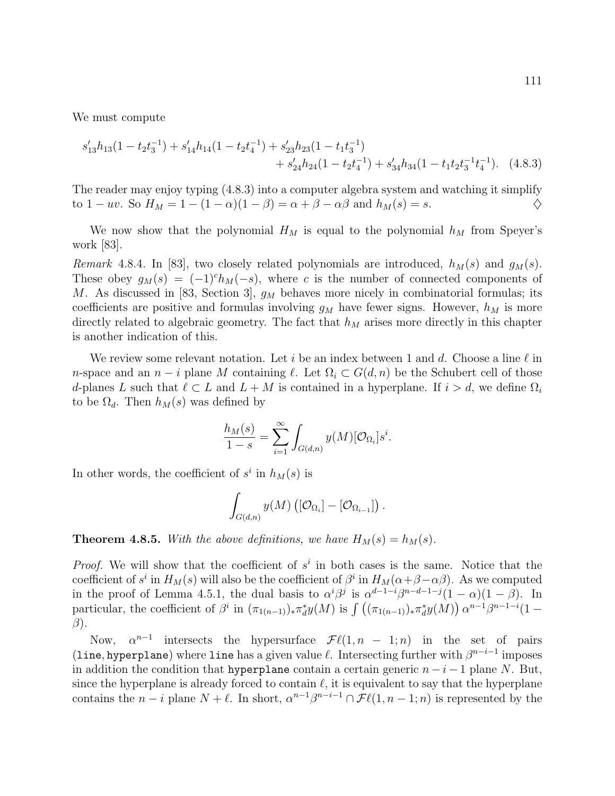We must compute

$$
s'_{13}h_{13}(1-t_2t_3^{-1}) + s'_{14}h_{14}(1-t_2t_4^{-1}) + s'_{23}h_{23}(1-t_1t_3^{-1}) + s'_{24}h_{24}(1-t_2t_4^{-1}) + s'_{34}h_{34}(1-t_1t_2t_3^{-1}t_4^{-1}).
$$
 (4.8.3)

The reader may enjoy typing (4.8.3) into a computer algebra system and watching it simplify to  $1 - uv$ . So  $H_M = 1 - (1 - \alpha)(1 - \beta) = \alpha + \beta - \alpha\beta$  and  $h_M(s) = s$ .

We now show that the polynomial  $H_M$  is equal to the polynomial  $h_M$  from Speyer's work [83].

Remark 4.8.4. In [83], two closely related polynomials are introduced,  $h_M(s)$  and  $g_M(s)$ . These obey  $g_M(s) = (-1)^c h_M(-s)$ , where c is the number of connected components of M. As discussed in [83, Section 3],  $g_M$  behaves more nicely in combinatorial formulas; its coefficients are positive and formulas involving  $g_M$  have fewer signs. However,  $h_M$  is more directly related to algebraic geometry. The fact that  $h_M$  arises more directly in this chapter is another indication of this.

We review some relevant notation. Let i be an index between 1 and d. Choose a line  $\ell$  in n-space and an  $n-i$  plane M containing  $\ell$ . Let  $\Omega_i \subset G(d, n)$  be the Schubert cell of those d-planes L such that  $\ell \subset L$  and  $L + M$  is contained in a hyperplane. If  $i > d$ , we define  $\Omega_i$ to be  $\Omega_d$ . Then  $h_M(s)$  was defined by

$$
\frac{h_M(s)}{1-s}=\sum_{i=1}^\infty \int_{G(d,n)} y(M) [\mathcal{O}_{\Omega_i}] s^i.
$$

In other words, the coefficient of  $s^i$  in  $h_M(s)$  is

$$
\int_{G(d,n)} y(M) \left( [\mathcal{O}_{\Omega_i}] - [\mathcal{O}_{\Omega_{i-1}}] \right).
$$

**Theorem 4.8.5.** With the above definitions, we have  $H_M(s) = h_M(s)$ .

*Proof.* We will show that the coefficient of  $s^i$  in both cases is the same. Notice that the coefficient of  $s^i$  in  $H_M(s)$  will also be the coefficient of  $\beta^i$  in  $H_M(\alpha+\beta-\alpha\beta)$ . As we computed in the proof of Lemma 4.5.1, the dual basis to  $\alpha^{i}\beta^{j}$  is  $\alpha^{d-1-i}\beta^{n-d-1-j}(1-\alpha)(1-\beta)$ . In particular, the coefficient of  $\beta^i$  in  $(\pi_{1(n-1)})_* \pi_d^* y(M)$  is  $\int ((\pi_{1(n-1)})_* \pi_d^* y(M)) \alpha^{n-1} \beta^{n-1-i} (1-\alpha)^i$  $\beta$ ).

Now,  $\alpha^{n-1}$  intersects the hypersurface  $\mathcal{F}\ell(1,n-1;n)$  in the set of pairs (line, hyperplane) where line has a given value  $\ell$ . Intersecting further with  $\beta^{n-i-1}$  imposes in addition the condition that hyperplane contain a certain generic  $n - i - 1$  plane N. But, since the hyperplane is already forced to contain  $\ell$ , it is equivalent to say that the hyperplane contains the  $n - i$  plane  $N + \ell$ . In short,  $\alpha^{n-1}\beta^{n-i-1} \cap \mathcal{F}\ell(1, n-1; n)$  is represented by the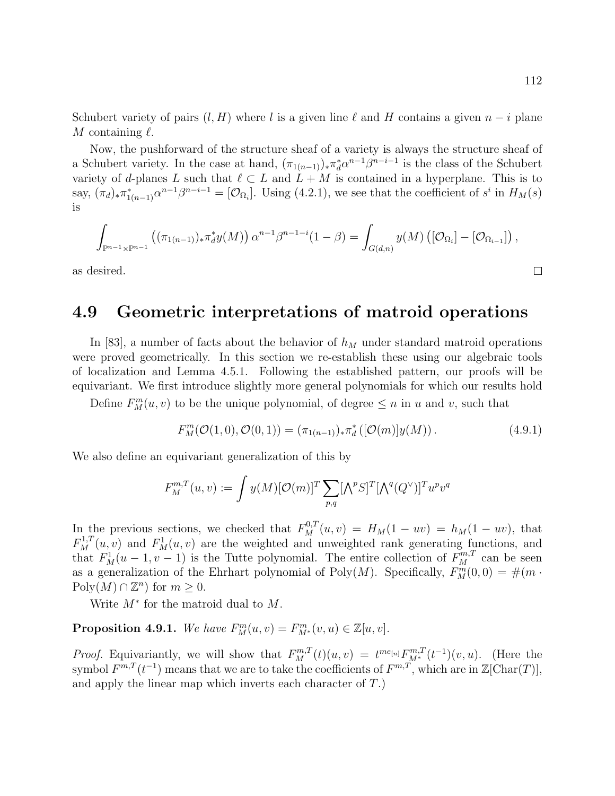Schubert variety of pairs  $(l, H)$  where l is a given line  $\ell$  and H contains a given  $n - i$  plane M containing  $\ell$ .

Now, the pushforward of the structure sheaf of a variety is always the structure sheaf of a Schubert variety. In the case at hand,  $(\pi_{1(n-1)})_*\pi_d^*\alpha^{n-1}\beta^{n-i-1}$  is the class of the Schubert variety of d-planes L such that  $\ell \subset L$  and  $L + M$  is contained in a hyperplane. This is to say,  $(\pi_d)_*\pi_{1(n-1)}^*\alpha^{n-1}\beta^{n-i-1} = [\mathcal{O}_{\Omega_i}]$ . Using (4.2.1), we see that the coefficient of  $s^i$  in  $H_M(s)$ is

$$
\int_{\mathbb{P}^{n-1}\times\mathbb{P}^{n-1}}\left((\pi_{1(n-1)})_*\pi_d^*y(M)\right)\alpha^{n-1}\beta^{n-1-i}(1-\beta)=\int_{G(d,n)}y(M)\left([\mathcal{O}_{\Omega_i}]-[\mathcal{O}_{\Omega_{i-1}}]\right),
$$

as desired.

## 4.9 Geometric interpretations of matroid operations

In [83], a number of facts about the behavior of  $h<sub>M</sub>$  under standard matroid operations were proved geometrically. In this section we re-establish these using our algebraic tools of localization and Lemma 4.5.1. Following the established pattern, our proofs will be equivariant. We first introduce slightly more general polynomials for which our results hold

Define  $F_M^m(u, v)$  to be the unique polynomial, of degree  $\leq n$  in u and v, such that

$$
F_M^m(\mathcal{O}(1,0), \mathcal{O}(0,1)) = (\pi_{1(n-1)})_* \pi_d^*([\mathcal{O}(m)]y(M)). \tag{4.9.1}
$$

We also define an equivariant generalization of this by

$$
F_M^{m,T}(u,v) := \int y(M)[\mathcal{O}(m)]^T \sum_{p,q} [\Lambda^p S]^T [\Lambda^q(Q^\vee)]^T u^p v^q
$$

In the previous sections, we checked that  $F_M^{0,T}(u,v) = H_M(1 - uv) = h_M(1 - uv)$ , that  $F_M^{1,T}(u, v)$  and  $F_M^1(u, v)$  are the weighted and unweighted rank generating functions, and that  $F_M^1(u-1, v-1)$  is the Tutte polynomial. The entire collection of  $F_M^{m,T}$  can be seen as a generalization of the Ehrhart polynomial of Poly $(M)$ . Specifically,  $F_M^m(0,0) = \#(m \cdot)$  $Poly(M) \cap \mathbb{Z}^n)$  for  $m \geq 0$ .

Write  $M^*$  for the matroid dual to  $M$ .

Proposition 4.9.1. We have  $F_M^m(u, v) = F_{M^*}^m(v, u) \in \mathbb{Z}[u, v]$ .

*Proof.* Equivariantly, we will show that  $F_M^{m,T}(t)(u, v) = t^{me_{[n]}} F_{M^*}^{m,T}(t^{-1})(v, u)$ . (Here the symbol  $F^{m,T}(t^{-1})$  means that we are to take the coefficients of  $F^{m,T}$ , which are in  $\mathbb{Z}[\text{Char}(T)],$ and apply the linear map which inverts each character of T.)

 $\Box$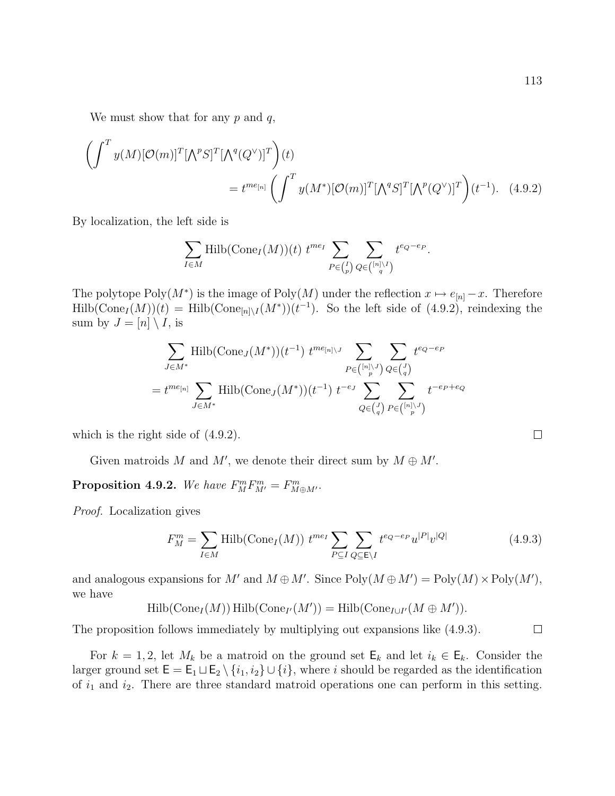We must show that for any  $p$  and  $q$ ,

$$
\left(\int^T y(M)[\mathcal{O}(m)]^T[\Lambda^p S]^T[\Lambda^q(Q^\vee)]^T\right)(t)
$$
  
=  $t^{me_{[n]}}\left(\int^T y(M^*)[\mathcal{O}(m)]^T[\Lambda^q S]^T[\Lambda^p(Q^\vee)]^T\right)(t^{-1}).$  (4.9.2)

By localization, the left side is

$$
\sum_{I \in M} \mathrm{Hilb}(\mathrm{Cone}_I(M))(t) \ t^{me_I} \sum_{P \in {I \choose p}} \sum_{Q \in {[n] \setminus I \choose q}} t^{e_Q - e_P}.
$$

The polytope Poly $(M^*)$  is the image of Poly $(M)$  under the reflection  $x \mapsto e_{[n]} - x$ . Therefore  $\text{Hilb}(\text{Cone}_I(M))(t) = \text{Hilb}(\text{Cone}_{[n] \setminus I}(M^*)) (t^{-1})$ . So the left side of (4.9.2), reindexing the sum by  $J = [n] \setminus I$ , is

$$
\sum_{J \in M^*} \text{Hilb}(\text{Cone}_J(M^*))(t^{-1}) \ t^{me_{[n] \setminus J}} \sum_{P \in \binom{[n] \setminus J}{p}} \sum_{Q \in \binom{J}{q}} t^{e_Q - e_P}
$$
\n
$$
= t^{me_{[n]}} \sum_{J \in M^*} \text{Hilb}(\text{Cone}_J(M^*))(t^{-1}) \ t^{-e_J} \sum_{Q \in \binom{J}{q}} \sum_{P \in \binom{[n] \setminus J}{p}} t^{-e_P + e_Q}
$$

which is the right side of (4.9.2).

Given matroids M and M', we denote their direct sum by  $M \oplus M'$ .

**Proposition 4.9.2.** We have  $F_{M}^{m}F_{M'}^{m}=F_{M\oplus M'}^{m}$ .

Proof. Localization gives

$$
F_M^m = \sum_{I \in M} \text{Hilb}(\text{Cone}_I(M)) \ t^{me_I} \sum_{P \subseteq I} \sum_{Q \subseteq E \backslash I} t^{e_Q - e_P} u^{|P|} v^{|Q|} \tag{4.9.3}
$$

and analogous expansions for M' and  $M \oplus M'$ . Since  $Poly(M \oplus M') = Poly(M) \times Poly(M')$ , we have

 $\mathrm{Hilb}(\mathrm{Cone}_I(M)) \mathrm{Hilb}(\mathrm{Cone}_{I'}(M')) = \mathrm{Hilb}(\mathrm{Cone}_{I\cup I'}(M \oplus M')).$ 

 $\Box$ The proposition follows immediately by multiplying out expansions like (4.9.3).

For  $k = 1, 2$ , let  $M_k$  be a matroid on the ground set  $\mathsf{E}_k$  and let  $i_k \in \mathsf{E}_k$ . Consider the larger ground set  $\mathsf{E} = \mathsf{E}_1 \sqcup \mathsf{E}_2 \setminus \{i_1, i_2\} \cup \{i\}$ , where i should be regarded as the identification of  $i_1$  and  $i_2$ . There are three standard matroid operations one can perform in this setting.

 $\Box$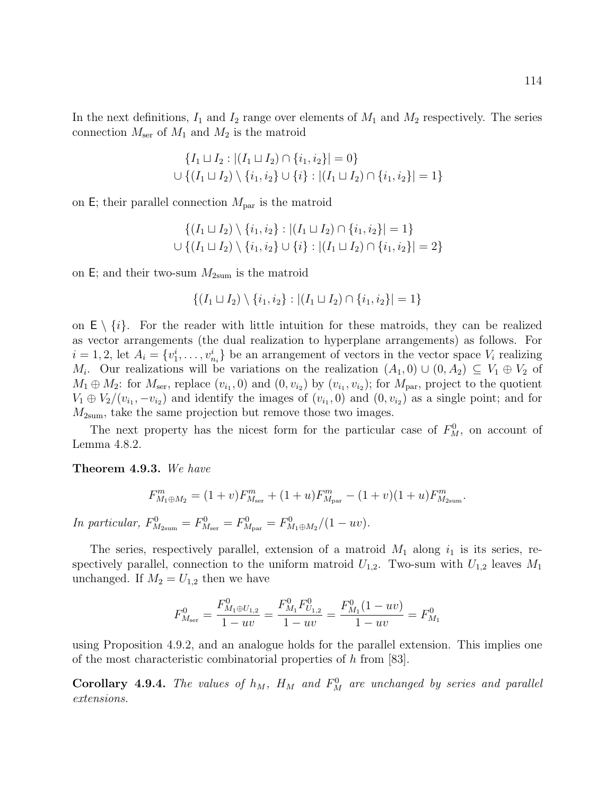In the next definitions,  $I_1$  and  $I_2$  range over elements of  $M_1$  and  $M_2$  respectively. The series connection  $M_{\text{ser}}$  of  $M_1$  and  $M_2$  is the matroid

$$
\{I_1 \sqcup I_2 : |(I_1 \sqcup I_2) \cap \{i_1, i_2\}| = 0\}
$$
  

$$
\cup \{(I_1 \sqcup I_2) \setminus \{i_1, i_2\} \cup \{i\} : |(I_1 \sqcup I_2) \cap \{i_1, i_2\}| = 1\}
$$

on  $E$ ; their parallel connection  $M_{\text{par}}$  is the matroid

$$
\{(I_1 \sqcup I_2) \setminus \{i_1, i_2\} : |(I_1 \sqcup I_2) \cap \{i_1, i_2\}| = 1\}
$$
  

$$
\cup \{(I_1 \sqcup I_2) \setminus \{i_1, i_2\} \cup \{i\} : |(I_1 \sqcup I_2) \cap \{i_1, i_2\}| = 2\}
$$

on  $E$ ; and their two-sum  $M_{2\text{sum}}$  is the matroid

$$
\{(I_1 \sqcup I_2) \setminus \{i_1, i_2\} : |(I_1 \sqcup I_2) \cap \{i_1, i_2\}| = 1\}
$$

on  $E \setminus \{i\}$ . For the reader with little intuition for these matroids, they can be realized as vector arrangements (the dual realization to hyperplane arrangements) as follows. For  $i = 1, 2$ , let  $A_i = \{v_1^i, \ldots, v_{n_i}^i\}$  be an arrangement of vectors in the vector space  $V_i$  realizing  $M_i$ . Our realizations will be variations on the realization  $(A_1, 0) \cup (0, A_2) \subseteq V_1 \oplus V_2$  of  $M_1 \oplus M_2$ : for  $M_{\rm ser}$ , replace  $(v_{i_1}, 0)$  and  $(0, v_{i_2})$  by  $(v_{i_1}, v_{i_2})$ ; for  $M_{\rm par}$ , project to the quotient  $V_1 \oplus V_2/(v_{i_1}, -v_{i_2})$  and identify the images of  $(v_{i_1}, 0)$  and  $(0, v_{i_2})$  as a single point; and for  $M_{2\text{sum}}$ , take the same projection but remove those two images.

The next property has the nicest form for the particular case of  $F_M^0$ , on account of Lemma 4.8.2.

#### Theorem 4.9.3. We have

$$
F_{M_1\oplus M_2}^m = (1+v)F_{M_{\text{ser}}}^m + (1+u)F_{M_{\text{par}}}^m - (1+v)(1+u)F_{M_{\text{2sum}}}^m.
$$

In particular,  $F_{M_{2\text{sum}}}^{0} = F_{M_{\text{ser}}}^{0} = F_{M_{\text{par}}}^{0} = F_{M_{1} \oplus M_{2}}^{0}/(1 - uv)$ .

The series, respectively parallel, extension of a matroid  $M_1$  along  $i_1$  is its series, respectively parallel, connection to the uniform matroid  $U_{1,2}$ . Two-sum with  $U_{1,2}$  leaves  $M_1$ unchanged. If  $M_2 = U_{1,2}$  then we have

$$
F_{M_{\text{ser}}}^{0} = \frac{F_{M_1 \oplus U_{1,2}}^{0}}{1 - uv} = \frac{F_{M_1}^{0} F_{U_{1,2}}^{0}}{1 - uv} = \frac{F_{M_1}^{0}(1 - uv)}{1 - uv} = F_{M_1}^{0}
$$

using Proposition 4.9.2, and an analogue holds for the parallel extension. This implies one of the most characteristic combinatorial properties of h from [83].

**Corollary 4.9.4.** The values of  $h_M$ ,  $H_M$  and  $F_M^0$  are unchanged by series and parallel extensions.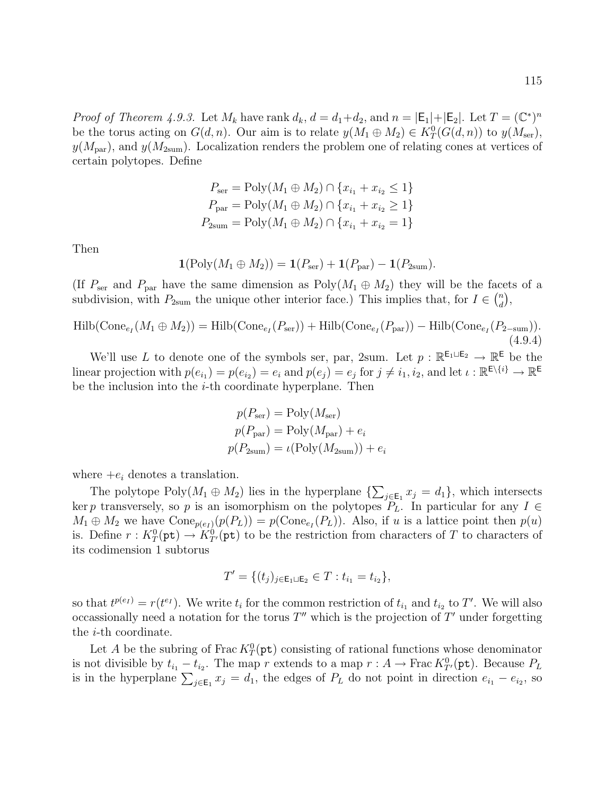*Proof of Theorem 4.9.3.* Let  $M_k$  have rank  $d_k$ ,  $d = d_1 + d_2$ , and  $n = |\mathsf{E}_1| + |\mathsf{E}_2|$ . Let  $T = (\mathbb{C}^*)^n$ be the torus acting on  $G(d, n)$ . Our aim is to relate  $y(M_1 \oplus M_2) \in K_T^0(G(d, n))$  to  $y(M_{\text{ser}})$ ,  $y(M<sub>par</sub>)$ , and  $y(M<sub>2sum</sub>)$ . Localization renders the problem one of relating cones at vertices of certain polytopes. Define

$$
P_{\text{ser}} = \text{Poly}(M_1 \oplus M_2) \cap \{x_{i_1} + x_{i_2} \le 1\}
$$
  
\n
$$
P_{\text{par}} = \text{Poly}(M_1 \oplus M_2) \cap \{x_{i_1} + x_{i_2} \ge 1\}
$$
  
\n
$$
P_{\text{2sum}} = \text{Poly}(M_1 \oplus M_2) \cap \{x_{i_1} + x_{i_2} = 1\}
$$

Then

$$
\mathbf{1}(\mathrm{Poly}(M_1 \oplus M_2)) = \mathbf{1}(P_{\mathrm{ser}}) + \mathbf{1}(P_{\mathrm{par}}) - \mathbf{1}(P_{\mathrm{sum}}).
$$

(If  $P_{\text{ser}}$  and  $P_{\text{par}}$  have the same dimension as  $\text{Poly}(M_1 \oplus M_2)$  they will be the facets of a subdivision, with  $P_{2\text{sum}}$  the unique other interior face.) This implies that, for  $I \in \binom{n}{d}$  $\binom{n}{d}$ 

$$
\text{Hilb}(\text{Cone}_{e_I}(M_1 \oplus M_2)) = \text{Hilb}(\text{Cone}_{e_I}(P_{\text{ser}})) + \text{Hilb}(\text{Cone}_{e_I}(P_{\text{par}})) - \text{Hilb}(\text{Cone}_{e_I}(P_{2-\text{sum}})).
$$
\n(4.9.4)

We'll use L to denote one of the symbols ser, par, 2sum. Let  $p : \mathbb{R}^{E_1 \sqcup E_2} \to \mathbb{R}^E$  be the linear projection with  $p(e_{i_1}) = p(e_{i_2}) = e_i$  and  $p(e_j) = e_j$  for  $j \neq i_1, i_2$ , and let  $\iota : \mathbb{R}^{\mathsf{E}\setminus\{i\}} \to \mathbb{R}^{\mathsf{E}}$ be the inclusion into the  $i$ -th coordinate hyperplane. Then

$$
p(P_{\text{ser}}) = \text{Poly}(M_{\text{ser}})
$$

$$
p(P_{\text{par}}) = \text{Poly}(M_{\text{par}}) + e_i
$$

$$
p(P_{\text{2sum}}) = \iota(\text{Poly}(M_{\text{2sum}})) + e_i
$$

where  $+e_i$  denotes a translation.

The polytope Poly $(M_1 \oplus M_2)$  lies in the hyperplane  $\{\sum_{j\in \mathsf{E}_1} x_j = d_1\}$ , which intersects ker p transversely, so p is an isomorphism on the polytopes  $P_L$ . In particular for any  $I \in$  $M_1 \oplus M_2$  we have  $\text{Cone}_{p(e_I)}(p(P_L)) = p(\text{Cone}_{e_I}(P_L)).$  Also, if u is a lattice point then  $p(u)$ is. Define  $r: K_T^0(\text{pt}) \to K_{T'}^0(\text{pt})$  to be the restriction from characters of T to characters of its codimension 1 subtorus

$$
T' = \{(t_j)_{j \in \mathsf{E}_1 \sqcup \mathsf{E}_2} \in T : t_{i_1} = t_{i_2}\},\
$$

so that  $t^{p(e_I)} = r(t^{e_I})$ . We write  $t_i$  for the common restriction of  $t_{i_1}$  and  $t_{i_2}$  to T'. We will also occassionally need a notation for the torus  $T''$  which is the projection of  $T'$  under forgetting the i-th coordinate.

Let A be the subring of Frac  $K_T^0(\text{pt})$  consisting of rational functions whose denominator is not divisible by  $t_{i_1} - t_{i_2}$ . The map r extends to a map  $r : A \to \text{Frac } K^0_{T'}(\text{pt})$ . Because  $P_L$ is in the hyperplane  $\sum_{j\in\mathsf{E}_1} x_j = d_1$ , the edges of  $P_L$  do not point in direction  $e_{i_1} - e_{i_2}$ , so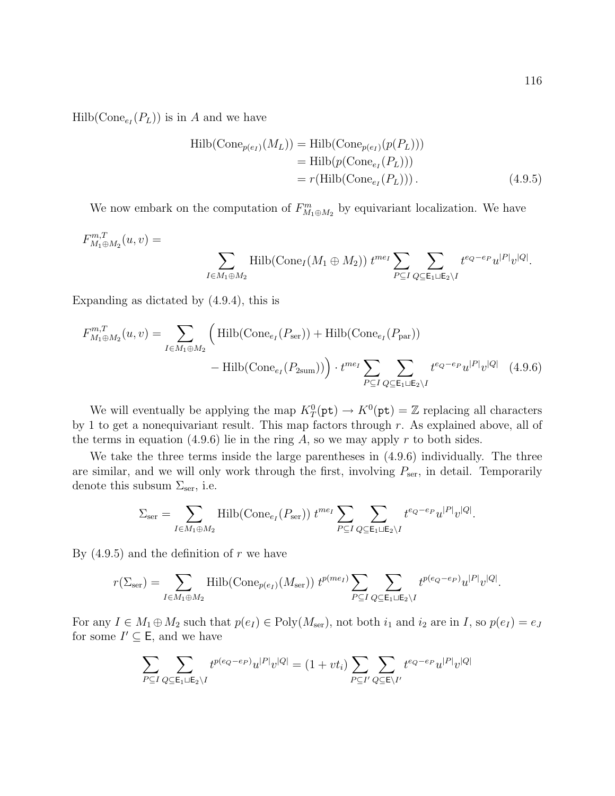$\text{Hilb}(\text{Cone}_{e_I}(P_L))$  is in A and we have

$$
Hilb(Cone_{p(e_I)}(M_L)) = Hilb(Cone_{p(e_I)}(p(P_L)))
$$
  
= 
$$
Hilb(p(Cone_{e_I}(P_L)))
$$
  
= 
$$
r(Hilb(Cone_{e_I}(P_L))).
$$
 (4.9.5)

We now embark on the computation of  $F_{M_1\oplus M_2}^m$  by equivariant localization. We have

$$
F_{M_1 \oplus M_2}^{m,T}(u,v) = \sum_{I \in M_1 \oplus M_2} \text{Hilb}(\text{Cone}_I(M_1 \oplus M_2)) t^{me_I} \sum_{P \subseteq I} \sum_{Q \subseteq \text{E}_1 \sqcup \text{E}_2 \backslash I} t^{e_Q - e_P} u^{|P|} v^{|Q|}.
$$

Expanding as dictated by (4.9.4), this is

$$
F_{M_1 \oplus M_2}^{m,T}(u, v) = \sum_{I \in M_1 \oplus M_2} \left( \text{Hilb}(\text{Cone}_{e_I}(P_{\text{ser}})) + \text{Hilb}(\text{Cone}_{e_I}(P_{\text{par}})) - \text{Hilb}(\text{Cone}_{e_I}(P_{\text{sum}})) \right) \cdot t^{me_I} \sum_{P \subseteq I} \sum_{Q \subseteq \mathsf{E}_1 \sqcup \mathsf{E}_2 \setminus I} t^{e_Q - e_P} u^{|P|} v^{|Q|} \tag{4.9.6}
$$

We will eventually be applying the map  $K_T^0(\text{pt}) \to K^0(\text{pt}) = \mathbb{Z}$  replacing all characters by 1 to get a nonequivariant result. This map factors through  $r$ . As explained above, all of the terms in equation (4.9.6) lie in the ring  $A$ , so we may apply  $r$  to both sides.

We take the three terms inside the large parentheses in (4.9.6) individually. The three are similar, and we will only work through the first, involving  $P_{\text{ser}}$ , in detail. Temporarily denote this subsum  $\Sigma_{\text{ser}}$ , i.e.

$$
\Sigma_{\text{ser}} = \sum_{I \in M_1 \oplus M_2} \text{Hilb}(\text{Cone}_{e_I}(P_{\text{ser}})) \ t^{me_I} \sum_{P \subseteq I} \sum_{Q \subseteq \mathsf{E}_1 \sqcup \mathsf{E}_2 \setminus I} t^{e_Q - e_P} u^{|P|} v^{|Q|}.
$$

By  $(4.9.5)$  and the definition of r we have

$$
r(\Sigma_{\text{ser}}) = \sum_{I \in M_1 \oplus M_2} \text{Hilb}(\text{Cone}_{p(e_I)}(M_{\text{ser}})) \ t^{p(me_I)} \sum_{P \subseteq I} \sum_{Q \subseteq \text{E}_1 \sqcup \text{E}_2 \setminus I} t^{p(e_Q - e_P)} u^{|P|} v^{|Q|}.
$$

For any  $I \in M_1 \oplus M_2$  such that  $p(e_I) \in Poly(M_{\text{ser}})$ , not both  $i_1$  and  $i_2$  are in  $I$ , so  $p(e_I) = e_J$ for some  $I' \subseteq \mathsf{E}$ , and we have

$$
\sum_{P \subseteq I} \sum_{Q \subseteq E_1 \sqcup E_2 \backslash I} t^{p(e_Q - e_P)} u^{|P|} v^{|Q|} = (1 + vt_i) \sum_{P \subseteq I'} \sum_{Q \subseteq E \backslash I'} t^{e_Q - e_P} u^{|P|} v^{|Q|}
$$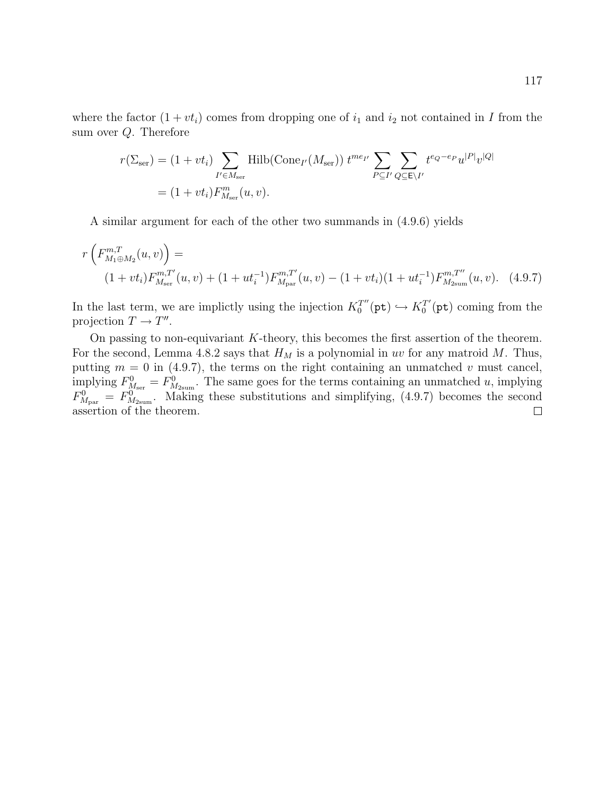where the factor  $(1 + vt_i)$  comes from dropping one of  $i_1$  and  $i_2$  not contained in I from the sum over Q. Therefore

$$
r(\Sigma_{\text{ser}}) = (1 + vt_i) \sum_{I' \in M_{\text{ser}}} \text{Hilb}(\text{Cone}_{I'}(M_{\text{ser}})) t^{me_{I'}} \sum_{P \subseteq I'} \sum_{Q \subseteq \mathsf{E} \backslash I'} t^{e_Q - e_P} u^{|P|} v^{|Q|}
$$
  
=  $(1 + vt_i) F_{M_{\text{ser}}}^m(u, v).$ 

A similar argument for each of the other two summands in (4.9.6) yields

$$
r\left(F_{M_1 \oplus M_2}^{m,T}(u,v)\right) =
$$
  
\n
$$
(1 + vt_i)F_{M_{\text{ser}}}^{m,T'}(u,v) + (1 + ut_i^{-1})F_{M_{\text{par}}}^{m,T'}(u,v) - (1 + vt_i)(1 + ut_i^{-1})F_{M_{\text{2sum}}}^{m,T''}(u,v). \quad (4.9.7)
$$

In the last term, we are implictly using the injection  $K_0^{T''}$  $T''_0(\text{pt}) \hookrightarrow K^{T'}_0$  $\int_0^{T'} (\mathsf{pt}) \text{ coming from the}$ projection  $T \to T''$ .

On passing to non-equivariant  $K$ -theory, this becomes the first assertion of the theorem. For the second, Lemma 4.8.2 says that  $H_M$  is a polynomial in uv for any matroid M. Thus, putting  $m = 0$  in (4.9.7), the terms on the right containing an unmatched v must cancel, implying  $F_{M_{\text{ser}}}^{0} = F_{M_{2\text{sum}}}^{0}$ . The same goes for the terms containing an unmatched u, implying  $F_{M_{\rm par}}^0 = F_{M_{\rm 2sum}}^0$ . Making these substitutions and simplifying, (4.9.7) becomes the second assertion of the theorem. $\Box$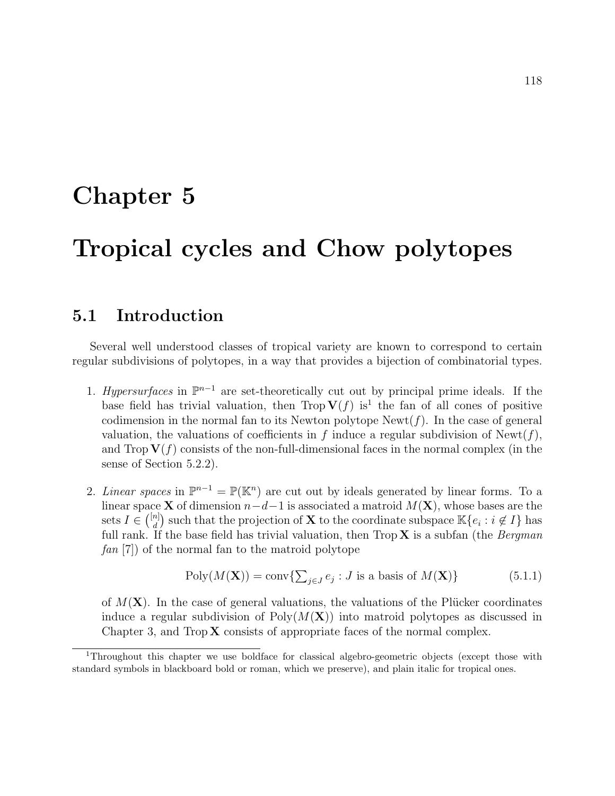# Chapter 5

# Tropical cycles and Chow polytopes

## 5.1 Introduction

Several well understood classes of tropical variety are known to correspond to certain regular subdivisions of polytopes, in a way that provides a bijection of combinatorial types.

- 1. Hypersurfaces in  $\mathbb{P}^{n-1}$  are set-theoretically cut out by principal prime ideals. If the base field has trivial valuation, then Trop  $V(f)$  is<sup>1</sup> the fan of all cones of positive codimension in the normal fan to its Newton polytope  $\text{Newt}(f)$ . In the case of general valuation, the valuations of coefficients in f induce a regular subdivision of  $\text{Newt}(f)$ , and Trop  $V(f)$  consists of the non-full-dimensional faces in the normal complex (in the sense of Section 5.2.2).
- 2. Linear spaces in  $\mathbb{P}^{n-1} = \mathbb{P}(\mathbb{K}^n)$  are cut out by ideals generated by linear forms. To a linear space **X** of dimension  $n-d-1$  is associated a matroid  $M(\mathbf{X})$ , whose bases are the sets  $I \in \binom{[n]}{d}$  $\mathbb{Z}_d^{[n]}$  such that the projection of **X** to the coordinate subspace  $\mathbb{K}\{e_i : i \notin I\}$  has full rank. If the base field has trivial valuation, then  $\text{Top } X$  is a subfan (the *Bergman* fan [7]) of the normal fan to the matroid polytope

$$
Poly(M(\mathbf{X})) = \text{conv}\{\sum_{j \in J} e_j : J \text{ is a basis of } M(\mathbf{X})\}
$$
(5.1.1)

of  $M(\mathbf{X})$ . In the case of general valuations, the valuations of the Plücker coordinates induce a regular subdivision of  $Poly(M(X))$  into matroid polytopes as discussed in Chapter 3, and Trop  $X$  consists of appropriate faces of the normal complex.

<sup>1</sup>Throughout this chapter we use boldface for classical algebro-geometric objects (except those with standard symbols in blackboard bold or roman, which we preserve), and plain italic for tropical ones.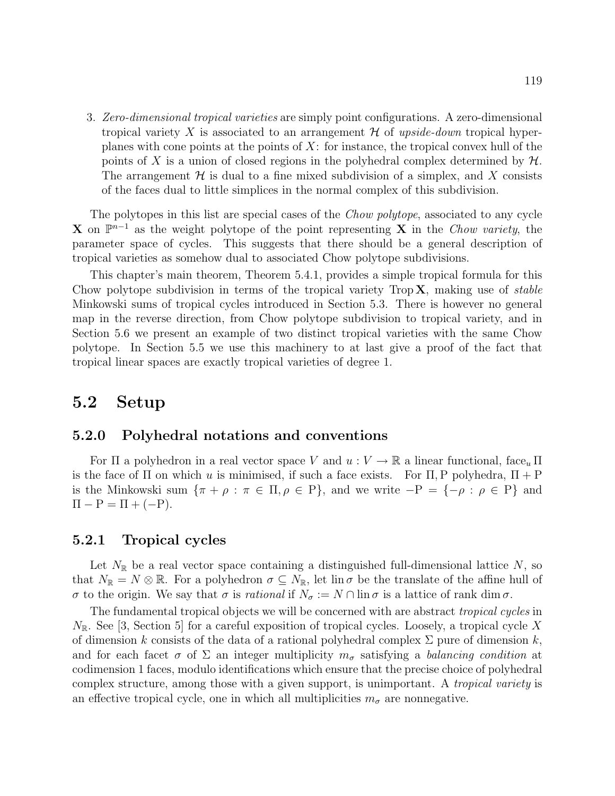3. Zero-dimensional tropical varieties are simply point configurations. A zero-dimensional tropical variety X is associated to an arrangement  $\mathcal H$  of upside-down tropical hyperplanes with cone points at the points of  $X$ : for instance, the tropical convex hull of the points of X is a union of closed regions in the polyhedral complex determined by  $\mathcal{H}$ . The arrangement  $\mathcal H$  is dual to a fine mixed subdivision of a simplex, and X consists of the faces dual to little simplices in the normal complex of this subdivision.

The polytopes in this list are special cases of the *Chow polytope*, associated to any cycle **X** on  $\mathbb{P}^{n-1}$  as the weight polytope of the point representing **X** in the Chow variety, the parameter space of cycles. This suggests that there should be a general description of tropical varieties as somehow dual to associated Chow polytope subdivisions.

This chapter's main theorem, Theorem 5.4.1, provides a simple tropical formula for this Chow polytope subdivision in terms of the tropical variety Trop  $X$ , making use of stable Minkowski sums of tropical cycles introduced in Section 5.3. There is however no general map in the reverse direction, from Chow polytope subdivision to tropical variety, and in Section 5.6 we present an example of two distinct tropical varieties with the same Chow polytope. In Section 5.5 we use this machinery to at last give a proof of the fact that tropical linear spaces are exactly tropical varieties of degree 1.

## 5.2 Setup

#### 5.2.0 Polyhedral notations and conventions

For  $\Pi$  a polyhedron in a real vector space V and  $u: V \to \mathbb{R}$  a linear functional, face<sub>u</sub>  $\Pi$ is the face of  $\Pi$  on which u is minimised, if such a face exists. For  $\Pi$ , P polyhedra,  $\Pi$  + P is the Minkowski sum  $\{\pi + \rho : \pi \in \Pi, \rho \in \mathbb{P}\}\$ , and we write  $-\mathbb{P} = \{-\rho : \rho \in \mathbb{P}\}\$  and  $\Pi - P = \Pi + (-P)$ .

#### 5.2.1 Tropical cycles

Let  $N_{\mathbb{R}}$  be a real vector space containing a distinguished full-dimensional lattice N, so that  $N_{\mathbb{R}} = N \otimes \mathbb{R}$ . For a polyhedron  $\sigma \subseteq N_{\mathbb{R}}$ , let lin  $\sigma$  be the translate of the affine hull of  $\sigma$  to the origin. We say that  $\sigma$  is *rational* if  $N_{\sigma} := N \cap \lim \sigma$  is a lattice of rank dim  $\sigma$ .

The fundamental tropical objects we will be concerned with are abstract *tropical cycles* in  $N_{\mathbb{R}}$ . See [3, Section 5] for a careful exposition of tropical cycles. Loosely, a tropical cycle X of dimension k consists of the data of a rational polyhedral complex  $\Sigma$  pure of dimension k, and for each facet  $\sigma$  of  $\Sigma$  an integer multiplicity  $m_{\sigma}$  satisfying a *balancing condition* at codimension 1 faces, modulo identifications which ensure that the precise choice of polyhedral complex structure, among those with a given support, is unimportant. A tropical variety is an effective tropical cycle, one in which all multiplicities  $m_{\sigma}$  are nonnegative.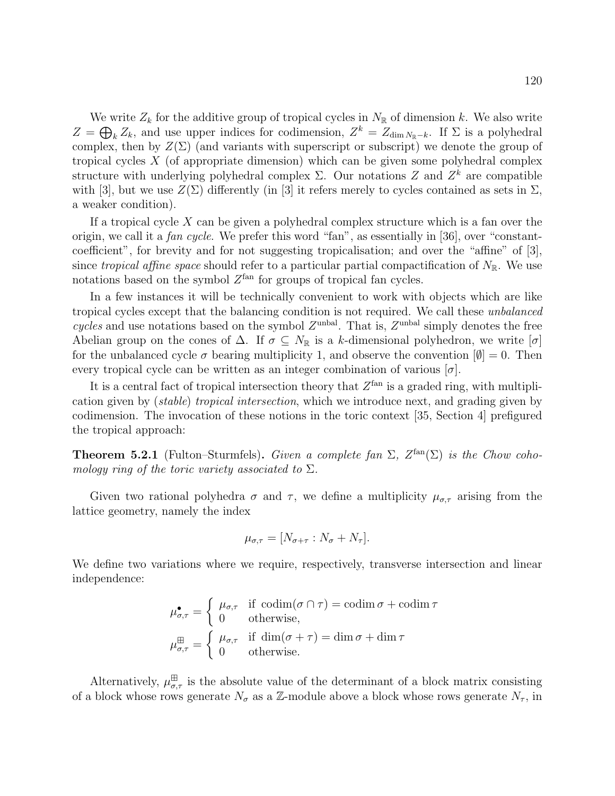We write  $Z_k$  for the additive group of tropical cycles in  $N_{\mathbb{R}}$  of dimension k. We also write  $Z = \bigoplus_k Z_k$ , and use upper indices for codimension,  $Z^k = Z_{\dim N_{\mathbb{R}}-k}$ . If  $\Sigma$  is a polyhedral complex, then by  $Z(\Sigma)$  (and variants with superscript or subscript) we denote the group of tropical cycles  $X$  (of appropriate dimension) which can be given some polyhedral complex structure with underlying polyhedral complex  $\Sigma$ . Our notations Z and  $Z^k$  are compatible with [3], but we use  $Z(\Sigma)$  differently (in [3] it refers merely to cycles contained as sets in  $\Sigma$ , a weaker condition).

If a tropical cycle  $X$  can be given a polyhedral complex structure which is a fan over the origin, we call it a fan cycle. We prefer this word "fan", as essentially in [36], over "constantcoefficient", for brevity and for not suggesting tropicalisation; and over the "affine" of [3], since tropical affine space should refer to a particular partial compactification of  $N_{\mathbb{R}}$ . We use notations based on the symbol  $Z<sup>fan</sup>$  for groups of tropical fan cycles.

In a few instances it will be technically convenient to work with objects which are like tropical cycles except that the balancing condition is not required. We call these unbalanced cycles and use notations based on the symbol  $Z^{\text{unbal}}$ . That is,  $Z^{\text{unbal}}$  simply denotes the free Abelian group on the cones of  $\Delta$ . If  $\sigma \subseteq N_{\mathbb{R}}$  is a k-dimensional polyhedron, we write  $[\sigma]$ for the unbalanced cycle  $\sigma$  bearing multiplicity 1, and observe the convention  $[\emptyset] = 0$ . Then every tropical cycle can be written as an integer combination of various  $[\sigma]$ .

It is a central fact of tropical intersection theory that  $Z^{\text{fan}}$  is a graded ring, with multiplication given by (stable) tropical intersection, which we introduce next, and grading given by codimension. The invocation of these notions in the toric context [35, Section 4] prefigured the tropical approach:

**Theorem 5.2.1** (Fulton–Sturmfels). Given a complete fan  $\Sigma$ ,  $Z^{\text{fan}}(\Sigma)$  is the Chow cohomology ring of the toric variety associated to  $\Sigma$ .

Given two rational polyhedra  $\sigma$  and  $\tau$ , we define a multiplicity  $\mu_{\sigma,\tau}$  arising from the lattice geometry, namely the index

$$
\mu_{\sigma,\tau} = [N_{\sigma+\tau} : N_{\sigma} + N_{\tau}].
$$

We define two variations where we require, respectively, transverse intersection and linear independence:

$$
\mu_{\sigma,\tau}^{\bullet} = \begin{cases} \mu_{\sigma,\tau} & \text{if } \operatorname{codim}(\sigma \cap \tau) = \operatorname{codim} \sigma + \operatorname{codim} \tau \\ 0 & \text{otherwise,} \end{cases}
$$

$$
\mu_{\sigma,\tau}^{\boxplus} = \begin{cases} \mu_{\sigma,\tau} & \text{if } \dim(\sigma + \tau) = \dim \sigma + \dim \tau \\ 0 & \text{otherwise.} \end{cases}
$$

Alternatively,  $\mu_{\sigma,\tau}^{\boxplus}$  is the absolute value of the determinant of a block matrix consisting of a block whose rows generate  $N_{\sigma}$  as a Z-module above a block whose rows generate  $N_{\tau}$ , in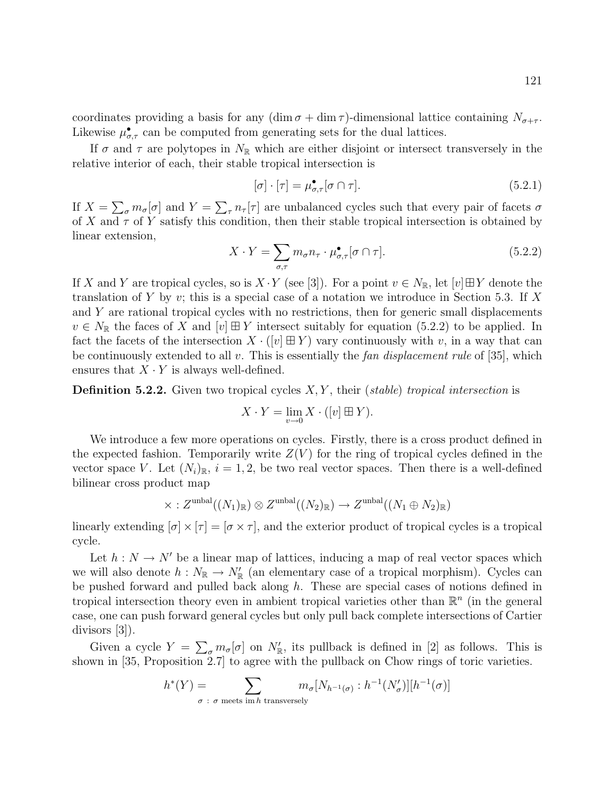coordinates providing a basis for any  $(\dim \sigma + \dim \tau)$ -dimensional lattice containing  $N_{\sigma+\tau}$ . Likewise  $\mu_{\sigma,\tau}^{\bullet}$  can be computed from generating sets for the dual lattices.

If  $\sigma$  and  $\tau$  are polytopes in  $N_{\mathbb{R}}$  which are either disjoint or intersect transversely in the relative interior of each, their stable tropical intersection is

$$
[\sigma] \cdot [\tau] = \mu_{\sigma,\tau}^{\bullet} [\sigma \cap \tau]. \tag{5.2.1}
$$

If  $X = \sum_{\sigma} m_{\sigma}[\sigma]$  and  $Y = \sum_{\tau} n_{\tau}[\tau]$  are unbalanced cycles such that every pair of facets  $\sigma$ of X and  $\tau$  of Y satisfy this condition, then their stable tropical intersection is obtained by linear extension,

$$
X \cdot Y = \sum_{\sigma,\tau} m_{\sigma} n_{\tau} \cdot \mu_{\sigma,\tau}^{\bullet} [\sigma \cap \tau]. \tag{5.2.2}
$$

If X and Y are tropical cycles, so is  $X \cdot Y$  (see [3]). For a point  $v \in N_{\mathbb{R}}$ , let  $[v] \boxplus Y$  denote the translation of Y by v; this is a special case of a notation we introduce in Section 5.3. If X and  $Y$  are rational tropical cycles with no restrictions, then for generic small displacements  $v \in N_{\mathbb{R}}$  the faces of X and  $[v] \boxplus Y$  intersect suitably for equation (5.2.2) to be applied. In fact the facets of the intersection  $X \cdot (v \boxplus Y)$  vary continuously with v, in a way that can be continuously extended to all v. This is essentially the fan displacement rule of  $[35]$ , which ensures that  $X \cdot Y$  is always well-defined.

**Definition 5.2.2.** Given two tropical cycles  $X, Y$ , their (stable) tropical intersection is

$$
X \cdot Y = \lim_{v \to 0} X \cdot ([v] \boxplus Y).
$$

We introduce a few more operations on cycles. Firstly, there is a cross product defined in the expected fashion. Temporarily write  $Z(V)$  for the ring of tropical cycles defined in the vector space V. Let  $(N_i)_\mathbb{R}$ ,  $i = 1, 2$ , be two real vector spaces. Then there is a well-defined bilinear cross product map

$$
\times: Z^{\text{unbal}}((N_1)_{\mathbb{R}}) \otimes Z^{\text{unbal}}((N_2)_{\mathbb{R}}) \to Z^{\text{unbal}}((N_1 \oplus N_2)_{\mathbb{R}})
$$

linearly extending  $[\sigma] \times [\tau] = [\sigma \times \tau]$ , and the exterior product of tropical cycles is a tropical cycle.

Let  $h: N \to N'$  be a linear map of lattices, inducing a map of real vector spaces which we will also denote  $h: N_{\mathbb{R}} \to N_{\mathbb{R}}'$  (an elementary case of a tropical morphism). Cycles can be pushed forward and pulled back along  $h$ . These are special cases of notions defined in tropical intersection theory even in ambient tropical varieties other than  $\mathbb{R}^n$  (in the general case, one can push forward general cycles but only pull back complete intersections of Cartier divisors [3]).

Given a cycle  $Y = \sum_{\sigma} m_{\sigma}[\sigma]$  on  $N_{\mathbb{R}}'$ , its pullback is defined in [2] as follows. This is shown in [35, Proposition 2.7] to agree with the pullback on Chow rings of toric varieties.

$$
h^*(Y) = \sum_{\sigma \text{ : } \sigma \text{ meets } \text{im } h \text{ transversely}} m_{\sigma}[N_{h^{-1}(\sigma)} : h^{-1}(N'_{\sigma})][h^{-1}(\sigma)]
$$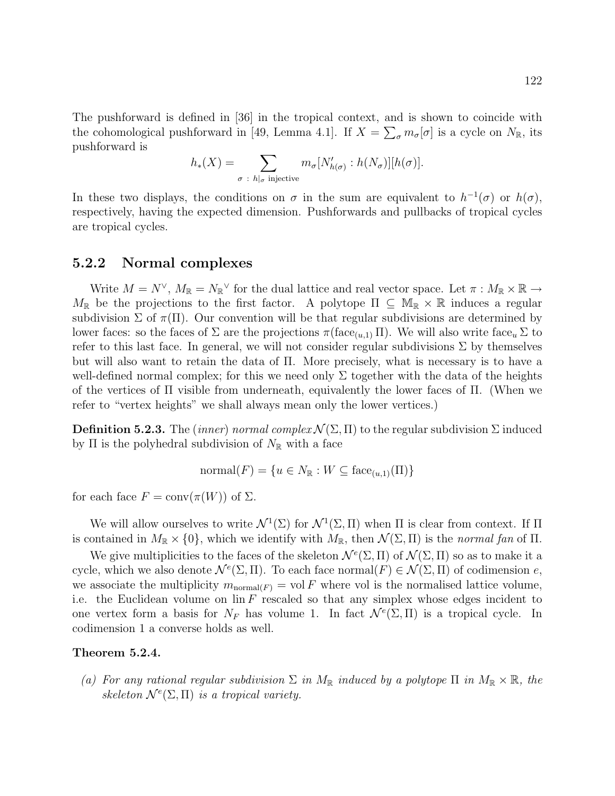The pushforward is defined in [36] in the tropical context, and is shown to coincide with the cohomological pushforward in [49, Lemma 4.1]. If  $X = \sum_{\sigma} m_{\sigma}[\sigma]$  is a cycle on  $N_{\mathbb{R}}$ , its pushforward is

$$
h_*(X) = \sum_{\sigma \; : \; h|_{\sigma} \; \text{injective}} m_{\sigma}[N'_{h(\sigma)} : h(N_{\sigma})][h(\sigma)].
$$

In these two displays, the conditions on  $\sigma$  in the sum are equivalent to  $h^{-1}(\sigma)$  or  $h(\sigma)$ , respectively, having the expected dimension. Pushforwards and pullbacks of tropical cycles are tropical cycles.

#### 5.2.2 Normal complexes

Write  $M = N^{\vee}$ ,  $M_{\mathbb{R}} = N_{\mathbb{R}}^{\vee}$  for the dual lattice and real vector space. Let  $\pi : M_{\mathbb{R}} \times \mathbb{R} \to$  $M_{\mathbb{R}}$  be the projections to the first factor. A polytope  $\Pi \subseteq M_{\mathbb{R}} \times \mathbb{R}$  induces a regular subdivision  $\Sigma$  of  $\pi(\Pi)$ . Our convention will be that regular subdivisions are determined by lower faces: so the faces of  $\Sigma$  are the projections  $\pi$ (face<sub>(u,1)</sub> II). We will also write face<sub>u</sub>  $\Sigma$  to refer to this last face. In general, we will not consider regular subdivisions  $\Sigma$  by themselves but will also want to retain the data of Π. More precisely, what is necessary is to have a well-defined normal complex; for this we need only  $\Sigma$  together with the data of the heights of the vertices of Π visible from underneath, equivalently the lower faces of Π. (When we refer to "vertex heights" we shall always mean only the lower vertices.)

**Definition 5.2.3.** The *(inner) normal complex*  $\mathcal{N}(\Sigma, \Pi)$  to the regular subdivision  $\Sigma$  induced by  $\Pi$  is the polyhedral subdivision of  $N_{\mathbb{R}}$  with a face

$$
\mathrm{normal}(F) = \{ u \in N_{\mathbb{R}} : W \subseteq \mathrm{face}_{(u,1)}(\Pi) \}
$$

for each face  $F = \text{conv}(\pi(W))$  of  $\Sigma$ .

We will allow ourselves to write  $\mathcal{N}^1(\Sigma)$  for  $\mathcal{N}^1(\Sigma,\Pi)$  when  $\Pi$  is clear from context. If  $\Pi$ is contained in  $M_{\mathbb{R}} \times \{0\}$ , which we identify with  $M_{\mathbb{R}}$ , then  $\mathcal{N}(\Sigma,\Pi)$  is the normal fan of  $\Pi$ .

We give multiplicities to the faces of the skeleton  $\mathcal{N}^e(\Sigma, \Pi)$  of  $\mathcal{N}(\Sigma, \Pi)$  so as to make it a cycle, which we also denote  $\mathcal{N}^e(\Sigma, \Pi)$ . To each face normal $(F) \in \mathcal{N}(\Sigma, \Pi)$  of codimension e, we associate the multiplicity  $m_{\text{normal}(F)} = \text{vol } F$  where vol is the normalised lattice volume, i.e. the Euclidean volume on  $\text{lin } F$  rescaled so that any simplex whose edges incident to one vertex form a basis for  $N_F$  has volume 1. In fact  $\mathcal{N}^e(\Sigma,\Pi)$  is a tropical cycle. In codimension 1 a converse holds as well.

#### Theorem 5.2.4.

(a) For any rational regular subdivision  $\Sigma$  in  $M_{\mathbb{R}}$  induced by a polytope  $\Pi$  in  $M_{\mathbb{R}} \times \mathbb{R}$ , the skeleton  $\mathcal{N}^e(\Sigma, \Pi)$  is a tropical variety.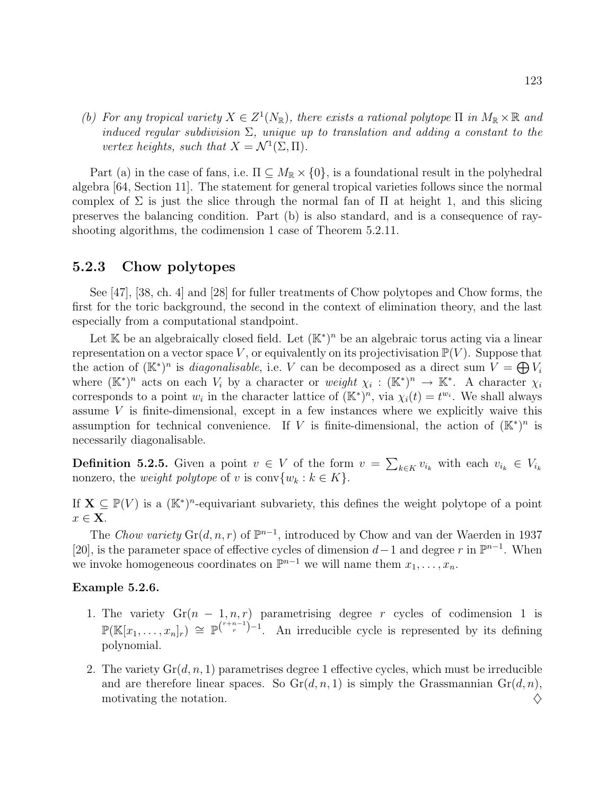(b) For any tropical variety  $X \in Z^1(N_{\mathbb{R}})$ , there exists a rational polytope  $\Pi$  in  $M_{\mathbb{R}} \times \mathbb{R}$  and induced regular subdivision  $\Sigma$ , unique up to translation and adding a constant to the vertex heights, such that  $X = \mathcal{N}^1(\Sigma, \Pi)$ .

Part (a) in the case of fans, i.e.  $\Pi \subseteq M_{\mathbb{R}} \times \{0\}$ , is a foundational result in the polyhedral algebra [64, Section 11]. The statement for general tropical varieties follows since the normal complex of  $\Sigma$  is just the slice through the normal fan of  $\Pi$  at height 1, and this slicing preserves the balancing condition. Part (b) is also standard, and is a consequence of rayshooting algorithms, the codimension 1 case of Theorem 5.2.11.

#### 5.2.3 Chow polytopes

See [47], [38, ch. 4] and [28] for fuller treatments of Chow polytopes and Chow forms, the first for the toric background, the second in the context of elimination theory, and the last especially from a computational standpoint.

Let K be an algebraically closed field. Let  $(K^*)^n$  be an algebraic torus acting via a linear representation on a vector space V, or equivalently on its projectivisation  $\mathbb{P}(V)$ . Suppose that the action of  $(\mathbb{K}^*)^n$  is *diagonalisable*, i.e. V can be decomposed as a direct sum  $V = \bigoplus V_i$ where  $(\mathbb{K}^*)^n$  acts on each  $V_i$  by a character or *weight*  $\chi_i : (\mathbb{K}^*)^n \to \mathbb{K}^*$ . A character  $\chi_i$ corresponds to a point  $w_i$  in the character lattice of  $(\mathbb{K}^*)^n$ , via  $\chi_i(t) = t^{w_i}$ . We shall always assume  $V$  is finite-dimensional, except in a few instances where we explicitly waive this assumption for technical convenience. If V is finite-dimensional, the action of  $(\mathbb{K}^*)^n$  is necessarily diagonalisable.

**Definition 5.2.5.** Given a point  $v \in V$  of the form  $v = \sum_{k \in K} v_{i_k}$  with each  $v_{i_k} \in V_{i_k}$ nonzero, the *weight polytope* of v is conv $\{w_k : k \in K\}$ .

If  $X \subseteq \mathbb{P}(V)$  is a  $(\mathbb{K}^*)^n$ -equivariant subvariety, this defines the weight polytope of a point  $x \in \mathbf{X}$ .

The Chow variety  $\operatorname{Gr}(d, n, r)$  of  $\mathbb{P}^{n-1}$ , introduced by Chow and van der Waerden in 1937 [20], is the parameter space of effective cycles of dimension  $d-1$  and degree r in  $\mathbb{P}^{n-1}$ . When we invoke homogeneous coordinates on  $\mathbb{P}^{n-1}$  we will name them  $x_1, \ldots, x_n$ .

#### Example 5.2.6.

- 1. The variety  $Gr(n-1,n,r)$  parametrising degree r cycles of codimension 1 is  $\mathbb{P}(\mathbb{K}[x_1,\ldots,x_n]_r) \cong \mathbb{P}^{r+n-1}$ . An irreducible cycle is represented by its defining polynomial.
- 2. The variety  $\mathrm{Gr}(d, n, 1)$  parametrises degree 1 effective cycles, which must be irreducible and are therefore linear spaces. So  $Gr(d, n, 1)$  is simply the Grassmannian  $Gr(d, n)$ , motivating the notation.  $\Diamond$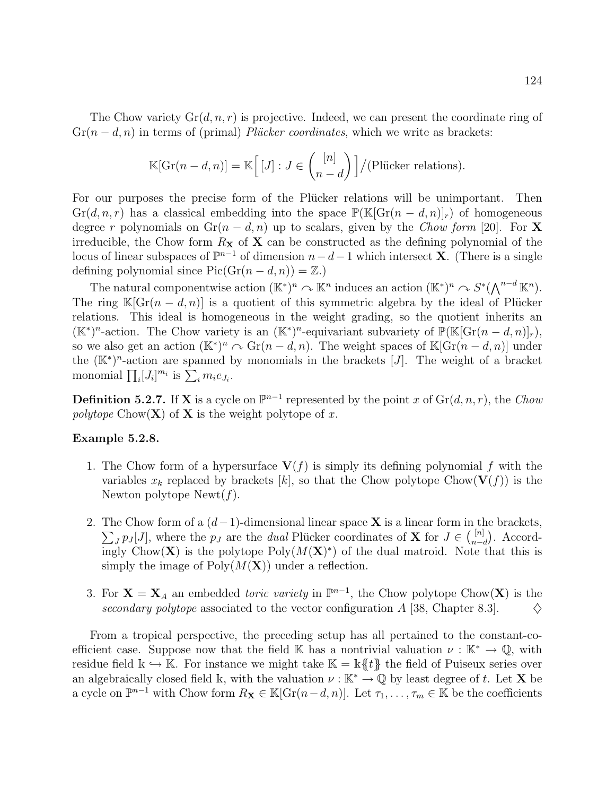The Chow variety  $\text{Gr}(d, n, r)$  is projective. Indeed, we can present the coordinate ring of  $Gr(n-d, n)$  in terms of (primal) *Plücker coordinates*, which we write as brackets:

$$
\mathbb{K}[\mathrm{Gr}(n-d, n)] = \mathbb{K}\left[[J] : J \in \binom{[n]}{n-d}\right] / (\text{Plücker relations}).
$$

For our purposes the precise form of the Plücker relations will be unimportant. Then  $\text{Gr}(d, n, r)$  has a classical embedding into the space  $\mathbb{P}(\mathbb{K}[Gr(n-d, n)]_r)$  of homogeneous degree r polynomials on  $\text{Gr}(n-d, n)$  up to scalars, given by the *Chow form* [20]. For **X** irreducible, the Chow form  $R_{\mathbf{X}}$  of **X** can be constructed as the defining polynomial of the locus of linear subspaces of  $\mathbb{P}^{n-1}$  of dimension  $n-d-1$  which intersect **X**. (There is a single defining polynomial since  $Pic(Gr(n-d, n)) = \mathbb{Z}$ .)

The natural componentwise action  $(\mathbb{K}^*)^n \cap \mathbb{K}^n$  induces an action  $(\mathbb{K}^*)^n \cap S^*(\bigwedge^{n-d} \mathbb{K}^n)$ . The ring K[Gr( $n - d, n$ )] is a quotient of this symmetric algebra by the ideal of Plücker relations. This ideal is homogeneous in the weight grading, so the quotient inherits an  $(\mathbb{K}^*)^n$ -action. The Chow variety is an  $(\mathbb{K}^*)^n$ -equivariant subvariety of  $\mathbb{P}(\mathbb{K}[Gr(n-d,n)]_r)$ , so we also get an action  $(\mathbb{K}^*)^n \curvearrowright \operatorname{Gr}(n-d,n)$ . The weight spaces of  $\mathbb{K}[\operatorname{Gr}(n-d,n)]$  under the  $(\mathbb{K}^*)^n$ -action are spanned by monomials in the brackets [J]. The weight of a bracket monomial  $\prod_i [J_i]^{m_i}$  is  $\sum_i m_i e_{J_i}$ .

**Definition 5.2.7.** If **X** is a cycle on  $\mathbb{P}^{n-1}$  represented by the point x of  $\text{Gr}(d, n, r)$ , the Chow *polytope* Chow( $X$ ) of X is the weight polytope of x.

#### Example 5.2.8.

- 1. The Chow form of a hypersurface  $V(f)$  is simply its defining polynomial f with the variables  $x_k$  replaced by brackets [k], so that the Chow polytope Chow( $\mathbf{V}(f)$ ) is the Newton polytope  $\text{Newt}(f)$ .
- 2. The Chow form of a  $(d-1)$ -dimensional linear space **X** is a linear form in the brackets,  $\sum_{J} p_{J}[J]$ , where the  $p_{J}$  are the *dual* Plücker coordinates of **X** for  $J \in \binom{[n]}{n-j}$  $\binom{[n]}{n-d}$ . Accordingly Chow(X) is the polytope  $Poly(M(X)^*)$  of the dual matroid. Note that this is simply the image of  $Poly(M(X))$  under a reflection.
- 3. For  $X = X_A$  an embedded *toric variety* in  $\mathbb{P}^{n-1}$ , the Chow polytope Chow(X) is the secondary polytope associated to the vector configuration A [38, Chapter 8.3].  $\Diamond$

From a tropical perspective, the preceding setup has all pertained to the constant-coefficient case. Suppose now that the field K has a nontrivial valuation  $\nu : \mathbb{K}^* \to \mathbb{Q}$ , with residue field  $\mathbb{k} \hookrightarrow \mathbb{K}$ . For instance we might take  $\mathbb{K} = \mathbb{k} \{ \mathcal{U} \}$  the field of Puiseux series over an algebraically closed field k, with the valuation  $\nu : \mathbb{K}^* \to \mathbb{Q}$  by least degree of t. Let **X** be a cycle on  $\mathbb{P}^{n-1}$  with Chow form  $R_{\mathbf{X}} \in \mathbb{K}[\text{Gr}(n-d, n)]$ . Let  $\tau_1, \ldots, \tau_m \in \mathbb{K}$  be the coefficients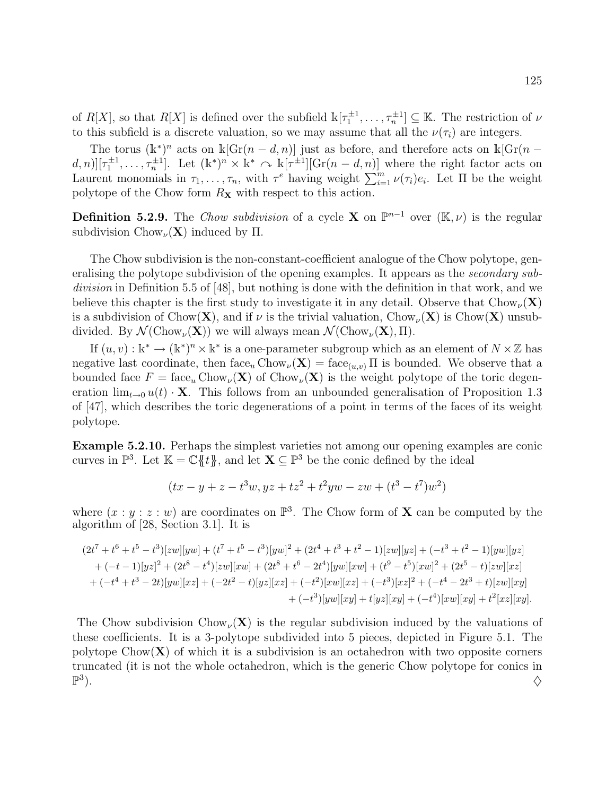of  $R[X]$ , so that  $R[X]$  is defined over the subfield  $\mathbb{k}[\tau_1^{\pm 1}, \ldots, \tau_n^{\pm 1}] \subseteq \mathbb{K}$ . The restriction of  $\nu$ to this subfield is a discrete valuation, so we may assume that all the  $\nu(\tau_i)$  are integers.

The torus  $(\mathbb{k}^*)^n$  acts on  $\mathbb{k}[Gr(n-d,n)]$  just as before, and therefore acts on  $\mathbb{k}[Gr(n-d,n)]$  $(d, n)[[\tau_1^{\pm 1}, \ldots, \tau_n^{\pm 1}].$  Let  $(\mathbb{k}^*)^n \times \mathbb{k}^* \sim \mathbb{k}[\tau^{\pm 1}][\text{Gr}(n-d, n)]$  where the right factor acts on Laurent monomials in  $\tau_1, \ldots, \tau_n$ , with  $\tau^e$  having weight  $\sum_{i=1}^m \nu(\tau_i) e_i$ . Let  $\Pi$  be the weight polytope of the Chow form  $R_{\mathbf{X}}$  with respect to this action.

**Definition 5.2.9.** The *Chow subdivision* of a cycle **X** on  $\mathbb{P}^{n-1}$  over  $(\mathbb{K}, \nu)$  is the regular subdivision  $Chow_{\nu}(\mathbf{X})$  induced by  $\Pi$ .

The Chow subdivision is the non-constant-coefficient analogue of the Chow polytope, generalising the polytope subdivision of the opening examples. It appears as the *secondary sub*division in Definition 5.5 of [48], but nothing is done with the definition in that work, and we believe this chapter is the first study to investigate it in any detail. Observe that  $Chow_{\nu}(\mathbf{X})$ is a subdivision of Chow( $X$ ), and if  $\nu$  is the trivial valuation, Chow<sub> $\nu$ </sub>( $X$ ) is Chow( $X$ ) unsubdivided. By  $\mathcal{N}(\mathrm{Chow}_{\nu}(\mathbf{X}))$  we will always mean  $\mathcal{N}(\mathrm{Chow}_{\nu}(\mathbf{X}), \Pi)$ .

If  $(u, v) : \mathbb{R}^* \to (\mathbb{R}^*)^n \times \mathbb{R}^*$  is a one-parameter subgroup which as an element of  $N \times \mathbb{Z}$  has negative last coordinate, then  $face_u Chow_\nu(\mathbf{X}) = face_{(u,v)} \Pi$  is bounded. We observe that a bounded face  $F = \text{face}_u \text{Chow}_v(\mathbf{X})$  of  $\text{Chow}_v(\mathbf{X})$  is the weight polytope of the toric degeneration  $\lim_{t\to 0} u(t) \cdot \mathbf{X}$ . This follows from an unbounded generalisation of Proposition 1.3 of [47], which describes the toric degenerations of a point in terms of the faces of its weight polytope.

Example 5.2.10. Perhaps the simplest varieties not among our opening examples are conic curves in  $\mathbb{P}^3$ . Let  $\mathbb{K} = \mathbb{C} \{ \{t \} \}$ , and let  $\mathbf{X} \subseteq \mathbb{P}^3$  be the conic defined by the ideal

$$
(tx - y + z - t3w, yz + tz2 + t2 yw - zw + (t3 – t7)w2)
$$

where  $(x : y : z : w)$  are coordinates on  $\mathbb{P}^3$ . The Chow form of **X** can be computed by the algorithm of [28, Section 3.1]. It is

$$
(2t7 + t6 + t5 - t3)[zw][yw] + (t7 + t5 - t3)[yw]2 + (2t4 + t3 + t2 - 1)[zw][yz] + (-t3 + t2 - 1)[yw][yz] + (-t - 1)[yz]2 + (2t8 - t4)[zw][xw] + (2t8 + t6 - 2t4)[yw][xw] + (t9 - t5)[xw]2 + (2t5 - t)[zw][xz] + (-t4 + t3 - 2t)[yw][xz] + (-2t2 - t)[yz][xz] + (-t2)[xw][xz] + (-t3)[xz]2 + (-t4 - 2t3 + t)[zw][xy] + (-t3)[yw][xy] + t[yz][xy] + (-t4)[xw][xy] + t2[xz][xy].
$$

The Chow subdivision  $Chow_{\nu}(\mathbf{X})$  is the regular subdivision induced by the valuations of these coefficients. It is a 3-polytope subdivided into 5 pieces, depicted in Figure 5.1. The polytope Chow $(X)$  of which it is a subdivision is an octahedron with two opposite corners truncated (it is not the whole octahedron, which is the generic Chow polytope for conics in  $\mathbb{P}^3$ ).  $\diamondsuit$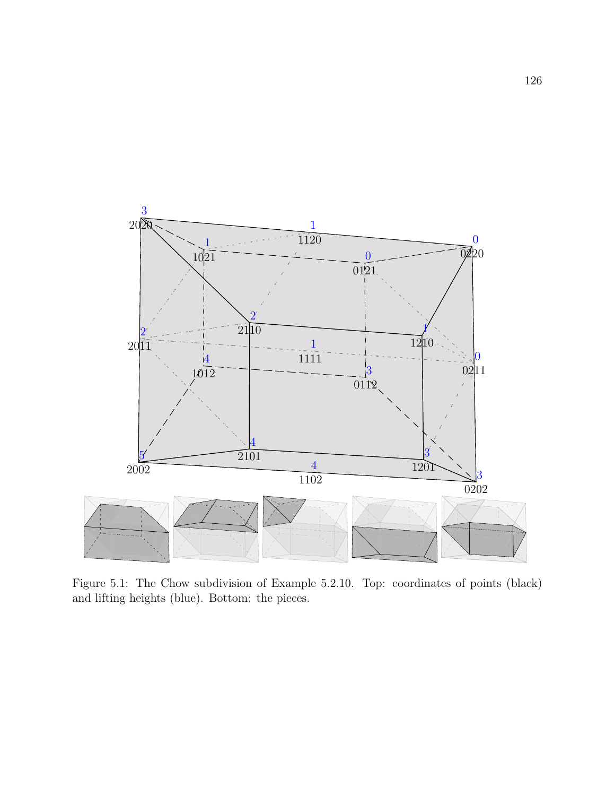

Figure 5.1: The Chow subdivision of Example 5.2.10. Top: coordinates of points (black) and lifting heights (blue). Bottom: the pieces.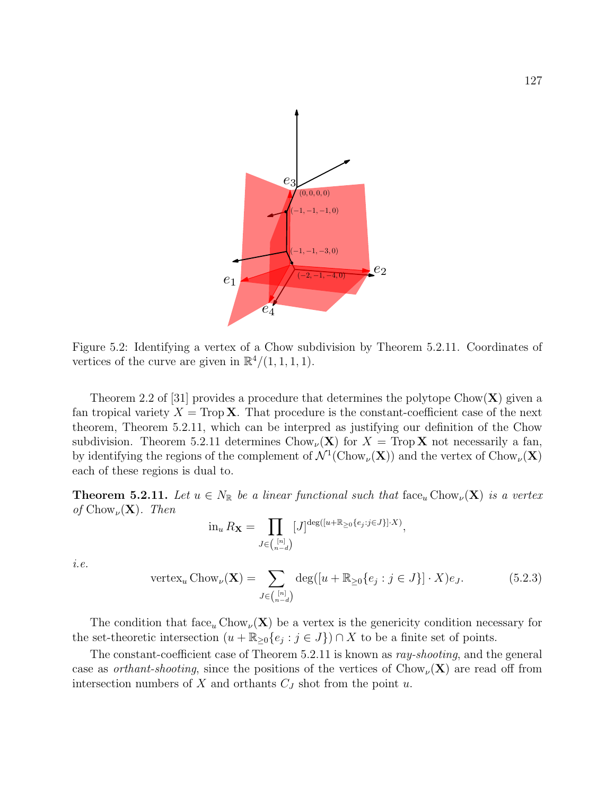

Figure 5.2: Identifying a vertex of a Chow subdivision by Theorem 5.2.11. Coordinates of vertices of the curve are given in  $\mathbb{R}^4/(1,1,1,1)$ .

Theorem 2.2 of [31] provides a procedure that determines the polytope  $Chow(\mathbf{X})$  given a fan tropical variety  $X = \text{Top } X$ . That procedure is the constant-coefficient case of the next theorem, Theorem 5.2.11, which can be interpred as justifying our definition of the Chow subdivision. Theorem 5.2.11 determines  $Chow_{\nu}(\mathbf{X})$  for  $X = \text{Top } \mathbf{X}$  not necessarily a fan, by identifying the regions of the complement of  $\mathcal{N}^1(\mathrm{Chow}_\nu(\mathbf{X}))$  and the vertex of  $\mathrm{Chow}_\nu(\mathbf{X})$ each of these regions is dual to.

**Theorem 5.2.11.** Let  $u \in N_{\mathbb{R}}$  be a linear functional such that face<sub>u</sub> Chow<sub>v</sub>(**X**) is a vertex of  $Chow_{\nu}(\mathbf{X})$ . Then

$$
\operatorname{in}_{u} R_{\mathbf{X}} = \prod_{J \in \binom{[n]}{n-d}} [J]^{\deg([u + \mathbb{R}_{\geq 0} \{e_j : j \in J\}]\cdot X)},
$$

i.e.

vertex<sub>u</sub> Chow<sub>u</sub>
$$
(\mathbf{X}) = \sum_{J \in \binom{[n]}{n-d}} \deg([u + \mathbb{R}_{\geq 0} \{e_j : j \in J\}] \cdot X) e_J.
$$
 (5.2.3)

The condition that face<sub>u</sub> Chow<sub>v</sub>(**X**) be a vertex is the genericity condition necessary for the set-theoretic intersection  $(u + \mathbb{R}_{\geq 0} \{e_j : j \in J\}) \cap X$  to be a finite set of points.

The constant-coefficient case of Theorem 5.2.11 is known as ray-shooting, and the general case as *orthant-shooting*, since the positions of the vertices of  $Chow_{\nu}(\mathbf{X})$  are read off from intersection numbers of  $X$  and orthants  $C_J$  shot from the point  $u$ .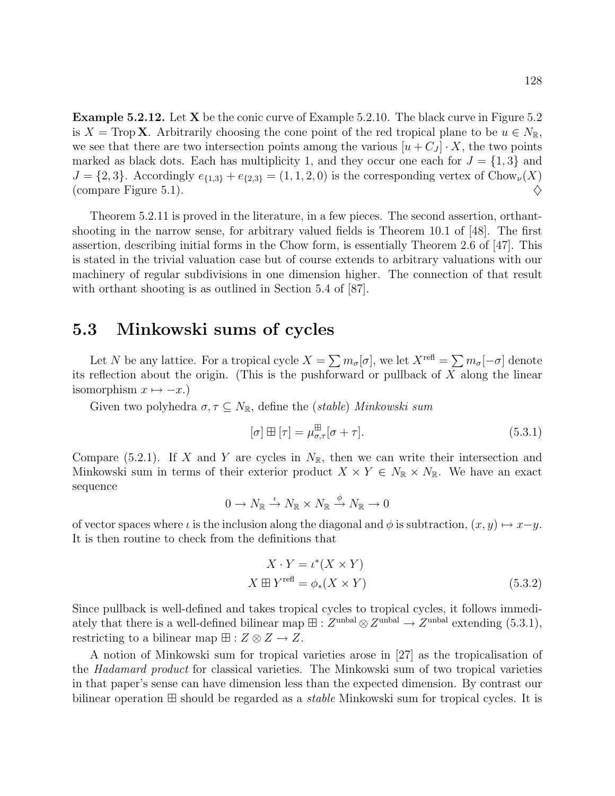Example 5.2.12. Let X be the conic curve of Example 5.2.10. The black curve in Figure 5.2 is X = Trop X. Arbitrarily choosing the cone point of the red tropical plane to be  $u \in N_{\mathbb{R}}$ , we see that there are two intersection points among the various  $[u + C_J] \cdot X$ , the two points marked as black dots. Each has multiplicity 1, and they occur one each for  $J = \{1,3\}$  and  $J = \{2, 3\}$ . Accordingly  $e_{\{1,3\}} + e_{\{2,3\}} = (1, 1, 2, 0)$  is the corresponding vertex of  $Chow_{\nu}(X)$ (compare Figure 5.1).  $\diamondsuit$ 

Theorem 5.2.11 is proved in the literature, in a few pieces. The second assertion, orthantshooting in the narrow sense, for arbitrary valued fields is Theorem 10.1 of [48]. The first assertion, describing initial forms in the Chow form, is essentially Theorem 2.6 of [47]. This is stated in the trivial valuation case but of course extends to arbitrary valuations with our machinery of regular subdivisions in one dimension higher. The connection of that result with orthant shooting is as outlined in Section 5.4 of [87].

# 5.3 Minkowski sums of cycles

Let N be any lattice. For a tropical cycle  $X = \sum m_{\sigma}[\sigma]$ , we let  $X^{\text{refl}} = \sum m_{\sigma}[-\sigma]$  denote its reflection about the origin. (This is the pushforward or pullback of  $X$  along the linear isomorphism  $x \mapsto -x.$ )

Given two polyhedra  $\sigma, \tau \subseteq N_{\mathbb{R}}$ , define the (stable) Minkowski sum

$$
[\sigma] \boxplus [\tau] = \mu_{\sigma,\tau}^{\boxplus}[\sigma + \tau]. \tag{5.3.1}
$$

Compare (5.2.1). If X and Y are cycles in  $N_{\mathbb{R}}$ , then we can write their intersection and Minkowski sum in terms of their exterior product  $X \times Y \in N_{\mathbb{R}} \times N_{\mathbb{R}}$ . We have an exact sequence

$$
0\longrightarrow N_{\mathbb{R}}\stackrel{\iota}{\longrightarrow}N_{\mathbb{R}}\times N_{\mathbb{R}}\stackrel{\phi}{\longrightarrow}N_{\mathbb{R}}\longrightarrow 0
$$

of vector spaces where  $\iota$  is the inclusion along the diagonal and  $\phi$  is subtraction,  $(x, y) \mapsto x-y$ . It is then routine to check from the definitions that

$$
X \cdot Y = \iota^*(X \times Y)
$$
  

$$
X \boxplus Y^{\text{refl}} = \phi_*(X \times Y)
$$
 (5.3.2)

Since pullback is well-defined and takes tropical cycles to tropical cycles, it follows immediately that there is a well-defined bilinear map  $\boxplus$  :  $Z^{\text{unbal}} \otimes Z^{\text{unbal}} \to Z^{\text{unbal}}$  extending (5.3.1), restricting to a bilinear map  $\boxplus : Z \otimes Z \rightarrow Z$ .

A notion of Minkowski sum for tropical varieties arose in [27] as the tropicalisation of the Hadamard product for classical varieties. The Minkowski sum of two tropical varieties in that paper's sense can have dimension less than the expected dimension. By contrast our bilinear operation  $\boxplus$  should be regarded as a *stable* Minkowski sum for tropical cycles. It is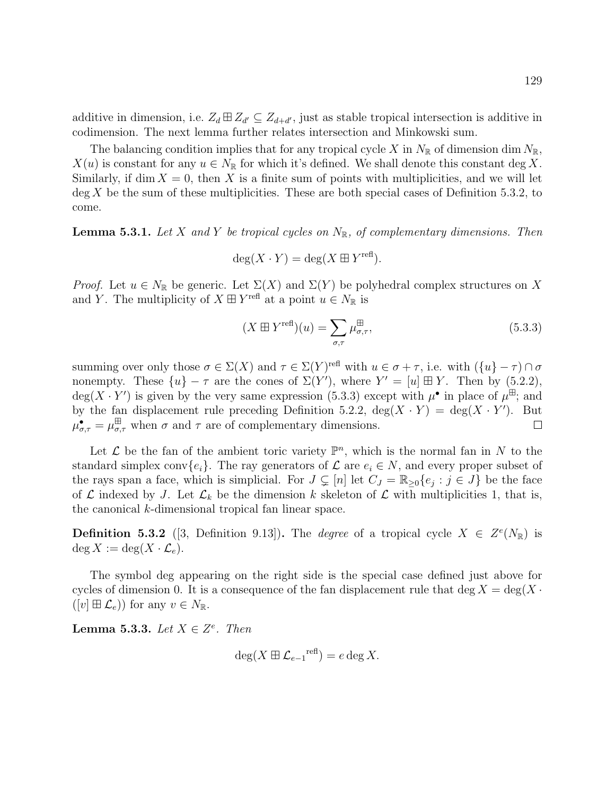additive in dimension, i.e.  $Z_d \boxplus Z_{d'} \subseteq Z_{d+d'}$ , just as stable tropical intersection is additive in codimension. The next lemma further relates intersection and Minkowski sum.

The balancing condition implies that for any tropical cycle X in  $N_{\mathbb{R}}$  of dimension dim  $N_{\mathbb{R}}$ ,  $X(u)$  is constant for any  $u \in N_{\mathbb{R}}$  for which it's defined. We shall denote this constant deg X. Similarly, if dim  $X = 0$ , then X is a finite sum of points with multiplicities, and we will let  $\deg X$  be the sum of these multiplicities. These are both special cases of Definition 5.3.2, to come.

**Lemma 5.3.1.** Let X and Y be tropical cycles on  $N_{\mathbb{R}}$ , of complementary dimensions. Then

$$
\deg(X \cdot Y) = \deg(X \boxplus Y^{\text{ref}}).
$$

*Proof.* Let  $u \in N_{\mathbb{R}}$  be generic. Let  $\Sigma(X)$  and  $\Sigma(Y)$  be polyhedral complex structures on X and Y. The multiplicity of  $X \boxplus Y^{\text{refl}}$  at a point  $u \in N_{\mathbb{R}}$  is

$$
(X \boxplus Y^{\text{ref}})(u) = \sum_{\sigma,\tau} \mu_{\sigma,\tau}^{\boxplus},\tag{5.3.3}
$$

summing over only those  $\sigma \in \Sigma(X)$  and  $\tau \in \Sigma(Y)$ <sup>refl</sup> with  $u \in \sigma + \tau$ , i.e. with  $(\{u\} - \tau) \cap \sigma$ nonempty. These  $\{u\} - \tau$  are the cones of  $\Sigma(Y')$ , where  $Y' = [u] \boxplus Y$ . Then by  $(5.2.2)$ ,  $deg(X \cdot Y')$  is given by the very same expression (5.3.3) except with  $\mu^{\bullet}$  in place of  $\mu^{\boxplus}$ ; and by the fan displacement rule preceding Definition 5.2.2,  $deg(X \cdot Y) = deg(X \cdot Y')$ . But  $\mu_{\sigma,\tau}^{\bullet} = \mu_{\sigma,\tau}^{\boxplus}$  when  $\sigma$  and  $\tau$  are of complementary dimensions.  $\Box$ 

Let  $\mathcal L$  be the fan of the ambient toric variety  $\mathbb P^n$ , which is the normal fan in N to the standard simplex conv $\{e_i\}$ . The ray generators of  $\mathcal L$  are  $e_i \in N$ , and every proper subset of the rays span a face, which is simplicial. For  $J \subsetneq [n]$  let  $C_J = \mathbb{R}_{\geq 0} \{e_j : j \in J\}$  be the face of  $\mathcal L$  indexed by J. Let  $\mathcal L_k$  be the dimension k skeleton of  $\mathcal L$  with multiplicities 1, that is, the canonical k-dimensional tropical fan linear space.

**Definition 5.3.2** ([3, Definition 9.13]). The *degree* of a tropical cycle  $X \in Z^{e}(N_{\mathbb{R}})$  is  $\deg X := \deg(X \cdot \mathcal{L}_e).$ 

The symbol deg appearing on the right side is the special case defined just above for cycles of dimension 0. It is a consequence of the fan displacement rule that deg  $X = \deg(X + \deg(X))$  $([v] \boxplus \mathcal{L}_e)$  for any  $v \in N_{\mathbb{R}}$ .

Lemma 5.3.3. Let  $X \in \mathbb{Z}^e$ . Then

$$
\deg(X \boxplus \mathcal{L}_{e-1}^{\text{refl}}) = e \deg X.
$$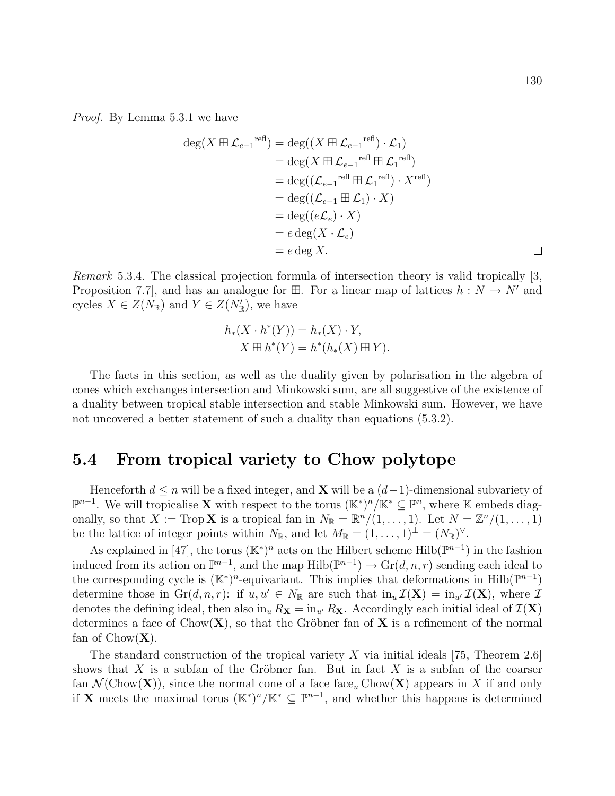Proof. By Lemma 5.3.1 we have

$$
\deg(X \boxplus \mathcal{L}_{e-1}^{\text{refl}}) = \deg((X \boxplus \mathcal{L}_{e-1}^{\text{refl}}) \cdot \mathcal{L}_1)
$$
  
\n
$$
= \deg(X \boxplus \mathcal{L}_{e-1}^{\text{refl}} \boxplus \mathcal{L}_1^{\text{refl}})
$$
  
\n
$$
= \deg((\mathcal{L}_{e-1}^{\text{refl}} \boxplus \mathcal{L}_1^{\text{refl}}) \cdot X^{\text{refl}})
$$
  
\n
$$
= \deg((\mathcal{L}_{e-1} \boxplus \mathcal{L}_1) \cdot X)
$$
  
\n
$$
= \deg((e\mathcal{L}_e) \cdot X)
$$
  
\n
$$
= e \deg(X \cdot \mathcal{L}_e)
$$
  
\n
$$
= e \deg X.
$$

Remark 5.3.4. The classical projection formula of intersection theory is valid tropically [3, Proposition 7.7], and has an analogue for  $\boxplus$ . For a linear map of lattices  $h : N \to N'$  and cycles  $X \in Z(N_{\mathbb{R}})$  and  $Y \in Z(N'_{\mathbb{R}})$ , we have

$$
h_*(X \cdot h^*(Y)) = h_*(X) \cdot Y,
$$
  
 
$$
X \boxplus h^*(Y) = h^*(h_*(X) \boxplus Y).
$$

The facts in this section, as well as the duality given by polarisation in the algebra of cones which exchanges intersection and Minkowski sum, are all suggestive of the existence of a duality between tropical stable intersection and stable Minkowski sum. However, we have not uncovered a better statement of such a duality than equations (5.3.2).

### 5.4 From tropical variety to Chow polytope

Henceforth  $d \leq n$  will be a fixed integer, and **X** will be a  $(d-1)$ -dimensional subvariety of  $\mathbb{P}^{n-1}$ . We will tropicalise **X** with respect to the torus  $(\mathbb{K}^*)^n/\mathbb{K}^* \subseteq \mathbb{P}^n$ , where K embeds diagonally, so that  $X := \text{Top } \mathbf{X}$  is a tropical fan in  $N_{\mathbb{R}} = {\mathbb{R}}^n/(1,\ldots,1)$ . Let  $N = {\mathbb{Z}}^n/(1,\ldots,1)$ be the lattice of integer points within  $N_{\mathbb{R}}$ , and let  $M_{\mathbb{R}} = (1, \ldots, 1)^{\perp} = (N_{\mathbb{R}})^{\vee}$ .

As explained in [47], the torus  $(\mathbb{K}^*)^n$  acts on the Hilbert scheme Hilb( $\mathbb{P}^{n-1}$ ) in the fashion induced from its action on  $\mathbb{P}^{n-1}$ , and the map  $\text{Hilb}(\mathbb{P}^{n-1}) \to \text{Gr}(d, n, r)$  sending each ideal to the corresponding cycle is  $(\mathbb{K}^*)^n$ -equivariant. This implies that deformations in Hilb( $\mathbb{P}^{n-1}$ ) determine those in  $\mathrm{Gr}(d, n, r)$ : if  $u, u' \in N_{\mathbb{R}}$  are such that  $\mathrm{in}_{u} \mathcal{I}(\mathbf{X}) = \mathrm{in}_{u'} \mathcal{I}(\mathbf{X})$ , where  $\mathcal{I}$ denotes the defining ideal, then also in<sub>u</sub>  $R_{\mathbf{X}} = \text{in}_{u'} R_{\mathbf{X}}$ . Accordingly each initial ideal of  $\mathcal{I}(\mathbf{X})$ determines a face of  $Chow(\mathbf{X})$ , so that the Gröbner fan of **X** is a refinement of the normal fan of  $Chow(\mathbf{X})$ .

The standard construction of the tropical variety X via initial ideals [75, Theorem 2.6] shows that X is a subfan of the Gröbner fan. But in fact X is a subfan of the coarser fan  $\mathcal{N}(\text{Chow}(\mathbf{X}))$ , since the normal cone of a face face<sub>u</sub> Chow(**X**) appears in X if and only if **X** meets the maximal torus  $(\mathbb{K}^*)^n / \mathbb{K}^* \subseteq \mathbb{P}^{n-1}$ , and whether this happens is determined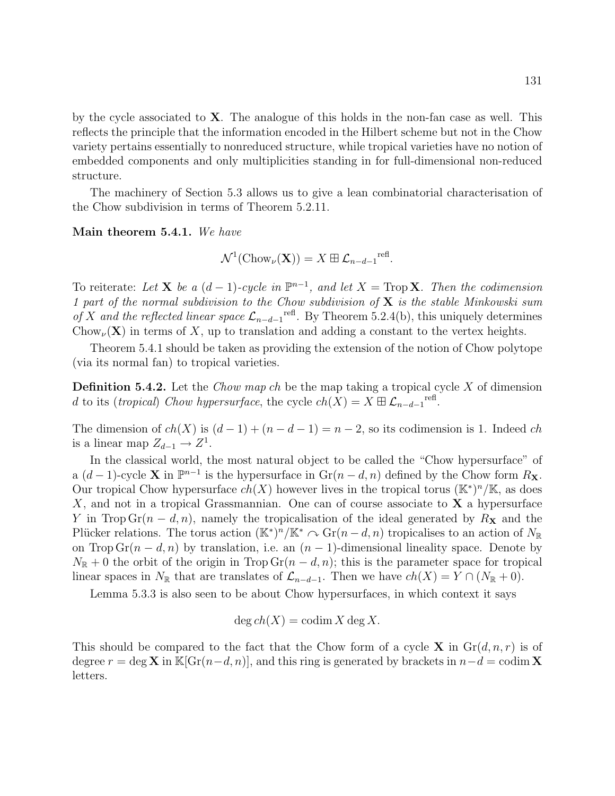by the cycle associated to  $X$ . The analogue of this holds in the non-fan case as well. This reflects the principle that the information encoded in the Hilbert scheme but not in the Chow variety pertains essentially to nonreduced structure, while tropical varieties have no notion of embedded components and only multiplicities standing in for full-dimensional non-reduced structure.

The machinery of Section 5.3 allows us to give a lean combinatorial characterisation of the Chow subdivision in terms of Theorem 5.2.11.

Main theorem 5.4.1. We have

$$
\mathcal{N}^1(\mathrm{Chow}_\nu(\mathbf{X})) = X \boxplus \mathcal{L}_{n-d-1}^{\text{refl}}.
$$

To reiterate: Let **X** be a  $(d-1)$ -cycle in  $\mathbb{P}^{n-1}$ , and let  $X = \text{Top } \mathbf{X}$ . Then the codimension 1 part of the normal subdivision to the Chow subdivision of  $X$  is the stable Minkowski sum of X and the reflected linear space  $\mathcal{L}_{n-d-1}^{\text{refl}}$ . By Theorem 5.2.4(b), this uniquely determines Chow<sub>v</sub>( $X$ ) in terms of X, up to translation and adding a constant to the vertex heights.

Theorem 5.4.1 should be taken as providing the extension of the notion of Chow polytope (via its normal fan) to tropical varieties.

**Definition 5.4.2.** Let the *Chow map ch* be the map taking a tropical cycle  $X$  of dimension d to its (*tropical*) Chow hypersurface, the cycle  $ch(X) = X \boxplus \mathcal{L}_{n-d-1}$ <sup>refl</sup>.

The dimension of  $ch(X)$  is  $(d-1) + (n-d-1) = n-2$ , so its codimension is 1. Indeed ch is a linear map  $Z_{d-1} \to Z^1$ .

In the classical world, the most natural object to be called the "Chow hypersurface" of a  $(d-1)$ -cycle **X** in  $\mathbb{P}^{n-1}$  is the hypersurface in  $\text{Gr}(n-d, n)$  defined by the Chow form  $R_{\mathbf{X}}$ . Our tropical Chow hypersurface  $ch(X)$  however lives in the tropical torus  $(\mathbb{K}^*)^n/\mathbb{K}$ , as does X, and not in a tropical Grassmannian. One can of course associate to  $X$  a hypersurface Y in Trop Gr(n – d, n), namely the tropicalisation of the ideal generated by  $R_{\mathbf{X}}$  and the Plücker relations. The torus action  $(\mathbb{K}^*)^n/\mathbb{K}^* \sim \text{Gr}(n-d,n)$  tropicalises to an action of  $N_{\mathbb{R}}$ on Trop  $\operatorname{Gr}(n-d, n)$  by translation, i.e. an  $(n-1)$ -dimensional lineality space. Denote by  $N_{\mathbb{R}} + 0$  the orbit of the origin in Trop Gr( $n - d, n$ ); this is the parameter space for tropical linear spaces in  $N_{\mathbb{R}}$  that are translates of  $\mathcal{L}_{n-d-1}$ . Then we have  $ch(X) = Y \cap (N_{\mathbb{R}} + 0)$ .

Lemma 5.3.3 is also seen to be about Chow hypersurfaces, in which context it says

$$
\deg ch(X) = \operatorname{codim} X \deg X.
$$

This should be compared to the fact that the Chow form of a cycle **X** in  $\text{Gr}(d, n, r)$  is of degree  $r = \deg X$  in K[Gr( $n-d, n$ ), and this ring is generated by brackets in  $n-d = \text{codim } X$ letters.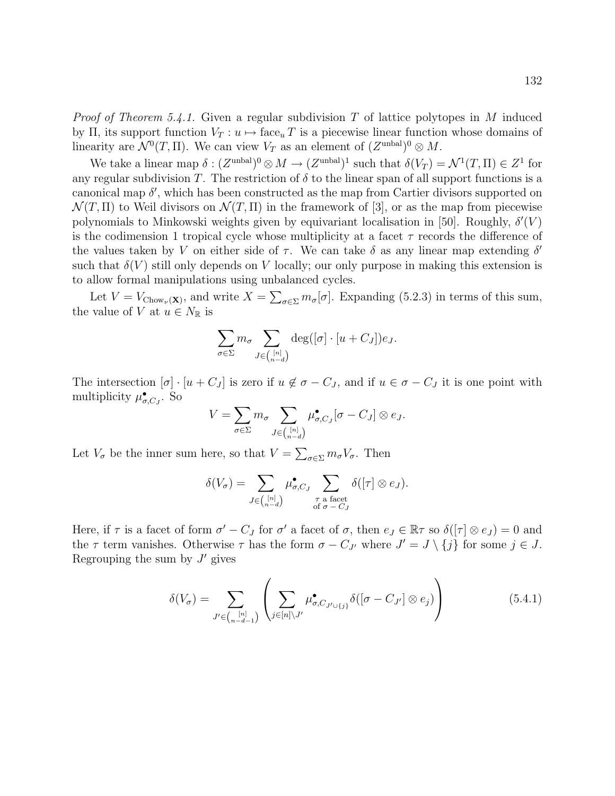*Proof of Theorem 5.4.1.* Given a regular subdivision T of lattice polytopes in M induced by Π, its support function  $V_T : u \mapsto \text{face}_u T$  is a piecewise linear function whose domains of linearity are  $\mathcal{N}^0(T, \Pi)$ . We can view  $V_T$  as an element of  $(Z^{\text{unbal}})^0 \otimes M$ .

We take a linear map  $\delta : (Z^{\text{unbal}})^0 \otimes M \to (Z^{\text{unbal}})^1$  such that  $\delta(V_T) = \mathcal{N}^1(T, \Pi) \in Z^1$  for any regular subdivision T. The restriction of  $\delta$  to the linear span of all support functions is a canonical map  $\delta'$ , which has been constructed as the map from Cartier divisors supported on  $\mathcal{N}(T, \Pi)$  to Weil divisors on  $\mathcal{N}(T, \Pi)$  in the framework of [3], or as the map from piecewise polynomials to Minkowski weights given by equivariant localisation in [50]. Roughly,  $\delta'(V)$ is the codimension 1 tropical cycle whose multiplicity at a facet  $\tau$  records the difference of the values taken by V on either side of  $\tau$ . We can take  $\delta$  as any linear map extending  $\delta'$ such that  $\delta(V)$  still only depends on V locally; our only purpose in making this extension is to allow formal manipulations using unbalanced cycles.

Let  $V = V_{\text{Chow}_{\nu}(\mathbf{X})}$ , and write  $X = \sum_{\sigma \in \Sigma} m_{\sigma}[\sigma]$ . Expanding (5.2.3) in terms of this sum, the value of V at  $u \in N_{\mathbb{R}}$  is

$$
\sum_{\sigma \in \Sigma} m_{\sigma} \sum_{J \in \binom{[n]}{n-d}} \deg([\sigma] \cdot [u + C_J]) e_J.
$$

The intersection  $[\sigma] \cdot [u + C_J]$  is zero if  $u \notin \sigma - C_J$ , and if  $u \in \sigma - C_J$  it is one point with multiplicity  $\mu_{\sigma,C_J}^{\bullet}$ . So

$$
V = \sum_{\sigma \in \Sigma} m_{\sigma} \sum_{J \in \binom{[n]}{n-d}} \mu_{\sigma, C_J}^{\bullet} [\sigma - C_J] \otimes e_J.
$$

Let  $V_{\sigma}$  be the inner sum here, so that  $V = \sum_{\sigma \in \Sigma} m_{\sigma} V_{\sigma}$ . Then

$$
\delta(V_{\sigma}) = \sum_{J \in \binom{[n]}{n-d}} \mu_{\sigma, C_J}^{\bullet} \sum_{\substack{\tau \text{ a facet} \\ \text{of } \sigma - C_J}} \delta([\tau] \otimes e_J).
$$

Here, if  $\tau$  is a facet of form  $\sigma' - C_J$  for  $\sigma'$  a facet of  $\sigma$ , then  $e_J \in \mathbb{R}\tau$  so  $\delta([\tau] \otimes e_J) = 0$  and the  $\tau$  term vanishes. Otherwise  $\tau$  has the form  $\sigma - C_{J'}$  where  $J' = J \setminus \{j\}$  for some  $j \in J$ . Regrouping the sum by  $J'$  gives

$$
\delta(V_{\sigma}) = \sum_{J' \in \binom{[n]}{n-d-1}} \left( \sum_{j \in [n] \setminus J'} \mu_{\sigma, C_{J' \cup \{j\}}}^{\bullet} \delta([\sigma - C_{J'}] \otimes e_j) \right) \tag{5.4.1}
$$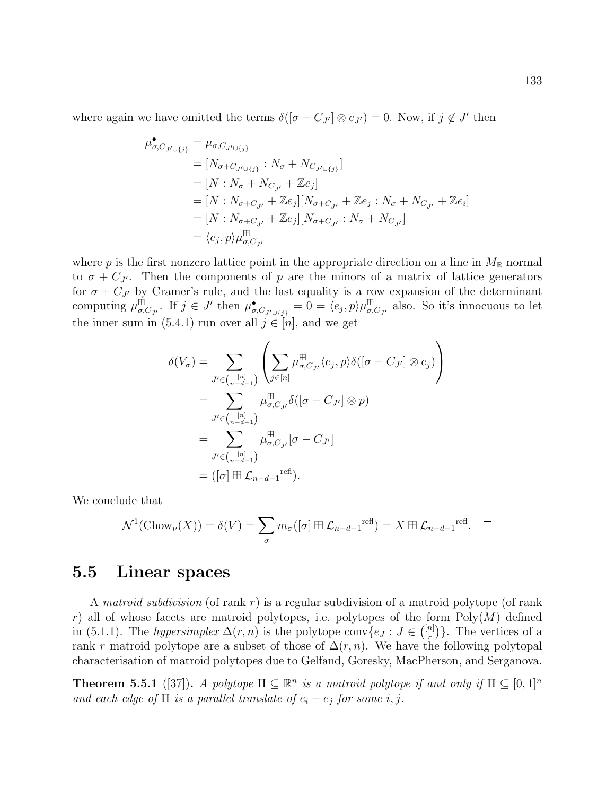where again we have omitted the terms  $\delta([\sigma - C_{J'}] \otimes e_{J'}) = 0$ . Now, if  $j \notin J'$  then

$$
\mu_{\sigma,C_{J' \cup \{j\}}}^{\bullet} = \mu_{\sigma,C_{J' \cup \{j\}}}
$$
\n
$$
= [N_{\sigma + C_{J' \cup \{j\}}} : N_{\sigma} + N_{C_{J' \cup \{j\}}}]
$$
\n
$$
= [N : N_{\sigma} + N_{C_{J'}} + \mathbb{Z}e_j]
$$
\n
$$
= [N : N_{\sigma + C_{J'}} + \mathbb{Z}e_j][N_{\sigma + C_{J'}} + \mathbb{Z}e_j : N_{\sigma} + N_{C_{J'}} + \mathbb{Z}e_i]
$$
\n
$$
= [N : N_{\sigma + C_{J'}} + \mathbb{Z}e_j][N_{\sigma + C_{J'}} : N_{\sigma} + N_{C_{J'}}]
$$
\n
$$
= \langle e_j, p \rangle \mu_{\sigma, C_{J'}}^{\boxplus}
$$

where p is the first nonzero lattice point in the appropriate direction on a line in  $M_{\mathbb{R}}$  normal to  $\sigma + C_{J'}$ . Then the components of p are the minors of a matrix of lattice generators for  $\sigma + C_{J'}$  by Cramer's rule, and the last equality is a row expansion of the determinant computing  $\mu_{\sigma}^{\mathbb{H}}$  $\mathbb{H}_{\sigma,C_{J'}}$ . If  $j \in J'$  then  $\mu_{\sigma,C_{J'\cup\{j\}}}^{\bullet} = 0 = \langle e_j,p \rangle \mu_{\sigma,j}^{\boxplus}$  $_{\sigma,C_{J'}}^{\boxplus}$  also. So it's innocuous to let the inner sum in (5.4.1) run over all  $j \in [n]$ , and we get

$$
\delta(V_{\sigma}) = \sum_{J' \in {n \brack n-d-1}} \left( \sum_{j \in [n]} \mu^{\boxplus}_{\sigma, C_{J'}} \langle e_j, p \rangle \delta([\sigma - C_{J'}] \otimes e_j) \right)
$$
  
\n
$$
= \sum_{J' \in {n \brack n-d-1}} \mu^{\boxplus}_{\sigma, C_{J'}} \delta([\sigma - C_{J'}] \otimes p)
$$
  
\n
$$
= \sum_{J' \in {n \brack n-d-1}} \mu^{\boxplus}_{\sigma, C_{J'}} [\sigma - C_{J'}]
$$
  
\n
$$
= ([\sigma] \boxplus \mathcal{L}_{n-d-1}^{\text{refl}}).
$$

We conclude that

$$
\mathcal{N}^1(\mathrm{Chow}_\nu(X)) = \delta(V) = \sum_{\sigma} m_{\sigma}([\sigma] \boxplus \mathcal{L}_{n-d-1}^{\text{refl}}) = X \boxplus \mathcal{L}_{n-d-1}^{\text{refl}}. \square
$$

## 5.5 Linear spaces

A matroid subdivision (of rank r) is a regular subdivision of a matroid polytope (of rank r) all of whose facets are matroid polytopes, i.e. polytopes of the form  $Poly(M)$  defined in (5.1.1). The *hypersimplex*  $\Delta(r, n)$  is the polytope conv $\{e_J : J \in \binom{[n]}{r}\}$  $\binom{n}{r}$ . The vertices of a rank r matroid polytope are a subset of those of  $\Delta(r, n)$ . We have the following polytopal characterisation of matroid polytopes due to Gelfand, Goresky, MacPherson, and Serganova.

**Theorem 5.5.1** ([37]). A polytope  $\Pi \subseteq \mathbb{R}^n$  is a matroid polytope if and only if  $\Pi \subseteq [0,1]^n$ and each edge of  $\Pi$  is a parallel translate of  $e_i - e_j$  for some i, j.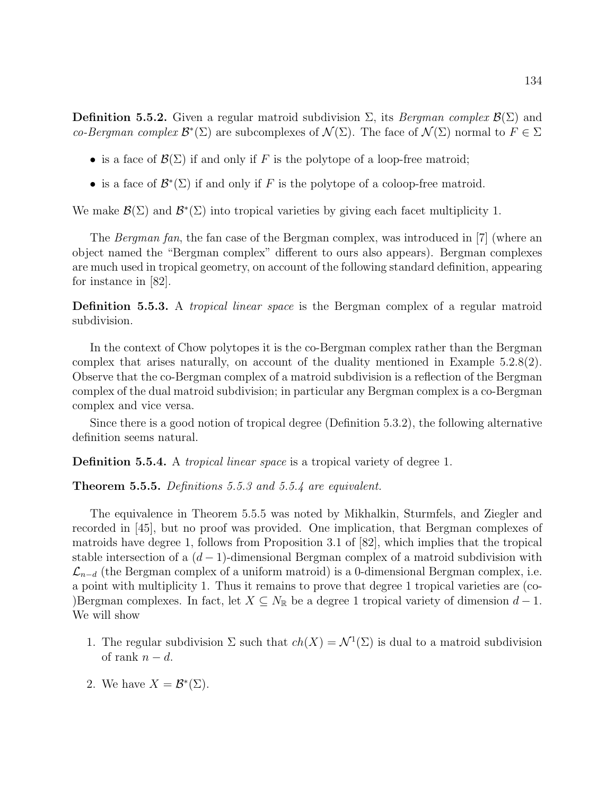**Definition 5.5.2.** Given a regular matroid subdivision  $\Sigma$ , its *Bergman complex*  $\mathcal{B}(\Sigma)$  and *co-Bergman complex*  $\mathcal{B}^*(\Sigma)$  are subcomplexes of  $\mathcal{N}(\Sigma)$ . The face of  $\mathcal{N}(\Sigma)$  normal to  $F \in \Sigma$ 

- is a face of  $\mathcal{B}(\Sigma)$  if and only if F is the polytope of a loop-free matroid;
- is a face of  $\mathcal{B}^*(\Sigma)$  if and only if F is the polytope of a coloop-free matroid.

We make  $\mathcal{B}(\Sigma)$  and  $\mathcal{B}^*(\Sigma)$  into tropical varieties by giving each facet multiplicity 1.

The *Bergman fan*, the fan case of the Bergman complex, was introduced in [7] (where an object named the "Bergman complex" different to ours also appears). Bergman complexes are much used in tropical geometry, on account of the following standard definition, appearing for instance in [82].

Definition 5.5.3. A *tropical linear space* is the Bergman complex of a regular matroid subdivision.

In the context of Chow polytopes it is the co-Bergman complex rather than the Bergman complex that arises naturally, on account of the duality mentioned in Example 5.2.8(2). Observe that the co-Bergman complex of a matroid subdivision is a reflection of the Bergman complex of the dual matroid subdivision; in particular any Bergman complex is a co-Bergman complex and vice versa.

Since there is a good notion of tropical degree (Definition 5.3.2), the following alternative definition seems natural.

Definition 5.5.4. A *tropical linear space* is a tropical variety of degree 1.

Theorem 5.5.5. Definitions 5.5.3 and 5.5.4 are equivalent.

The equivalence in Theorem 5.5.5 was noted by Mikhalkin, Sturmfels, and Ziegler and recorded in [45], but no proof was provided. One implication, that Bergman complexes of matroids have degree 1, follows from Proposition 3.1 of [82], which implies that the tropical stable intersection of a  $(d-1)$ -dimensional Bergman complex of a matroid subdivision with  $\mathcal{L}_{n-d}$  (the Bergman complex of a uniform matroid) is a 0-dimensional Bergman complex, i.e. a point with multiplicity 1. Thus it remains to prove that degree 1 tropical varieties are (co- )Bergman complexes. In fact, let  $X \subseteq N_{\mathbb{R}}$  be a degree 1 tropical variety of dimension  $d-1$ . We will show

- 1. The regular subdivision  $\Sigma$  such that  $ch(X) = \mathcal{N}^1(\Sigma)$  is dual to a matroid subdivision of rank  $n - d$ .
- 2. We have  $X = \mathcal{B}^*(\Sigma)$ .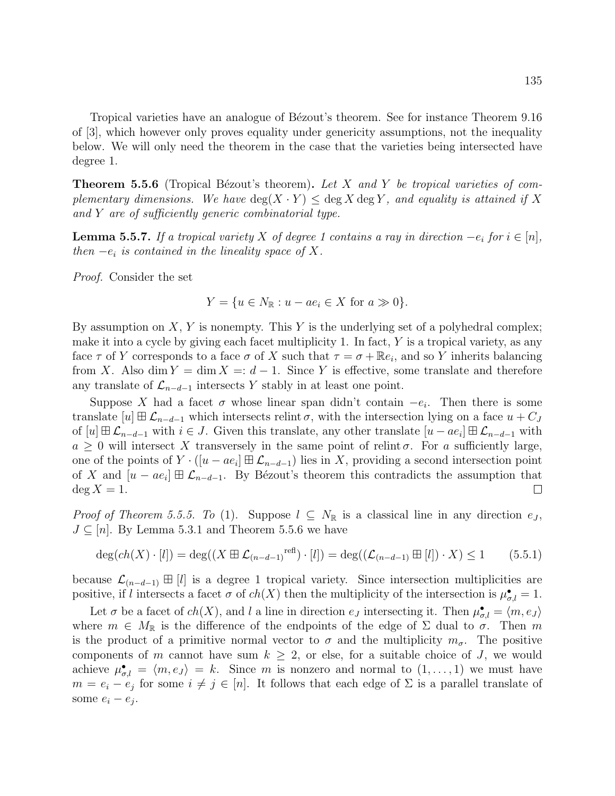Tropical varieties have an analogue of Bézout's theorem. See for instance Theorem 9.16 of [3], which however only proves equality under genericity assumptions, not the inequality below. We will only need the theorem in the case that the varieties being intersected have degree 1.

**Theorem 5.5.6** (Tropical Bézout's theorem). Let X and Y be tropical varieties of complementary dimensions. We have  $\deg(X \cdot Y) \leq \deg X \deg Y$ , and equality is attained if X and Y are of sufficiently generic combinatorial type.

**Lemma 5.5.7.** If a tropical variety X of degree 1 contains a ray in direction  $-e_i$  for  $i \in [n]$ , then  $-e_i$  is contained in the lineality space of X.

Proof. Consider the set

$$
Y = \{ u \in N_{\mathbb{R}} : u - ae_i \in X \text{ for } a \gg 0 \}.
$$

By assumption on X, Y is nonempty. This Y is the underlying set of a polyhedral complex; make it into a cycle by giving each facet multiplicity 1. In fact,  $Y$  is a tropical variety, as any face  $\tau$  of Y corresponds to a face  $\sigma$  of X such that  $\tau = \sigma + \mathbb{R}e_i$ , and so Y inherits balancing from X. Also dim  $Y = \dim X =: d - 1$ . Since Y is effective, some translate and therefore any translate of  $\mathcal{L}_{n-d-1}$  intersects Y stably in at least one point.

Suppose X had a facet  $\sigma$  whose linear span didn't contain  $-e_i$ . Then there is some translate  $[u] \boxplus \mathcal{L}_{n-d-1}$  which intersects relint  $\sigma$ , with the intersection lying on a face  $u + C_J$ of  $[u] \boxplus \mathcal{L}_{n-d-1}$  with  $i \in J$ . Given this translate, any other translate  $[u - ae_i] \boxplus \mathcal{L}_{n-d-1}$  with  $a \geq 0$  will intersect X transversely in the same point of relint  $\sigma$ . For a sufficiently large, one of the points of  $Y \cdot ([u - ae_i] \boxplus \mathcal{L}_{n-d-1})$  lies in X, providing a second intersection point of X and  $[u - ae_i] \boxplus \mathcal{L}_{n-d-1}$ . By Bézout's theorem this contradicts the assumption that  $\deg X = 1$ .  $\Box$ 

*Proof of Theorem 5.5.5. To* (1). Suppose  $l \subseteq N_{\mathbb{R}}$  is a classical line in any direction  $e_j$ ,  $J \subseteq [n]$ . By Lemma 5.3.1 and Theorem 5.5.6 we have

$$
\deg(ch(X) \cdot [l]) = \deg((X \boxplus \mathcal{L}_{(n-d-1)}^{\text{refl}}) \cdot [l]) = \deg((\mathcal{L}_{(n-d-1)} \boxplus [l]) \cdot X) \le 1 \tag{5.5.1}
$$

because  $\mathcal{L}_{(n-d-1)} \boxplus [l]$  is a degree 1 tropical variety. Since intersection multiplicities are positive, if l intersects a facet  $\sigma$  of  $ch(X)$  then the multiplicity of the intersection is  $\mu_{\sigma,l}^{\bullet} = 1$ .

Let  $\sigma$  be a facet of  $ch(X)$ , and l a line in direction  $e_J$  intersecting it. Then  $\mu_{\sigma,l}^{\bullet} = \langle m, e_J \rangle$ where  $m \in M_{\mathbb{R}}$  is the difference of the endpoints of the edge of  $\Sigma$  dual to  $\sigma$ . Then m is the product of a primitive normal vector to  $\sigma$  and the multiplicity  $m_{\sigma}$ . The positive components of m cannot have sum  $k \geq 2$ , or else, for a suitable choice of J, we would achieve  $\mu_{\sigma,l}^{\bullet} = \langle m, e_J \rangle = k$ . Since m is nonzero and normal to  $(1, \ldots, 1)$  we must have  $m = e_i - e_j$  for some  $i \neq j \in [n]$ . It follows that each edge of  $\Sigma$  is a parallel translate of some  $e_i - e_j$ .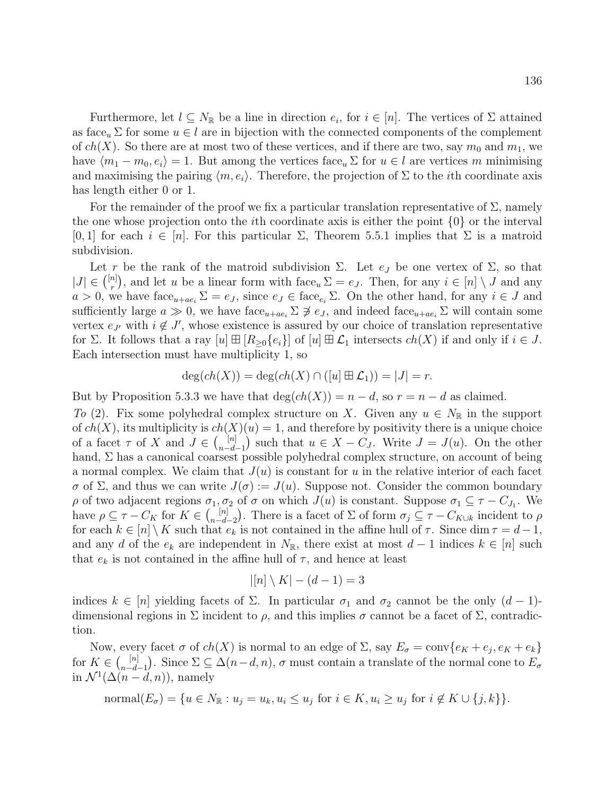Furthermore, let  $l \subseteq N_{\mathbb{R}}$  be a line in direction  $e_i$ , for  $i \in [n]$ . The vertices of  $\Sigma$  attained as face<sub>u</sub>  $\Sigma$  for some  $u \in l$  are in bijection with the connected components of the complement of ch(X). So there are at most two of these vertices, and if there are two, say  $m_0$  and  $m_1$ , we have  $\langle m_1 - m_0, e_i \rangle = 1$ . But among the vertices face<sub>u</sub>  $\Sigma$  for  $u \in l$  are vertices m minimising and maximising the pairing  $\langle m, e_i \rangle$ . Therefore, the projection of Σ to the *i*th coordinate axis has length either 0 or 1.

For the remainder of the proof we fix a particular translation representative of  $\Sigma$ , namely the one whose projection onto the *i*th coordinate axis is either the point  $\{0\}$  or the interval  $[0, 1]$  for each  $i \in [n]$ . For this particular  $\Sigma$ , Theorem 5.5.1 implies that  $\Sigma$  is a matroid subdivision.

Let r be the rank of the matroid subdivision  $\Sigma$ . Let  $e_J$  be one vertex of  $\Sigma$ , so that  $|J| \in \binom{[n]}{r}$  $\{r\vert n\vert\}$ , and let u be a linear form with  $face_u \Sigma = e_J$ . Then, for any  $i \in [n] \setminus J$  and any  $a > 0$ , we have  $face_{u+ae_i} \Sigma = e_J$ , since  $e_J \in face_{e_i} \Sigma$ . On the other hand, for any  $i \in J$  and sufficiently large  $a \gg 0$ , we have face<sub>u+ae<sub>i</sub></sub>  $\Sigma \not\ni e_J$ , and indeed face<sub>u+ae<sub>i</sub></sub>  $\Sigma$  will contain some vertex  $e_{J'}$  with  $i \notin J'$ , whose existence is assured by our choice of translation representative for Σ. It follows that a ray  $[u] \boxplus [R_{\geq 0}\{e_i\}]$  of  $[u] \boxplus \mathcal{L}_1$  intersects  $ch(X)$  if and only if  $i \in J$ . Each intersection must have multiplicity 1, so

$$
\deg(ch(X)) = \deg(ch(X) \cap ([u] \boxplus \mathcal{L}_1)) = |J| = r.
$$

But by Proposition 5.3.3 we have that  $deg(ch(X)) = n - d$ , so  $r = n - d$  as claimed.

To (2). Fix some polyhedral complex structure on X. Given any  $u \in N_{\mathbb{R}}$  in the support of  $ch(X)$ , its multiplicity is  $ch(X)(u) = 1$ , and therefore by positivity there is a unique choice of a facet  $\tau$  of X and  $J \in \binom{[n]}{n-d}$  $\binom{[n]}{n-d-1}$  such that  $u \in X - C_J$ . Write  $J = J(u)$ . On the other hand, Σ has a canonical coarsest possible polyhedral complex structure, on account of being a normal complex. We claim that  $J(u)$  is constant for u in the relative interior of each facet σ of Σ, and thus we can write  $J(σ) := J(u)$ . Suppose not. Consider the common boundary ρ of two adjacent regions  $\sigma_1, \sigma_2$  of  $\sigma$  on which  $J(u)$  is constant. Suppose  $\sigma_1 \subseteq \tau - C_{J_1}$ . We have  $\rho \subseteq \tau - C_K$  for  $K \in \binom{[n]}{n-d}$  $\binom{[n]}{n-d-2}$ . There is a facet of  $\Sigma$  of form  $\sigma_j$  ⊆  $\tau - C_{K\cup k}$  incident to  $\rho$ for each  $k \in [n] \setminus K$  such that  $e_k$  is not contained in the affine hull of  $\tau$ . Since dim  $\tau = d - 1$ , and any d of the  $e_k$  are independent in  $N_{\mathbb{R}}$ , there exist at most  $d-1$  indices  $k \in [n]$  such that  $e_k$  is not contained in the affine hull of  $\tau$ , and hence at least

$$
|[n] \setminus K| - (d-1) = 3
$$

indices  $k \in [n]$  yielding facets of  $\Sigma$ . In particular  $\sigma_1$  and  $\sigma_2$  cannot be the only  $(d-1)$ dimensional regions in  $\Sigma$  incident to  $\rho$ , and this implies  $\sigma$  cannot be a facet of  $\Sigma$ , contradiction.

Now, every facet  $\sigma$  of  $ch(X)$  is normal to an edge of  $\Sigma$ , say  $E_{\sigma} = \text{conv}\{e_K + e_j, e_K + e_k\}$ for  $K \in \binom{[n]}{n-d}$  $\sum_{n-d-1}^{\lfloor n \rfloor}$ . Since  $\Sigma$  ⊆  $\Delta(n-d, n)$ ,  $\sigma$  must contain a translate of the normal cone to  $E_{\sigma}$ in  $\mathcal{N}^1(\Delta(n-\overline{d},n))$ , namely

normal
$$
(E_{\sigma}) = \{u \in N_{\mathbb{R}} : u_j = u_k, u_i \leq u_j \text{ for } i \in K, u_i \geq u_j \text{ for } i \notin K \cup \{j,k\}\}.
$$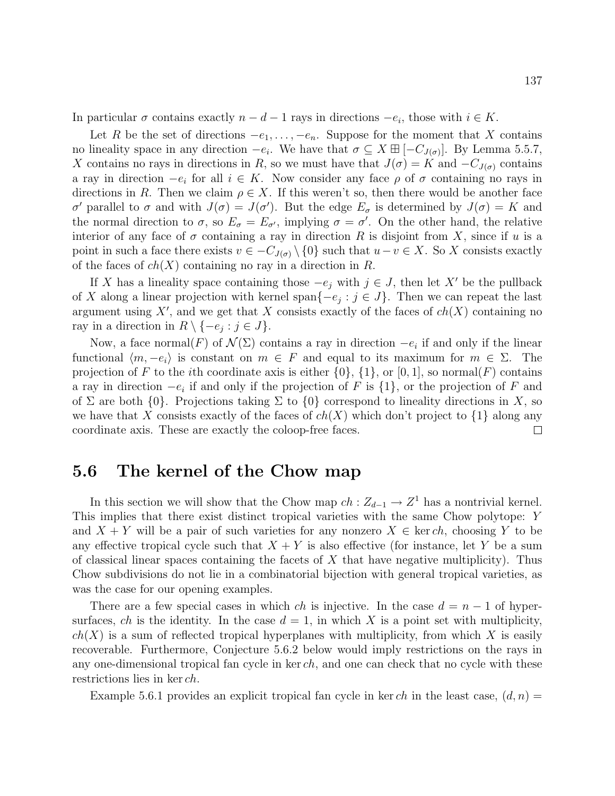In particular  $\sigma$  contains exactly  $n - d - 1$  rays in directions  $-e_i$ , those with  $i \in K$ .

Let R be the set of directions  $-e_1, \ldots, -e_n$ . Suppose for the moment that X contains no lineality space in any direction  $-e_i$ . We have that  $\sigma \subseteq X \boxplus [-C_{J(\sigma)}]$ . By Lemma 5.5.7, X contains no rays in directions in R, so we must have that  $J(\sigma) = K$  and  $-C_{J(\sigma)}$  contains a ray in direction  $-e_i$  for all  $i \in K$ . Now consider any face  $\rho$  of  $\sigma$  containing no rays in directions in R. Then we claim  $\rho \in X$ . If this weren't so, then there would be another face σ' parallel to σ and with  $J(\sigma) = J(\sigma')$ . But the edge  $E_{\sigma}$  is determined by  $J(\sigma) = K$  and the normal direction to  $\sigma$ , so  $E_{\sigma} = E_{\sigma'}$ , implying  $\sigma = \sigma'$ . On the other hand, the relative interior of any face of  $\sigma$  containing a ray in direction R is disjoint from X, since if u is a point in such a face there exists  $v \in -C_{J(\sigma)} \setminus \{0\}$  such that  $u-v \in X$ . So X consists exactly of the faces of  $ch(X)$  containing no ray in a direction in R.

If X has a lineality space containing those  $-e_j$  with  $j \in J$ , then let X' be the pullback of X along a linear projection with kernel span $\{-e_j : j \in J\}$ . Then we can repeat the last argument using X', and we get that X consists exactly of the faces of  $ch(X)$  containing no ray in a direction in  $R \setminus \{-e_j : j \in J\}.$ 

Now, a face normal(F) of  $\mathcal{N}(\Sigma)$  contains a ray in direction  $-e_i$  if and only if the linear functional  $\langle m, -e_i \rangle$  is constant on  $m \in F$  and equal to its maximum for  $m \in \Sigma$ . The projection of F to the *i*th coordinate axis is either  $\{0\}$ ,  $\{1\}$ , or  $[0, 1]$ , so normal(F) contains a ray in direction  $-e_i$  if and only if the projection of F is  $\{1\}$ , or the projection of F and of  $\Sigma$  are both  $\{0\}$ . Projections taking  $\Sigma$  to  $\{0\}$  correspond to lineality directions in X, so we have that X consists exactly of the faces of  $ch(X)$  which don't project to  $\{1\}$  along any coordinate axis. These are exactly the coloop-free faces.  $\Box$ 

### 5.6 The kernel of the Chow map

In this section we will show that the Chow map  $ch: Z_{d-1} \to Z^1$  has a nontrivial kernel. This implies that there exist distinct tropical varieties with the same Chow polytope: Y and  $X + Y$  will be a pair of such varieties for any nonzero  $X \in \text{ker } ch$ , choosing Y to be any effective tropical cycle such that  $X + Y$  is also effective (for instance, let Y be a sum of classical linear spaces containing the facets of  $X$  that have negative multiplicity). Thus Chow subdivisions do not lie in a combinatorial bijection with general tropical varieties, as was the case for our opening examples.

There are a few special cases in which ch is injective. In the case  $d = n - 1$  of hypersurfaces, ch is the identity. In the case  $d = 1$ , in which X is a point set with multiplicity,  $ch(X)$  is a sum of reflected tropical hyperplanes with multiplicity, from which X is easily recoverable. Furthermore, Conjecture 5.6.2 below would imply restrictions on the rays in any one-dimensional tropical fan cycle in  $\ker ch$ , and one can check that no cycle with these restrictions lies in ker ch.

Example 5.6.1 provides an explicit tropical fan cycle in ker ch in the least case,  $(d, n)$  =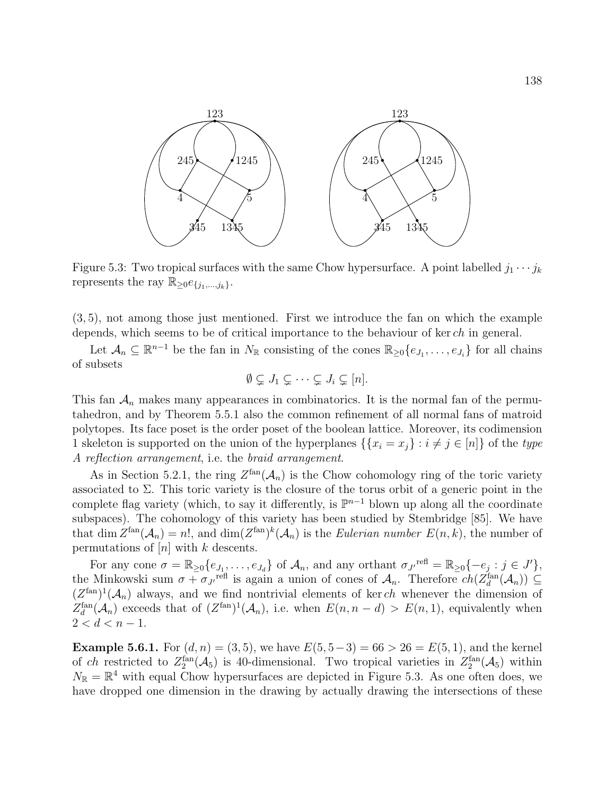

Figure 5.3: Two tropical surfaces with the same Chow hypersurface. A point labelled  $j_1 \cdots j_k$ represents the ray  $\mathbb{R}_{\geq 0}e_{\{j_1,\ldots,j_k\}}$ .

(3, 5), not among those just mentioned. First we introduce the fan on which the example depends, which seems to be of critical importance to the behaviour of ker ch in general.

Let  $\mathcal{A}_n \subseteq \mathbb{R}^{n-1}$  be the fan in  $N_{\mathbb{R}}$  consisting of the cones  $\mathbb{R}_{\geq 0}\{e_{J_1}, \ldots, e_{J_i}\}$  for all chains of subsets

$$
\emptyset \subsetneq J_1 \subsetneq \cdots \subsetneq J_i \subsetneq [n].
$$

This fan  $A_n$  makes many appearances in combinatorics. It is the normal fan of the permutahedron, and by Theorem 5.5.1 also the common refinement of all normal fans of matroid polytopes. Its face poset is the order poset of the boolean lattice. Moreover, its codimension 1 skeleton is supported on the union of the hyperplanes  $\{\{x_i = x_j\} : i \neq j \in [n]\}\$  of the type A reflection arrangement, i.e. the braid arrangement.

As in Section 5.2.1, the ring  $Z^{\text{fan}}(\mathcal{A}_n)$  is the Chow cohomology ring of the toric variety associated to  $\Sigma$ . This toric variety is the closure of the torus orbit of a generic point in the complete flag variety (which, to say it differently, is  $\mathbb{P}^{n-1}$  blown up along all the coordinate subspaces). The cohomology of this variety has been studied by Stembridge [85]. We have that dim  $Z^{\text{fan}}(\mathcal{A}_n) = n!$ , and  $\dim(Z^{\text{fan}})^k(\mathcal{A}_n)$  is the *Eulerian number*  $E(n, k)$ , the number of permutations of  $[n]$  with k descents.

For any cone  $\sigma = \mathbb{R}_{\geq 0} \{e_{J_1}, \ldots, e_{J_d}\}$  of  $\mathcal{A}_n$ , and any orthant  $\sigma_{J'}^{\text{refl}} = \mathbb{R}_{\geq 0} \{-e_j : j \in J'\},$ the Minkowski sum  $\sigma + \sigma_{J'}^{\text{refl}}$  is again a union of cones of  $\mathcal{A}_n$ . Therefore  $ch(Z_d^{\text{fan}}(\mathcal{A}_n)) \subseteq$  $(Z^{\text{fan}})^1(\mathcal{A}_n)$  always, and we find nontrivial elements of ker ch whenever the dimension of  $Z_d^{\text{fan}}(\mathcal{A}_n)$  exceeds that of  $(Z^{\text{fan}})^1(\mathcal{A}_n)$ , i.e. when  $E(n, n - d) > E(n, 1)$ , equivalently when  $2 < d < n - 1$ .

**Example 5.6.1.** For  $(d, n) = (3, 5)$ , we have  $E(5, 5-3) = 66 > 26 = E(5, 1)$ , and the kernel of ch restricted to  $Z_2^{\text{fan}}(\mathcal{A}_5)$  is 40-dimensional. Two tropical varieties in  $Z_2^{\text{fan}}(\mathcal{A}_5)$  within  $N_{\mathbb{R}} = \mathbb{R}^4$  with equal Chow hypersurfaces are depicted in Figure 5.3. As one often does, we have dropped one dimension in the drawing by actually drawing the intersections of these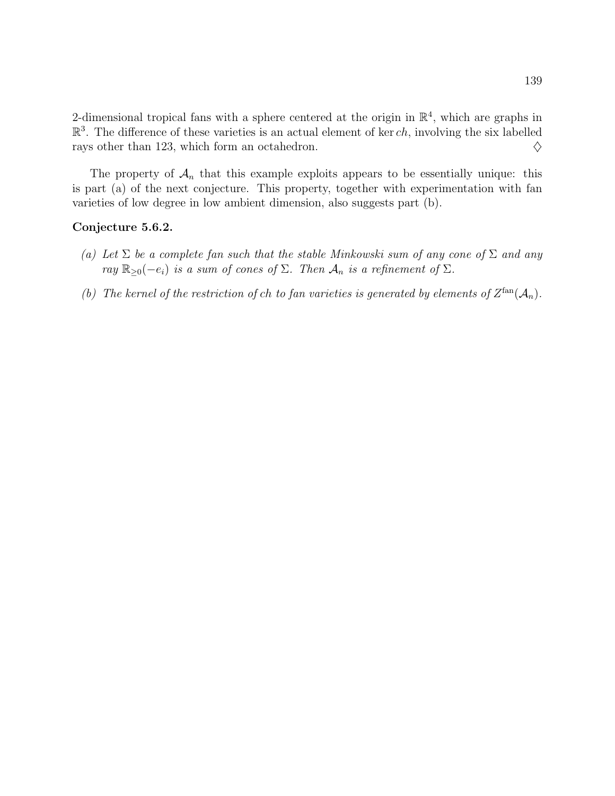2-dimensional tropical fans with a sphere centered at the origin in  $\mathbb{R}^4$ , which are graphs in  $\mathbb{R}^3$ . The difference of these varieties is an actual element of ker *ch*, involving the six labelled rays other than 123, which form an octahedron.  $\diamondsuit$ 

The property of  $A_n$  that this example exploits appears to be essentially unique: this is part (a) of the next conjecture. This property, together with experimentation with fan varieties of low degree in low ambient dimension, also suggests part (b).

## Conjecture 5.6.2.

- (a) Let  $\Sigma$  be a complete fan such that the stable Minkowski sum of any cone of  $\Sigma$  and any ray  $\mathbb{R}_{\geq 0}(-e_i)$  is a sum of cones of  $\Sigma$ . Then  $\mathcal{A}_n$  is a refinement of  $\Sigma$ .
- (b) The kernel of the restriction of ch to fan varieties is generated by elements of  $Z^{\text{fan}}(\mathcal{A}_n)$ .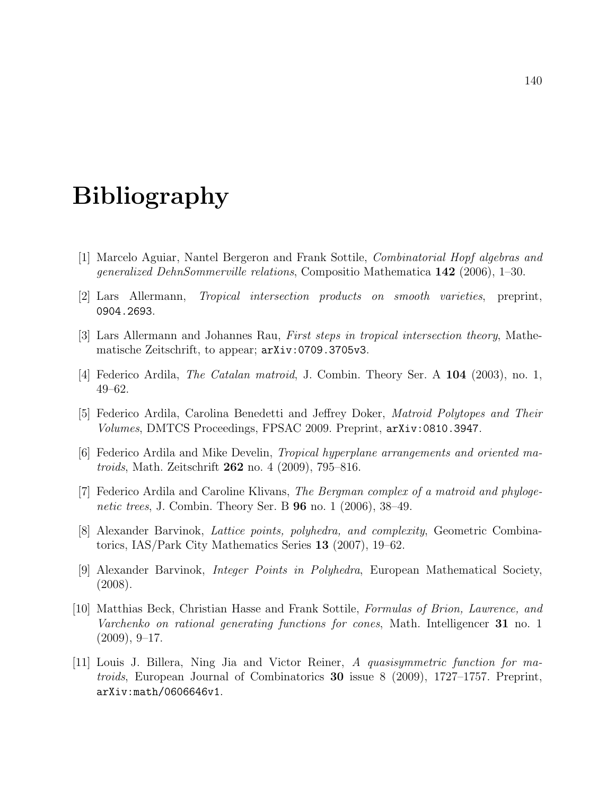## Bibliography

- [1] Marcelo Aguiar, Nantel Bergeron and Frank Sottile, Combinatorial Hopf algebras and generalized DehnSommerville relations, Compositio Mathematica 142 (2006), 1–30.
- [2] Lars Allermann, Tropical intersection products on smooth varieties, preprint, 0904.2693.
- [3] Lars Allermann and Johannes Rau, First steps in tropical intersection theory, Mathematische Zeitschrift, to appear; arXiv:0709.3705v3.
- [4] Federico Ardila, The Catalan matroid, J. Combin. Theory Ser. A 104 (2003), no. 1, 49–62.
- [5] Federico Ardila, Carolina Benedetti and Jeffrey Doker, Matroid Polytopes and Their Volumes, DMTCS Proceedings, FPSAC 2009. Preprint, arXiv:0810.3947.
- [6] Federico Ardila and Mike Develin, Tropical hyperplane arrangements and oriented matroids, Math. Zeitschrift 262 no. 4 (2009), 795–816.
- [7] Federico Ardila and Caroline Klivans, The Bergman complex of a matroid and phylogenetic trees, J. Combin. Theory Ser. B 96 no. 1 (2006), 38–49.
- [8] Alexander Barvinok, Lattice points, polyhedra, and complexity, Geometric Combinatorics, IAS/Park City Mathematics Series 13 (2007), 19–62.
- [9] Alexander Barvinok, Integer Points in Polyhedra, European Mathematical Society, (2008).
- [10] Matthias Beck, Christian Hasse and Frank Sottile, Formulas of Brion, Lawrence, and Varchenko on rational generating functions for cones, Math. Intelligencer 31 no. 1  $(2009), 9-17.$
- [11] Louis J. Billera, Ning Jia and Victor Reiner, A quasisymmetric function for matroids, European Journal of Combinatorics 30 issue 8 (2009), 1727–1757. Preprint, arXiv:math/0606646v1.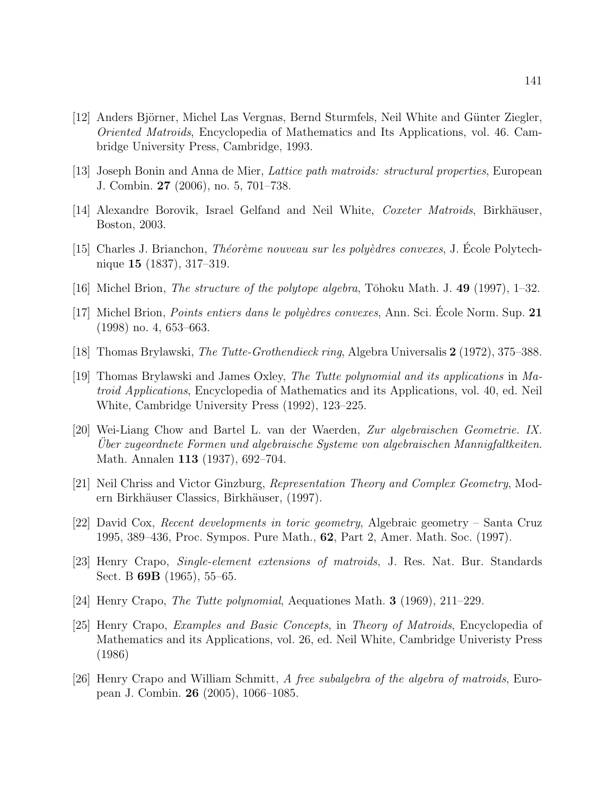- [12] Anders Björner, Michel Las Vergnas, Bernd Sturmfels, Neil White and Günter Ziegler, Oriented Matroids, Encyclopedia of Mathematics and Its Applications, vol. 46. Cambridge University Press, Cambridge, 1993.
- [13] Joseph Bonin and Anna de Mier, Lattice path matroids: structural properties, European J. Combin. 27 (2006), no. 5, 701–738.
- [14] Alexandre Borovik, Israel Gelfand and Neil White, Coxeter Matroids, Birkhäuser, Boston, 2003.
- [15] Charles J. Brianchon, *Théorème nouveau sur les polyèdres convexes*, J. Ecole Polytechnique 15 (1837), 317–319.
- [16] Michel Brion, *The structure of the polytope algebra*, Tōhoku Math. J. 49 (1997), 1–32.
- [17] Michel Brion, *Points entiers dans le polyèdres convexes*, Ann. Sci. École Norm. Sup. 21 (1998) no. 4, 653–663.
- [18] Thomas Brylawski, The Tutte-Grothendieck ring, Algebra Universalis 2 (1972), 375–388.
- [19] Thomas Brylawski and James Oxley, The Tutte polynomial and its applications in Matroid Applications, Encyclopedia of Mathematics and its Applications, vol. 40, ed. Neil White, Cambridge University Press (1992), 123–225.
- [20] Wei-Liang Chow and Bartel L. van der Waerden, Zur algebraischen Geometrie. IX. Uber zugeordnete Formen und algebraische Systeme von algebraischen Mannigfaltkeiten. Math. Annalen 113 (1937), 692–704.
- [21] Neil Chriss and Victor Ginzburg, Representation Theory and Complex Geometry, Modern Birkhäuser Classics, Birkhäuser, (1997).
- [22] David Cox, Recent developments in toric geometry, Algebraic geometry Santa Cruz 1995, 389–436, Proc. Sympos. Pure Math., 62, Part 2, Amer. Math. Soc. (1997).
- [23] Henry Crapo, Single-element extensions of matroids, J. Res. Nat. Bur. Standards Sect. B **69B** (1965), 55–65.
- [24] Henry Crapo, The Tutte polynomial, Aequationes Math. 3 (1969), 211–229.
- [25] Henry Crapo, Examples and Basic Concepts, in Theory of Matroids, Encyclopedia of Mathematics and its Applications, vol. 26, ed. Neil White, Cambridge Univeristy Press (1986)
- [26] Henry Crapo and William Schmitt, A free subalgebra of the algebra of matroids, European J. Combin. 26 (2005), 1066–1085.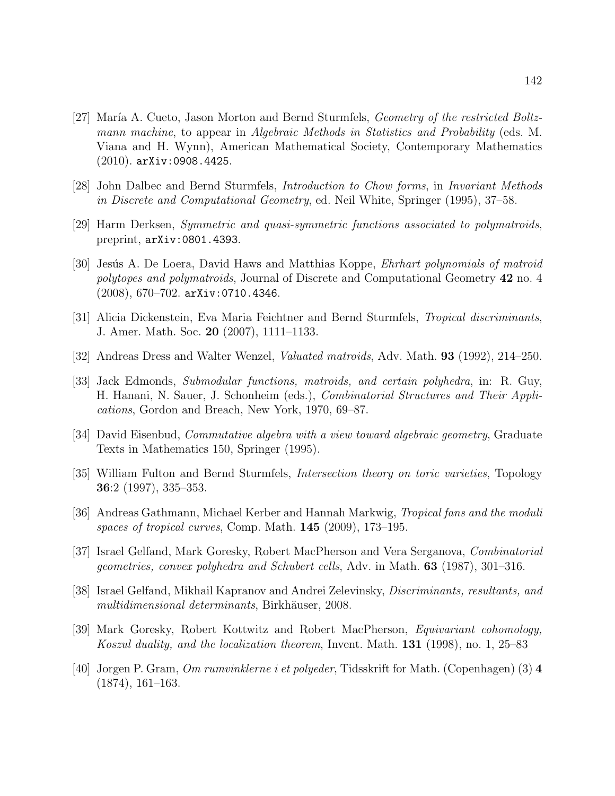- [27] María A. Cueto, Jason Morton and Bernd Sturmfels, *Geometry of the restricted Boltz*mann machine, to appear in Algebraic Methods in Statistics and Probability (eds. M. Viana and H. Wynn), American Mathematical Society, Contemporary Mathematics (2010). arXiv:0908.4425.
- [28] John Dalbec and Bernd Sturmfels, Introduction to Chow forms, in Invariant Methods in Discrete and Computational Geometry, ed. Neil White, Springer (1995), 37–58.
- [29] Harm Derksen, Symmetric and quasi-symmetric functions associated to polymatroids, preprint, arXiv:0801.4393.
- [30] Jesús A. De Loera, David Haws and Matthias Koppe, *Ehrhart polynomials of matroid* polytopes and polymatroids, Journal of Discrete and Computational Geometry 42 no. 4 (2008), 670–702. arXiv:0710.4346.
- [31] Alicia Dickenstein, Eva Maria Feichtner and Bernd Sturmfels, Tropical discriminants, J. Amer. Math. Soc. 20 (2007), 1111–1133.
- [32] Andreas Dress and Walter Wenzel, Valuated matroids, Adv. Math. 93 (1992), 214–250.
- [33] Jack Edmonds, Submodular functions, matroids, and certain polyhedra, in: R. Guy, H. Hanani, N. Sauer, J. Schonheim (eds.), Combinatorial Structures and Their Applications, Gordon and Breach, New York, 1970, 69–87.
- [34] David Eisenbud, Commutative algebra with a view toward algebraic geometry, Graduate Texts in Mathematics 150, Springer (1995).
- [35] William Fulton and Bernd Sturmfels, Intersection theory on toric varieties, Topology 36:2 (1997), 335–353.
- [36] Andreas Gathmann, Michael Kerber and Hannah Markwig, Tropical fans and the moduli spaces of tropical curves, Comp. Math. 145 (2009), 173–195.
- [37] Israel Gelfand, Mark Goresky, Robert MacPherson and Vera Serganova, Combinatorial geometries, convex polyhedra and Schubert cells, Adv. in Math. 63 (1987), 301–316.
- [38] Israel Gelfand, Mikhail Kapranov and Andrei Zelevinsky, Discriminants, resultants, and multidimensional determinants, Birkhäuser, 2008.
- [39] Mark Goresky, Robert Kottwitz and Robert MacPherson, Equivariant cohomology, Koszul duality, and the localization theorem, Invent. Math. 131 (1998), no. 1, 25–83
- [40] Jorgen P. Gram, Om rumvinklerne i et polyeder, Tidsskrift for Math. (Copenhagen) (3) 4 (1874), 161–163.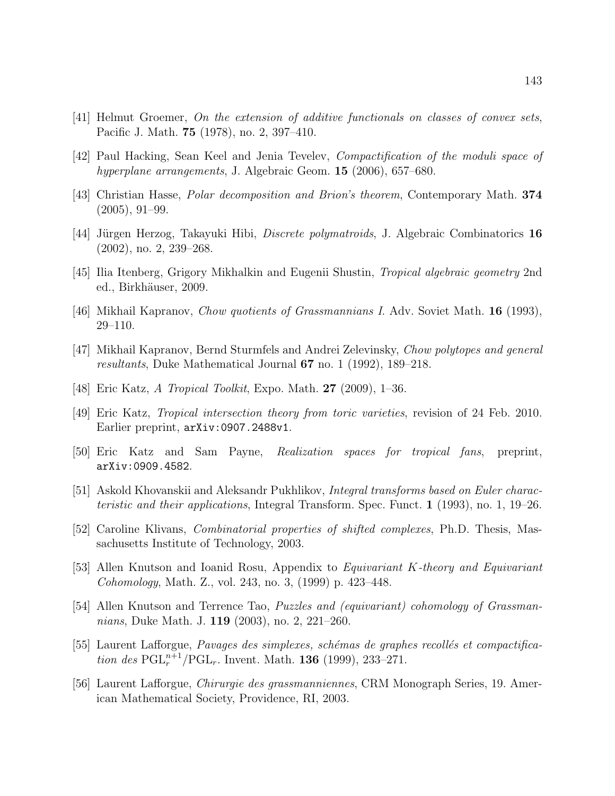- [41] Helmut Groemer, On the extension of additive functionals on classes of convex sets, Pacific J. Math. 75 (1978), no. 2, 397–410.
- [42] Paul Hacking, Sean Keel and Jenia Tevelev, Compactification of the moduli space of hyperplane arrangements, J. Algebraic Geom. **15** (2006), 657–680.
- [43] Christian Hasse, Polar decomposition and Brion's theorem, Contemporary Math. 374 (2005), 91–99.
- [44] Jürgen Herzog, Takayuki Hibi, *Discrete polymatroids*, J. Algebraic Combinatorics 16 (2002), no. 2, 239–268.
- [45] Ilia Itenberg, Grigory Mikhalkin and Eugenii Shustin, Tropical algebraic geometry 2nd ed., Birkhäuser, 2009.
- [46] Mikhail Kapranov, Chow quotients of Grassmannians I. Adv. Soviet Math. 16 (1993), 29–110.
- [47] Mikhail Kapranov, Bernd Sturmfels and Andrei Zelevinsky, Chow polytopes and general resultants, Duke Mathematical Journal 67 no. 1 (1992), 189–218.
- [48] Eric Katz, A Tropical Toolkit, Expo. Math. 27 (2009), 1–36.
- [49] Eric Katz, Tropical intersection theory from toric varieties, revision of 24 Feb. 2010. Earlier preprint, arXiv:0907.2488v1.
- [50] Eric Katz and Sam Payne, Realization spaces for tropical fans, preprint, arXiv:0909.4582.
- [51] Askold Khovanskii and Aleksandr Pukhlikov, Integral transforms based on Euler characteristic and their applications, Integral Transform. Spec. Funct. 1 (1993), no. 1, 19–26.
- [52] Caroline Klivans, Combinatorial properties of shifted complexes, Ph.D. Thesis, Massachusetts Institute of Technology, 2003.
- [53] Allen Knutson and Ioanid Rosu, Appendix to Equivariant K-theory and Equivariant Cohomology, Math. Z., vol. 243, no. 3, (1999) p. 423–448.
- [54] Allen Knutson and Terrence Tao, Puzzles and (equivariant) cohomology of Grassmannians, Duke Math. J. 119 (2003), no. 2, 221–260.
- [55] Laurent Lafforgue, *Pavages des simplexes, schémas de graphes recollés et compactifica*tion des  $PGL_r^{n+1}/\text{PGL}_r$ . Invent. Math. **136** (1999), 233–271.
- [56] Laurent Lafforgue, Chirurgie des grassmanniennes, CRM Monograph Series, 19. American Mathematical Society, Providence, RI, 2003.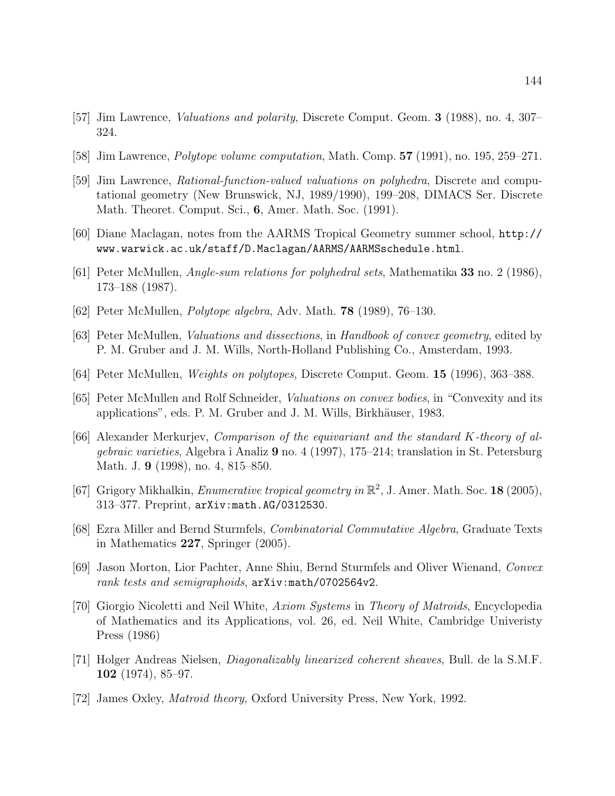- [57] Jim Lawrence, Valuations and polarity, Discrete Comput. Geom. 3 (1988), no. 4, 307– 324.
- [58] Jim Lawrence, Polytope volume computation, Math. Comp. 57 (1991), no. 195, 259–271.
- [59] Jim Lawrence, Rational-function-valued valuations on polyhedra, Discrete and computational geometry (New Brunswick, NJ, 1989/1990), 199–208, DIMACS Ser. Discrete Math. Theoret. Comput. Sci., **6**, Amer. Math. Soc. (1991).
- [60] Diane Maclagan, notes from the AARMS Tropical Geometry summer school, http:// www.warwick.ac.uk/staff/D.Maclagan/AARMS/AARMSschedule.html.
- [61] Peter McMullen, Angle-sum relations for polyhedral sets, Mathematika 33 no. 2 (1986), 173–188 (1987).
- [62] Peter McMullen, Polytope algebra, Adv. Math. 78 (1989), 76–130.
- [63] Peter McMullen, Valuations and dissections, in Handbook of convex geometry, edited by P. M. Gruber and J. M. Wills, North-Holland Publishing Co., Amsterdam, 1993.
- [64] Peter McMullen, Weights on polytopes, Discrete Comput. Geom. 15 (1996), 363–388.
- [65] Peter McMullen and Rolf Schneider, Valuations on convex bodies, in "Convexity and its applications", eds. P. M. Gruber and J. M. Wills, Birkhäuser, 1983.
- [66] Alexander Merkurjev, Comparison of the equivariant and the standard K-theory of algebraic varieties, Algebra i Analiz 9 no. 4 (1997), 175–214; translation in St. Petersburg Math. J. 9 (1998), no. 4, 815–850.
- [67] Grigory Mikhalkin, *Enumerative tropical geometry in*  $\mathbb{R}^2$ , J. Amer. Math. Soc. 18 (2005), 313–377. Preprint, arXiv:math.AG/0312530.
- [68] Ezra Miller and Bernd Sturmfels, Combinatorial Commutative Algebra, Graduate Texts in Mathematics 227, Springer (2005).
- [69] Jason Morton, Lior Pachter, Anne Shiu, Bernd Sturmfels and Oliver Wienand, Convex rank tests and semigraphoids,  $arXiv:math/0702564v2$ .
- [70] Giorgio Nicoletti and Neil White, Axiom Systems in Theory of Matroids, Encyclopedia of Mathematics and its Applications, vol. 26, ed. Neil White, Cambridge Univeristy Press (1986)
- [71] Holger Andreas Nielsen, Diagonalizably linearized coherent sheaves, Bull. de la S.M.F. 102 (1974), 85–97.
- [72] James Oxley, Matroid theory, Oxford University Press, New York, 1992.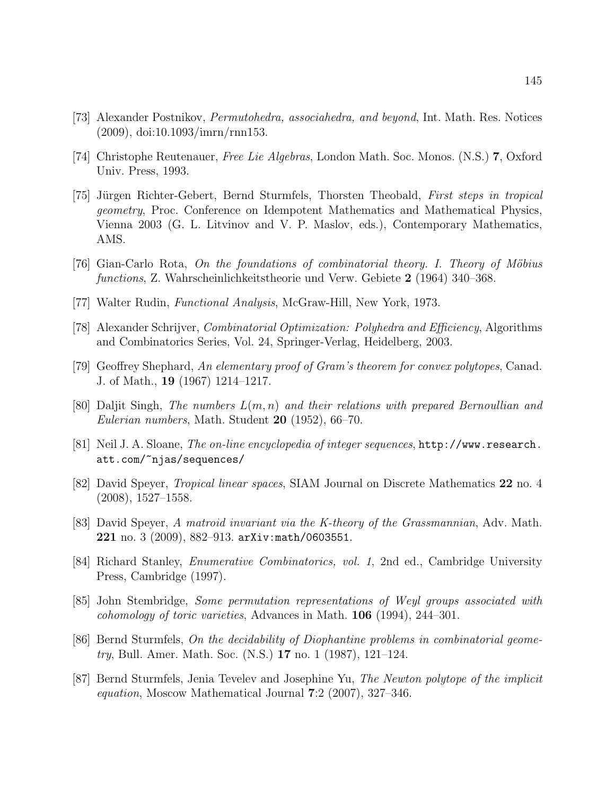- [73] Alexander Postnikov, Permutohedra, associahedra, and beyond, Int. Math. Res. Notices (2009), doi:10.1093/imrn/rnn153.
- [74] Christophe Reutenauer, Free Lie Algebras, London Math. Soc. Monos. (N.S.) 7, Oxford Univ. Press, 1993.
- [75] Jürgen Richter-Gebert, Bernd Sturmfels, Thorsten Theobald, *First steps in tropical* geometry, Proc. Conference on Idempotent Mathematics and Mathematical Physics, Vienna 2003 (G. L. Litvinov and V. P. Maslov, eds.), Contemporary Mathematics, AMS.
- [76] Gian-Carlo Rota, On the foundations of combinatorial theory. I. Theory of Möbius functions, Z. Wahrscheinlichkeitstheorie und Verw. Gebiete 2 (1964) 340–368.
- [77] Walter Rudin, Functional Analysis, McGraw-Hill, New York, 1973.
- [78] Alexander Schrijver, Combinatorial Optimization: Polyhedra and Efficiency, Algorithms and Combinatorics Series, Vol. 24, Springer-Verlag, Heidelberg, 2003.
- [79] Geoffrey Shephard, An elementary proof of Gram's theorem for convex polytopes, Canad. J. of Math., 19 (1967) 1214–1217.
- [80] Daljit Singh, The numbers  $L(m, n)$  and their relations with prepared Bernoullian and Eulerian numbers, Math. Student 20 (1952), 66–70.
- [81] Neil J. A. Sloane, The on-line encyclopedia of integer sequences, http://www.research. att.com/~njas/sequences/
- [82] David Speyer, Tropical linear spaces, SIAM Journal on Discrete Mathematics 22 no. 4 (2008), 1527–1558.
- [83] David Speyer, A matroid invariant via the K-theory of the Grassmannian, Adv. Math. 221 no. 3 (2009), 882–913. arXiv:math/0603551.
- [84] Richard Stanley, Enumerative Combinatorics, vol. 1, 2nd ed., Cambridge University Press, Cambridge (1997).
- [85] John Stembridge, Some permutation representations of Weyl groups associated with cohomology of toric varieties, Advances in Math. 106 (1994), 244–301.
- [86] Bernd Sturmfels, On the decidability of Diophantine problems in combinatorial geometry, Bull. Amer. Math. Soc. (N.S.) 17 no. 1 (1987), 121–124.
- [87] Bernd Sturmfels, Jenia Tevelev and Josephine Yu, The Newton polytope of the implicit equation, Moscow Mathematical Journal 7:2 (2007), 327–346.